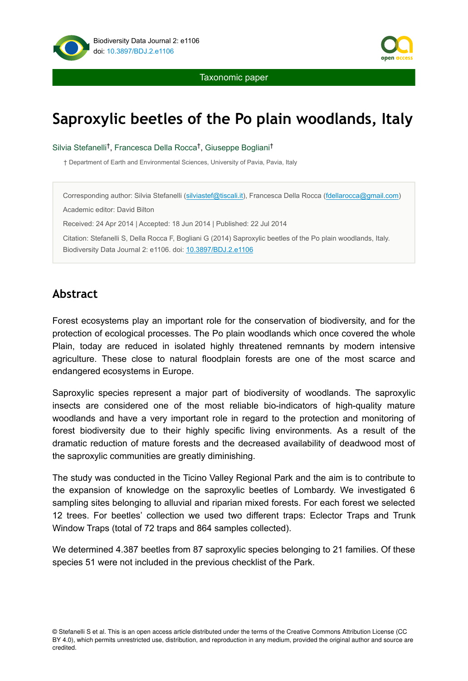



Taxonomic paper

# **Saproxylic beetles of the Po plain woodlands, Italy**

Silvia Stefanelli<sup>†</sup>, Francesca Della Rocca<sup>†</sup>, Giuseppe Bogliani<sup>†</sup>

† Department of Earth and Environmental Sciences, University of Pavia, Pavia, Italy

Corresponding author: Silvia Stefanelli [\(silviastef@tiscali.it](mailto:silviastef@tiscali.it)), Francesca Della Rocca ([fdellarocca@gmail.com\)](mailto:fdellarocca@gmail.com) Academic editor: David Bilton Received: 24 Apr 2014 | Accepted: 18 Jun 2014 | Published: 22 Jul 2014 Citation: Stefanelli S, Della Rocca F, Bogliani G (2014) Saproxylic beetles of the Po plain woodlands, Italy. Biodiversity Data Journal 2: e1106. doi: [10.3897/BDJ.2.e1106](http://dx.doi.org/10.3897/BDJ.2.e1106)

## **Abstract**

Forest ecosystems play an important role for the conservation of biodiversity, and for the protection of ecological processes. The Po plain woodlands which once covered the whole Plain, today are reduced in isolated highly threatened remnants by modern intensive agriculture. These close to natural floodplain forests are one of the most scarce and endangered ecosystems in Europe.

Saproxylic species represent a major part of biodiversity of woodlands. The saproxylic insects are considered one of the most reliable bio-indicators of high-quality mature woodlands and have a very important role in regard to the protection and monitoring of forest biodiversity due to their highly specific living environments. As a result of the dramatic reduction of mature forests and the decreased availability of deadwood most of the saproxylic communities are greatly diminishing.

The study was conducted in the Ticino Valley Regional Park and the aim is to contribute to the expansion of knowledge on the saproxylic beetles of Lombardy. We investigated 6 sampling sites belonging to alluvial and riparian mixed forests. For each forest we selected 12 trees. For beetles' collection we used two different traps: Eclector Traps and Trunk Window Traps (total of 72 traps and 864 samples collected).

We determined 4.387 beetles from 87 saproxylic species belonging to 21 families. Of these species 51 were not included in the previous checklist of the Park.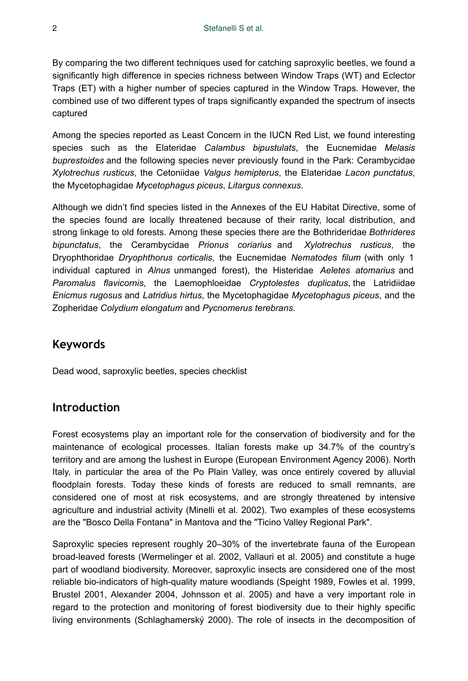By comparing the two different techniques used for catching saproxylic beetles, we found a significantly high difference in species richness between Window Traps (WT) and Eclector Traps (ET) with a higher number of species captured in the Window Traps. However, the combined use of two different types of traps significantly expanded the spectrum of insects captured

Among the species reported as Least Concern in the IUCN Red List, we found interesting species such as the Elateridae *Calambus bipustulats*, the Eucnemidae *Melasis buprestoides* and the following species never previously found in the Park: Cerambycidae *Xylotrechus rusticus*, the Cetoniidae *Valgus hemipterus*, the Elateridae *Lacon punctatus*, the Mycetophagidae *Mycetophagus piceus*, *Litargus connexus*.

Although we didn't find species listed in the Annexes of the EU Habitat Directive, some of the species found are locally threatened because of their rarity, local distribution, and strong linkage to old forests. Among these species there are the Bothrideridae *Bothrideres bipunctatus*, the Cerambycidae *Prionus coriarius* and *Xylotrechus rusticus*, the Dryophthoridae *Dryophthorus corticalis*, the Eucnemidae *Nematodes filum* (with only 1 individual captured in *Alnus* unmanged forest), the Histeridae *Aeletes atomarius* and *Paromalus flavicornis*, the Laemophloeidae *Cryptolestes duplicatus*, the Latridiidae *Enicmus rugosus* and *Latridius hirtus*, the Mycetophagidae *Mycetophagus piceus*, and the Zopheridae *Colydium elongatum* and *Pycnomerus terebrans*.

## **Keywords**

Dead wood, saproxylic beetles, species checklist

## **Introduction**

Forest ecosystems play an important role for the conservation of biodiversity and for the maintenance of ecological processes. Italian forests make up 34.7% of the country's territory and are among the lushest in Europe (European Environment Agency 2006). North Italy, in particular the area of the Po Plain Valley, was once entirely covered by alluvial floodplain forests. Today these kinds of forests are reduced to small remnants, are considered one of most at risk ecosystems, and are strongly threatened by intensive agriculture and industrial activity (Minelli et al. 2002). Two examples of these ecosystems are the "Bosco Della Fontana" in Mantova and the "Ticino Valley Regional Park".

Saproxylic species represent roughly 20–30% of the invertebrate fauna of the European broad-leaved forests (Wermelinger et al. 2002, Vallauri et al. 2005) and constitute a huge part of woodland biodiversity. Moreover, saproxylic insects are considered one of the most reliable bio-indicators of high-quality mature woodlands (Speight 1989, Fowles et al. 1999, Brustel 2001, Alexander 2004, Johnsson et al. 2005) and have a very important role in regard to the protection and monitoring of forest biodiversity due to their highly specific living environments (Schlaghamerský 2000). The role of insects in the decomposition of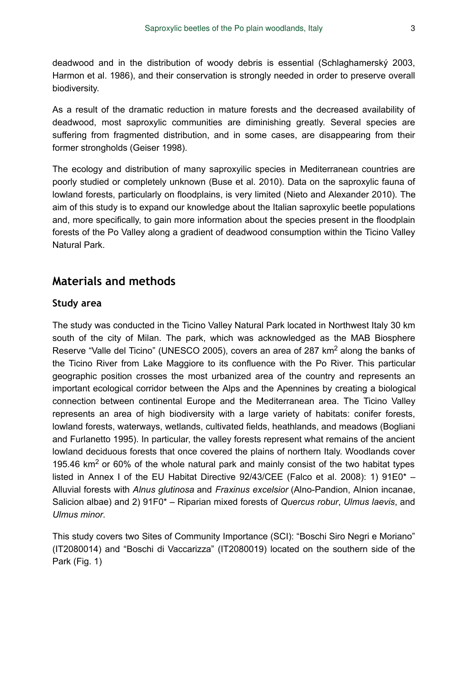deadwood and in the distribution of woody debris is essential (Schlaghamerský 2003, Harmon et al. 1986), and their conservation is strongly needed in order to preserve overall biodiversity.

As a result of the dramatic reduction in mature forests and the decreased availability of deadwood, most saproxylic communities are diminishing greatly. Several species are suffering from fragmented distribution, and in some cases, are disappearing from their former strongholds (Geiser 1998).

The ecology and distribution of many saproxyilic species in Mediterranean countries are poorly studied or completely unknown (Buse et al. 2010). Data on the saproxylic fauna of lowland forests, particularly on floodplains, is very limited (Nieto and Alexander 2010). The aim of this study is to expand our knowledge about the Italian saproxylic beetle populations and, more specifically, to gain more information about the species present in the floodplain forests of the Po Valley along a gradient of deadwood consumption within the Ticino Valley Natural Park.

## **Materials and methods**

### **Study area**

The study was conducted in the Ticino Valley Natural Park located in Northwest Italy 30 km south of the city of Milan. The park, which was acknowledged as the MAB Biosphere Reserve "Valle del Ticino" (UNESCO 2005), covers an area of 287 km<sup>2</sup> along the banks of the Ticino River from Lake Maggiore to its confluence with the Po River. This particular geographic position crosses the most urbanized area of the country and represents an important ecological corridor between the Alps and the Apennines by creating a biological connection between continental Europe and the Mediterranean area. The Ticino Valley represents an area of high biodiversity with a large variety of habitats: conifer forests, lowland forests, waterways, wetlands, cultivated fields, heathlands, and meadows (Bogliani and Furlanetto 1995). In particular, the valley forests represent what remains of the ancient lowland deciduous forests that once covered the plains of northern Italy. Woodlands cover 195.46  $km<sup>2</sup>$  or 60% of the whole natural park and mainly consist of the two habitat types listed in Annex I of the EU Habitat Directive 92/43/CEE (Falco et al. 2008): 1) 91E0\* – Alluvial forests with *Alnus glutinosa* and *Fraxinus excelsior* (Alno-Pandion, Alnion incanae, Salicion albae) and 2) 91F0\* – Riparian mixed forests of *Quercus robur*, *Ulmus laevis*, and *Ulmus minor*.

This study covers two Sites of Community Importance (SCI): "Boschi Siro Negri e Moriano" (IT2080014) and "Boschi di Vaccarizza" (IT2080019) located on the southern side of the Park (Fig. 1)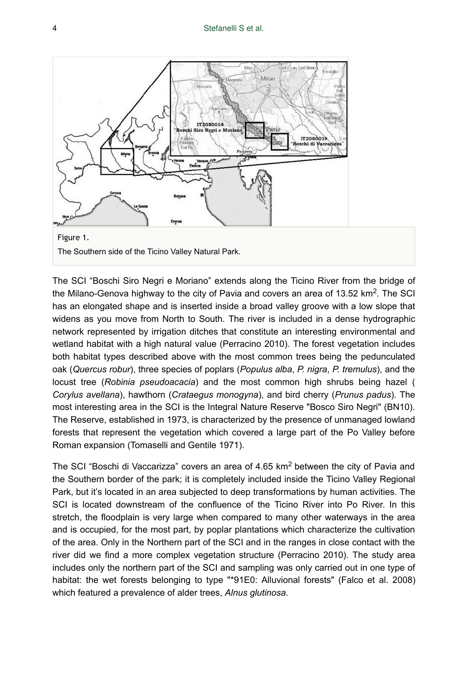

The SCI "Boschi Siro Negri e Moriano" extends along the Ticino River from the bridge of the Milano-Genova highway to the city of Pavia and covers an area of 13.52 km<sup>2</sup>. The SCI has an elongated shape and is inserted inside a broad valley groove with a low slope that widens as you move from North to South. The river is included in a dense hydrographic network represented by irrigation ditches that constitute an interesting environmental and wetland habitat with a high natural value (Perracino 2010). The forest vegetation includes both habitat types described above with the most common trees being the pedunculated oak (*Quercus robur*), three species of poplars (*Populus alba*, *P. nigra*, *P. tremulus*), and the locust tree (*Robinia pseudoacacia*) and the most common high shrubs being hazel ( *Corylus avellana*), hawthorn (*Crataegus monogyna*), and bird cherry (*Prunus padus*). The most interesting area in the SCI is the Integral Nature Reserve "Bosco Siro Negri" (BN10). The Reserve, established in 1973, is characterized by the presence of unmanaged lowland forests that represent the vegetation which covered a large part of the Po Valley before Roman expansion (Tomaselli and Gentile 1971).

The SCI "Boschi di Vaccarizza" covers an area of 4.65 km<sup>2</sup> between the city of Pavia and the Southern border of the park; it is completely included inside the Ticino Valley Regional Park, but it's located in an area subjected to deep transformations by human activities. The SCI is located downstream of the confluence of the Ticino River into Po River. In this stretch, the floodplain is very large when compared to many other waterways in the area and is occupied, for the most part, by poplar plantations which characterize the cultivation of the area. Only in the Northern part of the SCI and in the ranges in close contact with the river did we find a more complex vegetation structure (Perracino 2010). The study area includes only the northern part of the SCI and sampling was only carried out in one type of habitat: the wet forests belonging to type "\*91E0: Alluvional forests" (Falco et al. 2008) which featured a prevalence of alder trees, *Alnus glutinosa*.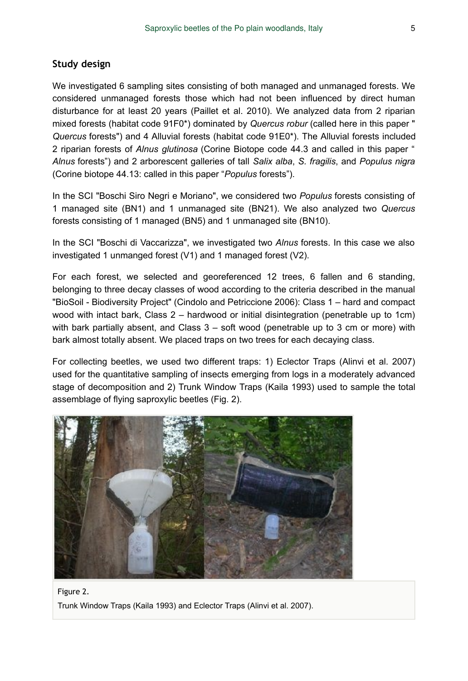#### **Study design**

We investigated 6 sampling sites consisting of both managed and unmanaged forests. We considered unmanaged forests those which had not been influenced by direct human disturbance for at least 20 years (Paillet et al. 2010). We analyzed data from 2 riparian mixed forests (habitat code 91F0\*) dominated by *Quercus robur* (called here in this paper " *Quercus* forests") and 4 Alluvial forests (habitat code 91E0\*). The Alluvial forests included 2 riparian forests of *Alnus glutinosa* (Corine Biotope code 44.3 and called in this paper " *Alnus* forests") and 2 arborescent galleries of tall *Salix alba*, *S. fragilis*, and *Populus nigra* (Corine biotope 44.13: called in this paper "*Populus* forests").

In the SCI "Boschi Siro Negri e Moriano", we considered two *Populus* forests consisting of 1 managed site (BN1) and 1 unmanaged site (BN21). We also analyzed two *Quercus* forests consisting of 1 managed (BN5) and 1 unmanaged site (BN10).

In the SCI "Boschi di Vaccarizza", we investigated two *Alnus* forests. In this case we also investigated 1 unmanged forest (V1) and 1 managed forest (V2).

For each forest, we selected and georeferenced 12 trees, 6 fallen and 6 standing, belonging to three decay classes of wood according to the criteria described in the manual "BioSoil - Biodiversity Project" (Cindolo and Petriccione 2006): Class 1 – hard and compact wood with intact bark, Class 2 – hardwood or initial disintegration (penetrable up to 1cm) with bark partially absent, and Class  $3 -$  soft wood (penetrable up to  $3 \text{ cm}$  or more) with bark almost totally absent. We placed traps on two trees for each decaying class.

For collecting beetles, we used two different traps: 1) Eclector Traps (Alinvi et al. 2007) used for the quantitative sampling of insects emerging from logs in a moderately advanced stage of decomposition and 2) Trunk Window Traps (Kaila 1993) used to sample the total assemblage of flying saproxylic beetles (Fig. 2).



Figure 2. Trunk Window Traps (Kaila 1993) and Eclector Traps (Alinvi et al. 2007).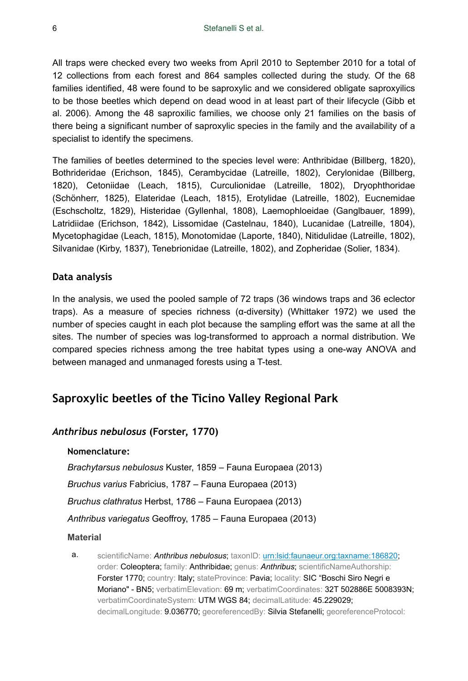All traps were checked every two weeks from April 2010 to September 2010 for a total of 12 collections from each forest and 864 samples collected during the study. Of the 68 families identified, 48 were found to be saproxylic and we considered obligate saproxyilics to be those beetles which depend on dead wood in at least part of their lifecycle (Gibb et al. 2006). Among the 48 saproxilic families, we choose only 21 families on the basis of there being a significant number of saproxylic species in the family and the availability of a specialist to identify the specimens.

The families of beetles determined to the species level were: Anthribidae (Billberg, 1820), Bothrideridae (Erichson, 1845), Cerambycidae (Latreille, 1802), Cerylonidae (Billberg, 1820), Cetoniidae (Leach, 1815), Curculionidae (Latreille, 1802), Dryophthoridae (Schönherr, 1825), Elateridae (Leach, 1815), Erotylidae (Latreille, 1802), Eucnemidae (Eschscholtz, 1829), Histeridae (Gyllenhal, 1808), Laemophloeidae (Ganglbauer, 1899), Latridiidae (Erichson, 1842), Lissomidae (Castelnau, 1840), Lucanidae (Latreille, 1804), Mycetophagidae (Leach, 1815), Monotomidae (Laporte, 1840), Nitidulidae (Latreille, 1802), Silvanidae (Kirby, 1837), Tenebrionidae (Latreille, 1802), and Zopheridae (Solier, 1834).

### **Data analysis**

In the analysis, we used the pooled sample of 72 traps (36 windows traps and 36 eclector traps). As a measure of species richness (α-diversity) (Whittaker 1972) we used the number of species caught in each plot because the sampling effort was the same at all the sites. The number of species was log-transformed to approach a normal distribution. We compared species richness among the tree habitat types using a one-way ANOVA and between managed and unmanaged forests using a T-test.

## **Saproxylic beetles of the Ticino Valley Regional Park**

## *Anthribus nebulosus* **(Forster, 1770)**

#### **Nomenclature:**

*Brachytarsus nebulosus* Kuster, 1859 – Fauna Europaea (2013)

*Bruchus varius* Fabricius, 1787 – Fauna Europaea (2013)

*Bruchus clathratus* Herbst, 1786 – Fauna Europaea (2013)

*Anthribus variegatus* Geoffroy, 1785 – Fauna Europaea (2013)

#### **Material**

a. scientificName: *Anthribus nebulosus*; taxonID: [urn:lsid:faunaeur.org:taxname:186820;](http://www.faunaeur.org/full_results.php?id=186820) order: Coleoptera; family: Anthribidae; genus: *Anthribus*; scientificNameAuthorship: Forster 1770; country: Italy; stateProvince: Pavia; locality: SIC "Boschi Siro Negri e Moriano" - BN5; verbatimElevation: 69 m; verbatimCoordinates: 32T 502886E 5008393N; verbatimCoordinateSystem: UTM WGS 84; decimalLatitude: 45.229029; decimalLongitude: 9.036770; georeferencedBy: Silvia Stefanelli; georeferenceProtocol: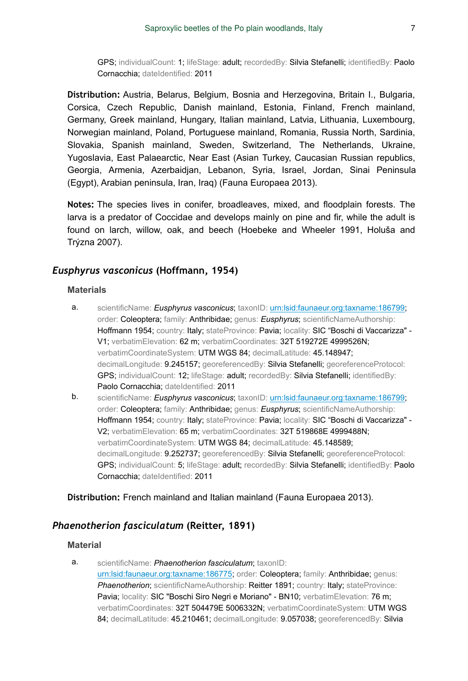GPS; individualCount: 1; lifeStage: adult; recordedBy: Silvia Stefanelli; identifiedBy: Paolo Cornacchia: dateIdentified: 2011

**Distribution:** Austria, Belarus, Belgium, Bosnia and Herzegovina, Britain I., Bulgaria, Corsica, Czech Republic, Danish mainland, Estonia, Finland, French mainland, Germany, Greek mainland, Hungary, Italian mainland, Latvia, Lithuania, Luxembourg, Norwegian mainland, Poland, Portuguese mainland, Romania, Russia North, Sardinia, Slovakia, Spanish mainland, Sweden, Switzerland, The Netherlands, Ukraine, Yugoslavia, East Palaearctic, Near East (Asian Turkey, Caucasian Russian republics, Georgia, Armenia, Azerbaidjan, Lebanon, Syria, Israel, Jordan, Sinai Peninsula (Egypt), Arabian peninsula, Iran, Iraq) (Fauna Europaea 2013).

**Notes:** The species lives in conifer, broadleaves, mixed, and floodplain forests. The larva is a predator of Coccidae and develops mainly on pine and fir, while the adult is found on larch, willow, oak, and beech (Hoebeke and Wheeler 1991, Holuša and Trýzna 2007).

## *Eusphyrus vasconicus* **(Hoffmann, 1954)**

#### **Materials**

- a. scientificName: *Eusphyrus vasconicus*; taxonID: [urn:lsid:faunaeur.org:taxname:186799;](http://www.faunaeur.org/full_results.php?id=186799) order: Coleoptera; family: Anthribidae; genus: *Eusphyrus*; scientificNameAuthorship: Hoffmann 1954; country: Italy; stateProvince: Pavia; locality: SIC "Boschi di Vaccarizza" - V1; verbatimElevation: 62 m; verbatimCoordinates: 32T 519272E 4999526N; verbatimCoordinateSystem: UTM WGS 84; decimalLatitude: 45.148947; decimalLongitude: 9.245157; georeferencedBy: Silvia Stefanelli; georeferenceProtocol: GPS; individualCount: 12; lifeStage: adult; recordedBy: Silvia Stefanelli; identifiedBy: Paolo Cornacchia: dateIdentified: 2011
- b. scientificName: *Eusphyrus vasconicus*; taxonID: [urn:lsid:faunaeur.org:taxname:186799;](http://www.faunaeur.org/full_results.php?id=186799) order: Coleoptera; family: Anthribidae; genus: *Eusphyrus*; scientificNameAuthorship: Hoffmann 1954; country: Italy; stateProvince: Pavia; locality: SIC "Boschi di Vaccarizza" - V2; verbatimElevation: 65 m; verbatimCoordinates: 32T 519868E 4999488N; verbatimCoordinateSystem: UTM WGS 84; decimalLatitude: 45.148589; decimalLongitude: 9.252737; georeferencedBy: Silvia Stefanelli; georeferenceProtocol: GPS; individualCount: 5; lifeStage: adult; recordedBy: Silvia Stefanelli; identifiedBy: Paolo Cornacchia; dateIdentified: 2011

#### **Distribution:** French mainland and Italian mainland (Fauna Europaea 2013).

### *Phaenotherion fasciculatum* **(Reitter, 1891)**

#### **Material**

a. scientificName: *Phaenotherion fasciculatum*; taxonID: [urn:lsid:faunaeur.org:taxname:186775](http://www.faunaeur.org/full_results.php?id=186775); order: Coleoptera; family: Anthribidae; genus: **Phaenotherion**; scientificNameAuthorship: Reitter 1891; country: Italy; stateProvince: Pavia; locality: SIC "Boschi Siro Negri e Moriano" - BN10; verbatimElevation: 76 m; verbatimCoordinates: 32T 504479E 5006332N; verbatimCoordinateSystem: UTM WGS 84; decimalLatitude: 45.210461; decimalLongitude: 9.057038; georeferencedBy: Silvia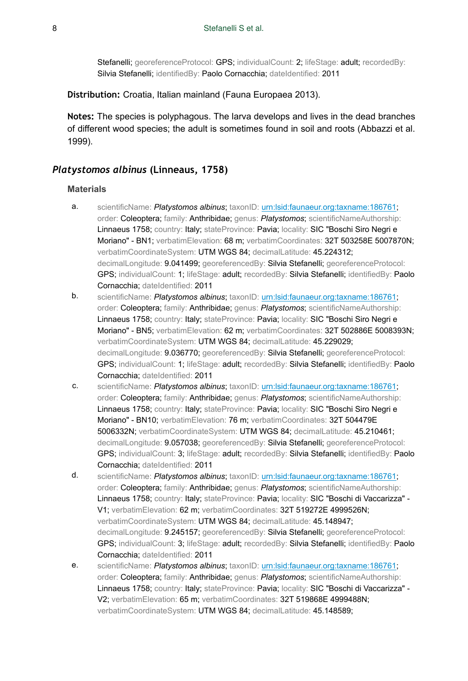Stefanelli; georeferenceProtocol: GPS; individualCount: 2; lifeStage: adult; recordedBy: Silvia Stefanelli; identifiedBy: Paolo Cornacchia; dateIdentified: 2011

**Distribution:** Croatia, Italian mainland (Fauna Europaea 2013).

**Notes:** The species is polyphagous. The larva develops and lives in the dead branches of different wood species; the adult is sometimes found in soil and roots (Abbazzi et al. 1999).

### *Platystomos albinus* **(Linneaus, 1758)**

#### **Materials**

- a. scientificName: *Platystomos albinus*; taxonID: [urn:lsid:faunaeur.org:taxname:186761](http://www.faunaeur.org/full_results.php?id=186761); order: Coleoptera; family: Anthribidae; genus: *Platystomos*; scientificNameAuthorship: Linnaeus 1758; country: Italy; stateProvince: Pavia; locality: SIC "Boschi Siro Negri e Moriano" - BN1; verbatimElevation: 68 m; verbatimCoordinates: 32T 503258E 5007870N; verbatimCoordinateSystem: UTM WGS 84; decimalLatitude: 45.224312; decimalLongitude: 9.041499; georeferencedBy: Silvia Stefanelli; georeferenceProtocol: GPS; individualCount: 1; lifeStage: adult; recordedBy: Silvia Stefanelli; identifiedBy: Paolo Cornacchia: dateIdentified: 2011
- b. scientificName: *Platystomos albinus*; taxonID: [urn:lsid:faunaeur.org:taxname:186761](http://www.faunaeur.org/full_results.php?id=186761); order: Coleoptera; family: Anthribidae; genus: Platystomos; scientificNameAuthorship: Linnaeus 1758; country: Italy; stateProvince: Pavia; locality: SIC "Boschi Siro Negri e Moriano" - BN5; verbatimElevation: 62 m; verbatimCoordinates: 32T 502886E 5008393N; verbatimCoordinateSystem: UTM WGS 84; decimalLatitude: 45.229029; decimalLongitude: 9.036770; georeferencedBy: Silvia Stefanelli; georeferenceProtocol: GPS; individualCount: 1; lifeStage: adult; recordedBy: Silvia Stefanelli; identifiedBy: Paolo Cornacchia; dateIdentified: 2011
- c. scientificName: *Platystomos albinus*; taxonID: [urn:lsid:faunaeur.org:taxname:186761](http://www.faunaeur.org/full_results.php?id=186761); order: Coleoptera; family: Anthribidae; genus: *Platystomos*; scientificNameAuthorship: Linnaeus 1758; country: Italy; stateProvince: Pavia; locality: SIC "Boschi Siro Negri e Moriano" - BN10; verbatimElevation: 76 m; verbatimCoordinates: 32T 504479E 5006332N; verbatimCoordinateSystem: UTM WGS 84; decimalLatitude: 45.210461; decimalLongitude: 9.057038; georeferencedBy: Silvia Stefanelli; georeferenceProtocol: GPS; individualCount: 3; lifeStage: adult; recordedBy: Silvia Stefanelli; identifiedBy: Paolo Cornacchia; dateIdentified: 2011
- d. scientificName: *Platystomos albinus*; taxonID: [urn:lsid:faunaeur.org:taxname:186761](http://www.faunaeur.org/full_results.php?id=186761); order: Coleoptera; family: Anthribidae; genus: *Platystomos*; scientificNameAuthorship: Linnaeus 1758; country: Italy; stateProvince: Pavia; locality: SIC "Boschi di Vaccarizza" - V1; verbatimElevation: 62 m; verbatimCoordinates: 32T 519272E 4999526N; verbatimCoordinateSystem: UTM WGS 84; decimalLatitude: 45.148947; decimalLongitude: 9.245157; georeferencedBy: Silvia Stefanelli; georeferenceProtocol: GPS; individualCount: 3; lifeStage: adult; recordedBy: Silvia Stefanelli; identifiedBy: Paolo Cornacchia; dateIdentified: 2011
- e. scientificName: *Platystomos albinus*; taxonID: [urn:lsid:faunaeur.org:taxname:186761](http://www.faunaeur.org/full_results.php?id=186761); order: Coleoptera; family: Anthribidae; genus: *Platystomos*; scientificNameAuthorship: Linnaeus 1758; country: Italy; stateProvince: Pavia; locality: SIC "Boschi di Vaccarizza" - V2; verbatimElevation: 65 m; verbatimCoordinates: 32T 519868E 4999488N; verbatimCoordinateSystem: UTM WGS 84; decimalLatitude: 45.148589;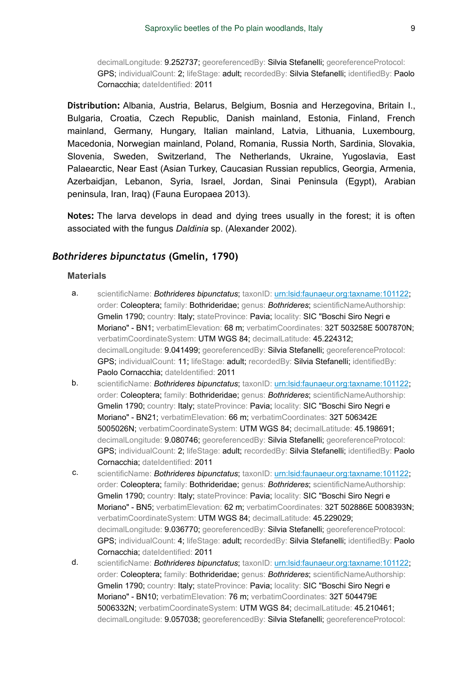decimalLongitude: 9.252737; georeferencedBy: Silvia Stefanelli; georeferenceProtocol: GPS; individualCount: 2; lifeStage: adult; recordedBy: Silvia Stefanelli; identifiedBy: Paolo Cornacchia; dateIdentified: 2011

**Distribution:** Albania, Austria, Belarus, Belgium, Bosnia and Herzegovina, Britain I., Bulgaria, Croatia, Czech Republic, Danish mainland, Estonia, Finland, French mainland, Germany, Hungary, Italian mainland, Latvia, Lithuania, Luxembourg, Macedonia, Norwegian mainland, Poland, Romania, Russia North, Sardinia, Slovakia, Slovenia, Sweden, Switzerland, The Netherlands, Ukraine, Yugoslavia, East Palaearctic, Near East (Asian Turkey, Caucasian Russian republics, Georgia, Armenia, Azerbaidjan, Lebanon, Syria, Israel, Jordan, Sinai Peninsula (Egypt), Arabian peninsula, Iran, Iraq) (Fauna Europaea 2013).

**Notes:** The larva develops in dead and dying trees usually in the forest; it is often associated with the fungus *Daldinia* sp. (Alexander 2002).

## *Bothrideres bipunctatus* **(Gmelin, 1790)**

#### **Materials**

- a. scientificName: *Bothrideres bipunctatus*; taxonID: [urn:lsid:faunaeur.org:taxname:101122;](http://www.faunaeur.org/full_results.php?id=101122) order: Coleoptera; family: Bothrideridae; genus: *Bothrideres*; scientificNameAuthorship: Gmelin 1790; country: Italy; stateProvince: Pavia; locality: SIC "Boschi Siro Negri e Moriano" - BN1; verbatimElevation: 68 m; verbatimCoordinates: 32T 503258E 5007870N; verbatimCoordinateSystem: UTM WGS 84; decimalLatitude: 45.224312; decimalLongitude: 9.041499; georeferencedBy: Silvia Stefanelli; georeferenceProtocol: GPS; individualCount: 11; lifeStage: adult; recordedBy: Silvia Stefanelli; identifiedBy: Paolo Cornacchia: dateIdentified: 2011
- b. scientificName: *Bothrideres bipunctatus*; taxonID: [urn:lsid:faunaeur.org:taxname:101122;](http://www.faunaeur.org/full_results.php?id=101122) order: Coleoptera; family: Bothrideridae; genus: *Bothrideres*; scientificNameAuthorship: Gmelin 1790; country: Italy; stateProvince: Pavia; locality: SIC "Boschi Siro Negri e Moriano" - BN21; verbatimElevation: 66 m; verbatimCoordinates: 32T 506342E 5005026N; verbatimCoordinateSystem: UTM WGS 84; decimalLatitude: 45.198691; decimalLongitude: 9.080746; georeferencedBy: Silvia Stefanelli; georeferenceProtocol: GPS; individualCount: 2; lifeStage: adult; recordedBy: Silvia Stefanelli; identifiedBy: Paolo Cornacchia; dateIdentified: 2011
- c. scientificName: *Bothrideres bipunctatus*; taxonID: [urn:lsid:faunaeur.org:taxname:101122;](http://www.faunaeur.org/full_results.php?id=101122) order: Coleoptera; family: Bothrideridae; genus: *Bothrideres*; scientificNameAuthorship: Gmelin 1790; country: Italy; stateProvince: Pavia; locality: SIC "Boschi Siro Negri e Moriano" - BN5; verbatimElevation: 62 m; verbatimCoordinates: 32T 502886E 5008393N; verbatimCoordinateSystem: UTM WGS 84; decimalLatitude: 45.229029; decimalLongitude: 9.036770; georeferencedBy: Silvia Stefanelli; georeferenceProtocol: GPS; individualCount: 4; lifeStage: adult; recordedBy: Silvia Stefanelli; identifiedBy: Paolo Cornacchia; dateIdentified: 2011
- d. scientificName: *Bothrideres bipunctatus*; taxonID: [urn:lsid:faunaeur.org:taxname:101122;](http://www.faunaeur.org/full_results.php?id=101122) order: Coleoptera; family: Bothrideridae; genus: *Bothrideres*; scientificNameAuthorship: Gmelin 1790; country: Italy; stateProvince: Pavia; locality: SIC "Boschi Siro Negri e Moriano" - BN10; verbatimElevation: 76 m; verbatimCoordinates: 32T 504479E 5006332N; verbatimCoordinateSystem: UTM WGS 84; decimalLatitude: 45.210461; decimalLongitude: 9.057038; georeferencedBy: Silvia Stefanelli; georeferenceProtocol: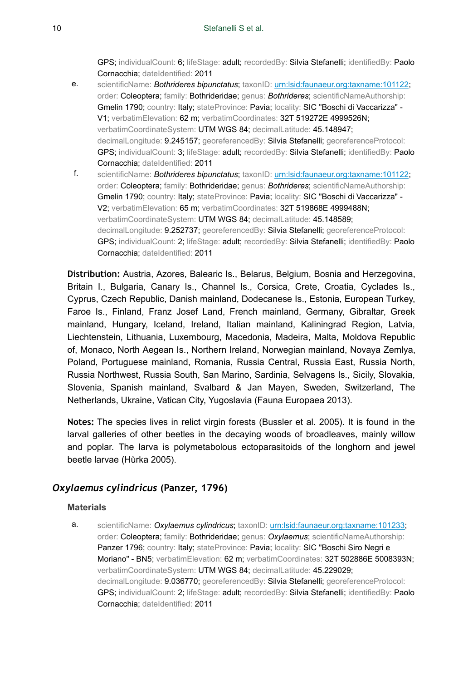GPS; individualCount: 6; lifeStage: adult; recordedBy: Silvia Stefanelli; identifiedBy: Paolo Cornacchia; dateIdentified: 2011

- e. scientificName: *Bothrideres bipunctatus*; taxonID: [urn:lsid:faunaeur.org:taxname:101122;](http://www.faunaeur.org/full_results.php?id=101122) order: Coleoptera; family: Bothrideridae; genus: *Bothrideres*; scientificNameAuthorship: Gmelin 1790; country: Italy; stateProvince: Pavia; locality: SIC "Boschi di Vaccarizza" - V1; verbatimElevation: 62 m; verbatimCoordinates: 32T 519272E 4999526N; verbatimCoordinateSystem: UTM WGS 84; decimalLatitude: 45.148947; decimalLongitude: 9.245157; georeferencedBy: Silvia Stefanelli; georeferenceProtocol: GPS; individualCount: 3; lifeStage: adult; recordedBy: Silvia Stefanelli; identifiedBy: Paolo Cornacchia: dateIdentified: 2011
- f. scientificName: *Bothrideres bipunctatus*; taxonID: [urn:lsid:faunaeur.org:taxname:101122;](http://www.faunaeur.org/full_results.php?id=101122) order: Coleoptera; family: Bothrideridae; genus: *Bothrideres*; scientificNameAuthorship: Gmelin 1790; country: Italy; stateProvince: Pavia; locality: SIC "Boschi di Vaccarizza" - V2; verbatimElevation: 65 m; verbatimCoordinates: 32T 519868E 4999488N; verbatimCoordinateSystem: UTM WGS 84; decimalLatitude: 45.148589; decimalLongitude: 9.252737; georeferencedBy: Silvia Stefanelli; georeferenceProtocol: GPS; individualCount: 2; lifeStage: adult; recordedBy: Silvia Stefanelli; identifiedBy: Paolo Cornacchia; dateIdentified: 2011

**Distribution:** Austria, Azores, Balearic Is., Belarus, Belgium, Bosnia and Herzegovina, Britain I., Bulgaria, Canary Is., Channel Is., Corsica, Crete, Croatia, Cyclades Is., Cyprus, Czech Republic, Danish mainland, Dodecanese Is., Estonia, European Turkey, Faroe Is., Finland, Franz Josef Land, French mainland, Germany, Gibraltar, Greek mainland, Hungary, Iceland, Ireland, Italian mainland, Kaliningrad Region, Latvia, Liechtenstein, Lithuania, Luxembourg, Macedonia, Madeira, Malta, Moldova Republic of, Monaco, North Aegean Is., Northern Ireland, Norwegian mainland, Novaya Zemlya, Poland, Portuguese mainland, Romania, Russia Central, Russia East, Russia North, Russia Northwest, Russia South, San Marino, Sardinia, Selvagens Is., Sicily, Slovakia, Slovenia, Spanish mainland, Svalbard & Jan Mayen, Sweden, Switzerland, The Netherlands, Ukraine, Vatican City, Yugoslavia (Fauna Europaea 2013).

**Notes:** The species lives in relict virgin forests (Bussler et al. 2005). It is found in the larval galleries of other beetles in the decaying woods of broadleaves, mainly willow and poplar. The larva is polymetabolous ectoparasitoids of the longhorn and jewel beetle larvae (Hůrka 2005).

## *Oxylaemus cylindricus* **(Panzer, 1796)**

#### **Materials**

a. scientificName: *Oxylaemus cylindricus*; taxonID: [urn:lsid:faunaeur.org:taxname:101233;](http://www.faunaeur.org/full_results.php?id=101233) order: Coleoptera; family: Bothrideridae; genus: *Oxylaemus*; scientificNameAuthorship: Panzer 1796; country: Italy; stateProvince: Pavia; locality: SIC "Boschi Siro Negri e Moriano" - BN5; verbatimElevation: 62 m; verbatimCoordinates: 32T 502886E 5008393N; verbatimCoordinateSystem: UTM WGS 84; decimalLatitude: 45.229029; decimalLongitude: 9.036770; georeferencedBy: Silvia Stefanelli; georeferenceProtocol: GPS; individualCount: 2; lifeStage: adult; recordedBy: Silvia Stefanelli; identifiedBy: Paolo Cornacchia: dateIdentified: 2011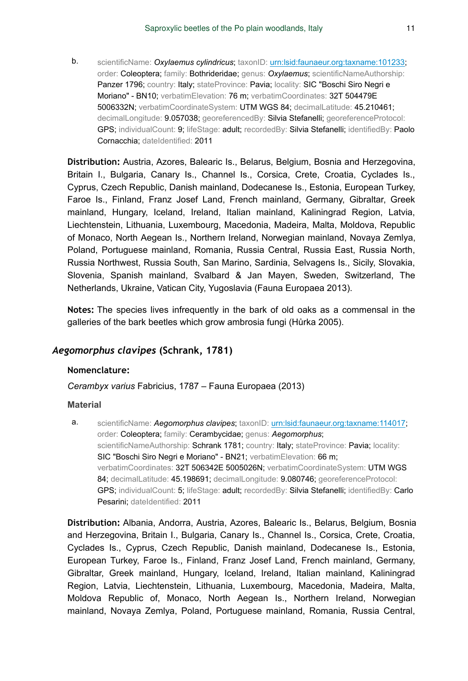b. scientificName: *Oxylaemus cylindricus*; taxonID: [urn:lsid:faunaeur.org:taxname:101233;](http://www.faunaeur.org/full_results.php?id=101233) order: Coleoptera; family: Bothrideridae; genus: Oxylaemus; scientificNameAuthorship: Panzer 1796; country: Italy; stateProvince: Pavia; locality: SIC "Boschi Siro Negri e Moriano" - BN10; verbatimElevation: 76 m; verbatimCoordinates: 32T 504479E 5006332N; verbatimCoordinateSystem: UTM WGS 84; decimalLatitude: 45.210461; decimalLongitude: 9.057038; georeferencedBy: Silvia Stefanelli; georeferenceProtocol: GPS; individualCount: 9; lifeStage: adult; recordedBy: Silvia Stefanelli; identifiedBy: Paolo Cornacchia: dateIdentified: 2011

**Distribution:** Austria, Azores, Balearic Is., Belarus, Belgium, Bosnia and Herzegovina, Britain I., Bulgaria, Canary Is., Channel Is., Corsica, Crete, Croatia, Cyclades Is., Cyprus, Czech Republic, Danish mainland, Dodecanese Is., Estonia, European Turkey, Faroe Is., Finland, Franz Josef Land, French mainland, Germany, Gibraltar, Greek mainland, Hungary, Iceland, Ireland, Italian mainland, Kaliningrad Region, Latvia, Liechtenstein, Lithuania, Luxembourg, Macedonia, Madeira, Malta, Moldova, Republic of Monaco, North Aegean Is., Northern Ireland, Norwegian mainland, Novaya Zemlya, Poland, Portuguese mainland, Romania, Russia Central, Russia East, Russia North, Russia Northwest, Russia South, San Marino, Sardinia, Selvagens Is., Sicily, Slovakia, Slovenia, Spanish mainland, Svalbard & Jan Mayen, Sweden, Switzerland, The Netherlands, Ukraine, Vatican City, Yugoslavia (Fauna Europaea 2013).

**Notes:** The species lives infrequently in the bark of old oaks as a commensal in the galleries of the bark beetles which grow ambrosia fungi (Hůrka 2005).

## *Aegomorphus clavipes* **(Schrank, 1781)**

#### **Nomenclature:**

*Cerambyx varius* Fabricius, 1787 – Fauna Europaea (2013)

#### **Material**

a. scientificName: *Aegomorphus clavipes*; taxonID: [urn:lsid:faunaeur.org:taxname:114017;](http://www.faunaeur.org/full_results.php?id=114017) order: Coleoptera; family: Cerambycidae; genus: *Aegomorphus*; scientificNameAuthorship: Schrank 1781; country: Italy; stateProvince: Pavia; locality: SIC "Boschi Siro Negri e Moriano" - BN21; verbatimElevation: 66 m; verbatimCoordinates: 32T 506342E 5005026N; verbatimCoordinateSystem: UTM WGS 84; decimalLatitude: 45.198691; decimalLongitude: 9.080746; georeferenceProtocol: GPS; individualCount: 5; lifeStage: adult; recordedBy: Silvia Stefanelli; identifiedBy: Carlo Pesarini; dateIdentified: 2011

**Distribution:** Albania, Andorra, Austria, Azores, Balearic Is., Belarus, Belgium, Bosnia and Herzegovina, Britain I., Bulgaria, Canary Is., Channel Is., Corsica, Crete, Croatia, Cyclades Is., Cyprus, Czech Republic, Danish mainland, Dodecanese Is., Estonia, European Turkey, Faroe Is., Finland, Franz Josef Land, French mainland, Germany, Gibraltar, Greek mainland, Hungary, Iceland, Ireland, Italian mainland, Kaliningrad Region, Latvia, Liechtenstein, Lithuania, Luxembourg, Macedonia, Madeira, Malta, Moldova Republic of, Monaco, North Aegean Is., Northern Ireland, Norwegian mainland, Novaya Zemlya, Poland, Portuguese mainland, Romania, Russia Central,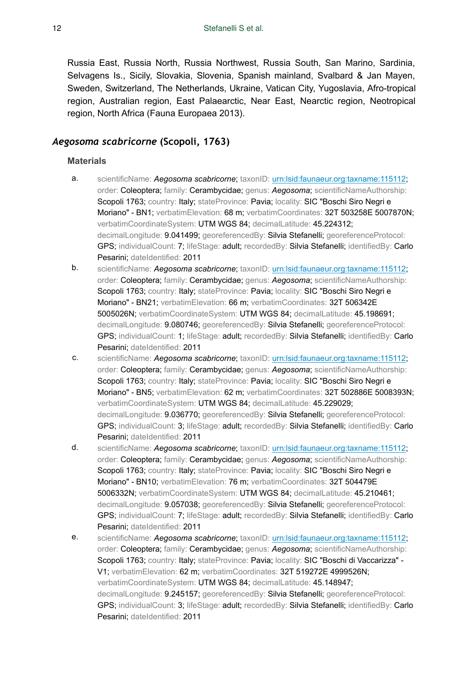Russia East, Russia North, Russia Northwest, Russia South, San Marino, Sardinia, Selvagens Is., Sicily, Slovakia, Slovenia, Spanish mainland, Svalbard & Jan Mayen, Sweden, Switzerland, The Netherlands, Ukraine, Vatican City, Yugoslavia, Afro-tropical region, Australian region, East Palaearctic, Near East, Nearctic region, Neotropical region, North Africa (Fauna Europaea 2013).

## *Aegosoma scabricorne* **(Scopoli, 1763)**

#### **Materials**

- a. scientificName: *Aegosoma scabricorne*; taxonID: [urn:lsid:faunaeur.org:taxname:115112;](http://www.faunaeur.org/full_results.php?id=115112) order: Coleoptera; family: Cerambycidae; genus: *Aegosoma*; scientificNameAuthorship: Scopoli 1763; country: Italy; stateProvince: Pavia; locality: SIC "Boschi Siro Negri e Moriano" - BN1; verbatimElevation: 68 m; verbatimCoordinates: 32T 503258E 5007870N; verbatimCoordinateSystem: UTM WGS 84; decimalLatitude: 45.224312; decimalLongitude: 9.041499; georeferencedBy: Silvia Stefanelli; georeferenceProtocol: GPS; individualCount: 7; lifeStage: adult; recordedBy: Silvia Stefanelli; identifiedBy: Carlo Pesarini; dateIdentified: 2011
- b. scientificName: *Aegosoma scabricorne*; taxonID: [urn:lsid:faunaeur.org:taxname:115112;](http://www.faunaeur.org/full_results.php?id=115112) order: Coleoptera; family: Cerambycidae; genus: *Aegosoma*; scientificNameAuthorship: Scopoli 1763; country: Italy; stateProvince: Pavia; locality: SIC "Boschi Siro Negri e Moriano" - BN21; verbatimElevation: 66 m; verbatimCoordinates: 32T 506342E 5005026N; verbatimCoordinateSystem: UTM WGS 84; decimalLatitude: 45.198691; decimalLongitude: 9.080746; georeferencedBy: Silvia Stefanelli; georeferenceProtocol: GPS; individualCount: 1; lifeStage: adult; recordedBy: Silvia Stefanelli; identifiedBy: Carlo Pesarini: dateIdentified: 2011
- c. scientificName: *Aegosoma scabricorne*; taxonID: [urn:lsid:faunaeur.org:taxname:115112;](http://www.faunaeur.org/full_results.php?id=115112) order: Coleoptera; family: Cerambycidae; genus: *Aegosoma*; scientificNameAuthorship: Scopoli 1763; country: Italy; stateProvince: Pavia; locality: SIC "Boschi Siro Negri e Moriano" - BN5; verbatimElevation: 62 m; verbatimCoordinates: 32T 502886E 5008393N; verbatimCoordinateSystem: UTM WGS 84; decimalLatitude: 45.229029; decimalLongitude: 9.036770; georeferencedBy: Silvia Stefanelli; georeferenceProtocol: GPS; individualCount: 3; lifeStage: adult; recordedBy: Silvia Stefanelli; identifiedBy: Carlo Pesarini; dateIdentified: 2011
- d. scientificName: *Aegosoma scabricorne*; taxonID: [urn:lsid:faunaeur.org:taxname:115112;](http://www.faunaeur.org/full_results.php?id=115112) order: Coleoptera; family: Cerambycidae; genus: *Aegosoma*; scientificNameAuthorship: Scopoli 1763; country: Italy; stateProvince: Pavia; locality: SIC "Boschi Siro Negri e Moriano" - BN10; verbatimElevation: 76 m; verbatimCoordinates: 32T 504479E 5006332N; verbatimCoordinateSystem: UTM WGS 84; decimalLatitude: 45.210461; decimalLongitude: 9.057038; georeferencedBy: Silvia Stefanelli; georeferenceProtocol: GPS; individualCount: 7; lifeStage: adult; recordedBy: Silvia Stefanelli; identifiedBy: Carlo Pesarini: dateIdentified: 2011
- e. scientificName: *Aegosoma scabricorne*; taxonID: [urn:lsid:faunaeur.org:taxname:115112;](http://www.faunaeur.org/full_results.php?id=115112) order: Coleoptera; family: Cerambycidae; genus: *Aegosoma*; scientificNameAuthorship: Scopoli 1763; country: Italy; stateProvince: Pavia; locality: SIC "Boschi di Vaccarizza" -V1; verbatimElevation: 62 m; verbatimCoordinates: 32T 519272E 4999526N; verbatimCoordinateSystem: UTM WGS 84; decimalLatitude: 45.148947; decimalLongitude: 9.245157; georeferencedBy: Silvia Stefanelli; georeferenceProtocol: GPS; individualCount: 3; lifeStage: adult; recordedBy: Silvia Stefanelli; identifiedBy: Carlo Pesarini; dateIdentified: 2011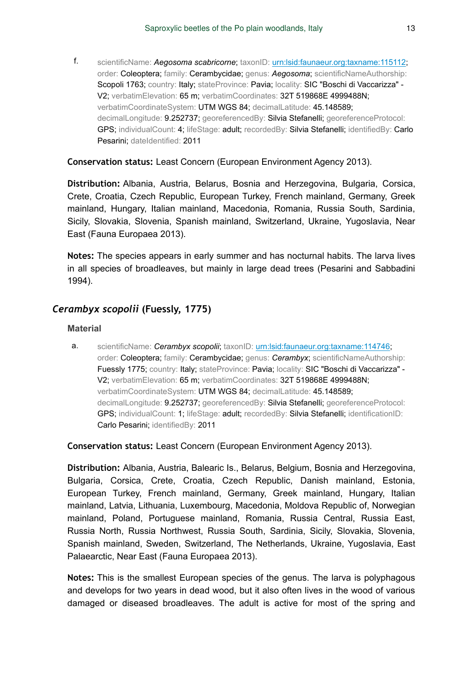f. scientificName: *Aegosoma scabricorne*; taxonID: [urn:lsid:faunaeur.org:taxname:115112;](http://www.faunaeur.org/full_results.php?id=115112) order: Coleoptera; family: Cerambycidae; genus: Aegosoma; scientificNameAuthorship: Scopoli 1763; country: Italy; stateProvince: Pavia; locality: SIC "Boschi di Vaccarizza" -V2; verbatimElevation: 65 m; verbatimCoordinates: 32T 519868E 4999488N; verbatimCoordinateSystem: UTM WGS 84; decimalLatitude: 45.148589; decimalLongitude: 9.252737; georeferencedBy: Silvia Stefanelli; georeferenceProtocol: GPS; individualCount: 4; lifeStage: adult; recordedBy: Silvia Stefanelli; identifiedBy: Carlo Pesarini: dateIdentified: 2011

#### **Conservation status:** Least Concern (European Environment Agency 2013).

**Distribution:** Albania, Austria, Belarus, Bosnia and Herzegovina, Bulgaria, Corsica, Crete, Croatia, Czech Republic, European Turkey, French mainland, Germany, Greek mainland, Hungary, Italian mainland, Macedonia, Romania, Russia South, Sardinia, Sicily, Slovakia, Slovenia, Spanish mainland, Switzerland, Ukraine, Yugoslavia, Near East (Fauna Europaea 2013).

**Notes:** The species appears in early summer and has nocturnal habits. The larva lives in all species of broadleaves, but mainly in large dead trees (Pesarini and Sabbadini 1994).

#### *Cerambyx scopolii* **(Fuessly, 1775)**

#### **Material**

a. scientificName: *Cerambyx scopolii*; taxonID: [urn:lsid:faunaeur.org:taxname:114746](http://www.faunaeur.org/full_results.php?id=114746); order: Coleoptera; family: Cerambycidae; genus: *Cerambyx*; scientificNameAuthorship: Fuessly 1775; country: Italy; stateProvince: Pavia; locality: SIC "Boschi di Vaccarizza" - V2; verbatimElevation: 65 m; verbatimCoordinates: 32T 519868E 4999488N; verbatimCoordinateSystem: UTM WGS 84; decimalLatitude: 45.148589; decimalLongitude: 9.252737; georeferencedBy: Silvia Stefanelli; georeferenceProtocol: GPS; individualCount: 1; lifeStage: adult; recordedBy: Silvia Stefanelli; identificationID: Carlo Pesarini; identifiedBy: 2011

**Conservation status:** Least Concern (European Environment Agency 2013).

**Distribution:** Albania, Austria, Balearic Is., Belarus, Belgium, Bosnia and Herzegovina, Bulgaria, Corsica, Crete, Croatia, Czech Republic, Danish mainland, Estonia, European Turkey, French mainland, Germany, Greek mainland, Hungary, Italian mainland, Latvia, Lithuania, Luxembourg, Macedonia, Moldova Republic of, Norwegian mainland, Poland, Portuguese mainland, Romania, Russia Central, Russia East, Russia North, Russia Northwest, Russia South, Sardinia, Sicily, Slovakia, Slovenia, Spanish mainland, Sweden, Switzerland, The Netherlands, Ukraine, Yugoslavia, East Palaearctic, Near East (Fauna Europaea 2013).

**Notes:** This is the smallest European species of the genus. The larva is polyphagous and develops for two years in dead wood, but it also often lives in the wood of various damaged or diseased broadleaves. The adult is active for most of the spring and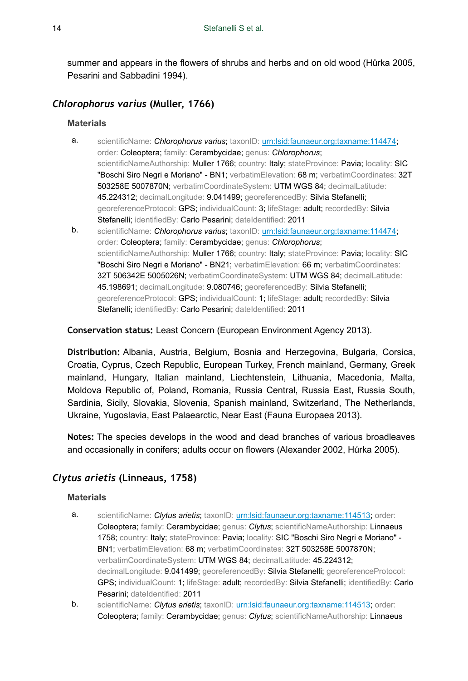summer and appears in the flowers of shrubs and herbs and on old wood (Hůrka 2005, Pesarini and Sabbadini 1994).

## *Chlorophorus varius* **(Muller, 1766)**

### **Materials**

- a. scientificName: *Chlorophorus varius*; taxonID: [urn:lsid:faunaeur.org:taxname:114474](http://www.faunaeur.org/full_results.php?id=114474); order: Coleoptera; family: Cerambycidae; genus: *Chlorophorus*; scientificNameAuthorship: Muller 1766; country: Italy; stateProvince: Pavia; locality: SIC "Boschi Siro Negri e Moriano" - BN1; verbatimElevation: 68 m; verbatimCoordinates: 32T 503258E 5007870N; verbatimCoordinateSystem: UTM WGS 84; decimalLatitude: 45.224312; decimalLongitude: 9.041499; georeferencedBy: Silvia Stefanelli; georeferenceProtocol: GPS; individualCount: 3; lifeStage: adult; recordedBy: Silvia Stefanelli; identifiedBy: Carlo Pesarini; dateIdentified: 2011
- b. scientificName: *Chlorophorus varius*; taxonID: [urn:lsid:faunaeur.org:taxname:114474](http://www.faunaeur.org/full_results.php?id=114474); order: Coleoptera; family: Cerambycidae; genus: *Chlorophorus*; scientificNameAuthorship: Muller 1766; country: Italy; stateProvince: Pavia; locality: SIC "Boschi Siro Negri e Moriano" - BN21; verbatimElevation: 66 m; verbatimCoordinates: 32T 506342E 5005026N; verbatimCoordinateSystem: UTM WGS 84; decimalLatitude: 45.198691; decimalLongitude: 9.080746; georeferencedBy: Silvia Stefanelli; georeferenceProtocol: GPS; individualCount: 1; lifeStage: adult; recordedBy: Silvia Stefanelli; identifiedBy: Carlo Pesarini; dateIdentified: 2011

### **Conservation status:** Least Concern (European Environment Agency 2013).

**Distribution:** Albania, Austria, Belgium, Bosnia and Herzegovina, Bulgaria, Corsica, Croatia, Cyprus, Czech Republic, European Turkey, French mainland, Germany, Greek mainland, Hungary, Italian mainland, Liechtenstein, Lithuania, Macedonia, Malta, Moldova Republic of, Poland, Romania, Russia Central, Russia East, Russia South, Sardinia, Sicily, Slovakia, Slovenia, Spanish mainland, Switzerland, The Netherlands, Ukraine, Yugoslavia, East Palaearctic, Near East (Fauna Europaea 2013).

**Notes:** The species develops in the wood and dead branches of various broadleaves and occasionally in conifers; adults occur on flowers (Alexander 2002, Hůrka 2005).

## *Clytus arietis* **(Linneaus, 1758)**

#### **Materials**

- a. scientificName: *Clytus arietis*; taxonID: [urn:lsid:faunaeur.org:taxname:114513](http://www.faunaeur.org/full_results.php?id=114513); order: Coleoptera; family: Cerambycidae; genus: *Clytus*; scientificNameAuthorship: Linnaeus 1758; country: Italy; stateProvince: Pavia; locality: SIC "Boschi Siro Negri e Moriano" -BN1; verbatimElevation: 68 m; verbatimCoordinates: 32T 503258E 5007870N; verbatimCoordinateSystem: UTM WGS 84; decimalLatitude: 45.224312; decimalLongitude: 9.041499; georeferencedBy: Silvia Stefanelli; georeferenceProtocol: GPS; individualCount: 1; lifeStage: adult; recordedBy: Silvia Stefanelli; identifiedBy: Carlo Pesarini; dateIdentified: 2011
- b. scientificName: *Clytus arietis*; taxonID: [urn:lsid:faunaeur.org:taxname:114513](http://www.faunaeur.org/full_results.php?id=114513); order: Coleoptera; family: Cerambycidae; genus: *Clytus*; scientificNameAuthorship: Linnaeus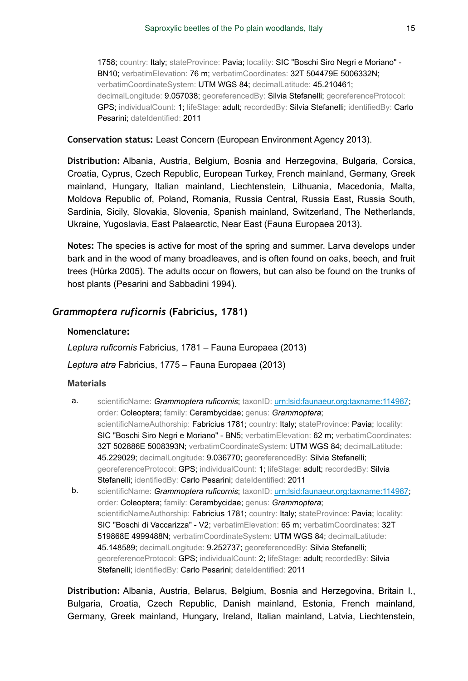1758; country: Italy; stateProvince: Pavia; locality: SIC "Boschi Siro Negri e Moriano" - BN10; verbatimElevation: 76 m; verbatimCoordinates: 32T 504479E 5006332N; verbatimCoordinateSystem: UTM WGS 84; decimalLatitude: 45.210461; decimalLongitude: 9.057038; georeferencedBy: Silvia Stefanelli; georeferenceProtocol: GPS; individualCount: 1; lifeStage: adult; recordedBy: Silvia Stefanelli; identifiedBy: Carlo Pesarini: dateIdentified: 2011

#### **Conservation status:** Least Concern (European Environment Agency 2013).

**Distribution:** Albania, Austria, Belgium, Bosnia and Herzegovina, Bulgaria, Corsica, Croatia, Cyprus, Czech Republic, European Turkey, French mainland, Germany, Greek mainland, Hungary, Italian mainland, Liechtenstein, Lithuania, Macedonia, Malta, Moldova Republic of, Poland, Romania, Russia Central, Russia East, Russia South, Sardinia, Sicily, Slovakia, Slovenia, Spanish mainland, Switzerland, The Netherlands, Ukraine, Yugoslavia, East Palaearctic, Near East (Fauna Europaea 2013).

**Notes:** The species is active for most of the spring and summer. Larva develops under bark and in the wood of many broadleaves, and is often found on oaks, beech, and fruit trees (Hůrka 2005). The adults occur on flowers, but can also be found on the trunks of host plants (Pesarini and Sabbadini 1994).

## *Grammoptera ruficornis* **(Fabricius, 1781)**

#### **Nomenclature:**

*Leptura ruficornis* Fabricius, 1781 – Fauna Europaea (2013)

*Leptura atra* Fabricius, 1775 – Fauna Europaea (2013)

#### **Materials**

a. scientificName: *Grammoptera ruficornis*; taxonID: [urn:lsid:faunaeur.org:taxname:114987;](http://www.faunaeur.org/full_results.php?id=114987) order: Coleoptera; family: Cerambycidae; genus: *Grammoptera*; scientificNameAuthorship: Fabricius 1781; country: Italy; stateProvince: Pavia; locality: SIC "Boschi Siro Negri e Moriano" - BN5; verbatimElevation: 62 m; verbatimCoordinates: 32T 502886E 5008393N; verbatimCoordinateSystem: UTM WGS 84; decimalLatitude: 45.229029; decimalLongitude: 9.036770; georeferencedBy: Silvia Stefanelli; georeferenceProtocol: GPS; individualCount: 1; lifeStage: adult; recordedBy: Silvia Stefanelli; identifiedBy: Carlo Pesarini; dateIdentified: 2011

b. scientificName: *Grammoptera ruficornis*; taxonID: [urn:lsid:faunaeur.org:taxname:114987;](http://www.faunaeur.org/full_results.php?id=114987) order: Coleoptera; family: Cerambycidae; genus: *Grammoptera*; scientificNameAuthorship: Fabricius 1781; country: Italy; stateProvince: Pavia; locality: SIC "Boschi di Vaccarizza" - V2; verbatimElevation: 65 m; verbatimCoordinates: 32T 519868E 4999488N; verbatimCoordinateSystem: UTM WGS 84; decimalLatitude: 45.148589; decimalLongitude: 9.252737; georeferencedBy: Silvia Stefanelli; georeferenceProtocol: GPS; individualCount: 2; lifeStage: adult; recordedBy: Silvia Stefanelli; identifiedBy: Carlo Pesarini; dateIdentified: 2011

**Distribution:** Albania, Austria, Belarus, Belgium, Bosnia and Herzegovina, Britain I., Bulgaria, Croatia, Czech Republic, Danish mainland, Estonia, French mainland, Germany, Greek mainland, Hungary, Ireland, Italian mainland, Latvia, Liechtenstein,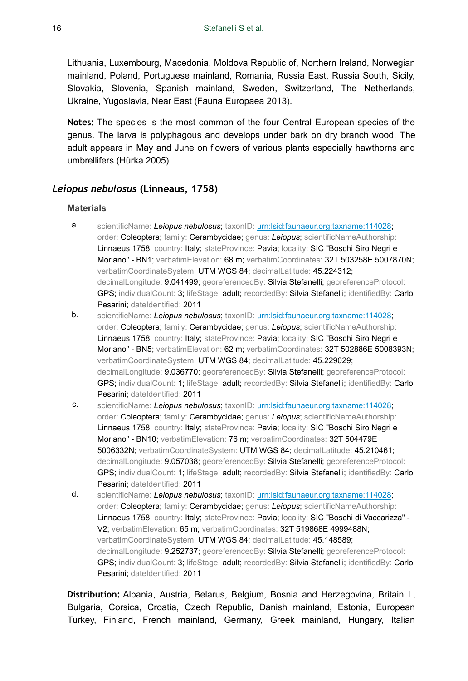Lithuania, Luxembourg, Macedonia, Moldova Republic of, Northern Ireland, Norwegian mainland, Poland, Portuguese mainland, Romania, Russia East, Russia South, Sicily, Slovakia, Slovenia, Spanish mainland, Sweden, Switzerland, The Netherlands, Ukraine, Yugoslavia, Near East (Fauna Europaea 2013).

**Notes:** The species is the most common of the four Central European species of the genus. The larva is polyphagous and develops under bark on dry branch wood. The adult appears in May and June on flowers of various plants especially hawthorns and umbrellifers (Hůrka 2005).

## *Leiopus nebulosus* **(Linneaus, 1758)**

#### **Materials**

- a. scientificName: *Leiopus nebulosus*; taxonID: [urn:lsid:faunaeur.org:taxname:114028](http://www.faunaeur.org/full_results.php?id=114028); order: Coleoptera; family: Cerambycidae; genus: *Leiopus*; scientificNameAuthorship: Linnaeus 1758; country: Italy; stateProvince: Pavia; locality: SIC "Boschi Siro Negri e Moriano" - BN1; verbatimElevation: 68 m; verbatimCoordinates: 32T 503258E 5007870N; verbatimCoordinateSystem: UTM WGS 84; decimalLatitude: 45.224312; decimalLongitude: 9.041499; georeferencedBy: Silvia Stefanelli; georeferenceProtocol: GPS; individualCount: 3; lifeStage: adult; recordedBy: Silvia Stefanelli; identifiedBy: Carlo Pesarini: dateIdentified: 2011
- b. scientificName: *Leiopus nebulosus*; taxonID: [urn:lsid:faunaeur.org:taxname:114028](http://www.faunaeur.org/full_results.php?id=114028); order: Coleoptera; family: Cerambycidae; genus: *Leiopus*; scientificNameAuthorship: Linnaeus 1758; country: Italy; stateProvince: Pavia; locality: SIC "Boschi Siro Negri e Moriano" - BN5; verbatimElevation: 62 m; verbatimCoordinates: 32T 502886E 5008393N; verbatimCoordinateSystem: UTM WGS 84; decimalLatitude: 45.229029; decimalLongitude: 9.036770; georeferencedBy: Silvia Stefanelli; georeferenceProtocol: GPS; individualCount: 1; lifeStage: adult; recordedBy: Silvia Stefanelli; identifiedBy: Carlo Pesarini; dateIdentified: 2011
- c. scientificName: *Leiopus nebulosus*; taxonID: [urn:lsid:faunaeur.org:taxname:114028](http://www.faunaeur.org/full_results.php?id=114028); order: Coleoptera; family: Cerambycidae; genus: *Leiopus*; scientificNameAuthorship: Linnaeus 1758; country: Italy; stateProvince: Pavia; locality: SIC "Boschi Siro Negri e Moriano" - BN10; verbatimElevation: 76 m; verbatimCoordinates: 32T 504479E 5006332N; verbatimCoordinateSystem: UTM WGS 84; decimalLatitude: 45.210461; decimalLongitude: 9.057038; georeferencedBy: Silvia Stefanelli; georeferenceProtocol: GPS; individualCount: 1; lifeStage: adult; recordedBy: Silvia Stefanelli; identifiedBy: Carlo Pesarini: dateIdentified: 2011
- d. scientificName: *Leiopus nebulosus*; taxonID: [urn:lsid:faunaeur.org:taxname:114028](http://www.faunaeur.org/full_results.php?id=114028); order: Coleoptera; family: Cerambycidae; genus: *Leiopus*; scientificNameAuthorship: Linnaeus 1758; country: Italy; stateProvince: Pavia; locality: SIC "Boschi di Vaccarizza" - V2; verbatimElevation: 65 m; verbatimCoordinates: 32T 519868E 4999488N; verbatimCoordinateSystem: UTM WGS 84; decimalLatitude: 45.148589; decimalLongitude: 9.252737; georeferencedBy: Silvia Stefanelli; georeferenceProtocol: GPS; individualCount: 3; lifeStage: adult; recordedBy: Silvia Stefanelli; identifiedBy: Carlo Pesarini: dateIdentified: 2011

**Distribution:** Albania, Austria, Belarus, Belgium, Bosnia and Herzegovina, Britain I., Bulgaria, Corsica, Croatia, Czech Republic, Danish mainland, Estonia, European Turkey, Finland, French mainland, Germany, Greek mainland, Hungary, Italian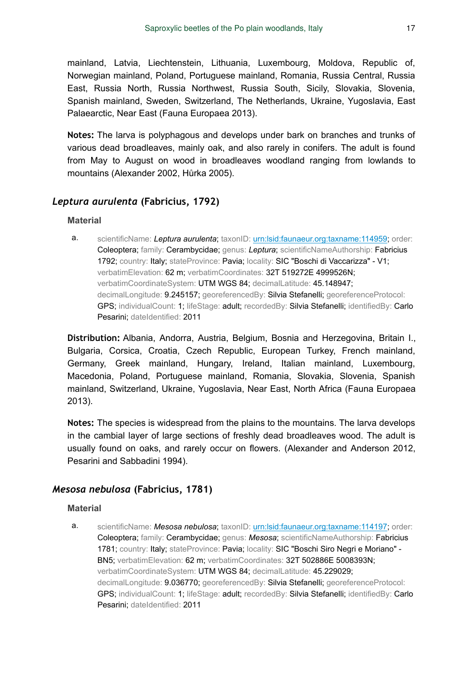mainland, Latvia, Liechtenstein, Lithuania, Luxembourg, Moldova, Republic of, Norwegian mainland, Poland, Portuguese mainland, Romania, Russia Central, Russia East, Russia North, Russia Northwest, Russia South, Sicily, Slovakia, Slovenia, Spanish mainland, Sweden, Switzerland, The Netherlands, Ukraine, Yugoslavia, East Palaearctic, Near East (Fauna Europaea 2013).

**Notes:** The larva is polyphagous and develops under bark on branches and trunks of various dead broadleaves, mainly oak, and also rarely in conifers. The adult is found from May to August on wood in broadleaves woodland ranging from lowlands to mountains (Alexander 2002, Hůrka 2005).

## *Leptura aurulenta* **(Fabricius, 1792)**

#### **Material**

a. scientificName: *Leptura aurulenta*; taxonID: [urn:lsid:faunaeur.org:taxname:114959](http://www.faunaeur.org/full_results.php?id=114959); order: Coleoptera; family: Cerambycidae; genus: *Leptura*; scientificNameAuthorship: Fabricius 1792; country: Italy; stateProvince: Pavia; locality: SIC "Boschi di Vaccarizza" - V1; verbatimElevation: 62 m; verbatimCoordinates: 32T 519272E 4999526N; verbatimCoordinateSystem: UTM WGS 84; decimalLatitude: 45.148947; decimalLongitude: 9.245157; georeferencedBy: Silvia Stefanelli; georeferenceProtocol: GPS; individualCount: 1; lifeStage: adult; recordedBy: Silvia Stefanelli; identifiedBy: Carlo Pesarini; dateIdentified: 2011

**Distribution:** Albania, Andorra, Austria, Belgium, Bosnia and Herzegovina, Britain I., Bulgaria, Corsica, Croatia, Czech Republic, European Turkey, French mainland, Germany, Greek mainland, Hungary, Ireland, Italian mainland, Luxembourg, Macedonia, Poland, Portuguese mainland, Romania, Slovakia, Slovenia, Spanish mainland, Switzerland, Ukraine, Yugoslavia, Near East, North Africa (Fauna Europaea 2013).

**Notes:** The species is widespread from the plains to the mountains. The larva develops in the cambial layer of large sections of freshly dead broadleaves wood. The adult is usually found on oaks, and rarely occur on flowers. (Alexander and Anderson 2012, Pesarini and Sabbadini 1994).

## *Mesosa nebulosa* **(Fabricius, 1781)**

#### **Material**

a. scientificName: *Mesosa nebulosa*; taxonID: [urn:lsid:faunaeur.org:taxname:114197](http://www.faunaeur.org/full_results.php?id=114197); order: Coleoptera; family: Cerambycidae; genus: *Mesosa*; scientificNameAuthorship: Fabricius 1781; country: Italy; stateProvince: Pavia; locality: SIC "Boschi Siro Negri e Moriano" - BN5; verbatimElevation: 62 m; verbatimCoordinates: 32T 502886E 5008393N; verbatimCoordinateSystem: UTM WGS 84; decimalLatitude: 45.229029; decimalLongitude: 9.036770; georeferencedBy: Silvia Stefanelli; georeferenceProtocol: GPS; individualCount: 1; lifeStage: adult; recordedBy: Silvia Stefanelli; identifiedBy: Carlo Pesarini; dateIdentified: 2011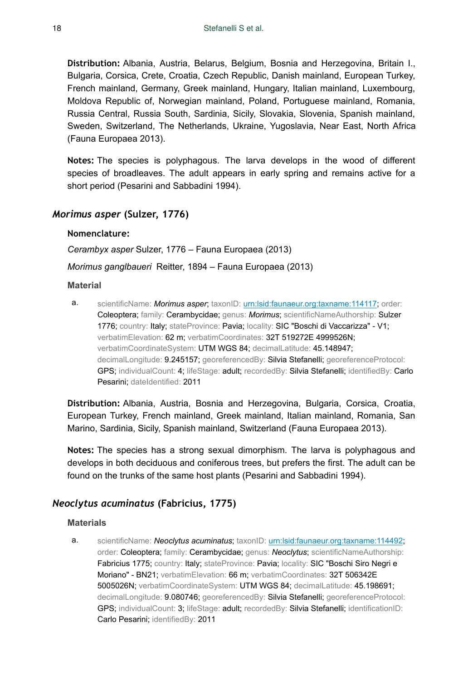**Distribution:** Albania, Austria, Belarus, Belgium, Bosnia and Herzegovina, Britain I., Bulgaria, Corsica, Crete, Croatia, Czech Republic, Danish mainland, European Turkey, French mainland, Germany, Greek mainland, Hungary, Italian mainland, Luxembourg, Moldova Republic of, Norwegian mainland, Poland, Portuguese mainland, Romania, Russia Central, Russia South, Sardinia, Sicily, Slovakia, Slovenia, Spanish mainland, Sweden, Switzerland, The Netherlands, Ukraine, Yugoslavia, Near East, North Africa (Fauna Europaea 2013).

**Notes:** The species is polyphagous. The larva develops in the wood of different species of broadleaves. The adult appears in early spring and remains active for a short period (Pesarini and Sabbadini 1994).

## *Morimus asper* **(Sulzer, 1776)**

#### **Nomenclature:**

*Cerambyx asper* Sulzer, 1776 – Fauna Europaea (2013)

*Morimus ganglbaueri* Reitter, 1894 – Fauna Europaea (2013)

#### **Material**

a. scientificName: *Morimus asper*; taxonID: [urn:lsid:faunaeur.org:taxname:114117](http://www.faunaeur.org/full_results.php?id=114117); order: Coleoptera; family: Cerambycidae; genus: *Morimus*; scientificNameAuthorship: Sulzer 1776; country: Italy; stateProvince: Pavia; locality: SIC "Boschi di Vaccarizza" - V1; verbatimElevation: 62 m; verbatimCoordinates: 32T 519272E 4999526N; verbatimCoordinateSystem: UTM WGS 84; decimalLatitude: 45.148947; decimalLongitude: 9.245157; georeferencedBy: Silvia Stefanelli; georeferenceProtocol: GPS; individualCount: 4; lifeStage: adult; recordedBy: Silvia Stefanelli; identifiedBy: Carlo Pesarini: dateIdentified: 2011

**Distribution:** Albania, Austria, Bosnia and Herzegovina, Bulgaria, Corsica, Croatia, European Turkey, French mainland, Greek mainland, Italian mainland, Romania, San Marino, Sardinia, Sicily, Spanish mainland, Switzerland (Fauna Europaea 2013).

**Notes:** The species has a strong sexual dimorphism. The larva is polyphagous and develops in both deciduous and coniferous trees, but prefers the first. The adult can be found on the trunks of the same host plants (Pesarini and Sabbadini 1994).

## *Neoclytus acuminatus* **(Fabricius, 1775)**

## **Materials**

a. scientificName: *Neoclytus acuminatus*; taxonID: [urn:lsid:faunaeur.org:taxname:114492;](http://www.faunaeur.org/full_results.php?id=114492) order: Coleoptera; family: Cerambycidae; genus: *Neoclytus*; scientificNameAuthorship: Fabricius 1775; country: Italy; stateProvince: Pavia; locality: SIC "Boschi Siro Negri e Moriano" - BN21; verbatimElevation: 66 m; verbatimCoordinates: 32T 506342E 5005026N; verbatimCoordinateSystem: UTM WGS 84; decimalLatitude: 45.198691; decimalLongitude: 9.080746; georeferencedBy: Silvia Stefanelli; georeferenceProtocol: GPS; individualCount: 3; lifeStage: adult; recordedBy: Silvia Stefanelli; identificationID: Carlo Pesarini; identifiedBy: 2011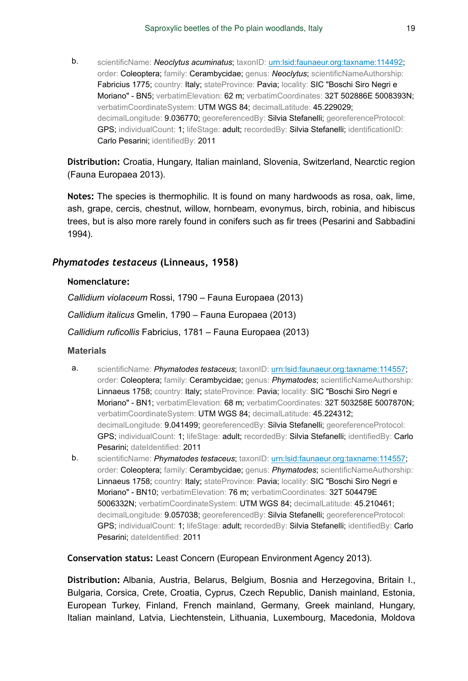b. scientificName: *Neoclytus acuminatus*; taxonID: [urn:lsid:faunaeur.org:taxname:114492;](http://www.faunaeur.org/full_results.php?id=114492) order: Coleoptera; family: Cerambycidae; genus: *Neoclytus*; scientificNameAuthorship: Fabricius 1775; country: Italy; stateProvince: Pavia; locality: SIC "Boschi Siro Negri e Moriano" - BN5; verbatimElevation: 62 m; verbatimCoordinates: 32T 502886E 5008393N; verbatimCoordinateSystem: UTM WGS 84; decimalLatitude: 45.229029; decimalLongitude: 9.036770; georeferencedBy: Silvia Stefanelli; georeferenceProtocol: GPS; individualCount: 1; lifeStage: adult; recordedBy: Silvia Stefanelli; identificationID: Carlo Pesarini; identifiedBy: 2011

**Distribution:** Croatia, Hungary, Italian mainland, Slovenia, Switzerland, Nearctic region (Fauna Europaea 2013).

**Notes:** The species is thermophilic. It is found on many hardwoods as rosa, oak, lime, ash, grape, cercis, chestnut, willow, hornbeam, evonymus, birch, robinia, and hibiscus trees, but is also more rarely found in conifers such as fir trees (Pesarini and Sabbadini 1994).

## *Phymatodes testaceus* **(Linneaus, 1958)**

### **Nomenclature:**

*Callidium violaceum* Rossi, 1790 – Fauna Europaea (2013)

*Callidium italicus* Gmelin, 1790 – Fauna Europaea (2013)

*Callidium ruficollis* Fabricius, 1781 – Fauna Europaea (2013)

## **Materials**

- a. scientificName: *Phymatodes testaceus*; taxonID: [urn:lsid:faunaeur.org:taxname:114557;](http://www.faunaeur.org/full_results.php?id=114557) order: Coleoptera; family: Cerambycidae; genus: *Phymatodes*; scientificNameAuthorship: Linnaeus 1758; country: Italy; stateProvince: Pavia; locality: SIC "Boschi Siro Negri e Moriano" - BN1; verbatimElevation: 68 m; verbatimCoordinates: 32T 503258E 5007870N; verbatimCoordinateSystem: UTM WGS 84; decimalLatitude: 45.224312; decimalLongitude: 9.041499; georeferencedBy: Silvia Stefanelli; georeferenceProtocol: GPS; individualCount: 1; lifeStage: adult; recordedBy: Silvia Stefanelli; identifiedBy: Carlo Pesarini: dateIdentified: 2011
- b. scientificName: *Phymatodes testaceus*; taxonID: [urn:lsid:faunaeur.org:taxname:114557;](http://www.faunaeur.org/full_results.php?id=114557) order: Coleoptera; family: Cerambycidae; genus: *Phymatodes*; scientificNameAuthorship: Linnaeus 1758; country: Italy; stateProvince: Pavia; locality: SIC "Boschi Siro Negri e Moriano" - BN10; verbatimElevation: 76 m; verbatimCoordinates: 32T 504479E 5006332N; verbatimCoordinateSystem: UTM WGS 84; decimalLatitude: 45.210461; decimalLongitude: 9.057038; georeferencedBy: Silvia Stefanelli; georeferenceProtocol: GPS; individualCount: 1; lifeStage: adult; recordedBy: Silvia Stefanelli; identifiedBy: Carlo Pesarini; dateIdentified: 2011

**Conservation status:** Least Concern (European Environment Agency 2013).

**Distribution:** Albania, Austria, Belarus, Belgium, Bosnia and Herzegovina, Britain I., Bulgaria, Corsica, Crete, Croatia, Cyprus, Czech Republic, Danish mainland, Estonia, European Turkey, Finland, French mainland, Germany, Greek mainland, Hungary, Italian mainland, Latvia, Liechtenstein, Lithuania, Luxembourg, Macedonia, Moldova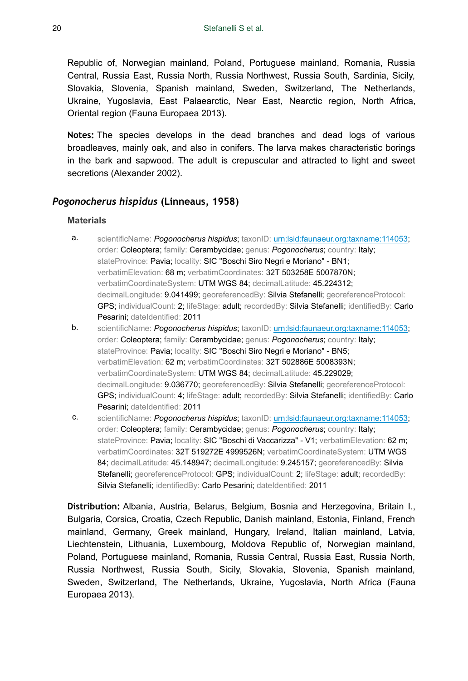Republic of, Norwegian mainland, Poland, Portuguese mainland, Romania, Russia Central, Russia East, Russia North, Russia Northwest, Russia South, Sardinia, Sicily, Slovakia, Slovenia, Spanish mainland, Sweden, Switzerland, The Netherlands, Ukraine, Yugoslavia, East Palaearctic, Near East, Nearctic region, North Africa, Oriental region (Fauna Europaea 2013).

**Notes:** The species develops in the dead branches and dead logs of various broadleaves, mainly oak, and also in conifers. The larva makes characteristic borings in the bark and sapwood. The adult is crepuscular and attracted to light and sweet secretions (Alexander 2002).

## *Pogonocherus hispidus* **(Linneaus, 1958)**

#### **Materials**

- a. scientificName: *Pogonocherus hispidus*; taxonID: [urn:lsid:faunaeur.org:taxname:114053;](http://www.faunaeur.org/full_results.php?id=114053) order: Coleoptera; family: Cerambycidae; genus: *Pogonocherus*; country: Italy; stateProvince: Pavia; locality: SIC "Boschi Siro Negri e Moriano" - BN1; verbatimElevation: 68 m; verbatimCoordinates: 32T 503258E 5007870N; verbatimCoordinateSystem: UTM WGS 84; decimalLatitude: 45.224312; decimalLongitude: 9.041499; georeferencedBy: Silvia Stefanelli; georeferenceProtocol: GPS; individualCount: 2; lifeStage: adult; recordedBy: Silvia Stefanelli; identifiedBy: Carlo Pesarini; dateIdentified: 2011
- b. scientificName: *Pogonocherus hispidus*; taxonID: [urn:lsid:faunaeur.org:taxname:114053;](http://www.faunaeur.org/full_results.php?id=114053) order: Coleoptera; family: Cerambycidae; genus: *Pogonocherus*; country: Italy; stateProvince: Pavia; locality: SIC "Boschi Siro Negri e Moriano" - BN5; verbatimElevation: 62 m; verbatimCoordinates: 32T 502886E 5008393N; verbatimCoordinateSystem: UTM WGS 84; decimalLatitude: 45.229029; decimalLongitude: 9.036770; georeferencedBy: Silvia Stefanelli; georeferenceProtocol: GPS; individualCount: 4; lifeStage: adult; recordedBy: Silvia Stefanelli; identifiedBy: Carlo Pesarini; dateIdentified: 2011
- c. scientificName: *Pogonocherus hispidus*; taxonID: [urn:lsid:faunaeur.org:taxname:114053;](http://www.faunaeur.org/full_results.php?id=114053) order: Coleoptera; family: Cerambycidae; genus: *Pogonocherus*; country: Italy; stateProvince: Pavia; locality: SIC "Boschi di Vaccarizza" - V1; verbatimElevation: 62 m; verbatimCoordinates: 32T 519272E 4999526N; verbatimCoordinateSystem: UTM WGS 84; decimalLatitude: 45.148947; decimalLongitude: 9.245157; georeferencedBy: Silvia Stefanelli; georeferenceProtocol: GPS; individualCount: 2; lifeStage: adult; recordedBy: Silvia Stefanelli; identifiedBy: Carlo Pesarini; dateIdentified: 2011

**Distribution:** Albania, Austria, Belarus, Belgium, Bosnia and Herzegovina, Britain I., Bulgaria, Corsica, Croatia, Czech Republic, Danish mainland, Estonia, Finland, French mainland, Germany, Greek mainland, Hungary, Ireland, Italian mainland, Latvia, Liechtenstein, Lithuania, Luxembourg, Moldova Republic of, Norwegian mainland, Poland, Portuguese mainland, Romania, Russia Central, Russia East, Russia North, Russia Northwest, Russia South, Sicily, Slovakia, Slovenia, Spanish mainland, Sweden, Switzerland, The Netherlands, Ukraine, Yugoslavia, North Africa (Fauna Europaea 2013).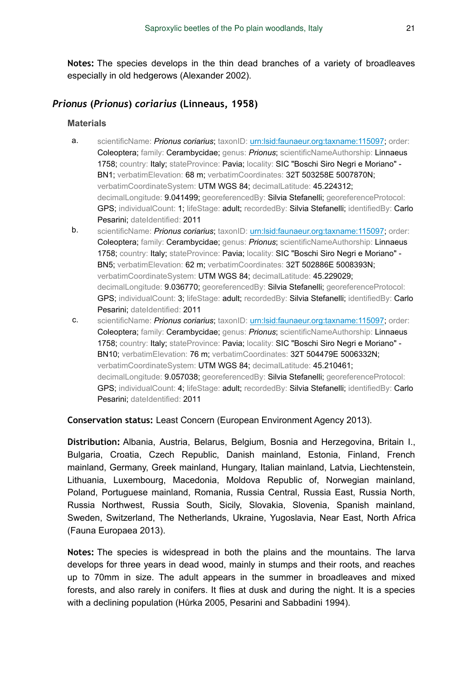**Notes:** The species develops in the thin dead branches of a variety of broadleaves especially in old hedgerows (Alexander 2002).

## *Prionus* **(***Prionus***)** *coriarius* **(Linneaus, 1958)**

#### **Materials**

- a. scientificName: *Prionus coriarius*; taxonID: [urn:lsid:faunaeur.org:taxname:115097](http://www.faunaeur.org/full_results.php?id=115097); order: Coleoptera; family: Cerambycidae; genus: *Prionus*; scientificNameAuthorship: Linnaeus 1758; country: Italy; stateProvince: Pavia; locality: SIC "Boschi Siro Negri e Moriano" - BN1; verbatimElevation: 68 m; verbatimCoordinates: 32T 503258E 5007870N; verbatimCoordinateSystem: UTM WGS 84; decimalLatitude: 45.224312; decimalLongitude: 9.041499; georeferencedBy: Silvia Stefanelli; georeferenceProtocol: GPS; individualCount: 1; lifeStage: adult; recordedBy: Silvia Stefanelli; identifiedBy: Carlo Pesarini; dateIdentified: 2011
- b. scientificName: *Prionus coriarius*; taxonID: [urn:lsid:faunaeur.org:taxname:115097](http://www.faunaeur.org/full_results.php?id=115097); order: Coleoptera; family: Cerambycidae; genus: *Prionus*; scientificNameAuthorship: Linnaeus 1758; country: Italy; stateProvince: Pavia; locality: SIC "Boschi Siro Negri e Moriano" - BN5; verbatimElevation: 62 m; verbatimCoordinates: 32T 502886E 5008393N; verbatimCoordinateSystem: UTM WGS 84; decimalLatitude: 45.229029; decimalLongitude: 9.036770; georeferencedBy: Silvia Stefanelli; georeferenceProtocol: GPS; individualCount: 3; lifeStage: adult; recordedBy: Silvia Stefanelli; identifiedBy: Carlo Pesarini: dateIdentified: 2011
- c. scientificName: *Prionus coriarius*; taxonID: [urn:lsid:faunaeur.org:taxname:115097](http://www.faunaeur.org/full_results.php?id=115097); order: Coleoptera; family: Cerambycidae; genus: *Prionus*; scientificNameAuthorship: Linnaeus 1758; country: Italy; stateProvince: Pavia; locality: SIC "Boschi Siro Negri e Moriano" -BN10; verbatimElevation: 76 m; verbatimCoordinates: 32T 504479E 5006332N; verbatimCoordinateSystem: UTM WGS 84; decimalLatitude: 45.210461; decimalLongitude: 9.057038; georeferencedBy: Silvia Stefanelli; georeferenceProtocol: GPS; individualCount: 4; lifeStage: adult; recordedBy: Silvia Stefanelli; identifiedBy: Carlo Pesarini; dateIdentified: 2011

#### **Conservation status:** Least Concern (European Environment Agency 2013).

**Distribution:** Albania, Austria, Belarus, Belgium, Bosnia and Herzegovina, Britain I., Bulgaria, Croatia, Czech Republic, Danish mainland, Estonia, Finland, French mainland, Germany, Greek mainland, Hungary, Italian mainland, Latvia, Liechtenstein, Lithuania, Luxembourg, Macedonia, Moldova Republic of, Norwegian mainland, Poland, Portuguese mainland, Romania, Russia Central, Russia East, Russia North, Russia Northwest, Russia South, Sicily, Slovakia, Slovenia, Spanish mainland, Sweden, Switzerland, The Netherlands, Ukraine, Yugoslavia, Near East, North Africa (Fauna Europaea 2013).

**Notes:** The species is widespread in both the plains and the mountains. The larva develops for three years in dead wood, mainly in stumps and their roots, and reaches up to 70mm in size. The adult appears in the summer in broadleaves and mixed forests, and also rarely in conifers. It flies at dusk and during the night. It is a species with a declining population (Hůrka 2005, Pesarini and Sabbadini 1994).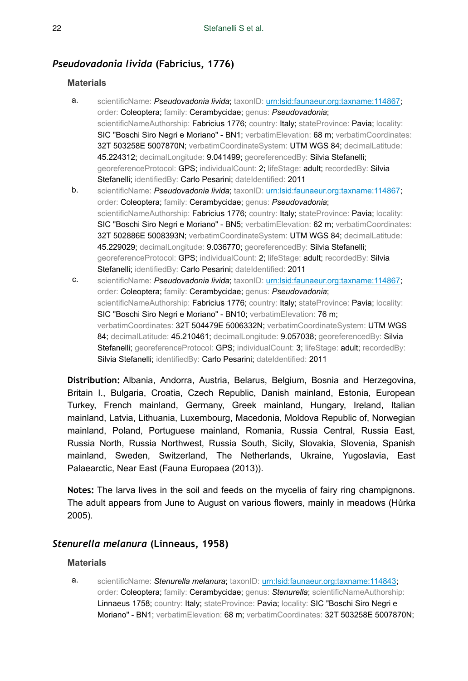## *Pseudovadonia livida* **(Fabricius, 1776)**

## **Materials**

- a. scientificName: *Pseudovadonia livida*; taxonID: [urn:lsid:faunaeur.org:taxname:114867](http://www.faunaeur.org/full_results.php?id=114867); order: Coleoptera; family: Cerambycidae; genus: *Pseudovadonia*; scientificNameAuthorship: Fabricius 1776; country: Italy; stateProvince: Pavia; locality: SIC "Boschi Siro Negri e Moriano" - BN1; verbatimElevation: 68 m; verbatimCoordinates: 32T 503258E 5007870N; verbatimCoordinateSystem: UTM WGS 84; decimalLatitude: 45.224312; decimalLongitude: 9.041499; georeferencedBy: Silvia Stefanelli; georeferenceProtocol: GPS; individualCount: 2; lifeStage: adult; recordedBy: Silvia Stefanelli; identifiedBy: Carlo Pesarini; dateIdentified: 2011
- b. scientificName: *Pseudovadonia livida*; taxonID: [urn:lsid:faunaeur.org:taxname:114867](http://www.faunaeur.org/full_results.php?id=114867); order: Coleoptera; family: Cerambycidae; genus: *Pseudovadonia*; scientificNameAuthorship: Fabricius 1776; country: Italy; stateProvince: Pavia; locality: SIC "Boschi Siro Negri e Moriano" - BN5; verbatimElevation: 62 m; verbatimCoordinates: 32T 502886E 5008393N; verbatimCoordinateSystem: UTM WGS 84; decimalLatitude: 45.229029; decimalLongitude: 9.036770; georeferencedBy: Silvia Stefanelli; georeferenceProtocol: GPS; individualCount: 2; lifeStage: adult; recordedBy: Silvia Stefanelli; identifiedBy: Carlo Pesarini; dateIdentified: 2011
- c. scientificName: *Pseudovadonia livida*; taxonID: [urn:lsid:faunaeur.org:taxname:114867](http://www.faunaeur.org/full_results.php?id=114867); order: Coleoptera; family: Cerambycidae; genus: *Pseudovadonia*; scientificNameAuthorship: Fabricius 1776; country: Italy; stateProvince: Pavia; locality: SIC "Boschi Siro Negri e Moriano" - BN10; verbatimElevation: 76 m; verbatimCoordinates: 32T 504479E 5006332N; verbatimCoordinateSystem: UTM WGS 84; decimalLatitude: 45.210461; decimalLongitude: 9.057038; georeferencedBy: Silvia Stefanelli; georeferenceProtocol: GPS; individualCount: 3; lifeStage: adult; recordedBy: Silvia Stefanelli; identifiedBy: Carlo Pesarini; dateIdentified: 2011

**Distribution:** Albania, Andorra, Austria, Belarus, Belgium, Bosnia and Herzegovina, Britain I., Bulgaria, Croatia, Czech Republic, Danish mainland, Estonia, European Turkey, French mainland, Germany, Greek mainland, Hungary, Ireland, Italian mainland, Latvia, Lithuania, Luxembourg, Macedonia, Moldova Republic of, Norwegian mainland, Poland, Portuguese mainland, Romania, Russia Central, Russia East, Russia North, Russia Northwest, Russia South, Sicily, Slovakia, Slovenia, Spanish mainland, Sweden, Switzerland, The Netherlands, Ukraine, Yugoslavia, East Palaearctic, Near East (Fauna Europaea (2013)).

**Notes:** The larva lives in the soil and feeds on the mycelia of fairy ring champignons. The adult appears from June to August on various flowers, mainly in meadows (Hůrka 2005).

## *Stenurella melanura* **(Linneaus, 1958)**

## **Materials**

a. scientificName: *Stenurella melanura*; taxonID: [urn:lsid:faunaeur.org:taxname:114843](http://www.faunaeur.org/full_results.php?id=114843); order: Coleoptera; family: Cerambycidae; genus: *Stenurella*; scientificNameAuthorship: Linnaeus 1758; country: Italy; stateProvince: Pavia; locality: SIC "Boschi Siro Negri e Moriano" - BN1; verbatimElevation: 68 m; verbatimCoordinates: 32T 503258E 5007870N;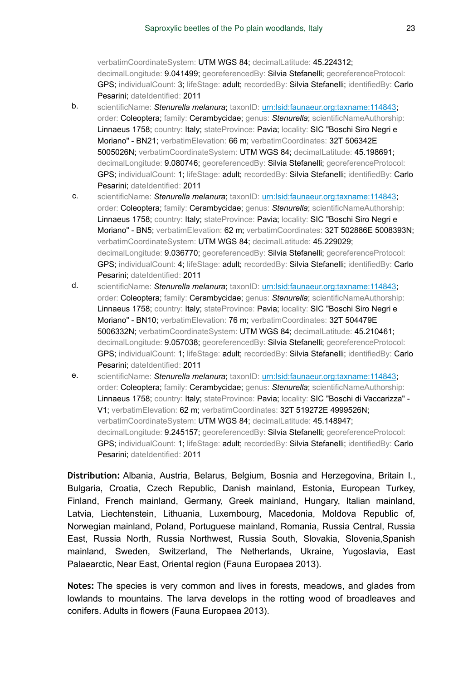verbatimCoordinateSystem: UTM WGS 84; decimalLatitude: 45.224312; decimalLongitude: 9.041499; georeferencedBy: Silvia Stefanelli; georeferenceProtocol: GPS; individualCount: 3; lifeStage: adult; recordedBy: Silvia Stefanelli; identifiedBy: Carlo Pesarini; dateIdentified: 2011

- b. scientificName: *Stenurella melanura*; taxonID: [urn:lsid:faunaeur.org:taxname:114843](http://www.faunaeur.org/full_results.php?id=114843); order: Coleoptera; family: Cerambycidae; genus: *Stenurella*; scientificNameAuthorship: Linnaeus 1758; country: Italy; stateProvince: Pavia; locality: SIC "Boschi Siro Negri e Moriano" - BN21; verbatimElevation: 66 m; verbatimCoordinates: 32T 506342E 5005026N; verbatimCoordinateSystem: UTM WGS 84; decimalLatitude: 45.198691; decimalLongitude: 9.080746; georeferencedBy: Silvia Stefanelli; georeferenceProtocol: GPS; individualCount: 1; lifeStage: adult; recordedBy: Silvia Stefanelli; identifiedBy: Carlo Pesarini: dateIdentified: 2011
- c. scientificName: *Stenurella melanura*; taxonID: [urn:lsid:faunaeur.org:taxname:114843](http://www.faunaeur.org/full_results.php?id=114843); order: Coleoptera; family: Cerambycidae; genus: *Stenurella*; scientificNameAuthorship: Linnaeus 1758; country: Italy; stateProvince: Pavia; locality: SIC "Boschi Siro Negri e Moriano" - BN5; verbatimElevation: 62 m; verbatimCoordinates: 32T 502886E 5008393N; verbatimCoordinateSystem: UTM WGS 84; decimalLatitude: 45.229029; decimalLongitude: 9.036770; georeferencedBy: Silvia Stefanelli; georeferenceProtocol: GPS; individualCount: 4; lifeStage: adult; recordedBy: Silvia Stefanelli; identifiedBy: Carlo Pesarini: dateIdentified: 2011
- d. scientificName: *Stenurella melanura*; taxonID: [urn:lsid:faunaeur.org:taxname:114843](http://www.faunaeur.org/full_results.php?id=114843); order: Coleoptera; family: Cerambycidae; genus: *Stenurella*; scientificNameAuthorship: Linnaeus 1758; country: Italy; stateProvince: Pavia; locality: SIC "Boschi Siro Negri e Moriano" - BN10; verbatimElevation: 76 m; verbatimCoordinates: 32T 504479E 5006332N; verbatimCoordinateSystem: UTM WGS 84; decimalLatitude: 45.210461; decimalLongitude: 9.057038; georeferencedBy: Silvia Stefanelli; georeferenceProtocol: GPS; individualCount: 1; lifeStage: adult; recordedBy: Silvia Stefanelli; identifiedBy: Carlo Pesarini; dateIdentified: 2011
- e. scientificName: *Stenurella melanura*; taxonID: [urn:lsid:faunaeur.org:taxname:114843](http://www.faunaeur.org/full_results.php?id=114843); order: Coleoptera; family: Cerambycidae; genus: *Stenurella*; scientificNameAuthorship: Linnaeus 1758; country: Italy; stateProvince: Pavia; locality: SIC "Boschi di Vaccarizza" - V1; verbatimElevation: 62 m; verbatimCoordinates: 32T 519272E 4999526N; verbatimCoordinateSystem: UTM WGS 84; decimalLatitude: 45.148947; decimalLongitude: 9.245157; georeferencedBy: Silvia Stefanelli; georeferenceProtocol: GPS; individualCount: 1; lifeStage: adult; recordedBy: Silvia Stefanelli; identifiedBy: Carlo Pesarini: dateIdentified: 2011

**Distribution:** Albania, Austria, Belarus, Belgium, Bosnia and Herzegovina, Britain I., Bulgaria, Croatia, Czech Republic, Danish mainland, Estonia, European Turkey, Finland, French mainland, Germany, Greek mainland, Hungary, Italian mainland, Latvia, Liechtenstein, Lithuania, Luxembourg, Macedonia, Moldova Republic of, Norwegian mainland, Poland, Portuguese mainland, Romania, Russia Central, Russia East, Russia North, Russia Northwest, Russia South, Slovakia, Slovenia,Spanish mainland, Sweden, Switzerland, The Netherlands, Ukraine, Yugoslavia, East Palaearctic, Near East, Oriental region (Fauna Europaea 2013).

**Notes:** The species is very common and lives in forests, meadows, and glades from lowlands to mountains. The larva develops in the rotting wood of broadleaves and conifers. Adults in flowers (Fauna Europaea 2013).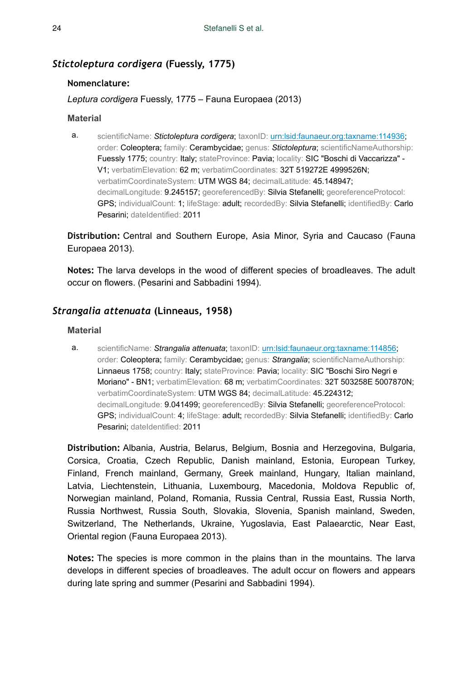## *Stictoleptura cordigera* **(Fuessly, 1775)**

#### **Nomenclature:**

*Leptura cordigera* Fuessly, 1775 – Fauna Europaea (2013)

#### **Material**

a. scientificName: *Stictoleptura cordigera*; taxonID: [urn:lsid:faunaeur.org:taxname:114936;](http://www.faunaeur.org/full_results.php?id=114936) order: Coleoptera; family: Cerambycidae; genus: *Stictoleptura*; scientificNameAuthorship: Fuessly 1775; country: Italy; stateProvince: Pavia; locality: SIC "Boschi di Vaccarizza" - V1; verbatimElevation: 62 m; verbatimCoordinates: 32T 519272E 4999526N; verbatimCoordinateSystem: UTM WGS 84; decimalLatitude: 45.148947; decimalLongitude: 9.245157; georeferencedBy: Silvia Stefanelli; georeferenceProtocol: GPS; individualCount: 1; lifeStage: adult; recordedBy: Silvia Stefanelli; identifiedBy: Carlo Pesarini; dateIdentified: 2011

**Distribution:** Central and Southern Europe, Asia Minor, Syria and Caucaso (Fauna Europaea 2013).

**Notes:** The larva develops in the wood of different species of broadleaves. The adult occur on flowers. (Pesarini and Sabbadini 1994).

## *Strangalia attenuata* **(Linneaus, 1958)**

#### **Material**

a. scientificName: *Strangalia attenuata*; taxonID: [urn:lsid:faunaeur.org:taxname:114856](http://www.faunaeur.org/full_results.php?id=114856); order: Coleoptera; family: Cerambycidae; genus: *Strangalia*; scientificNameAuthorship: Linnaeus 1758; country: Italy; stateProvince: Pavia; locality: SIC "Boschi Siro Negri e Moriano" - BN1; verbatimElevation: 68 m; verbatimCoordinates: 32T 503258E 5007870N; verbatimCoordinateSystem: UTM WGS 84; decimalLatitude: 45.224312; decimalLongitude: 9.041499; georeferencedBy: Silvia Stefanelli; georeferenceProtocol: GPS; individualCount: 4; lifeStage: adult; recordedBy: Silvia Stefanelli; identifiedBy: Carlo Pesarini: dateIdentified: 2011

**Distribution:** Albania, Austria, Belarus, Belgium, Bosnia and Herzegovina, Bulgaria, Corsica, Croatia, Czech Republic, Danish mainland, Estonia, European Turkey, Finland, French mainland, Germany, Greek mainland, Hungary, Italian mainland, Latvia, Liechtenstein, Lithuania, Luxembourg, Macedonia, Moldova Republic of, Norwegian mainland, Poland, Romania, Russia Central, Russia East, Russia North, Russia Northwest, Russia South, Slovakia, Slovenia, Spanish mainland, Sweden, Switzerland, The Netherlands, Ukraine, Yugoslavia, East Palaearctic, Near East, Oriental region (Fauna Europaea 2013).

**Notes:** The species is more common in the plains than in the mountains. The larva develops in different species of broadleaves. The adult occur on flowers and appears during late spring and summer (Pesarini and Sabbadini 1994).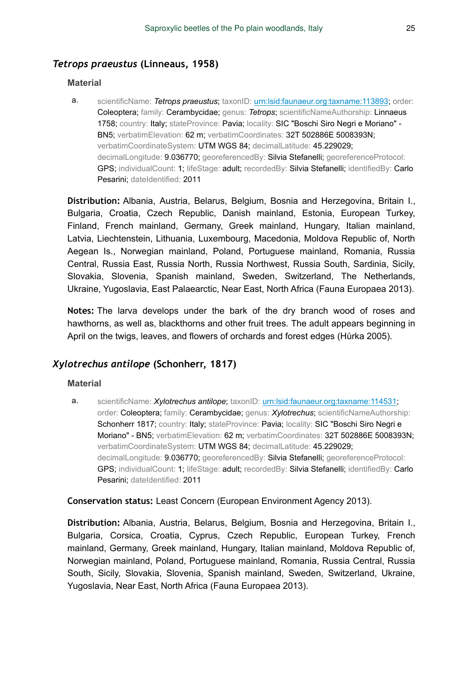## *Tetrops praeustus* **(Linneaus, 1958)**

### **Material**

a. scientificName: *Tetrops praeustus*; taxonID: [urn:lsid:faunaeur.org:taxname:113893](http://www.faunaeur.org/full_results.php?id=113893); order: Coleoptera; family: Cerambycidae; genus: *Tetrops*; scientificNameAuthorship: Linnaeus 1758; country: Italy; stateProvince: Pavia; locality: SIC "Boschi Siro Negri e Moriano" -BN5; verbatimElevation: 62 m; verbatimCoordinates: 32T 502886E 5008393N; verbatimCoordinateSystem: UTM WGS 84; decimalLatitude: 45.229029; decimalLongitude: 9.036770; georeferencedBy: Silvia Stefanelli; georeferenceProtocol: GPS; individualCount: 1; lifeStage: adult; recordedBy: Silvia Stefanelli; identifiedBy: Carlo Pesarini: dateIdentified: 2011

**Distribution:** Albania, Austria, Belarus, Belgium, Bosnia and Herzegovina, Britain I., Bulgaria, Croatia, Czech Republic, Danish mainland, Estonia, European Turkey, Finland, French mainland, Germany, Greek mainland, Hungary, Italian mainland, Latvia, Liechtenstein, Lithuania, Luxembourg, Macedonia, Moldova Republic of, North Aegean Is., Norwegian mainland, Poland, Portuguese mainland, Romania, Russia Central, Russia East, Russia North, Russia Northwest, Russia South, Sardinia, Sicily, Slovakia, Slovenia, Spanish mainland, Sweden, Switzerland, The Netherlands, Ukraine, Yugoslavia, East Palaearctic, Near East, North Africa (Fauna Europaea 2013).

**Notes:** The larva develops under the bark of the dry branch wood of roses and hawthorns, as well as, blackthorns and other fruit trees. The adult appears beginning in April on the twigs, leaves, and flowers of orchards and forest edges (Hůrka 2005).

## *Xylotrechus antilope* **(Schonherr, 1817)**

#### **Material**

a. scientificName: *Xylotrechus antilope*; taxonID: [urn:lsid:faunaeur.org:taxname:114531;](http://www.faunaeur.org/full_results.php?id=114531) order: Coleoptera; family: Cerambycidae; genus: *Xylotrechus*; scientificNameAuthorship: Schonherr 1817; country: Italy; stateProvince: Pavia; locality: SIC "Boschi Siro Negri e Moriano" - BN5; verbatimElevation: 62 m; verbatimCoordinates: 32T 502886E 5008393N; verbatimCoordinateSystem: UTM WGS 84; decimalLatitude: 45.229029; decimalLongitude: 9.036770; georeferencedBy: Silvia Stefanelli; georeferenceProtocol: GPS; individualCount: 1; lifeStage: adult; recordedBy: Silvia Stefanelli; identifiedBy: Carlo Pesarini; dateIdentified: 2011

#### **Conservation status:** Least Concern (European Environment Agency 2013).

**Distribution:** Albania, Austria, Belarus, Belgium, Bosnia and Herzegovina, Britain I., Bulgaria, Corsica, Croatia, Cyprus, Czech Republic, European Turkey, French mainland, Germany, Greek mainland, Hungary, Italian mainland, Moldova Republic of, Norwegian mainland, Poland, Portuguese mainland, Romania, Russia Central, Russia South, Sicily, Slovakia, Slovenia, Spanish mainland, Sweden, Switzerland, Ukraine, Yugoslavia, Near East, North Africa (Fauna Europaea 2013).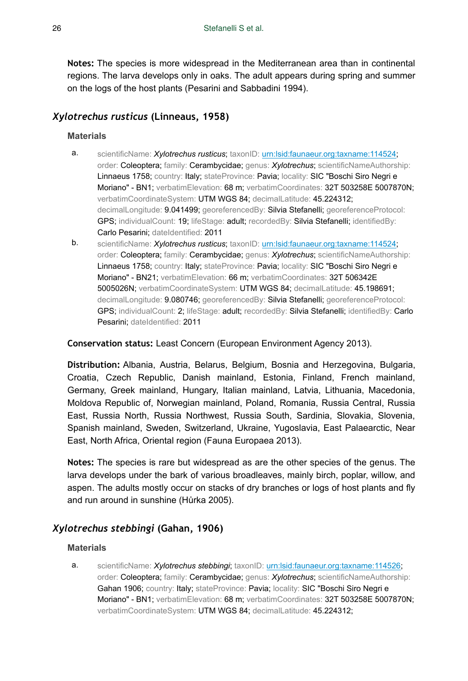**Notes:** The species is more widespread in the Mediterranean area than in continental regions. The larva develops only in oaks. The adult appears during spring and summer on the logs of the host plants (Pesarini and Sabbadini 1994).

## *Xylotrechus rusticus* **(Linneaus, 1958)**

## **Materials**

- a. scientificName: *Xylotrechus rusticus*; taxonID: [urn:lsid:faunaeur.org:taxname:114524](http://www.faunaeur.org/full_results.php?id=114524); order: Coleoptera; family: Cerambycidae; genus: *Xylotrechus*; scientificNameAuthorship: Linnaeus 1758; country: Italy; stateProvince: Pavia; locality: SIC "Boschi Siro Negri e Moriano" - BN1; verbatimElevation: 68 m; verbatimCoordinates: 32T 503258E 5007870N; verbatimCoordinateSystem: UTM WGS 84; decimalLatitude: 45.224312; decimalLongitude: 9.041499; georeferencedBy: Silvia Stefanelli; georeferenceProtocol: GPS; individualCount: 19; lifeStage: adult; recordedBy: Silvia Stefanelli; identifiedBy: Carlo Pesarini; dateIdentified: 2011
- b. scientificName: *Xylotrechus rusticus*; taxonID: [urn:lsid:faunaeur.org:taxname:114524](http://www.faunaeur.org/full_results.php?id=114524); order: Coleoptera; family: Cerambycidae; genus: *Xylotrechus*; scientificNameAuthorship: Linnaeus 1758; country: Italy; stateProvince: Pavia; locality: SIC "Boschi Siro Negri e Moriano" - BN21; verbatimElevation: 66 m; verbatimCoordinates: 32T 506342E 5005026N; verbatimCoordinateSystem: UTM WGS 84; decimalLatitude: 45.198691; decimalLongitude: 9.080746; georeferencedBy: Silvia Stefanelli; georeferenceProtocol: GPS; individualCount: 2; lifeStage: adult; recordedBy: Silvia Stefanelli; identifiedBy: Carlo Pesarini; dateIdentified: 2011

**Conservation status:** Least Concern (European Environment Agency 2013).

**Distribution:** Albania, Austria, Belarus, Belgium, Bosnia and Herzegovina, Bulgaria, Croatia, Czech Republic, Danish mainland, Estonia, Finland, French mainland, Germany, Greek mainland, Hungary, Italian mainland, Latvia, Lithuania, Macedonia, Moldova Republic of, Norwegian mainland, Poland, Romania, Russia Central, Russia East, Russia North, Russia Northwest, Russia South, Sardinia, Slovakia, Slovenia, Spanish mainland, Sweden, Switzerland, Ukraine, Yugoslavia, East Palaearctic, Near East, North Africa, Oriental region (Fauna Europaea 2013).

**Notes:** The species is rare but widespread as are the other species of the genus. The larva develops under the bark of various broadleaves, mainly birch, poplar, willow, and aspen. The adults mostly occur on stacks of dry branches or logs of host plants and fly and run around in sunshine (Hůrka 2005).

## *Xylotrechus stebbingi* **(Gahan, 1906)**

## **Materials**

a. scientificName: *Xylotrechus stebbingi*; taxonID: [urn:lsid:faunaeur.org:taxname:114526;](http://www.faunaeur.org/full_results.php?id=114526) order: Coleoptera; family: Cerambycidae; genus: *Xylotrechus*; scientificNameAuthorship: Gahan 1906; country: Italy; stateProvince: Pavia; locality: SIC "Boschi Siro Negri e Moriano" - BN1; verbatimElevation: 68 m; verbatimCoordinates: 32T 503258E 5007870N; verbatimCoordinateSystem: UTM WGS 84; decimalLatitude: 45.224312;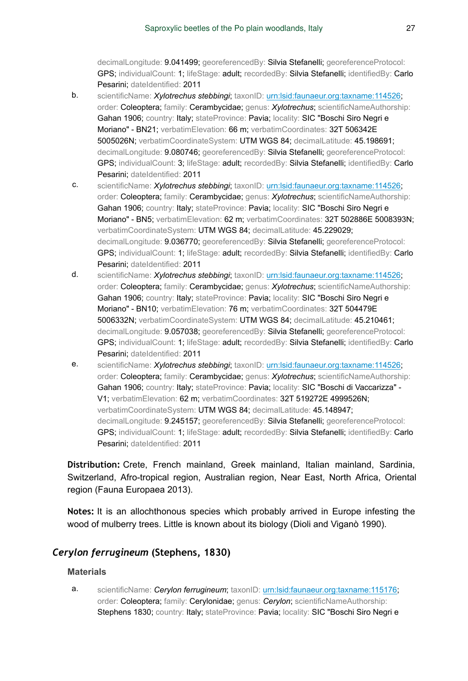decimalLongitude: 9.041499; georeferencedBy: Silvia Stefanelli; georeferenceProtocol: GPS; individualCount: 1; lifeStage: adult; recordedBy: Silvia Stefanelli; identifiedBy: Carlo Pesarini; dateIdentified: 2011

- b. scientificName: *Xylotrechus stebbingi*; taxonID: [urn:lsid:faunaeur.org:taxname:114526;](http://www.faunaeur.org/full_results.php?id=114526) order: Coleoptera; family: Cerambycidae; genus: *Xylotrechus*; scientificNameAuthorship: Gahan 1906; country: Italy; stateProvince: Pavia; locality: SIC "Boschi Siro Negri e Moriano" - BN21; verbatimElevation: 66 m; verbatimCoordinates: 32T 506342E 5005026N; verbatimCoordinateSystem: UTM WGS 84; decimalLatitude: 45.198691; decimalLongitude: 9.080746; georeferencedBy: Silvia Stefanelli; georeferenceProtocol: GPS; individualCount: 3; lifeStage: adult; recordedBy: Silvia Stefanelli; identifiedBy: Carlo Pesarini: dateIdentified: 2011
- c. scientificName: *Xylotrechus stebbingi*; taxonID: [urn:lsid:faunaeur.org:taxname:114526;](http://www.faunaeur.org/full_results.php?id=114526) order: Coleoptera; family: Cerambycidae; genus: *Xylotrechus*; scientificNameAuthorship: Gahan 1906; country: Italy; stateProvince: Pavia; locality: SIC "Boschi Siro Negri e Moriano" - BN5; verbatimElevation: 62 m; verbatimCoordinates: 32T 502886E 5008393N; verbatimCoordinateSystem: UTM WGS 84; decimalLatitude: 45.229029; decimalLongitude: 9.036770; georeferencedBy: Silvia Stefanelli; georeferenceProtocol: GPS; individualCount: 1; lifeStage: adult; recordedBy: Silvia Stefanelli; identifiedBy: Carlo Pesarini; dateIdentified: 2011
- d. scientificName: *Xylotrechus stebbingi*; taxonID: [urn:lsid:faunaeur.org:taxname:114526;](http://www.faunaeur.org/full_results.php?id=114526) order: Coleoptera; family: Cerambycidae; genus: *Xylotrechus*; scientificNameAuthorship: Gahan 1906; country: Italy; stateProvince: Pavia; locality: SIC "Boschi Siro Negri e Moriano" - BN10; verbatimElevation: 76 m; verbatimCoordinates: 32T 504479E 5006332N; verbatimCoordinateSystem: UTM WGS 84; decimalLatitude: 45.210461; decimalLongitude: 9.057038; georeferencedBy: Silvia Stefanelli; georeferenceProtocol: GPS; individualCount: 1; lifeStage: adult; recordedBy: Silvia Stefanelli; identifiedBy: Carlo Pesarini: dateIdentified: 2011
- e. scientificName: *Xylotrechus stebbingi*; taxonID: [urn:lsid:faunaeur.org:taxname:114526;](http://www.faunaeur.org/full_results.php?id=114526) order: Coleoptera; family: Cerambycidae; genus: *Xylotrechus*; scientificNameAuthorship: Gahan 1906; country: Italy; stateProvince: Pavia; locality: SIC "Boschi di Vaccarizza" - V1; verbatimElevation: 62 m; verbatimCoordinates: 32T 519272E 4999526N; verbatimCoordinateSystem: UTM WGS 84; decimalLatitude: 45.148947; decimalLongitude: 9.245157; georeferencedBy: Silvia Stefanelli; georeferenceProtocol: GPS; individualCount: 1; lifeStage: adult; recordedBy: Silvia Stefanelli; identifiedBy: Carlo Pesarini; dateIdentified: 2011

**Distribution:** Crete, French mainland, Greek mainland, Italian mainland, Sardinia, Switzerland, Afro-tropical region, Australian region, Near East, North Africa, Oriental region (Fauna Europaea 2013).

**Notes:** It is an allochthonous species which probably arrived in Europe infesting the wood of mulberry trees. Little is known about its biology (Dioli and Viganò 1990).

## *Cerylon ferrugineum* **(Stephens, 1830)**

## **Materials**

a. scientificName: *Cerylon ferrugineum*; taxonID: [urn:lsid:faunaeur.org:taxname:115176](http://www.faunaeur.org/full_results.php?id=115176); order: Coleoptera; family: Cerylonidae; genus: *Cerylon*; scientificNameAuthorship: Stephens 1830; country: Italy; stateProvince: Pavia; locality: SIC "Boschi Siro Negri e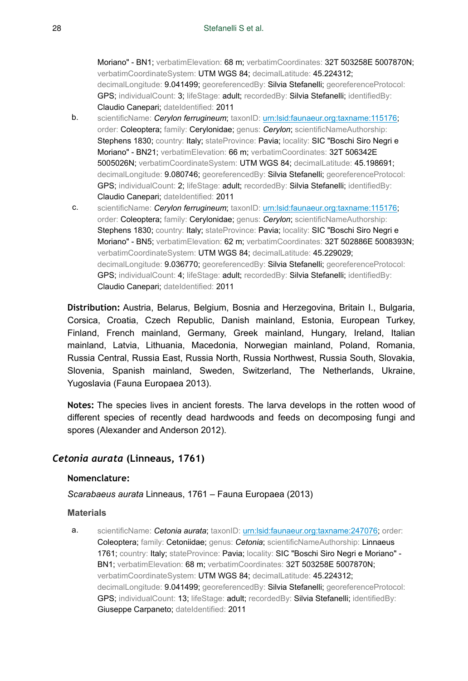Moriano" - BN1; verbatimElevation: 68 m; verbatimCoordinates: 32T 503258E 5007870N; verbatimCoordinateSystem: UTM WGS 84; decimalLatitude: 45.224312; decimalLongitude: 9.041499; georeferencedBy: Silvia Stefanelli; georeferenceProtocol: GPS; individualCount: 3; lifeStage: adult; recordedBy: Silvia Stefanelli; identifiedBy: Claudio Canepari; dateIdentified: 2011

- b. scientificName: *Cerylon ferrugineum*; taxonID: [urn:lsid:faunaeur.org:taxname:115176](http://www.faunaeur.org/full_results.php?id=115176); order: Coleoptera; family: Cerylonidae; genus: *Cerylon*; scientificNameAuthorship: Stephens 1830; country: Italy: stateProvince: Pavia: locality: SIC "Boschi Siro Negri e Moriano" - BN21; verbatimElevation: 66 m; verbatimCoordinates: 32T 506342E 5005026N; verbatimCoordinateSystem: UTM WGS 84; decimalLatitude: 45.198691; decimalLongitude: 9.080746; georeferencedBy: Silvia Stefanelli; georeferenceProtocol: GPS; individualCount: 2; lifeStage: adult; recordedBy: Silvia Stefanelli; identifiedBy: Claudio Canepari; dateIdentified: 2011
- c. scientificName: *Cerylon ferrugineum*; taxonID: [urn:lsid:faunaeur.org:taxname:115176](http://www.faunaeur.org/full_results.php?id=115176); order: Coleoptera; family: Cerylonidae; genus: *Cerylon*; scientificNameAuthorship: Stephens 1830; country: Italy; stateProvince: Pavia; locality: SIC "Boschi Siro Negri e Moriano" - BN5; verbatimElevation: 62 m; verbatimCoordinates: 32T 502886E 5008393N; verbatimCoordinateSystem: UTM WGS 84; decimalLatitude: 45.229029; decimalLongitude: 9.036770; georeferencedBy: Silvia Stefanelli; georeferenceProtocol: GPS; individualCount: 4; lifeStage: adult; recordedBy: Silvia Stefanelli; identifiedBy: Claudio Canepari; dateIdentified: 2011

**Distribution:** Austria, Belarus, Belgium, Bosnia and Herzegovina, Britain I., Bulgaria, Corsica, Croatia, Czech Republic, Danish mainland, Estonia, European Turkey, Finland, French mainland, Germany, Greek mainland, Hungary, Ireland, Italian mainland, Latvia, Lithuania, Macedonia, Norwegian mainland, Poland, Romania, Russia Central, Russia East, Russia North, Russia Northwest, Russia South, Slovakia, Slovenia, Spanish mainland, Sweden, Switzerland, The Netherlands, Ukraine, Yugoslavia (Fauna Europaea 2013).

**Notes:** The species lives in ancient forests. The larva develops in the rotten wood of different species of recently dead hardwoods and feeds on decomposing fungi and spores (Alexander and Anderson 2012).

## *Cetonia aurata* **(Linneaus, 1761)**

#### **Nomenclature:**

## *Scarabaeus aurata* Linneaus, 1761 – Fauna Europaea (2013)

#### **Materials**

a. scientificName: *Cetonia aurata*; taxonID: [urn:lsid:faunaeur.org:taxname:247076;](http://www.faunaeur.org/full_results.php?id=247076) order: Coleoptera; family: Cetoniidae; genus: *Cetonia*; scientificNameAuthorship: Linnaeus 1761; country: Italy; stateProvince: Pavia; locality: SIC "Boschi Siro Negri e Moriano" -BN1; verbatimElevation: 68 m; verbatimCoordinates: 32T 503258E 5007870N; verbatimCoordinateSystem: UTM WGS 84; decimalLatitude: 45.224312; decimalLongitude: 9.041499; georeferencedBy: Silvia Stefanelli; georeferenceProtocol: GPS; individualCount: 13; lifeStage: adult; recordedBy: Silvia Stefanelli; identifiedBy: Giuseppe Carpaneto; dateIdentified: 2011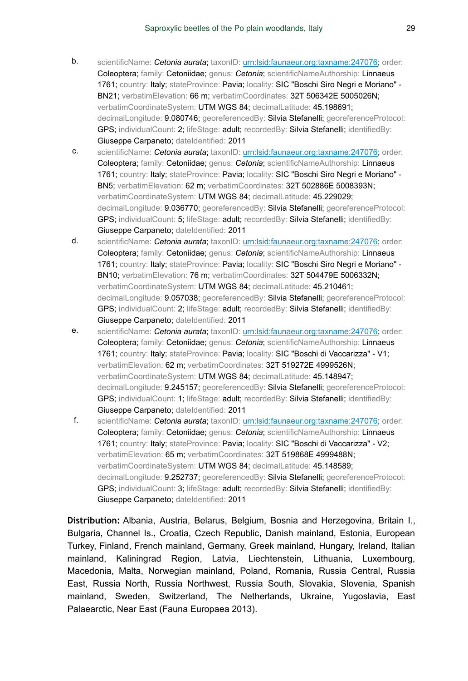- b. scientificName: *Cetonia aurata*; taxonID: [urn:lsid:faunaeur.org:taxname:247076;](http://www.faunaeur.org/full_results.php?id=247076) order: Coleoptera; family: Cetoniidae; genus: *Cetonia*; scientificNameAuthorship: Linnaeus 1761; country: Italy; stateProvince: Pavia; locality: SIC "Boschi Siro Negri e Moriano" - BN21; verbatimElevation: 66 m; verbatimCoordinates: 32T 506342E 5005026N; verbatimCoordinateSystem: UTM WGS 84; decimalLatitude: 45.198691; decimalLongitude: 9.080746; georeferencedBy: Silvia Stefanelli; georeferenceProtocol: GPS; individualCount: 2; lifeStage: adult; recordedBy: Silvia Stefanelli; identifiedBy: Giuseppe Carpaneto: dateIdentified: 2011
- c. scientificName: *Cetonia aurata*; taxonID: [urn:lsid:faunaeur.org:taxname:247076;](http://www.faunaeur.org/full_results.php?id=247076) order: Coleoptera; family: Cetoniidae; genus: *Cetonia*; scientificNameAuthorship: Linnaeus 1761; country: Italy; stateProvince: Pavia; locality: SIC "Boschi Siro Negri e Moriano" -BN5; verbatimElevation: 62 m; verbatimCoordinates: 32T 502886E 5008393N; verbatimCoordinateSystem: UTM WGS 84; decimalLatitude: 45.229029; decimalLongitude: 9.036770; georeferencedBy: Silvia Stefanelli; georeferenceProtocol: GPS; individualCount: 5; lifeStage: adult; recordedBy: Silvia Stefanelli; identifiedBy: Giuseppe Carpaneto; dateIdentified: 2011
- d. scientificName: *Cetonia aurata*; taxonID: [urn:lsid:faunaeur.org:taxname:247076;](http://www.faunaeur.org/full_results.php?id=247076) order: Coleoptera; family: Cetoniidae; genus: *Cetonia*; scientificNameAuthorship: Linnaeus 1761; country: Italy; stateProvince: Pavia; locality: SIC "Boschi Siro Negri e Moriano" - BN10; verbatimElevation: 76 m; verbatimCoordinates: 32T 504479E 5006332N; verbatimCoordinateSystem: UTM WGS 84; decimalLatitude: 45.210461; decimalLongitude: 9.057038; georeferencedBy: Silvia Stefanelli; georeferenceProtocol: GPS; individualCount: 2; lifeStage: adult; recordedBy: Silvia Stefanelli; identifiedBy: Giuseppe Carpaneto; dateIdentified: 2011
- e. scientificName: *Cetonia aurata*; taxonID: [urn:lsid:faunaeur.org:taxname:247076;](http://www.faunaeur.org/full_results.php?id=247076) order: Coleoptera; family: Cetoniidae; genus: *Cetonia*; scientificNameAuthorship: Linnaeus 1761; country: Italy; stateProvince: Pavia; locality: SIC "Boschi di Vaccarizza" - V1; verbatimElevation: 62 m; verbatimCoordinates: 32T 519272E 4999526N; verbatimCoordinateSystem: UTM WGS 84; decimalLatitude: 45.148947; decimalLongitude: 9.245157; georeferencedBy: Silvia Stefanelli; georeferenceProtocol: GPS; individualCount: 1; lifeStage: adult; recordedBy: Silvia Stefanelli; identifiedBy: Giuseppe Carpaneto; dateIdentified: 2011
- f. scientificName: *Cetonia aurata*; taxonID: [urn:lsid:faunaeur.org:taxname:247076;](http://www.faunaeur.org/full_results.php?id=247076) order: Coleoptera; family: Cetoniidae; genus: *Cetonia*; scientificNameAuthorship: Linnaeus 1761; country: Italy; stateProvince: Pavia; locality: SIC "Boschi di Vaccarizza" - V2; verbatimElevation: 65 m; verbatimCoordinates: 32T 519868E 4999488N; verbatimCoordinateSystem: UTM WGS 84; decimalLatitude: 45.148589; decimalLongitude: 9.252737; georeferencedBy: Silvia Stefanelli; georeferenceProtocol: GPS; individualCount: 3; lifeStage: adult; recordedBy: Silvia Stefanelli; identifiedBy: Giuseppe Carpaneto; dateIdentified: 2011

**Distribution:** Albania, Austria, Belarus, Belgium, Bosnia and Herzegovina, Britain I., Bulgaria, Channel Is., Croatia, Czech Republic, Danish mainland, Estonia, European Turkey, Finland, French mainland, Germany, Greek mainland, Hungary, Ireland, Italian mainland, Kaliningrad Region, Latvia, Liechtenstein, Lithuania, Luxembourg, Macedonia, Malta, Norwegian mainland, Poland, Romania, Russia Central, Russia East, Russia North, Russia Northwest, Russia South, Slovakia, Slovenia, Spanish mainland, Sweden, Switzerland, The Netherlands, Ukraine, Yugoslavia, East Palaearctic, Near East (Fauna Europaea 2013).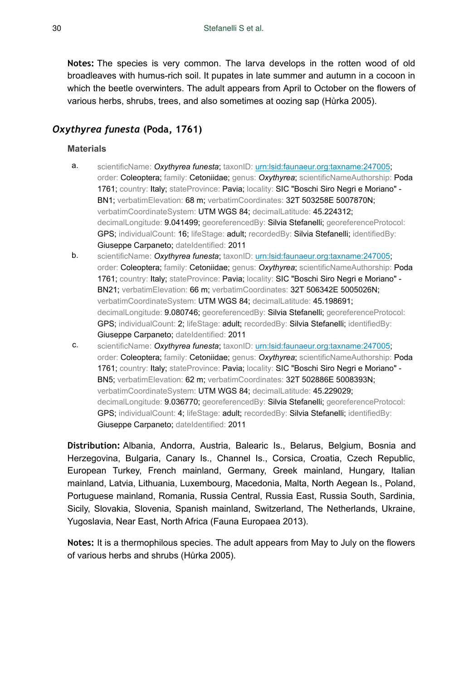**Notes:** The species is very common. The larva develops in the rotten wood of old broadleaves with humus-rich soil. It pupates in late summer and autumn in a cocoon in which the beetle overwinters. The adult appears from April to October on the flowers of various herbs, shrubs, trees, and also sometimes at oozing sap (Hůrka 2005).

## *Oxythyrea funesta* **(Poda, 1761)**

#### **Materials**

- a. scientificName: *Oxythyrea funesta*; taxonID: [urn:lsid:faunaeur.org:taxname:247005](http://www.faunaeur.org/full_results.php?id=247005); order: Coleoptera; family: Cetoniidae; genus: *Oxythyrea*; scientificNameAuthorship: Poda 1761; country: Italy; stateProvince: Pavia; locality: SIC "Boschi Siro Negri e Moriano" - BN1; verbatimElevation: 68 m; verbatimCoordinates: 32T 503258E 5007870N; verbatimCoordinateSystem: UTM WGS 84; decimalLatitude: 45.224312; decimalLongitude: 9.041499; georeferencedBy: Silvia Stefanelli; georeferenceProtocol: GPS; individualCount: 16; lifeStage: adult; recordedBy: Silvia Stefanelli; identifiedBy: Giuseppe Carpaneto; dateIdentified: 2011
- b. scientificName: *Oxythyrea funesta*; taxonID: [urn:lsid:faunaeur.org:taxname:247005](http://www.faunaeur.org/full_results.php?id=247005); order: Coleoptera; family: Cetoniidae; genus: *Oxythyrea*; scientificNameAuthorship: Poda 1761; country: Italy; stateProvince: Pavia; locality: SIC "Boschi Siro Negri e Moriano" - BN21; verbatimElevation: 66 m; verbatimCoordinates: 32T 506342E 5005026N; verbatimCoordinateSystem: UTM WGS 84; decimalLatitude: 45.198691; decimalLongitude: 9.080746; georeferencedBy: Silvia Stefanelli; georeferenceProtocol: GPS; individualCount: 2; lifeStage: adult; recordedBy: Silvia Stefanelli; identifiedBy: Giuseppe Carpaneto; dateIdentified: 2011
- c. scientificName: *Oxythyrea funesta*; taxonID: [urn:lsid:faunaeur.org:taxname:247005](http://www.faunaeur.org/full_results.php?id=247005); order: Coleoptera; family: Cetoniidae; genus: *Oxythyrea*; scientificNameAuthorship: Poda 1761; country: Italy; stateProvince: Pavia; locality: SIC "Boschi Siro Negri e Moriano" - BN5; verbatimElevation: 62 m; verbatimCoordinates: 32T 502886E 5008393N; verbatimCoordinateSystem: UTM WGS 84; decimalLatitude: 45.229029; decimalLongitude: 9.036770; georeferencedBy: Silvia Stefanelli; georeferenceProtocol: GPS; individualCount: 4; lifeStage: adult; recordedBy: Silvia Stefanelli; identifiedBy: Giuseppe Carpaneto; dateIdentified: 2011

**Distribution:** Albania, Andorra, Austria, Balearic Is., Belarus, Belgium, Bosnia and Herzegovina, Bulgaria, Canary Is., Channel Is., Corsica, Croatia, Czech Republic, European Turkey, French mainland, Germany, Greek mainland, Hungary, Italian mainland, Latvia, Lithuania, Luxembourg, Macedonia, Malta, North Aegean Is., Poland, Portuguese mainland, Romania, Russia Central, Russia East, Russia South, Sardinia, Sicily, Slovakia, Slovenia, Spanish mainland, Switzerland, The Netherlands, Ukraine, Yugoslavia, Near East, North Africa (Fauna Europaea 2013).

**Notes:** It is a thermophilous species. The adult appears from May to July on the flowers of various herbs and shrubs (Hůrka 2005).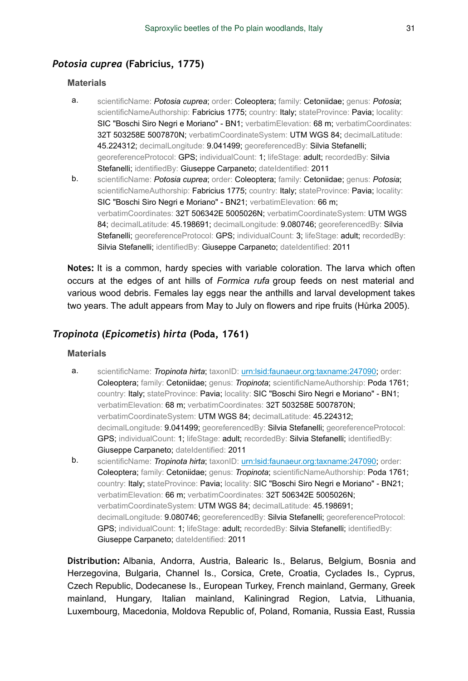## *Potosia cuprea* **(Fabricius, 1775)**

### **Materials**

- a. scientificName: *Potosia cuprea*; order: Coleoptera; family: Cetoniidae; genus: *Potosia*; scientificNameAuthorship: Fabricius 1775; country: Italy; stateProvince: Pavia; locality: SIC "Boschi Siro Negri e Moriano" - BN1; verbatimElevation: 68 m; verbatimCoordinates: 32T 503258E 5007870N; verbatimCoordinateSystem: UTM WGS 84; decimalLatitude: 45.224312; decimalLongitude: 9.041499; georeferencedBy: Silvia Stefanelli; georeferenceProtocol: GPS; individualCount: 1; lifeStage: adult; recordedBy: Silvia Stefanelli: identifiedBy: Giuseppe Carpaneto: dateIdentified: 2011
- b. scientificName: *Potosia cuprea*; order: Coleoptera; family: Cetoniidae; genus: *Potosia*; scientificNameAuthorship: Fabricius 1775; country: Italy; stateProvince: Pavia; locality: SIC "Boschi Siro Negri e Moriano" - BN21; verbatimElevation: 66 m; verbatimCoordinates: 32T 506342E 5005026N; verbatimCoordinateSystem: UTM WGS 84; decimalLatitude: 45.198691; decimalLongitude: 9.080746; georeferencedBy: Silvia Stefanelli; georeferenceProtocol: GPS; individualCount: 3; lifeStage: adult; recordedBy: Silvia Stefanelli; identifiedBy: Giuseppe Carpaneto; dateIdentified: 2011

**Notes:** It is a common, hardy species with variable coloration. The larva which often occurs at the edges of ant hills of *Formica rufa* group feeds on nest material and various wood debris. Females lay eggs near the anthills and larval development takes two years. The adult appears from May to July on flowers and ripe fruits (Hůrka 2005).

## *Tropinota* **(***Epicometis***)** *hirta* **(Poda, 1761)**

#### **Materials**

- a. scientificName: *Tropinota hirta*; taxonID: [urn:lsid:faunaeur.org:taxname:247090](http://www.faunaeur.org/full_results.php?id=247090); order: Coleoptera; family: Cetoniidae; genus: *Tropinota*; scientificNameAuthorship: Poda 1761; country: Italy; stateProvince: Pavia; locality: SIC "Boschi Siro Negri e Moriano" - BN1; verbatimElevation: 68 m; verbatimCoordinates: 32T 503258E 5007870N; verbatimCoordinateSystem: UTM WGS 84; decimalLatitude: 45.224312; decimalLongitude: 9.041499; georeferencedBy: Silvia Stefanelli; georeferenceProtocol: GPS; individualCount: 1; lifeStage: adult; recordedBy: Silvia Stefanelli; identifiedBy: Giuseppe Carpaneto; dateIdentified: 2011
- b. scientificName: *Tropinota hirta*; taxonID: [urn:lsid:faunaeur.org:taxname:247090](http://www.faunaeur.org/full_results.php?id=247090); order: Coleoptera; family: Cetoniidae; genus: *Tropinota*; scientificNameAuthorship: Poda 1761; country: Italy; stateProvince: Pavia; locality: SIC "Boschi Siro Negri e Moriano" - BN21; verbatimElevation: 66 m; verbatimCoordinates: 32T 506342E 5005026N; verbatimCoordinateSystem: UTM WGS 84; decimalLatitude: 45.198691; decimalLongitude: 9.080746; georeferencedBy: Silvia Stefanelli; georeferenceProtocol: GPS; individualCount: 1; lifeStage: adult; recordedBy: Silvia Stefanelli; identifiedBy: Giuseppe Carpaneto; dateIdentified: 2011

**Distribution:** Albania, Andorra, Austria, Balearic Is., Belarus, Belgium, Bosnia and Herzegovina, Bulgaria, Channel Is., Corsica, Crete, Croatia, Cyclades Is., Cyprus, Czech Republic, Dodecanese Is., European Turkey, French mainland, Germany, Greek mainland, Hungary, Italian mainland, Kaliningrad Region, Latvia, Lithuania, Luxembourg, Macedonia, Moldova Republic of, Poland, Romania, Russia East, Russia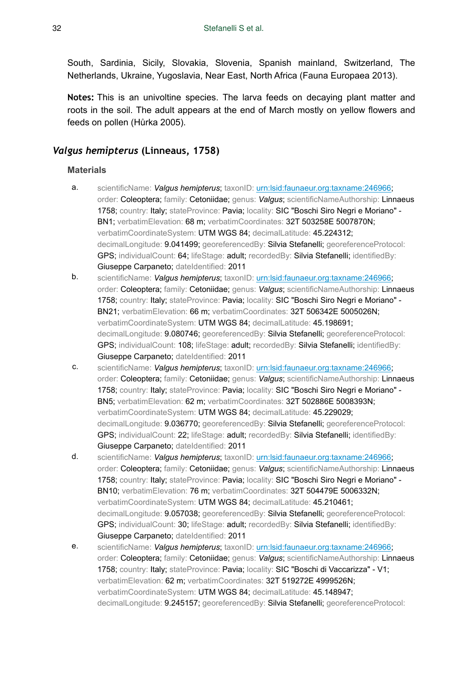South, Sardinia, Sicily, Slovakia, Slovenia, Spanish mainland, Switzerland, The Netherlands, Ukraine, Yugoslavia, Near East, North Africa (Fauna Europaea 2013).

**Notes:** This is an univoltine species. The larva feeds on decaying plant matter and roots in the soil. The adult appears at the end of March mostly on yellow flowers and feeds on pollen (Hůrka 2005).

## *Valgus hemipterus* **(Linneaus, 1758)**

### **Materials**

- a. scientificName: *Valgus hemipterus*; taxonID: [urn:lsid:faunaeur.org:taxname:246966](http://www.faunaeur.org/full_results.php?id=246966); order: Coleoptera; family: Cetoniidae; genus: *Valgus*; scientificNameAuthorship: Linnaeus 1758; country: Italy; stateProvince: Pavia; locality: SIC "Boschi Siro Negri e Moriano" - BN1; verbatimElevation: 68 m; verbatimCoordinates: 32T 503258E 5007870N; verbatimCoordinateSystem: UTM WGS 84; decimalLatitude: 45.224312; decimalLongitude: 9.041499; georeferencedBy: Silvia Stefanelli; georeferenceProtocol: GPS; individualCount: 64; lifeStage: adult; recordedBy: Silvia Stefanelli; identifiedBy: Giuseppe Carpaneto; dateIdentified: 2011
- b. scientificName: *Valgus hemipterus*; taxonID: [urn:lsid:faunaeur.org:taxname:246966](http://www.faunaeur.org/full_results.php?id=246966); order: Coleoptera; family: Cetoniidae; genus: *Valgus*; scientificNameAuthorship: Linnaeus 1758; country: Italy; stateProvince: Pavia; locality: SIC "Boschi Siro Negri e Moriano" - BN21; verbatimElevation: 66 m; verbatimCoordinates: 32T 506342E 5005026N; verbatimCoordinateSystem: UTM WGS 84; decimalLatitude: 45.198691; decimalLongitude: 9.080746; georeferencedBy: Silvia Stefanelli; georeferenceProtocol: GPS; individualCount: 108; lifeStage: adult; recordedBy: Silvia Stefanelli; identifiedBy: Giuseppe Carpaneto: dateIdentified: 2011
- c. scientificName: *Valgus hemipterus*; taxonID: [urn:lsid:faunaeur.org:taxname:246966](http://www.faunaeur.org/full_results.php?id=246966); order: Coleoptera; family: Cetoniidae; genus: *Valgus*; scientificNameAuthorship: Linnaeus 1758; country: Italy; stateProvince: Pavia; locality: SIC "Boschi Siro Negri e Moriano" -BN5; verbatimElevation: 62 m; verbatimCoordinates: 32T 502886E 5008393N; verbatimCoordinateSystem: UTM WGS 84; decimalLatitude: 45.229029; decimalLongitude: 9.036770; georeferencedBy: Silvia Stefanelli; georeferenceProtocol: GPS; individualCount: 22; lifeStage: adult; recordedBy: Silvia Stefanelli; identifiedBy: Giuseppe Carpaneto; dateIdentified: 2011
- d. scientificName: *Valgus hemipterus*; taxonID: [urn:lsid:faunaeur.org:taxname:246966](http://www.faunaeur.org/full_results.php?id=246966); order: Coleoptera; family: Cetoniidae; genus: *Valgus*; scientificNameAuthorship: Linnaeus 1758; country: Italy; stateProvince: Pavia; locality: SIC "Boschi Siro Negri e Moriano" - BN10; verbatimElevation: 76 m; verbatimCoordinates: 32T 504479E 5006332N; verbatimCoordinateSystem: UTM WGS 84; decimalLatitude: 45.210461; decimalLongitude: 9.057038; georeferencedBy: Silvia Stefanelli; georeferenceProtocol: GPS; individualCount: 30; lifeStage: adult; recordedBy: Silvia Stefanelli; identifiedBy: Giuseppe Carpaneto; dateIdentified: 2011
- e. scientificName: *Valgus hemipterus*; taxonID: [urn:lsid:faunaeur.org:taxname:246966](http://www.faunaeur.org/full_results.php?id=246966); order: Coleoptera; family: Cetoniidae; genus: *Valgus*; scientificNameAuthorship: Linnaeus 1758; country: Italy; stateProvince: Pavia; locality: SIC "Boschi di Vaccarizza" - V1; verbatimElevation: 62 m; verbatimCoordinates: 32T 519272E 4999526N; verbatimCoordinateSystem: UTM WGS 84; decimalLatitude: 45.148947; decimalLongitude: 9.245157; georeferencedBy: Silvia Stefanelli; georeferenceProtocol: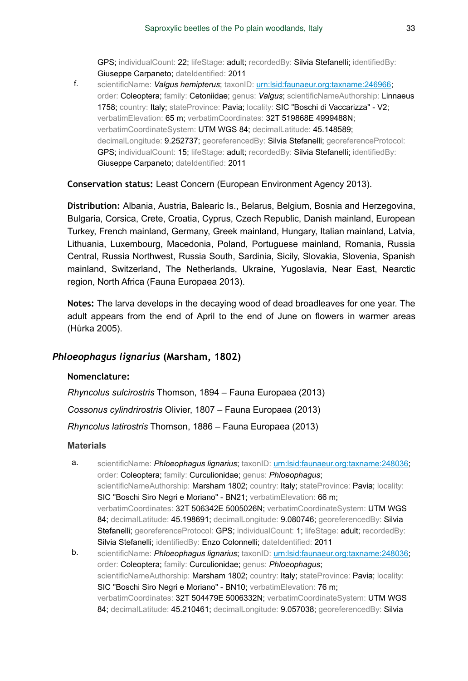GPS; individualCount: 22; lifeStage: adult; recordedBy: Silvia Stefanelli; identifiedBy: Giuseppe Carpaneto; dateIdentified: 2011

f. scientificName: *Valgus hemipterus*; taxonID: [urn:lsid:faunaeur.org:taxname:246966](http://www.faunaeur.org/full_results.php?id=246966); order: Coleoptera; family: Cetoniidae; genus: *Valgus*; scientificNameAuthorship: Linnaeus 1758; country: Italy; stateProvince: Pavia; locality: SIC "Boschi di Vaccarizza" - V2; verbatimElevation: 65 m; verbatimCoordinates: 32T 519868E 4999488N; verbatimCoordinateSystem: UTM WGS 84; decimalLatitude: 45.148589; decimalLongitude: 9.252737; georeferencedBy: Silvia Stefanelli; georeferenceProtocol: GPS; individualCount: 15; lifeStage: adult; recordedBy: Silvia Stefanelli; identifiedBy: Giuseppe Carpaneto: dateIdentified: 2011

**Conservation status:** Least Concern (European Environment Agency 2013).

**Distribution:** Albania, Austria, Balearic Is., Belarus, Belgium, Bosnia and Herzegovina, Bulgaria, Corsica, Crete, Croatia, Cyprus, Czech Republic, Danish mainland, European Turkey, French mainland, Germany, Greek mainland, Hungary, Italian mainland, Latvia, Lithuania, Luxembourg, Macedonia, Poland, Portuguese mainland, Romania, Russia Central, Russia Northwest, Russia South, Sardinia, Sicily, Slovakia, Slovenia, Spanish mainland, Switzerland, The Netherlands, Ukraine, Yugoslavia, Near East, Nearctic region, North Africa (Fauna Europaea 2013).

**Notes:** The larva develops in the decaying wood of dead broadleaves for one year. The adult appears from the end of April to the end of June on flowers in warmer areas (Hůrka 2005).

## *Phloeophagus lignarius* **(Marsham, 1802)**

#### **Nomenclature:**

*Rhyncolus sulcirostris* Thomson, 1894 – Fauna Europaea (2013) *Cossonus cylindrirostris* Olivier, 1807 – Fauna Europaea (2013)

*Rhyncolus latirostris* Thomson, 1886 – Fauna Europaea (2013)

#### **Materials**

- a. scientificName: *Phloeophagus lignarius*; taxonID: [urn:lsid:faunaeur.org:taxname:248036](http://www.faunaeur.org/full_results.php?id=248036); order: Coleoptera; family: Curculionidae; genus: *Phloeophagus*; scientificNameAuthorship: Marsham 1802; country: Italy; stateProvince: Pavia; locality: SIC "Boschi Siro Negri e Moriano" - BN21; verbatimElevation: 66 m; verbatimCoordinates: 32T 506342E 5005026N; verbatimCoordinateSystem: UTM WGS 84; decimalLatitude: 45.198691; decimalLongitude: 9.080746; georeferencedBy: Silvia Stefanelli; georeferenceProtocol: GPS; individualCount: 1; lifeStage: adult; recordedBy: Silvia Stefanelli; identifiedBy: Enzo Colonnelli; dateIdentified: 2011 b. scientificName: *Phloeophagus lignarius*; taxonID: [urn:lsid:faunaeur.org:taxname:248036](http://www.faunaeur.org/full_results.php?id=248036);
- order: Coleoptera; family: Curculionidae; genus: *Phloeophagus*; scientificNameAuthorship: Marsham 1802; country: Italy; stateProvince: Pavia; locality: SIC "Boschi Siro Negri e Moriano" - BN10; verbatimElevation: 76 m; verbatimCoordinates: 32T 504479E 5006332N; verbatimCoordinateSystem: UTM WGS 84; decimalLatitude: 45.210461; decimalLongitude: 9.057038; georeferencedBy: Silvia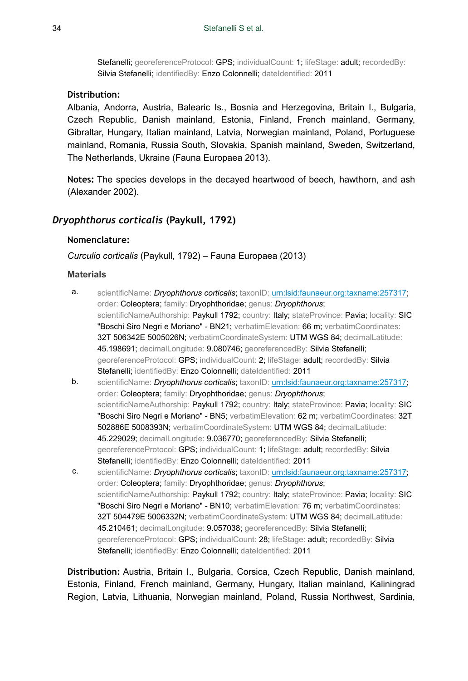Stefanelli; georeferenceProtocol: GPS; individualCount: 1; lifeStage: adult; recordedBy: Silvia Stefanelli; identifiedBy: Enzo Colonnelli; dateIdentified: 2011

### **Distribution:**

Albania, Andorra, Austria, Balearic Is., Bosnia and Herzegovina, Britain I., Bulgaria, Czech Republic, Danish mainland, Estonia, Finland, French mainland, Germany, Gibraltar, Hungary, Italian mainland, Latvia, Norwegian mainland, Poland, Portuguese mainland, Romania, Russia South, Slovakia, Spanish mainland, Sweden, Switzerland, The Netherlands, Ukraine (Fauna Europaea 2013).

**Notes:** The species develops in the decayed heartwood of beech, hawthorn, and ash (Alexander 2002).

## *Dryophthorus corticalis* **(Paykull, 1792)**

### **Nomenclature:**

*Curculio corticalis* (Paykull, 1792) – Fauna Europaea (2013)

#### **Materials**

- a. scientificName: *Dryophthorus corticalis*; taxonID: [urn:lsid:faunaeur.org:taxname:257317;](http://www.faunaeur.org/full_results.php?id=257317) order: Coleoptera; family: Dryophthoridae; genus: *Dryophthorus*; scientificNameAuthorship: Paykull 1792; country: Italy; stateProvince: Pavia; locality: SIC "Boschi Siro Negri e Moriano" - BN21; verbatimElevation: 66 m; verbatimCoordinates: 32T 506342E 5005026N; verbatimCoordinateSystem: UTM WGS 84; decimalLatitude: 45.198691; decimalLongitude: 9.080746; georeferencedBy: Silvia Stefanelli; georeferenceProtocol: GPS; individualCount: 2; lifeStage: adult; recordedBy: Silvia Stefanelli; identifiedBy: Enzo Colonnelli; dateIdentified: 2011
- b. scientificName: *Dryophthorus corticalis*; taxonID: [urn:lsid:faunaeur.org:taxname:257317;](http://www.faunaeur.org/full_results.php?id=257317) order: Coleoptera; family: Dryophthoridae; genus: *Dryophthorus*; scientificNameAuthorship: Paykull 1792; country: Italy; stateProvince: Pavia; locality: SIC "Boschi Siro Negri e Moriano" - BN5; verbatimElevation: 62 m; verbatimCoordinates: 32T 502886E 5008393N; verbatimCoordinateSystem: UTM WGS 84; decimalLatitude: 45.229029; decimalLongitude: 9.036770; georeferencedBy: Silvia Stefanelli; georeferenceProtocol: GPS; individualCount: 1; lifeStage: adult; recordedBy: Silvia Stefanelli; identifiedBy: Enzo Colonnelli; dateIdentified: 2011
- c. scientificName: *Dryophthorus corticalis*; taxonID: [urn:lsid:faunaeur.org:taxname:257317;](http://www.faunaeur.org/full_results.php?id=257317) order: Coleoptera; family: Dryophthoridae; genus: *Dryophthorus*; scientificNameAuthorship: Paykull 1792; country: Italy; stateProvince: Pavia; locality: SIC "Boschi Siro Negri e Moriano" - BN10; verbatimElevation: 76 m; verbatimCoordinates: 32T 504479E 5006332N; verbatimCoordinateSystem: UTM WGS 84; decimalLatitude: 45.210461; decimalLongitude: 9.057038; georeferencedBy: Silvia Stefanelli; georeferenceProtocol: GPS; individualCount: 28; lifeStage: adult; recordedBy: Silvia Stefanelli; identifiedBy: Enzo Colonnelli; dateIdentified: 2011

**Distribution:** Austria, Britain I., Bulgaria, Corsica, Czech Republic, Danish mainland, Estonia, Finland, French mainland, Germany, Hungary, Italian mainland, Kaliningrad Region, Latvia, Lithuania, Norwegian mainland, Poland, Russia Northwest, Sardinia,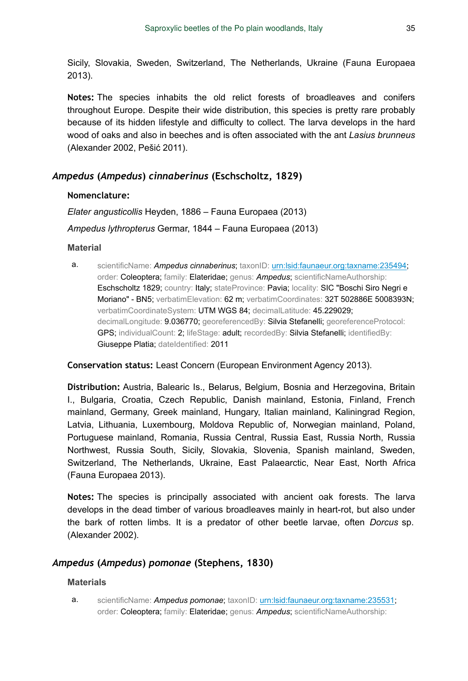Sicily, Slovakia, Sweden, Switzerland, The Netherlands, Ukraine (Fauna Europaea 2013).

**Notes:** The species inhabits the old relict forests of broadleaves and conifers throughout Europe. Despite their wide distribution, this species is pretty rare probably because of its hidden lifestyle and difficulty to collect. The larva develops in the hard wood of oaks and also in beeches and is often associated with the ant *Lasius brunneus* (Alexander 2002, Pešić 2011).

## *Ampedus* **(***Ampedus***)** *cinnaberinus* **(Eschscholtz, 1829)**

#### **Nomenclature:**

*Elater angusticollis* Heyden, 1886 – Fauna Europaea (2013)

*Ampedus lythropterus* Germar, 1844 – Fauna Europaea (2013)

#### **Material**

a. scientificName: *Ampedus cinnaberinus*; taxonID: [urn:lsid:faunaeur.org:taxname:235494;](http://www.faunaeur.org/full_results.php?id=235494) order: Coleoptera; family: Elateridae; genus: *Ampedus*; scientificNameAuthorship: Eschscholtz 1829; country: Italy; stateProvince: Pavia; locality: SIC "Boschi Siro Negri e Moriano" - BN5; verbatimElevation: 62 m; verbatimCoordinates: 32T 502886E 5008393N; verbatimCoordinateSystem: UTM WGS 84; decimalLatitude: 45.229029; decimalLongitude: 9.036770; georeferencedBy: Silvia Stefanelli; georeferenceProtocol: GPS; individualCount: 2; lifeStage: adult; recordedBy: Silvia Stefanelli; identifiedBy: Giuseppe Platia; dateIdentified: 2011

#### **Conservation status:** Least Concern (European Environment Agency 2013).

**Distribution:** Austria, Balearic Is., Belarus, Belgium, Bosnia and Herzegovina, Britain I., Bulgaria, Croatia, Czech Republic, Danish mainland, Estonia, Finland, French mainland, Germany, Greek mainland, Hungary, Italian mainland, Kaliningrad Region, Latvia, Lithuania, Luxembourg, Moldova Republic of, Norwegian mainland, Poland, Portuguese mainland, Romania, Russia Central, Russia East, Russia North, Russia Northwest, Russia South, Sicily, Slovakia, Slovenia, Spanish mainland, Sweden, Switzerland, The Netherlands, Ukraine, East Palaearctic, Near East, North Africa (Fauna Europaea 2013).

**Notes:** The species is principally associated with ancient oak forests. The larva develops in the dead timber of various broadleaves mainly in heart-rot, but also under the bark of rotten limbs. It is a predator of other beetle larvae, often *Dorcus* sp. (Alexander 2002).

## *Ampedus* **(***Ampedus***)** *pomonae* **(Stephens, 1830)**

#### **Materials**

a. scientificName: *Ampedus pomonae*; taxonID: [urn:lsid:faunaeur.org:taxname:235531;](http://www.faunaeur.org/full_results.php?id=235531) order: Coleoptera; family: Elateridae; genus: *Ampedus*; scientificNameAuthorship: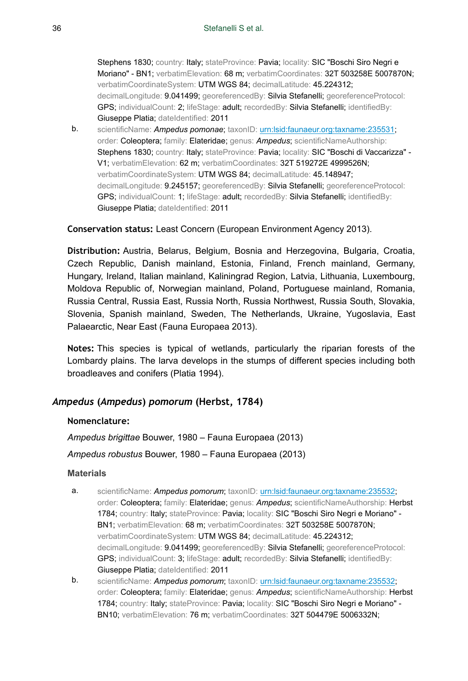Stephens 1830; country: Italy; stateProvince: Pavia; locality: SIC "Boschi Siro Negri e Moriano" - BN1; verbatimElevation: 68 m; verbatimCoordinates: 32T 503258E 5007870N; verbatimCoordinateSystem: UTM WGS 84; decimalLatitude: 45.224312; decimalLongitude: 9.041499; georeferencedBy: Silvia Stefanelli; georeferenceProtocol: GPS; individualCount: 2; lifeStage: adult; recordedBy: Silvia Stefanelli; identifiedBy: Giuseppe Platia; dateIdentified: 2011

b. scientificName: *Ampedus pomonae*; taxonID: [urn:lsid:faunaeur.org:taxname:235531;](http://www.faunaeur.org/full_results.php?id=235531) order: Coleoptera; family: Elateridae; genus: *Ampedus*; scientificNameAuthorship: Stephens 1830; country: Italy; stateProvince: Pavia; locality: SIC "Boschi di Vaccarizza" - V1; verbatimElevation: 62 m; verbatimCoordinates: 32T 519272E 4999526N; verbatimCoordinateSystem: UTM WGS 84; decimalLatitude: 45.148947; decimalLongitude: 9.245157; georeferencedBy: Silvia Stefanelli; georeferenceProtocol: GPS; individualCount: 1; lifeStage: adult; recordedBy: Silvia Stefanelli; identifiedBy: Giuseppe Platia; dateIdentified: 2011

**Conservation status:** Least Concern (European Environment Agency 2013).

**Distribution:** Austria, Belarus, Belgium, Bosnia and Herzegovina, Bulgaria, Croatia, Czech Republic, Danish mainland, Estonia, Finland, French mainland, Germany, Hungary, Ireland, Italian mainland, Kaliningrad Region, Latvia, Lithuania, Luxembourg, Moldova Republic of, Norwegian mainland, Poland, Portuguese mainland, Romania, Russia Central, Russia East, Russia North, Russia Northwest, Russia South, Slovakia, Slovenia, Spanish mainland, Sweden, The Netherlands, Ukraine, Yugoslavia, East Palaearctic, Near East (Fauna Europaea 2013).

**Notes:** This species is typical of wetlands, particularly the riparian forests of the Lombardy plains. The larva develops in the stumps of different species including both broadleaves and conifers (Platia 1994).

## *Ampedus* **(***Ampedus***)** *pomorum* **(Herbst, 1784)**

#### **Nomenclature:**

*Ampedus brigittae* Bouwer, 1980 – Fauna Europaea (2013) *Ampedus robustus* Bouwer, 1980 – Fauna Europaea (2013)

#### **Materials**

- a. scientificName: *Ampedus pomorum*; taxonID: [urn:lsid:faunaeur.org:taxname:235532](http://www.faunaeur.org/full_results.php?id=235532); order: Coleoptera; family: Elateridae; genus: *Ampedus*; scientificNameAuthorship: Herbst 1784; country: Italy; stateProvince: Pavia; locality: SIC "Boschi Siro Negri e Moriano" - BN1; verbatimElevation: 68 m; verbatimCoordinates: 32T 503258E 5007870N; verbatimCoordinateSystem: UTM WGS 84; decimalLatitude: 45.224312; decimalLongitude: 9.041499; georeferencedBy: Silvia Stefanelli; georeferenceProtocol: GPS; individualCount: 3; lifeStage: adult; recordedBy: Silvia Stefanelli; identifiedBy: Giuseppe Platia; dateIdentified: 2011
- b. scientificName: *Ampedus pomorum*; taxonID: [urn:lsid:faunaeur.org:taxname:235532](http://www.faunaeur.org/full_results.php?id=235532); order: Coleoptera; family: Elateridae; genus: *Ampedus*; scientificNameAuthorship: Herbst 1784; country: Italy; stateProvince: Pavia; locality: SIC "Boschi Siro Negri e Moriano" - BN10; verbatimElevation: 76 m; verbatimCoordinates: 32T 504479E 5006332N;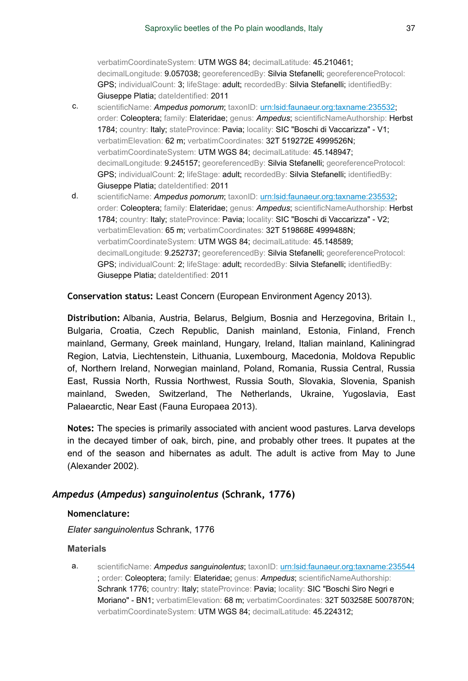verbatimCoordinateSystem: UTM WGS 84; decimalLatitude: 45.210461; decimalLongitude: 9.057038; georeferencedBy: Silvia Stefanelli; georeferenceProtocol: GPS; individualCount: 3; lifeStage: adult; recordedBy: Silvia Stefanelli; identifiedBy: Giuseppe Platia; dateIdentified: 2011

- c. scientificName: *Ampedus pomorum*; taxonID: [urn:lsid:faunaeur.org:taxname:235532](http://www.faunaeur.org/full_results.php?id=235532); order: Coleoptera; family: Elateridae; genus: *Ampedus*; scientificNameAuthorship: Herbst 1784; country: Italy; stateProvince: Pavia; locality: SIC "Boschi di Vaccarizza" - V1; verbatimElevation: 62 m; verbatimCoordinates: 32T 519272E 4999526N; verbatimCoordinateSystem: UTM WGS 84; decimalLatitude: 45.148947; decimalLongitude: 9.245157; georeferencedBy: Silvia Stefanelli; georeferenceProtocol: GPS; individualCount: 2; lifeStage: adult; recordedBy: Silvia Stefanelli; identifiedBy: Giuseppe Platia; dateIdentified: 2011
- d. scientificName: *Ampedus pomorum*; taxonID: [urn:lsid:faunaeur.org:taxname:235532](http://www.faunaeur.org/full_results.php?id=235532); order: Coleoptera; family: Elateridae; genus: *Ampedus*; scientificNameAuthorship: Herbst 1784; country: Italy; stateProvince: Pavia; locality: SIC "Boschi di Vaccarizza" - V2; verbatimElevation: 65 m; verbatimCoordinates: 32T 519868E 4999488N; verbatimCoordinateSystem: UTM WGS 84; decimalLatitude: 45.148589; decimalLongitude: 9.252737; georeferencedBy: Silvia Stefanelli; georeferenceProtocol: GPS; individualCount: 2; lifeStage: adult; recordedBy: Silvia Stefanelli; identifiedBy: Giuseppe Platia; dateIdentified: 2011

### **Conservation status:** Least Concern (European Environment Agency 2013).

**Distribution:** Albania, Austria, Belarus, Belgium, Bosnia and Herzegovina, Britain I., Bulgaria, Croatia, Czech Republic, Danish mainland, Estonia, Finland, French mainland, Germany, Greek mainland, Hungary, Ireland, Italian mainland, Kaliningrad Region, Latvia, Liechtenstein, Lithuania, Luxembourg, Macedonia, Moldova Republic of, Northern Ireland, Norwegian mainland, Poland, Romania, Russia Central, Russia East, Russia North, Russia Northwest, Russia South, Slovakia, Slovenia, Spanish mainland, Sweden, Switzerland, The Netherlands, Ukraine, Yugoslavia, East Palaearctic, Near East (Fauna Europaea 2013).

**Notes:** The species is primarily associated with ancient wood pastures. Larva develops in the decayed timber of oak, birch, pine, and probably other trees. It pupates at the end of the season and hibernates as adult. The adult is active from May to June (Alexander 2002).

# *Ampedus* **(***Ampedus***)** *sanguinolentus* **(Schrank, 1776)**

### **Nomenclature:**

*Elater sanguinolentus* Schrank, 1776

### **Materials**

a. scientificName: *Ampedus sanguinolentus*; taxonID: [urn:lsid:faunaeur.org:taxname:235544](http://www.faunaeur.org/full_results.php?id=235544) ; order: Coleoptera; family: Elateridae; genus: *Ampedus*; scientificNameAuthorship: Schrank 1776; country: Italy; stateProvince: Pavia; locality: SIC "Boschi Siro Negri e Moriano" - BN1; verbatimElevation: 68 m; verbatimCoordinates: 32T 503258E 5007870N; verbatimCoordinateSystem: UTM WGS 84; decimalLatitude: 45.224312;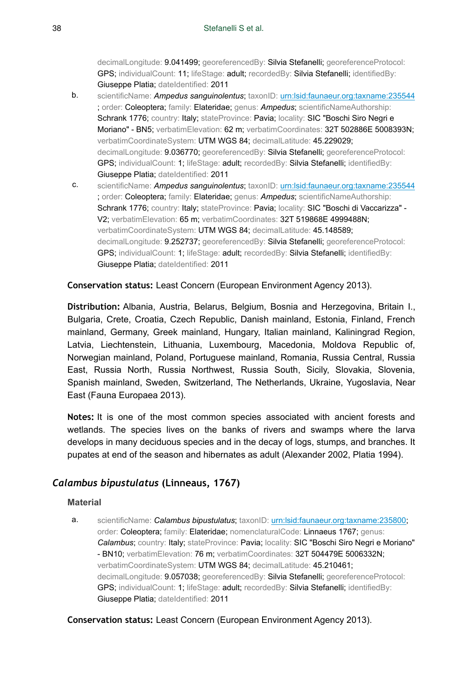decimalLongitude: 9.041499; georeferencedBy: Silvia Stefanelli; georeferenceProtocol: GPS; individualCount: 11; lifeStage: adult; recordedBy: Silvia Stefanelli; identifiedBy: Giuseppe Platia; dateIdentified: 2011

- b. scientificName: *Ampedus sanguinolentus*; taxonID: [urn:lsid:faunaeur.org:taxname:235544](http://www.faunaeur.org/full_results.php?id=235544) ; order: Coleoptera; family: Elateridae; genus: *Ampedus*; scientificNameAuthorship: Schrank 1776; country: Italy; stateProvince: Pavia; locality: SIC "Boschi Siro Negri e Moriano" - BN5; verbatimElevation: 62 m; verbatimCoordinates: 32T 502886E 5008393N; verbatimCoordinateSystem: UTM WGS 84; decimalLatitude: 45.229029; decimalLongitude: 9.036770; georeferencedBy: Silvia Stefanelli; georeferenceProtocol: GPS; individualCount: 1; lifeStage: adult; recordedBy: Silvia Stefanelli; identifiedBy: Giuseppe Platia; dateIdentified: 2011
- c. scientificName: *Ampedus sanguinolentus*; taxonID: [urn:lsid:faunaeur.org:taxname:235544](http://www.faunaeur.org/full_results.php?id=235544) ; order: Coleoptera; family: Elateridae; genus: *Ampedus*; scientificNameAuthorship: Schrank 1776; country: Italy; stateProvince: Pavia; locality: SIC "Boschi di Vaccarizza" -V2; verbatimElevation: 65 m; verbatimCoordinates: 32T 519868E 4999488N; verbatimCoordinateSystem: UTM WGS 84; decimalLatitude: 45.148589; decimalLongitude: 9.252737; georeferencedBy: Silvia Stefanelli; georeferenceProtocol: GPS; individualCount: 1; lifeStage: adult; recordedBy: Silvia Stefanelli; identifiedBy: Giuseppe Platia; dateIdentified: 2011

### **Conservation status:** Least Concern (European Environment Agency 2013).

**Distribution:** Albania, Austria, Belarus, Belgium, Bosnia and Herzegovina, Britain I., Bulgaria, Crete, Croatia, Czech Republic, Danish mainland, Estonia, Finland, French mainland, Germany, Greek mainland, Hungary, Italian mainland, Kaliningrad Region, Latvia, Liechtenstein, Lithuania, Luxembourg, Macedonia, Moldova Republic of, Norwegian mainland, Poland, Portuguese mainland, Romania, Russia Central, Russia East, Russia North, Russia Northwest, Russia South, Sicily, Slovakia, Slovenia, Spanish mainland, Sweden, Switzerland, The Netherlands, Ukraine, Yugoslavia, Near East (Fauna Europaea 2013).

**Notes:** It is one of the most common species associated with ancient forests and wetlands. The species lives on the banks of rivers and swamps where the larva develops in many deciduous species and in the decay of logs, stumps, and branches. It pupates at end of the season and hibernates as adult (Alexander 2002, Platia 1994).

# *Calambus bipustulatus* **(Linneaus, 1767)**

### **Material**

a. scientificName: *Calambus bipustulatus*; taxonID: [urn:lsid:faunaeur.org:taxname:235800](http://www.faunaeur.org/full_results.php?id=235800); order: Coleoptera; family: Elateridae; nomenclaturalCode: Linnaeus 1767; genus: *Calambus*; country: Italy; stateProvince: Pavia; locality: SIC "Boschi Siro Negri e Moriano" - BN10; verbatimElevation: 76 m; verbatimCoordinates: 32T 504479E 5006332N; verbatimCoordinateSystem: UTM WGS 84; decimalLatitude: 45.210461; decimalLongitude: 9.057038; georeferencedBy: Silvia Stefanelli; georeferenceProtocol: GPS; individualCount: 1; lifeStage: adult; recordedBy: Silvia Stefanelli; identifiedBy: Giuseppe Platia; dateIdentified: 2011

## **Conservation status:** Least Concern (European Environment Agency 2013).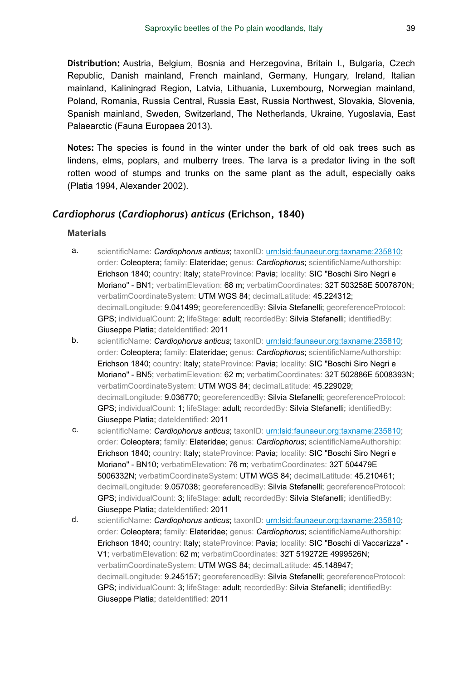**Distribution:** Austria, Belgium, Bosnia and Herzegovina, Britain I., Bulgaria, Czech Republic, Danish mainland, French mainland, Germany, Hungary, Ireland, Italian mainland, Kaliningrad Region, Latvia, Lithuania, Luxembourg, Norwegian mainland, Poland, Romania, Russia Central, Russia East, Russia Northwest, Slovakia, Slovenia, Spanish mainland, Sweden, Switzerland, The Netherlands, Ukraine, Yugoslavia, East Palaearctic (Fauna Europaea 2013).

**Notes:** The species is found in the winter under the bark of old oak trees such as lindens, elms, poplars, and mulberry trees. The larva is a predator living in the soft rotten wood of stumps and trunks on the same plant as the adult, especially oaks (Platia 1994, Alexander 2002).

## *Cardiophorus* **(***Cardiophorus***)** *anticus* **(Erichson, 1840)**

- a. scientificName: *Cardiophorus anticus*; taxonID: [urn:lsid:faunaeur.org:taxname:235810;](http://www.faunaeur.org/full_results.php?id=235810) order: Coleoptera; family: Elateridae; genus: *Cardiophorus*; scientificNameAuthorship: Erichson 1840; country: Italy; stateProvince: Pavia; locality: SIC "Boschi Siro Negri e Moriano" - BN1; verbatimElevation: 68 m; verbatimCoordinates: 32T 503258E 5007870N; verbatimCoordinateSystem: UTM WGS 84; decimalLatitude: 45.224312; decimalLongitude: 9.041499; georeferencedBy: Silvia Stefanelli; georeferenceProtocol: GPS; individualCount: 2; lifeStage: adult; recordedBy: Silvia Stefanelli; identifiedBy: Giuseppe Platia; dateIdentified: 2011
- b. scientificName: *Cardiophorus anticus*; taxonID: [urn:lsid:faunaeur.org:taxname:235810;](http://www.faunaeur.org/full_results.php?id=235810) order: Coleoptera; family: Elateridae; genus: *Cardiophorus*; scientificNameAuthorship: Erichson 1840; country: Italy; stateProvince: Pavia; locality: SIC "Boschi Siro Negri e Moriano" - BN5; verbatimElevation: 62 m; verbatimCoordinates: 32T 502886E 5008393N; verbatimCoordinateSystem: UTM WGS 84; decimalLatitude: 45.229029; decimalLongitude: 9.036770; georeferencedBy: Silvia Stefanelli; georeferenceProtocol: GPS; individualCount: 1; lifeStage: adult; recordedBy: Silvia Stefanelli; identifiedBy: Giuseppe Platia; dateIdentified: 2011
- c. scientificName: *Cardiophorus anticus*; taxonID: [urn:lsid:faunaeur.org:taxname:235810;](http://www.faunaeur.org/full_results.php?id=235810) order: Coleoptera; family: Elateridae; genus: *Cardiophorus*; scientificNameAuthorship: Erichson 1840; country: Italy; stateProvince: Pavia; locality: SIC "Boschi Siro Negri e Moriano" - BN10; verbatimElevation: 76 m; verbatimCoordinates: 32T 504479E 5006332N; verbatimCoordinateSystem: UTM WGS 84; decimalLatitude: 45.210461; decimalLongitude: 9.057038; georeferencedBy: Silvia Stefanelli; georeferenceProtocol: GPS; individualCount: 3; lifeStage: adult; recordedBy: Silvia Stefanelli; identifiedBy: Giuseppe Platia; dateIdentified: 2011
- d. scientificName: *Cardiophorus anticus*; taxonID: [urn:lsid:faunaeur.org:taxname:235810;](http://www.faunaeur.org/full_results.php?id=235810) order: Coleoptera; family: Elateridae; genus: *Cardiophorus*; scientificNameAuthorship: Erichson 1840; country: Italy; stateProvince: Pavia; locality: SIC "Boschi di Vaccarizza" - V1; verbatimElevation: 62 m; verbatimCoordinates: 32T 519272E 4999526N; verbatimCoordinateSystem: UTM WGS 84; decimalLatitude: 45.148947; decimalLongitude: 9.245157; georeferencedBy: Silvia Stefanelli; georeferenceProtocol: GPS; individualCount: 3; lifeStage: adult; recordedBy: Silvia Stefanelli; identifiedBy: Giuseppe Platia; dateIdentified: 2011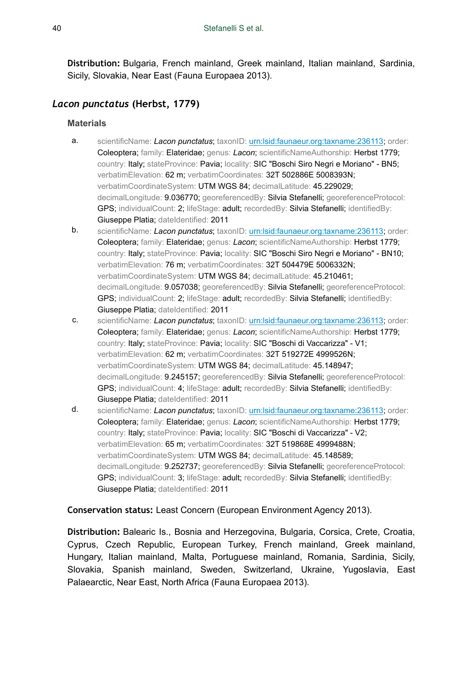**Distribution:** Bulgaria, French mainland, Greek mainland, Italian mainland, Sardinia, Sicily, Slovakia, Near East (Fauna Europaea 2013).

# *Lacon punctatus* **(Herbst, 1779)**

## **Materials**

- a. scientificName: *Lacon punctatus*; taxonID: [urn:lsid:faunaeur.org:taxname:236113](http://www.faunaeur.org/full_results.php?id=236113); order: Coleoptera; family: Elateridae; genus: *Lacon*; scientificNameAuthorship: Herbst 1779; country: Italy; stateProvince: Pavia; locality: SIC "Boschi Siro Negri e Moriano" - BN5; verbatimElevation: 62 m; verbatimCoordinates: 32T 502886E 5008393N; verbatimCoordinateSystem: UTM WGS 84; decimalLatitude: 45.229029; decimalLongitude: 9.036770; georeferencedBy: Silvia Stefanelli; georeferenceProtocol: GPS; individualCount: 2; lifeStage: adult; recordedBy: Silvia Stefanelli; identifiedBy: Giuseppe Platia; dateIdentified: 2011
- b. scientificName: *Lacon punctatus*; taxonID: [urn:lsid:faunaeur.org:taxname:236113](http://www.faunaeur.org/full_results.php?id=236113); order: Coleoptera; family: Elateridae; genus: *Lacon*; scientificNameAuthorship: Herbst 1779; country: Italy; stateProvince: Pavia; locality: SIC "Boschi Siro Negri e Moriano" - BN10; verbatimElevation: 76 m; verbatimCoordinates: 32T 504479E 5006332N; verbatimCoordinateSystem: UTM WGS 84; decimalLatitude: 45.210461; decimalLongitude: 9.057038; georeferencedBy: Silvia Stefanelli; georeferenceProtocol: GPS; individualCount: 2; lifeStage: adult; recordedBy: Silvia Stefanelli; identifiedBy: Giuseppe Platia; dateIdentified: 2011
- c. scientificName: *Lacon punctatus*; taxonID: [urn:lsid:faunaeur.org:taxname:236113](http://www.faunaeur.org/full_results.php?id=236113); order: Coleoptera; family: Elateridae; genus: *Lacon*; scientificNameAuthorship: Herbst 1779; country: Italy; stateProvince: Pavia; locality: SIC "Boschi di Vaccarizza" - V1; verbatimElevation: 62 m; verbatimCoordinates: 32T 519272E 4999526N; verbatimCoordinateSystem: UTM WGS 84; decimalLatitude: 45.148947; decimalLongitude: 9.245157; georeferencedBy: Silvia Stefanelli; georeferenceProtocol: GPS; individualCount: 4; lifeStage: adult; recordedBy: Silvia Stefanelli; identifiedBy: Giuseppe Platia; dateIdentified: 2011
- d. scientificName: *Lacon punctatus*; taxonID: [urn:lsid:faunaeur.org:taxname:236113](http://www.faunaeur.org/full_results.php?id=236113); order: Coleoptera; family: Elateridae; genus: *Lacon*; scientificNameAuthorship: Herbst 1779; country: Italy; stateProvince: Pavia; locality: SIC "Boschi di Vaccarizza" - V2; verbatimElevation: 65 m; verbatimCoordinates: 32T 519868E 4999488N; verbatimCoordinateSystem: UTM WGS 84; decimalLatitude: 45.148589; decimalLongitude: 9.252737; georeferencedBy: Silvia Stefanelli; georeferenceProtocol: GPS; individualCount: 3; lifeStage: adult; recordedBy: Silvia Stefanelli; identifiedBy: Giuseppe Platia; dateIdentified: 2011

### **Conservation status:** Least Concern (European Environment Agency 2013).

**Distribution:** Balearic Is., Bosnia and Herzegovina, Bulgaria, Corsica, Crete, Croatia, Cyprus, Czech Republic, European Turkey, French mainland, Greek mainland, Hungary, Italian mainland, Malta, Portuguese mainland, Romania, Sardinia, Sicily, Slovakia, Spanish mainland, Sweden, Switzerland, Ukraine, Yugoslavia, East Palaearctic, Near East, North Africa (Fauna Europaea 2013).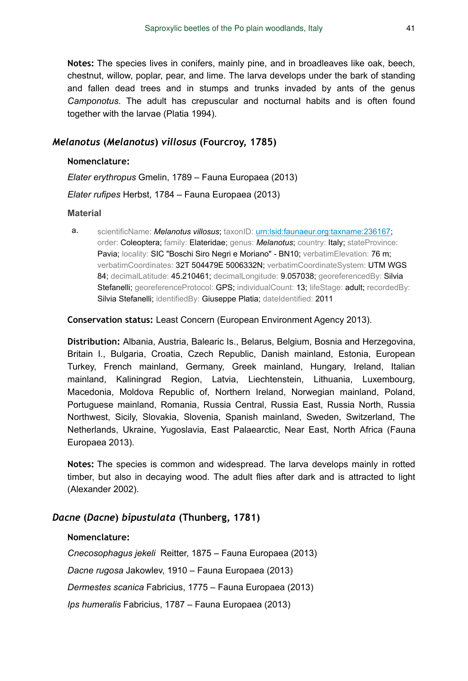**Notes:** The species lives in conifers, mainly pine, and in broadleaves like oak, beech, chestnut, willow, poplar, pear, and lime. The larva develops under the bark of standing and fallen dead trees and in stumps and trunks invaded by ants of the genus *Camponotus*. The adult has crepuscular and nocturnal habits and is often found together with the larvae (Platia 1994).

## *Melanotus* **(***Melanotus***)** *villosus* **(Fourcroy, 1785)**

### **Nomenclature:**

*Elater erythropus* Gmelin, 1789 – Fauna Europaea (2013)

*Elater rufipes* Herbst, 1784 – Fauna Europaea (2013)

### **Material**

a. scientificName: *Melanotus villosus*; taxonID: [urn:lsid:faunaeur.org:taxname:236167;](http://www.faunaeur.org/full_results.php?id=236167) order: Coleoptera; family: Elateridae; genus: *Melanotus*; country: Italy; stateProvince: Pavia; locality: SIC "Boschi Siro Negri e Moriano" - BN10; verbatimElevation: 76 m; verbatimCoordinates: 32T 504479E 5006332N; verbatimCoordinateSystem: UTM WGS 84; decimalLatitude: 45.210461; decimalLongitude: 9.057038; georeferencedBy: Silvia Stefanelli; georeferenceProtocol: GPS; individualCount: 13; lifeStage: adult; recordedBy: Silvia Stefanelli; identifiedBy: Giuseppe Platia; dateIdentified: 2011

### **Conservation status:** Least Concern (European Environment Agency 2013).

**Distribution:** Albania, Austria, Balearic Is., Belarus, Belgium, Bosnia and Herzegovina, Britain I., Bulgaria, Croatia, Czech Republic, Danish mainland, Estonia, European Turkey, French mainland, Germany, Greek mainland, Hungary, Ireland, Italian mainland, Kaliningrad Region, Latvia, Liechtenstein, Lithuania, Luxembourg, Macedonia, Moldova Republic of, Northern Ireland, Norwegian mainland, Poland, Portuguese mainland, Romania, Russia Central, Russia East, Russia North, Russia Northwest, Sicily, Slovakia, Slovenia, Spanish mainland, Sweden, Switzerland, The Netherlands, Ukraine, Yugoslavia, East Palaearctic, Near East, North Africa (Fauna Europaea 2013).

**Notes:** The species is common and widespread. The larva develops mainly in rotted timber, but also in decaying wood. The adult flies after dark and is attracted to light (Alexander 2002).

# *Dacne* **(***Dacne***)** *bipustulata* **(Thunberg, 1781)**

### **Nomenclature:**

*Cnecosophagus jekeli* Reitter, 1875 – Fauna Europaea (2013) *Dacne rugosa* Jakowlev, 1910 – Fauna Europaea (2013) *Dermestes scanica* Fabricius, 1775 – Fauna Europaea (2013) *Ips humeralis* Fabricius, 1787 – Fauna Europaea (2013)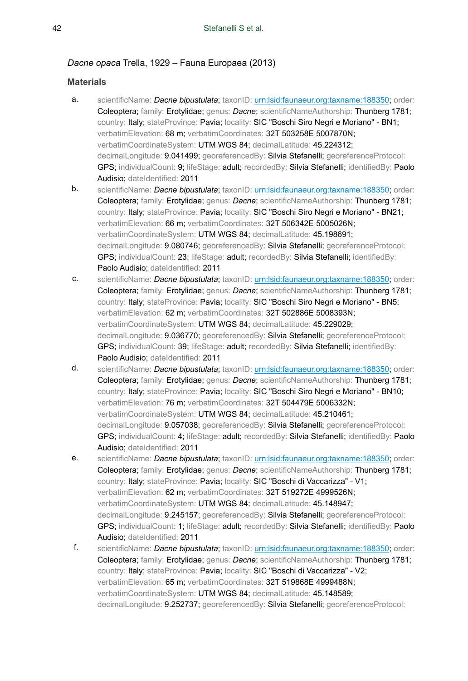### *Dacne opaca* Trella, 1929 – Fauna Europaea (2013)

- a. scientificName: *Dacne bipustulata*; taxonID: [urn:lsid:faunaeur.org:taxname:188350](http://www.faunaeur.org/full_results.php?id=188350); order: Coleoptera; family: Erotylidae; genus: *Dacne*; scientificNameAuthorship: Thunberg 1781; country: Italy; stateProvince: Pavia; locality: SIC "Boschi Siro Negri e Moriano" - BN1; verbatimElevation: 68 m; verbatimCoordinates: 32T 503258E 5007870N; verbatimCoordinateSystem: UTM WGS 84; decimalLatitude: 45.224312; decimalLongitude: 9.041499; georeferencedBy: Silvia Stefanelli; georeferenceProtocol: GPS; individualCount: 9; lifeStage: adult; recordedBy: Silvia Stefanelli; identifiedBy: Paolo Audisio: dateIdentified: 2011
- b. scientificName: *Dacne bipustulata*; taxonID: [urn:lsid:faunaeur.org:taxname:188350](http://www.faunaeur.org/full_results.php?id=188350); order: Coleoptera; family: Erotylidae; genus: *Dacne*; scientificNameAuthorship: Thunberg 1781; country: Italy; stateProvince: Pavia; locality: SIC "Boschi Siro Negri e Moriano" - BN21; verbatimElevation: 66 m; verbatimCoordinates: 32T 506342E 5005026N; verbatimCoordinateSystem: UTM WGS 84; decimalLatitude: 45.198691; decimalLongitude: 9.080746; georeferencedBy: Silvia Stefanelli; georeferenceProtocol: GPS; individualCount: 23; lifeStage: adult; recordedBy: Silvia Stefanelli; identifiedBy: Paolo Audisio: dateIdentified: 2011
- c. scientificName: *Dacne bipustulata*; taxonID: [urn:lsid:faunaeur.org:taxname:188350](http://www.faunaeur.org/full_results.php?id=188350); order: Coleoptera; family: Erotylidae; genus: *Dacne*; scientificNameAuthorship: Thunberg 1781; country: Italy; stateProvince: Pavia; locality: SIC "Boschi Siro Negri e Moriano" - BN5; verbatimElevation: 62 m; verbatimCoordinates: 32T 502886E 5008393N; verbatimCoordinateSystem: UTM WGS 84; decimalLatitude: 45.229029; decimalLongitude: 9.036770; georeferencedBy: Silvia Stefanelli; georeferenceProtocol: GPS; individualCount: 39; lifeStage: adult; recordedBy: Silvia Stefanelli; identifiedBy: Paolo Audisio: dateIdentified: 2011
- d. scientificName: *Dacne bipustulata*; taxonID: [urn:lsid:faunaeur.org:taxname:188350](http://www.faunaeur.org/full_results.php?id=188350); order: Coleoptera; family: Erotylidae; genus: *Dacne*; scientificNameAuthorship: Thunberg 1781; country: Italy; stateProvince: Pavia; locality: SIC "Boschi Siro Negri e Moriano" - BN10; verbatimElevation: 76 m; verbatimCoordinates: 32T 504479E 5006332N; verbatimCoordinateSystem: UTM WGS 84; decimalLatitude: 45.210461; decimalLongitude: 9.057038; georeferencedBy: Silvia Stefanelli; georeferenceProtocol: GPS; individualCount: 4; lifeStage: adult; recordedBy: Silvia Stefanelli; identifiedBy: Paolo Audisio: dateIdentified: 2011
- e. scientificName: *Dacne bipustulata*; taxonID: [urn:lsid:faunaeur.org:taxname:188350](http://www.faunaeur.org/full_results.php?id=188350); order: Coleoptera; family: Erotylidae; genus: *Dacne*; scientificNameAuthorship: Thunberg 1781; country: Italy; stateProvince: Pavia; locality: SIC "Boschi di Vaccarizza" - V1; verbatimElevation: 62 m; verbatimCoordinates: 32T 519272E 4999526N; verbatimCoordinateSystem: UTM WGS 84; decimalLatitude: 45.148947; decimalLongitude: 9.245157; georeferencedBy: Silvia Stefanelli; georeferenceProtocol: GPS; individualCount: 1; lifeStage: adult; recordedBy: Silvia Stefanelli; identifiedBy: Paolo Audisio; dateIdentified: 2011
- f. scientificName: *Dacne bipustulata*; taxonID: [urn:lsid:faunaeur.org:taxname:188350](http://www.faunaeur.org/full_results.php?id=188350); order: Coleoptera; family: Erotylidae; genus: *Dacne*; scientificNameAuthorship: Thunberg 1781; country: Italy; stateProvince: Pavia; locality: SIC "Boschi di Vaccarizza" - V2; verbatimElevation: 65 m; verbatimCoordinates: 32T 519868E 4999488N; verbatimCoordinateSystem: UTM WGS 84; decimalLatitude: 45.148589; decimalLongitude: 9.252737; georeferencedBy: Silvia Stefanelli; georeferenceProtocol: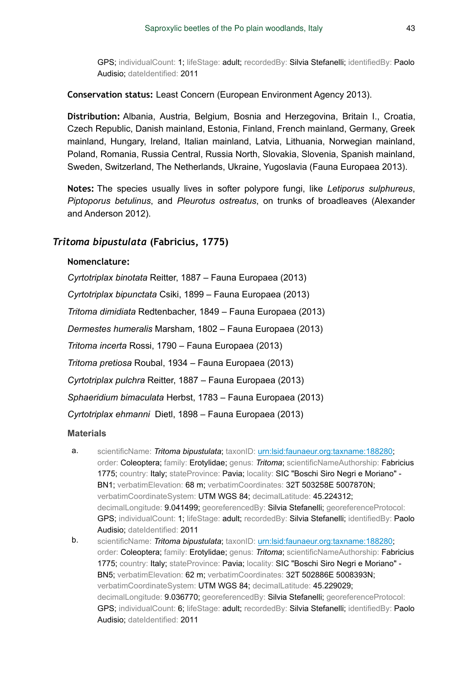GPS; individualCount: 1; lifeStage: adult; recordedBy: Silvia Stefanelli; identifiedBy: Paolo Audisio: dateIdentified: 2011

## **Conservation status:** Least Concern (European Environment Agency 2013).

**Distribution:** Albania, Austria, Belgium, Bosnia and Herzegovina, Britain I., Croatia, Czech Republic, Danish mainland, Estonia, Finland, French mainland, Germany, Greek mainland, Hungary, Ireland, Italian mainland, Latvia, Lithuania, Norwegian mainland, Poland, Romania, Russia Central, Russia North, Slovakia, Slovenia, Spanish mainland, Sweden, Switzerland, The Netherlands, Ukraine, Yugoslavia (Fauna Europaea 2013).

**Notes:** The species usually lives in softer polypore fungi, like *Letiporus sulphureus*, *Piptoporus betulinus*, and *Pleurotus ostreatus*, on trunks of broadleaves (Alexander and Anderson 2012).

# *Tritoma bipustulata* **(Fabricius, 1775)**

### **Nomenclature:**

*Cyrtotriplax binotata* Reitter, 1887 – Fauna Europaea (2013) *Cyrtotriplax bipunctata* Csiki, 1899 – Fauna Europaea (2013) *Tritoma dimidiata* Redtenbacher, 1849 – Fauna Europaea (2013) *Dermestes humeralis* Marsham, 1802 – Fauna Europaea (2013) *Tritoma incerta* Rossi, 1790 – Fauna Europaea (2013) *Tritoma pretiosa* Roubal, 1934 – Fauna Europaea (2013) *Cyrtotriplax pulchra* Reitter, 1887 – Fauna Europaea (2013) *Sphaeridium bimaculata* Herbst, 1783 – Fauna Europaea (2013) *Cyrtotriplax ehmanni* Dietl, 1898 – Fauna Europaea (2013)

- a. scientificName: *Tritoma bipustulata*; taxonID: [urn:lsid:faunaeur.org:taxname:188280;](http://www.faunaeur.org/full_results.php?id=188280) order: Coleoptera; family: Erotylidae; genus: *Tritoma*; scientificNameAuthorship: Fabricius 1775; country: Italy; stateProvince: Pavia; locality: SIC "Boschi Siro Negri e Moriano" -BN1; verbatimElevation: 68 m; verbatimCoordinates: 32T 503258E 5007870N; verbatimCoordinateSystem: UTM WGS 84; decimalLatitude: 45.224312; decimalLongitude: 9.041499; georeferencedBy: Silvia Stefanelli; georeferenceProtocol: GPS; individualCount: 1; lifeStage: adult; recordedBy: Silvia Stefanelli; identifiedBy: Paolo Audisio; dateIdentified: 2011
- b. scientificName: *Tritoma bipustulata*; taxonID: [urn:lsid:faunaeur.org:taxname:188280;](http://www.faunaeur.org/full_results.php?id=188280) order: Coleoptera; family: Erotylidae; genus: *Tritoma*; scientificNameAuthorship: Fabricius 1775; country: Italy; stateProvince: Pavia; locality: SIC "Boschi Siro Negri e Moriano" - BN5; verbatimElevation: 62 m; verbatimCoordinates: 32T 502886E 5008393N; verbatimCoordinateSystem: UTM WGS 84; decimalLatitude: 45.229029; decimalLongitude: 9.036770; georeferencedBy: Silvia Stefanelli; georeferenceProtocol: GPS; individualCount: 6; lifeStage: adult; recordedBy: Silvia Stefanelli; identifiedBy: Paolo Audisio: dateIdentified: 2011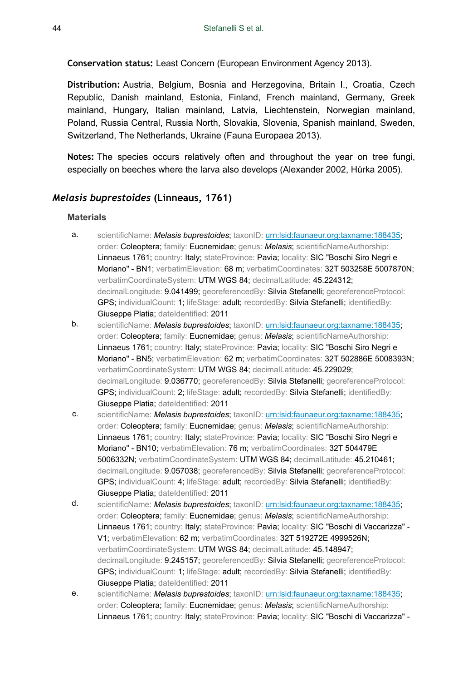**Conservation status:** Least Concern (European Environment Agency 2013).

**Distribution:** Austria, Belgium, Bosnia and Herzegovina, Britain I., Croatia, Czech Republic, Danish mainland, Estonia, Finland, French mainland, Germany, Greek mainland, Hungary, Italian mainland, Latvia, Liechtenstein, Norwegian mainland, Poland, Russia Central, Russia North, Slovakia, Slovenia, Spanish mainland, Sweden, Switzerland, The Netherlands, Ukraine (Fauna Europaea 2013).

**Notes:** The species occurs relatively often and throughout the year on tree fungi, especially on beeches where the larva also develops (Alexander 2002, Hůrka 2005).

## *Melasis buprestoides* **(Linneaus, 1761)**

- a. scientificName: *Melasis buprestoides*; taxonID: [urn:lsid:faunaeur.org:taxname:188435](http://www.faunaeur.org/full_results.php?id=188435); order: Coleoptera; family: Eucnemidae; genus: *Melasis*; scientificNameAuthorship: Linnaeus 1761; country: Italy; stateProvince: Pavia; locality: SIC "Boschi Siro Negri e Moriano" - BN1; verbatimElevation: 68 m; verbatimCoordinates: 32T 503258E 5007870N; verbatimCoordinateSystem: UTM WGS 84; decimalLatitude: 45.224312; decimalLongitude: 9.041499; georeferencedBy: Silvia Stefanelli; georeferenceProtocol: GPS; individualCount: 1; lifeStage: adult; recordedBy: Silvia Stefanelli; identifiedBy: Giuseppe Platia; dateIdentified: 2011
- b. scientificName: *Melasis buprestoides*; taxonID: [urn:lsid:faunaeur.org:taxname:188435](http://www.faunaeur.org/full_results.php?id=188435); order: Coleoptera; family: Eucnemidae; genus: *Melasis*; scientificNameAuthorship: Linnaeus 1761; country: Italy; stateProvince: Pavia; locality: SIC "Boschi Siro Negri e Moriano" - BN5; verbatimElevation: 62 m; verbatimCoordinates: 32T 502886E 5008393N; verbatimCoordinateSystem: UTM WGS 84; decimalLatitude: 45.229029; decimalLongitude: 9.036770; georeferencedBy: Silvia Stefanelli; georeferenceProtocol: GPS; individualCount: 2; lifeStage: adult; recordedBy: Silvia Stefanelli; identifiedBy: Giuseppe Platia; dateIdentified: 2011
- c. scientificName: *Melasis buprestoides*; taxonID: [urn:lsid:faunaeur.org:taxname:188435](http://www.faunaeur.org/full_results.php?id=188435); order: Coleoptera; family: Eucnemidae; genus: *Melasis*; scientificNameAuthorship: Linnaeus 1761; country: Italy; stateProvince: Pavia; locality: SIC "Boschi Siro Negri e Moriano" - BN10; verbatimElevation: 76 m; verbatimCoordinates: 32T 504479E 5006332N; verbatimCoordinateSystem: UTM WGS 84; decimalLatitude: 45.210461; decimalLongitude: 9.057038; georeferencedBy: Silvia Stefanelli; georeferenceProtocol: GPS; individualCount: 4; lifeStage: adult; recordedBy: Silvia Stefanelli; identifiedBy: Giuseppe Platia; dateIdentified: 2011
- d. scientificName: *Melasis buprestoides*; taxonID: [urn:lsid:faunaeur.org:taxname:188435](http://www.faunaeur.org/full_results.php?id=188435); order: Coleoptera; family: Eucnemidae; genus: *Melasis*; scientificNameAuthorship: Linnaeus 1761; country: Italy; stateProvince: Pavia; locality: SIC "Boschi di Vaccarizza" - V1; verbatimElevation: 62 m; verbatimCoordinates: 32T 519272E 4999526N; verbatimCoordinateSystem: UTM WGS 84; decimalLatitude: 45.148947; decimalLongitude: 9.245157; georeferencedBy: Silvia Stefanelli; georeferenceProtocol: GPS; individualCount: 1; lifeStage: adult; recordedBy: Silvia Stefanelli; identifiedBy: Giuseppe Platia; dateIdentified: 2011
- e. scientificName: *Melasis buprestoides*; taxonID: [urn:lsid:faunaeur.org:taxname:188435](http://www.faunaeur.org/full_results.php?id=188435); order: Coleoptera; family: Eucnemidae; genus: *Melasis*; scientificNameAuthorship: Linnaeus 1761; country: Italy; stateProvince: Pavia; locality: SIC "Boschi di Vaccarizza" -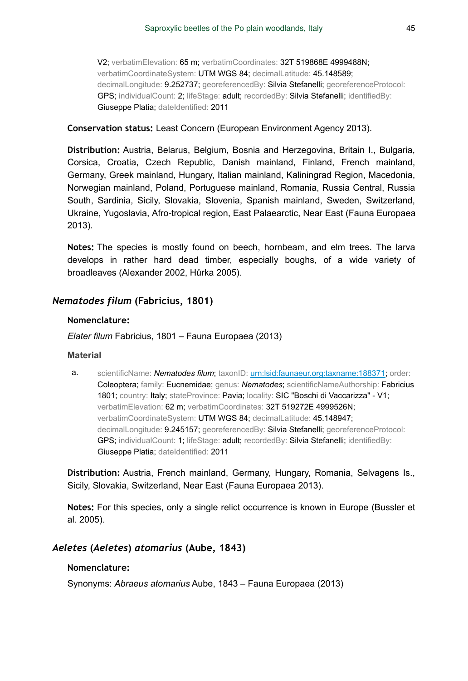V2; verbatimElevation: 65 m; verbatimCoordinates: 32T 519868E 4999488N; verbatimCoordinateSystem: UTM WGS 84; decimalLatitude: 45.148589; decimalLongitude: 9.252737; georeferencedBy: Silvia Stefanelli; georeferenceProtocol: GPS; individualCount: 2; lifeStage: adult; recordedBy: Silvia Stefanelli; identifiedBy: Giuseppe Platia; dateIdentified: 2011

### **Conservation status:** Least Concern (European Environment Agency 2013).

**Distribution:** Austria, Belarus, Belgium, Bosnia and Herzegovina, Britain I., Bulgaria, Corsica, Croatia, Czech Republic, Danish mainland, Finland, French mainland, Germany, Greek mainland, Hungary, Italian mainland, Kaliningrad Region, Macedonia, Norwegian mainland, Poland, Portuguese mainland, Romania, Russia Central, Russia South, Sardinia, Sicily, Slovakia, Slovenia, Spanish mainland, Sweden, Switzerland, Ukraine, Yugoslavia, Afro-tropical region, East Palaearctic, Near East (Fauna Europaea 2013).

**Notes:** The species is mostly found on beech, hornbeam, and elm trees. The larva develops in rather hard dead timber, especially boughs, of a wide variety of broadleaves (Alexander 2002, Hůrka 2005).

# *Nematodes filum* **(Fabricius, 1801)**

### **Nomenclature:**

*Elater filum* Fabricius, 1801 – Fauna Europaea (2013)

### **Material**

a. scientificName: *Nematodes filum*; taxonID: [urn:lsid:faunaeur.org:taxname:188371](http://www.faunaeur.org/full_results.php?id=188371); order: Coleoptera; family: Eucnemidae; genus: *Nematodes*; scientificNameAuthorship: Fabricius 1801; country: Italy; stateProvince: Pavia; locality: SIC "Boschi di Vaccarizza" - V1; verbatimElevation: 62 m; verbatimCoordinates: 32T 519272E 4999526N; verbatimCoordinateSystem: UTM WGS 84; decimalLatitude: 45.148947; decimalLongitude: 9.245157; georeferencedBy: Silvia Stefanelli; georeferenceProtocol: GPS; individualCount: 1; lifeStage: adult; recordedBy: Silvia Stefanelli; identifiedBy: Giuseppe Platia; dateIdentified: 2011

**Distribution:** Austria, French mainland, Germany, Hungary, Romania, Selvagens Is., Sicily, Slovakia, Switzerland, Near East (Fauna Europaea 2013).

**Notes:** For this species, only a single relict occurrence is known in Europe (Bussler et al. 2005).

# *Aeletes* **(***Aeletes***)** *atomarius* **(Aube, 1843)**

## **Nomenclature:**

Synonyms: *Abraeus atomarius* Aube, 1843 – Fauna Europaea (2013)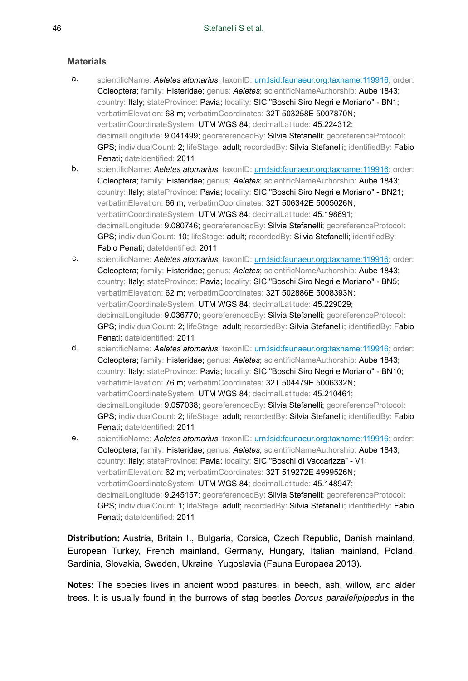## **Materials**

- a. scientificName: *Aeletes atomarius*; taxonID: [urn:lsid:faunaeur.org:taxname:119916;](http://www.faunaeur.org/full_results.php?id=119916) order: Coleoptera; family: Histeridae; genus: *Aeletes*; scientificNameAuthorship: Aube 1843; country: Italy; stateProvince: Pavia; locality: SIC "Boschi Siro Negri e Moriano" - BN1; verbatimElevation: 68 m; verbatimCoordinates: 32T 503258E 5007870N; verbatimCoordinateSystem: UTM WGS 84; decimalLatitude: 45.224312; decimalLongitude: 9.041499; georeferencedBy: Silvia Stefanelli; georeferenceProtocol: GPS; individualCount: 2; lifeStage: adult; recordedBy: Silvia Stefanelli; identifiedBy: Fabio Penati: dateIdentified: 2011
- b. scientificName: *Aeletes atomarius*; taxonID: [urn:lsid:faunaeur.org:taxname:119916;](http://www.faunaeur.org/full_results.php?id=119916) order: Coleoptera; family: Histeridae; genus: *Aeletes*; scientificNameAuthorship: Aube 1843; country: Italy; stateProvince: Pavia; locality: SIC "Boschi Siro Negri e Moriano" - BN21; verbatimElevation: 66 m; verbatimCoordinates: 32T 506342E 5005026N; verbatimCoordinateSystem: UTM WGS 84; decimalLatitude: 45.198691; decimalLongitude: 9.080746; georeferencedBy: Silvia Stefanelli; georeferenceProtocol: GPS; individualCount: 10; lifeStage: adult; recordedBy: Silvia Stefanelli; identifiedBy: Fabio Penati: dateIdentified: 2011
- c. scientificName: *Aeletes atomarius*; taxonID: [urn:lsid:faunaeur.org:taxname:119916;](http://www.faunaeur.org/full_results.php?id=119916) order: Coleoptera; family: Histeridae; genus: *Aeletes*; scientificNameAuthorship: Aube 1843; country: Italy; stateProvince: Pavia; locality: SIC "Boschi Siro Negri e Moriano" - BN5; verbatimElevation: 62 m; verbatimCoordinates: 32T 502886E 5008393N; verbatimCoordinateSystem: UTM WGS 84; decimalLatitude: 45.229029; decimalLongitude: 9.036770; georeferencedBy: Silvia Stefanelli; georeferenceProtocol: GPS; individualCount: 2; lifeStage: adult; recordedBy: Silvia Stefanelli; identifiedBy: Fabio Penati: dateIdentified: 2011
- d. scientificName: *Aeletes atomarius*; taxonID: [urn:lsid:faunaeur.org:taxname:119916;](http://www.faunaeur.org/full_results.php?id=119916) order: Coleoptera; family: Histeridae; genus: *Aeletes*; scientificNameAuthorship: Aube 1843; country: Italy; stateProvince: Pavia; locality: SIC "Boschi Siro Negri e Moriano" - BN10; verbatimElevation: 76 m; verbatimCoordinates: 32T 504479E 5006332N; verbatimCoordinateSystem: UTM WGS 84; decimalLatitude: 45.210461; decimalLongitude: 9.057038; georeferencedBy: Silvia Stefanelli; georeferenceProtocol: GPS; individualCount: 2; lifeStage: adult; recordedBy: Silvia Stefanelli; identifiedBy: Fabio Penati; dateIdentified: 2011
- e. scientificName: *Aeletes atomarius*; taxonID: [urn:lsid:faunaeur.org:taxname:119916;](http://www.faunaeur.org/full_results.php?id=119916) order: Coleoptera; family: Histeridae; genus: *Aeletes*; scientificNameAuthorship: Aube 1843; country: Italy; stateProvince: Pavia; locality: SIC "Boschi di Vaccarizza" - V1; verbatimElevation: 62 m; verbatimCoordinates: 32T 519272E 4999526N; verbatimCoordinateSystem: UTM WGS 84; decimalLatitude: 45.148947; decimalLongitude: 9.245157; georeferencedBy: Silvia Stefanelli; georeferenceProtocol: GPS; individualCount: 1; lifeStage: adult; recordedBy: Silvia Stefanelli; identifiedBy: Fabio Penati: dateIdentified: 2011

**Distribution:** Austria, Britain I., Bulgaria, Corsica, Czech Republic, Danish mainland, European Turkey, French mainland, Germany, Hungary, Italian mainland, Poland, Sardinia, Slovakia, Sweden, Ukraine, Yugoslavia (Fauna Europaea 2013).

**Notes:** The species lives in ancient wood pastures, in beech, ash, willow, and alder trees. It is usually found in the burrows of stag beetles *Dorcus parallelipipedus* in the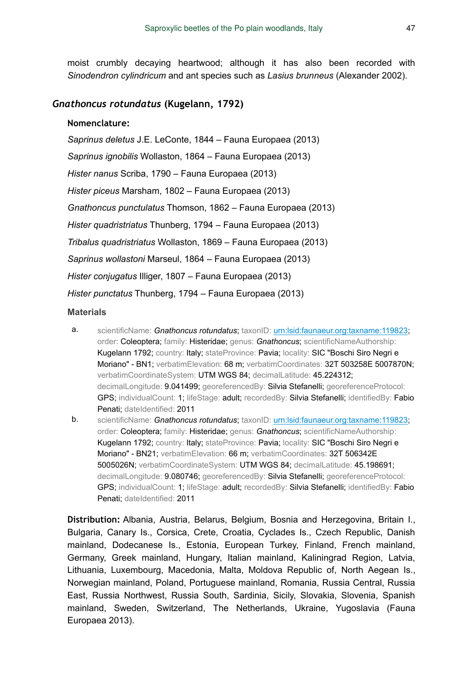moist crumbly decaying heartwood; although it has also been recorded with *Sinodendron cylindricum* and ant species such as *Lasius brunneus* (Alexander 2002).

#### *Gnathoncus rotundatus* **(Kugelann, 1792)**

#### **Nomenclature:**

*Saprinus deletus* J.E. LeConte, 1844 – Fauna Europaea (2013) *Saprinus ignobilis* Wollaston, 1864 – Fauna Europaea (2013) *Hister nanus* Scriba, 1790 – Fauna Europaea (2013) *Hister piceus* Marsham, 1802 – Fauna Europaea (2013) *Gnathoncus punctulatus* Thomson, 1862 – Fauna Europaea (2013) *Hister quadristriatus* Thunberg, 1794 – Fauna Europaea (2013) *Tribalus quadristriatus* Wollaston, 1869 – Fauna Europaea (2013) *Saprinus wollastoni* Marseul, 1864 – Fauna Europaea (2013) *Hister conjugatus* Illiger, 1807 – Fauna Europaea (2013) *Hister punctatus* Thunberg, 1794 – Fauna Europaea (2013)

#### **Materials**

- a. scientificName: *Gnathoncus rotundatus*; taxonID: [urn:lsid:faunaeur.org:taxname:119823;](http://www.faunaeur.org/full_results.php?id=119823) order: Coleoptera; family: Histeridae; genus: *Gnathoncus*; scientificNameAuthorship: Kugelann 1792; country: Italy; stateProvince: Pavia; locality: SIC "Boschi Siro Negri e Moriano" - BN1; verbatimElevation: 68 m; verbatimCoordinates: 32T 503258E 5007870N; verbatimCoordinateSystem: UTM WGS 84; decimalLatitude: 45.224312; decimalLongitude: 9.041499; georeferencedBy: Silvia Stefanelli; georeferenceProtocol: GPS; individualCount: 1; lifeStage: adult; recordedBy: Silvia Stefanelli; identifiedBy: Fabio Penati; dateIdentified: 2011
- b. scientificName: *Gnathoncus rotundatus*; taxonID: [urn:lsid:faunaeur.org:taxname:119823;](http://www.faunaeur.org/full_results.php?id=119823) order: Coleoptera; family: Histeridae; genus: *Gnathoncus*; scientificNameAuthorship: Kugelann 1792; country: Italy; stateProvince: Pavia; locality: SIC "Boschi Siro Negri e Moriano" - BN21; verbatimElevation: 66 m; verbatimCoordinates: 32T 506342E 5005026N; verbatimCoordinateSystem: UTM WGS 84; decimalLatitude: 45.198691; decimalLongitude: 9.080746; georeferencedBy: Silvia Stefanelli; georeferenceProtocol: GPS; individualCount: 1; lifeStage: adult; recordedBy: Silvia Stefanelli; identifiedBy: Fabio Penati: dateIdentified: 2011

**Distribution:** Albania, Austria, Belarus, Belgium, Bosnia and Herzegovina, Britain I., Bulgaria, Canary Is., Corsica, Crete, Croatia, Cyclades Is., Czech Republic, Danish mainland, Dodecanese Is., Estonia, European Turkey, Finland, French mainland, Germany, Greek mainland, Hungary, Italian mainland, Kaliningrad Region, Latvia, Lithuania, Luxembourg, Macedonia, Malta, Moldova Republic of, North Aegean Is., Norwegian mainland, Poland, Portuguese mainland, Romania, Russia Central, Russia East, Russia Northwest, Russia South, Sardinia, Sicily, Slovakia, Slovenia, Spanish mainland, Sweden, Switzerland, The Netherlands, Ukraine, Yugoslavia (Fauna Europaea 2013).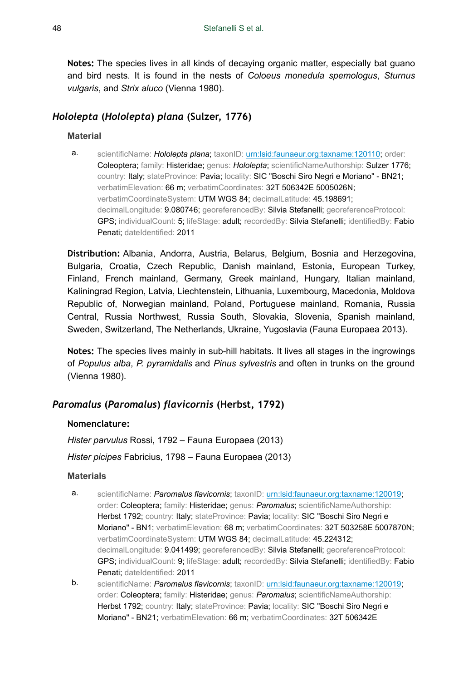**Notes:** The species lives in all kinds of decaying organic matter, especially bat guano and bird nests. It is found in the nests of *Coloeus monedula spemologus*, *Sturnus vulgaris*, and *Strix aluco* (Vienna 1980).

# *Hololepta* **(***Hololepta***)** *plana* **(Sulzer, 1776)**

**Material** 

a. scientificName: *Hololepta plana*; taxonID: [urn:lsid:faunaeur.org:taxname:120110](http://www.faunaeur.org/full_results.php?id=120110); order: Coleoptera; family: Histeridae; genus: *Hololepta*; scientificNameAuthorship: Sulzer 1776; country: Italy; stateProvince: Pavia; locality: SIC "Boschi Siro Negri e Moriano" - BN21; verbatimElevation: 66 m; verbatimCoordinates: 32T 506342E 5005026N; verbatimCoordinateSystem: UTM WGS 84; decimalLatitude: 45.198691; decimalLongitude: 9.080746; georeferencedBy: Silvia Stefanelli; georeferenceProtocol: GPS; individualCount: 5; lifeStage: adult; recordedBy: Silvia Stefanelli; identifiedBy: Fabio Penati: dateIdentified: 2011

**Distribution:** Albania, Andorra, Austria, Belarus, Belgium, Bosnia and Herzegovina, Bulgaria, Croatia, Czech Republic, Danish mainland, Estonia, European Turkey, Finland, French mainland, Germany, Greek mainland, Hungary, Italian mainland, Kaliningrad Region, Latvia, Liechtenstein, Lithuania, Luxembourg, Macedonia, Moldova Republic of, Norwegian mainland, Poland, Portuguese mainland, Romania, Russia Central, Russia Northwest, Russia South, Slovakia, Slovenia, Spanish mainland, Sweden, Switzerland, The Netherlands, Ukraine, Yugoslavia (Fauna Europaea 2013).

**Notes:** The species lives mainly in sub-hill habitats. It lives all stages in the ingrowings of *Populus alba*, *P. pyramidalis* and *Pinus sylvestris* and often in trunks on the ground (Vienna 1980).

# *Paromalus* **(***Paromalus***)** *flavicornis* **(Herbst, 1792)**

### **Nomenclature:**

*Hister parvulus* Rossi, 1792 – Fauna Europaea (2013)

*Hister picipes* Fabricius, 1798 – Fauna Europaea (2013)

- a. scientificName: *Paromalus flavicornis*; taxonID: [urn:lsid:faunaeur.org:taxname:120019](http://www.faunaeur.org/full_results.php?id=120019); order: Coleoptera; family: Histeridae; genus: *Paromalus*; scientificNameAuthorship: Herbst 1792; country: Italy; stateProvince: Pavia; locality: SIC "Boschi Siro Negri e Moriano" - BN1; verbatimElevation: 68 m; verbatimCoordinates: 32T 503258E 5007870N; verbatimCoordinateSystem: UTM WGS 84; decimalLatitude: 45.224312; decimalLongitude: 9.041499; georeferencedBy: Silvia Stefanelli; georeferenceProtocol: GPS; individualCount: 9; lifeStage: adult; recordedBy: Silvia Stefanelli; identifiedBy: Fabio Penati; dateIdentified: 2011
- b. scientificName: *Paromalus flavicornis*; taxonID: [urn:lsid:faunaeur.org:taxname:120019](http://www.faunaeur.org/full_results.php?id=120019); order: Coleoptera; family: Histeridae; genus: *Paromalus*; scientificNameAuthorship: Herbst 1792; country: Italy; stateProvince: Pavia; locality: SIC "Boschi Siro Negri e Moriano" - BN21; verbatimElevation: 66 m; verbatimCoordinates: 32T 506342E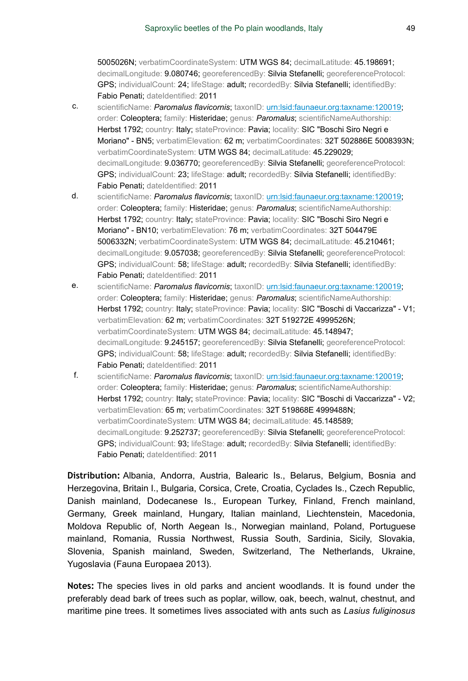5005026N; verbatimCoordinateSystem: UTM WGS 84; decimalLatitude: 45.198691; decimalLongitude: 9.080746; georeferencedBy: Silvia Stefanelli; georeferenceProtocol: GPS; individualCount: 24; lifeStage: adult; recordedBy: Silvia Stefanelli; identifiedBy: Fabio Penati; dateIdentified: 2011

- c. scientificName: *Paromalus flavicornis*; taxonID: [urn:lsid:faunaeur.org:taxname:120019](http://www.faunaeur.org/full_results.php?id=120019); order: Coleoptera; family: Histeridae; genus: *Paromalus*; scientificNameAuthorship: Herbst 1792; country: Italy: stateProvince: Pavia: locality: SIC "Boschi Siro Negri e Moriano" - BN5; verbatimElevation: 62 m; verbatimCoordinates: 32T 502886E 5008393N; verbatimCoordinateSystem: UTM WGS 84; decimalLatitude: 45.229029; decimalLongitude: 9.036770; georeferencedBy: Silvia Stefanelli; georeferenceProtocol: GPS; individualCount: 23; lifeStage: adult; recordedBy: Silvia Stefanelli; identifiedBy: Fabio Penati: dateIdentified: 2011
- d. scientificName: *Paromalus flavicornis*; taxonID: [urn:lsid:faunaeur.org:taxname:120019](http://www.faunaeur.org/full_results.php?id=120019); order: Coleoptera; family: Histeridae; genus: *Paromalus*; scientificNameAuthorship: Herbst 1792; country: Italy; stateProvince: Pavia; locality: SIC "Boschi Siro Negri e Moriano" - BN10; verbatimElevation: 76 m; verbatimCoordinates: 32T 504479E 5006332N; verbatimCoordinateSystem: UTM WGS 84; decimalLatitude: 45.210461; decimalLongitude: 9.057038; georeferencedBy: Silvia Stefanelli; georeferenceProtocol: GPS; individualCount: 58; lifeStage: adult; recordedBy: Silvia Stefanelli; identifiedBy: Fabio Penati; dateIdentified: 2011
- e. scientificName: *Paromalus flavicornis*; taxonID: [urn:lsid:faunaeur.org:taxname:120019](http://www.faunaeur.org/full_results.php?id=120019); order: Coleoptera; family: Histeridae; genus: *Paromalus*; scientificNameAuthorship: Herbst 1792; country: Italy; stateProvince: Pavia; locality: SIC "Boschi di Vaccarizza" - V1; verbatimElevation: 62 m; verbatimCoordinates: 32T 519272E 4999526N; verbatimCoordinateSystem: UTM WGS 84; decimalLatitude: 45.148947; decimalLongitude: 9.245157; georeferencedBy: Silvia Stefanelli; georeferenceProtocol: GPS; individualCount: 58; lifeStage: adult; recordedBy: Silvia Stefanelli; identifiedBy: Fabio Penati; dateIdentified: 2011
- f. scientificName: *Paromalus flavicornis*; taxonID: [urn:lsid:faunaeur.org:taxname:120019](http://www.faunaeur.org/full_results.php?id=120019); order: Coleoptera; family: Histeridae; genus: *Paromalus*; scientificNameAuthorship: Herbst 1792; country: Italy; stateProvince: Pavia; locality: SIC "Boschi di Vaccarizza" - V2; verbatimElevation: 65 m; verbatimCoordinates: 32T 519868E 4999488N; verbatimCoordinateSystem: UTM WGS 84; decimalLatitude: 45.148589; decimalLongitude: 9.252737; georeferencedBy: Silvia Stefanelli; georeferenceProtocol: GPS; individualCount: 93; lifeStage: adult; recordedBy: Silvia Stefanelli; identifiedBy: Fabio Penati; dateIdentified: 2011

**Distribution:** Albania, Andorra, Austria, Balearic Is., Belarus, Belgium, Bosnia and Herzegovina, Britain I., Bulgaria, Corsica, Crete, Croatia, Cyclades Is., Czech Republic, Danish mainland, Dodecanese Is., European Turkey, Finland, French mainland, Germany, Greek mainland, Hungary, Italian mainland, Liechtenstein, Macedonia, Moldova Republic of, North Aegean Is., Norwegian mainland, Poland, Portuguese mainland, Romania, Russia Northwest, Russia South, Sardinia, Sicily, Slovakia, Slovenia, Spanish mainland, Sweden, Switzerland, The Netherlands, Ukraine, Yugoslavia (Fauna Europaea 2013).

**Notes:** The species lives in old parks and ancient woodlands. It is found under the preferably dead bark of trees such as poplar, willow, oak, beech, walnut, chestnut, and maritime pine trees. It sometimes lives associated with ants such as *Lasius fuliginosus*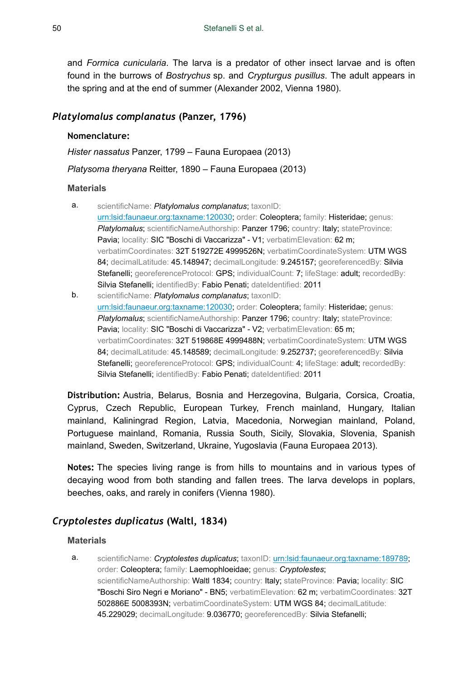and *Formica cunicularia*. The larva is a predator of other insect larvae and is often found in the burrows of *Bostrychus* sp. and *Crypturgus pusillus*. The adult appears in the spring and at the end of summer (Alexander 2002, Vienna 1980).

# *Platylomalus complanatus* **(Panzer, 1796)**

### **Nomenclature:**

*Hister nassatus* Panzer, 1799 – Fauna Europaea (2013)

*Platysoma theryana* Reitter, 1890 – Fauna Europaea (2013)

### **Materials**

- a. scientificName: *Platylomalus complanatus*; taxonID: [urn:lsid:faunaeur.org:taxname:120030](http://www.faunaeur.org/full_results.php?id=120030); order: Coleoptera; family: Histeridae; genus: *Platylomalus*; scientificNameAuthorship: Panzer 1796; country: Italy; stateProvince: Pavia: locality: SIC "Boschi di Vaccarizza" - V1: verbatimElevation: 62 m: verbatimCoordinates: 32T 519272E 4999526N; verbatimCoordinateSystem: UTM WGS 84; decimalLatitude: 45.148947; decimalLongitude: 9.245157; georeferencedBy: Silvia Stefanelli; georeferenceProtocol: GPS; individualCount: 7; lifeStage: adult; recordedBy: Silvia Stefanelli; identifiedBy: Fabio Penati; dateIdentified: 2011
- b. scientificName: *Platylomalus complanatus*; taxonID: [urn:lsid:faunaeur.org:taxname:120030](http://www.faunaeur.org/full_results.php?id=120030); order: Coleoptera; family: Histeridae; genus: *Platylomalus*; scientificNameAuthorship: Panzer 1796; country: Italy; stateProvince: Pavia; locality: SIC "Boschi di Vaccarizza" - V2; verbatimElevation: 65 m; verbatimCoordinates: 32T 519868E 4999488N; verbatimCoordinateSystem: UTM WGS 84; decimalLatitude: 45.148589; decimalLongitude: 9.252737; georeferencedBy: Silvia Stefanelli; georeferenceProtocol: GPS; individualCount: 4; lifeStage: adult; recordedBy: Silvia Stefanelli; identifiedBy: Fabio Penati; dateIdentified: 2011

**Distribution:** Austria, Belarus, Bosnia and Herzegovina, Bulgaria, Corsica, Croatia, Cyprus, Czech Republic, European Turkey, French mainland, Hungary, Italian mainland, Kaliningrad Region, Latvia, Macedonia, Norwegian mainland, Poland, Portuguese mainland, Romania, Russia South, Sicily, Slovakia, Slovenia, Spanish mainland, Sweden, Switzerland, Ukraine, Yugoslavia (Fauna Europaea 2013).

**Notes:** The species living range is from hills to mountains and in various types of decaying wood from both standing and fallen trees. The larva develops in poplars, beeches, oaks, and rarely in conifers (Vienna 1980).

# *Cryptolestes duplicatus* **(Waltl, 1834)**

#### **Materials**

a. scientificName: *Cryptolestes duplicatus*; taxonID: [urn:lsid:faunaeur.org:taxname:189789](http://www.faunaeur.org/full_results.php?id=189789); order: Coleoptera; family: Laemophloeidae; genus: *Cryptolestes*; scientificNameAuthorship: Waltl 1834; country: Italy; stateProvince: Pavia; locality: SIC "Boschi Siro Negri e Moriano" - BN5; verbatimElevation: 62 m; verbatimCoordinates: 32T 502886E 5008393N; verbatimCoordinateSystem: UTM WGS 84; decimalLatitude: 45.229029; decimalLongitude: 9.036770; georeferencedBy: Silvia Stefanelli;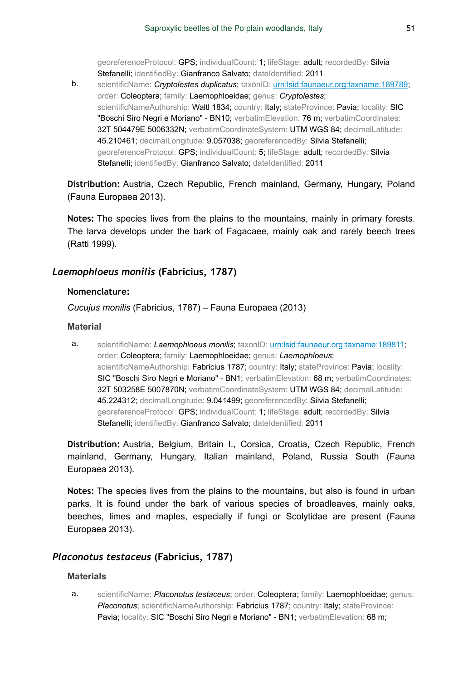georeferenceProtocol: GPS; individualCount: 1; lifeStage: adult; recordedBy: Silvia Stefanelli; identifiedBy: Gianfranco Salvato; dateIdentified: 2011

b. scientificName: *Cryptolestes duplicatus*; taxonID: [urn:lsid:faunaeur.org:taxname:189789](http://www.faunaeur.org/full_results.php?id=189789); order: Coleoptera; family: Laemophloeidae; genus: *Cryptolestes*; scientificNameAuthorship: Waltl 1834; country: Italy; stateProvince: Pavia; locality: SIC "Boschi Siro Negri e Moriano" - BN10; verbatimElevation: 76 m; verbatimCoordinates: 32T 504479E 5006332N; verbatimCoordinateSystem: UTM WGS 84; decimalLatitude: 45.210461; decimalLongitude: 9.057038; georeferencedBy: Silvia Stefanelli; georeferenceProtocol: GPS; individualCount: 5; lifeStage: adult; recordedBy: Silvia Stefanelli: identifiedBy: Gianfranco Salvato: dateIdentified: 2011

**Distribution:** Austria, Czech Republic, French mainland, Germany, Hungary, Poland (Fauna Europaea 2013).

**Notes:** The species lives from the plains to the mountains, mainly in primary forests. The larva develops under the bark of Fagacaee, mainly oak and rarely beech trees (Ratti 1999).

### *Laemophloeus monilis* **(Fabricius, 1787)**

#### **Nomenclature:**

*Cucujus monilis* (Fabricius, 1787) – Fauna Europaea (2013)

#### **Material**

a. scientificName: *Laemophloeus monilis*; taxonID: [urn:lsid:faunaeur.org:taxname:189811](http://www.faunaeur.org/full_results.php?id=189811); order: Coleoptera; family: Laemophloeidae; genus: *Laemophloeus*; scientificNameAuthorship: Fabricius 1787; country: Italy; stateProvince: Pavia; locality: SIC "Boschi Siro Negri e Moriano" - BN1; verbatimElevation: 68 m; verbatimCoordinates: 32T 503258E 5007870N; verbatimCoordinateSystem: UTM WGS 84; decimalLatitude: 45.224312; decimalLongitude: 9.041499; georeferencedBy: Silvia Stefanelli; georeferenceProtocol: GPS; individualCount: 1; lifeStage: adult; recordedBy: Silvia Stefanelli; identifiedBy: Gianfranco Salvato; dateIdentified: 2011

**Distribution:** Austria, Belgium, Britain I., Corsica, Croatia, Czech Republic, French mainland, Germany, Hungary, Italian mainland, Poland, Russia South (Fauna Europaea 2013).

**Notes:** The species lives from the plains to the mountains, but also is found in urban parks. It is found under the bark of various species of broadleaves, mainly oaks, beeches, limes and maples, especially if fungi or Scolytidae are present (Fauna Europaea 2013).

## *Placonotus testaceus* **(Fabricius, 1787)**

#### **Materials**

a. scientificName: *Placonotus testaceus*; order: Coleoptera; family: Laemophloeidae; genus: *Placonotus*; scientificNameAuthorship: Fabricius 1787; country: Italy; stateProvince: Pavia; locality: SIC "Boschi Siro Negri e Moriano" - BN1; verbatimElevation: 68 m;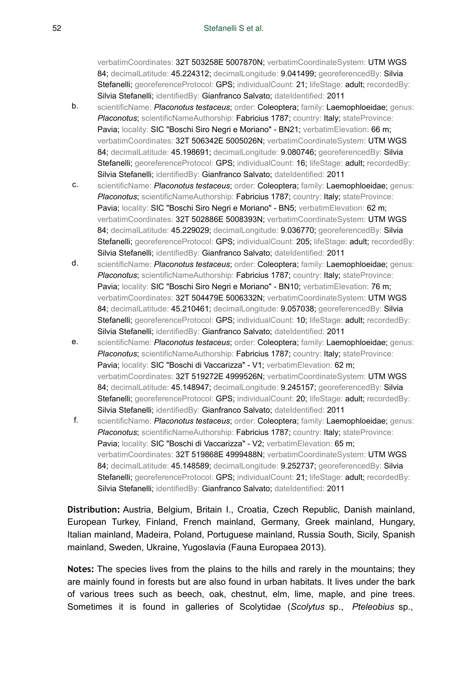verbatimCoordinates: 32T 503258E 5007870N; verbatimCoordinateSystem: UTM WGS 84; decimalLatitude: 45.224312; decimalLongitude: 9.041499; georeferencedBy: Silvia Stefanelli; georeferenceProtocol: GPS; individualCount: 21; lifeStage: adult; recordedBy: Silvia Stefanelli; identifiedBy: Gianfranco Salvato; dateIdentified: 2011

- b. scientificName: *Placonotus testaceus*; order: Coleoptera; family: Laemophloeidae; genus: *Placonotus*; scientificNameAuthorship: Fabricius 1787; country: Italy; stateProvince: Pavia: locality: SIC "Boschi Siro Negri e Moriano" - BN21: verbatimElevation: 66 m; verbatimCoordinates: 32T 506342E 5005026N; verbatimCoordinateSystem: UTM WGS 84; decimalLatitude: 45.198691; decimalLongitude: 9.080746; georeferencedBy: Silvia Stefanelli; georeferenceProtocol: GPS; individualCount: 16; lifeStage: adult: recordedBy: Silvia Stefanelli; identifiedBy: Gianfranco Salvato; dateIdentified: 2011
- c. scientificName: *Placonotus testaceus*; order: Coleoptera; family: Laemophloeidae; genus: *Placonotus*; scientificNameAuthorship: Fabricius 1787; country: Italy; stateProvince: Pavia; locality: SIC "Boschi Siro Negri e Moriano" - BN5; verbatimElevation: 62 m; verbatimCoordinates: 32T 502886E 5008393N; verbatimCoordinateSystem: UTM WGS 84; decimalLatitude: 45.229029; decimalLongitude: 9.036770; georeferencedBy: Silvia Stefanelli; georeferenceProtocol: GPS; individualCount: 205; lifeStage: adult; recordedBy: Silvia Stefanelli; identifiedBy: Gianfranco Salvato; dateIdentified: 2011
- d. scientificName: *Placonotus testaceus*; order: Coleoptera; family: Laemophloeidae; genus: *Placonotus*; scientificNameAuthorship: Fabricius 1787; country: Italy; stateProvince: Pavia; locality: SIC "Boschi Siro Negri e Moriano" - BN10; verbatimElevation: 76 m; verbatimCoordinates: 32T 504479E 5006332N; verbatimCoordinateSystem: UTM WGS 84; decimalLatitude: 45.210461; decimalLongitude: 9.057038; georeferencedBy: Silvia Stefanelli; georeferenceProtocol: GPS; individualCount: 10; lifeStage: adult; recordedBy: Silvia Stefanelli; identifiedBy: Gianfranco Salvato; dateIdentified: 2011
- e. scientificName: *Placonotus testaceus*; order: Coleoptera; family: Laemophloeidae; genus: *Placonotus*; scientificNameAuthorship: Fabricius 1787; country: Italy; stateProvince: Pavia; locality: SIC "Boschi di Vaccarizza" - V1; verbatimElevation: 62 m; verbatimCoordinates: 32T 519272E 4999526N; verbatimCoordinateSystem: UTM WGS 84; decimalLatitude: 45.148947; decimalLongitude: 9.245157; georeferencedBy: Silvia Stefanelli; georeferenceProtocol: GPS; individualCount: 20; lifeStage: adult; recordedBy: Silvia Stefanelli; identifiedBy: Gianfranco Salvato; dateIdentified: 2011
- f. scientificName: *Placonotus testaceus*; order: Coleoptera; family: Laemophloeidae; genus: *Placonotus*; scientificNameAuthorship: Fabricius 1787; country: Italy; stateProvince: Pavia; locality: SIC "Boschi di Vaccarizza" - V2; verbatimElevation: 65 m; verbatimCoordinates: 32T 519868E 4999488N; verbatimCoordinateSystem: UTM WGS 84; decimalLatitude: 45.148589; decimalLongitude: 9.252737; georeferencedBy: Silvia Stefanelli; georeferenceProtocol: GPS; individualCount: 21; lifeStage: adult; recordedBy: Silvia Stefanelli; identifiedBy: Gianfranco Salvato; dateIdentified: 2011

**Distribution:** Austria, Belgium, Britain I., Croatia, Czech Republic, Danish mainland, European Turkey, Finland, French mainland, Germany, Greek mainland, Hungary, Italian mainland, Madeira, Poland, Portuguese mainland, Russia South, Sicily, Spanish mainland, Sweden, Ukraine, Yugoslavia (Fauna Europaea 2013).

**Notes:** The species lives from the plains to the hills and rarely in the mountains; they are mainly found in forests but are also found in urban habitats. It lives under the bark of various trees such as beech, oak, chestnut, elm, lime, maple, and pine trees. Sometimes it is found in galleries of Scolytidae (*Scolytus* sp., *Pteleobius* sp.,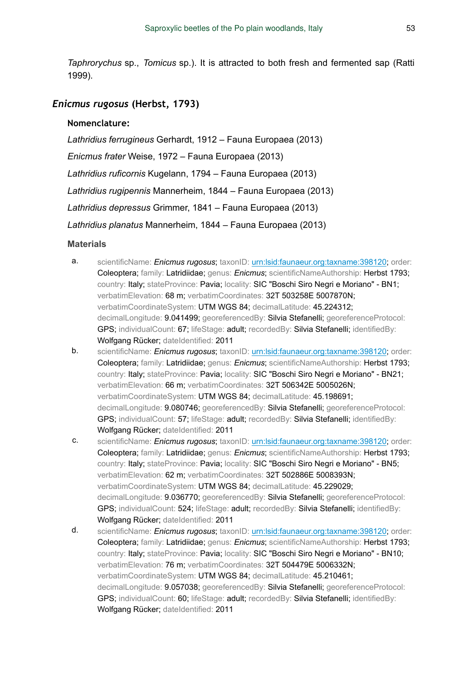*Taphrorychus* sp., *Tomicus* sp.). It is attracted to both fresh and fermented sap (Ratti 1999).

## *Enicmus rugosus* **(Herbst, 1793)**

#### **Nomenclature:**

*Lathridius ferrugineus* Gerhardt, 1912 – Fauna Europaea (2013) *Enicmus frater* Weise, 1972 – Fauna Europaea (2013) *Lathridius ruficornis* Kugelann, 1794 – Fauna Europaea (2013) *Lathridius rugipennis* Mannerheim, 1844 – Fauna Europaea (2013) *Lathridius depressus* Grimmer, 1841 – Fauna Europaea (2013)

*Lathridius planatus* Mannerheim, 1844 – Fauna Europaea (2013)

- a. scientificName: *Enicmus rugosus*; taxonID: [urn:lsid:faunaeur.org:taxname:398120;](http://www.faunaeur.org/full_results.php?id=398120) order: Coleoptera; family: Latridiidae; genus: *Enicmus*; scientificNameAuthorship: Herbst 1793; country: Italy; stateProvince: Pavia; locality: SIC "Boschi Siro Negri e Moriano" - BN1; verbatimElevation: 68 m; verbatimCoordinates: 32T 503258E 5007870N; verbatimCoordinateSystem: UTM WGS 84; decimalLatitude: 45.224312; decimalLongitude: 9.041499; georeferencedBy: Silvia Stefanelli; georeferenceProtocol: GPS; individualCount: 67; lifeStage: adult; recordedBy: Silvia Stefanelli; identifiedBy: Wolfgang Rücker; dateIdentified: 2011
- b. scientificName: *Enicmus rugosus*; taxonID: [urn:lsid:faunaeur.org:taxname:398120;](http://www.faunaeur.org/full_results.php?id=398120) order: Coleoptera; family: Latridiidae; genus: *Enicmus*; scientificNameAuthorship: Herbst 1793; country: Italy; stateProvince: Pavia; locality: SIC "Boschi Siro Negri e Moriano" - BN21; verbatimElevation: 66 m; verbatimCoordinates: 32T 506342E 5005026N; verbatimCoordinateSystem: UTM WGS 84; decimalLatitude: 45.198691; decimalLongitude: 9.080746; georeferencedBy: Silvia Stefanelli; georeferenceProtocol: GPS; individualCount: 57; lifeStage: adult; recordedBy: Silvia Stefanelli; identifiedBy: Wolfgang Rücker; dateIdentified: 2011
- c. scientificName: *Enicmus rugosus*; taxonID: [urn:lsid:faunaeur.org:taxname:398120;](http://www.faunaeur.org/full_results.php?id=398120) order: Coleoptera; family: Latridiidae; genus: *Enicmus*; scientificNameAuthorship: Herbst 1793; country: Italy; stateProvince: Pavia; locality: SIC "Boschi Siro Negri e Moriano" - BN5; verbatimElevation: 62 m; verbatimCoordinates: 32T 502886E 5008393N; verbatimCoordinateSystem: UTM WGS 84; decimalLatitude: 45.229029; decimalLongitude: 9.036770; georeferencedBy: Silvia Stefanelli; georeferenceProtocol: GPS; individualCount: 524; lifeStage: adult; recordedBy: Silvia Stefanelli; identifiedBy: Wolfgang Rücker; dateIdentified: 2011
- d. scientificName: *Enicmus rugosus*; taxonID: [urn:lsid:faunaeur.org:taxname:398120;](http://www.faunaeur.org/full_results.php?id=398120) order: Coleoptera; family: Latridiidae; genus: *Enicmus*; scientificNameAuthorship: Herbst 1793; country: Italy; stateProvince: Pavia; locality: SIC "Boschi Siro Negri e Moriano" - BN10; verbatimElevation: 76 m; verbatimCoordinates: 32T 504479E 5006332N; verbatimCoordinateSystem: UTM WGS 84; decimalLatitude: 45.210461; decimalLongitude: 9.057038; georeferencedBy: Silvia Stefanelli; georeferenceProtocol: GPS; individualCount: 60; lifeStage: adult; recordedBy: Silvia Stefanelli; identifiedBy: Wolfgang Rücker; dateIdentified: 2011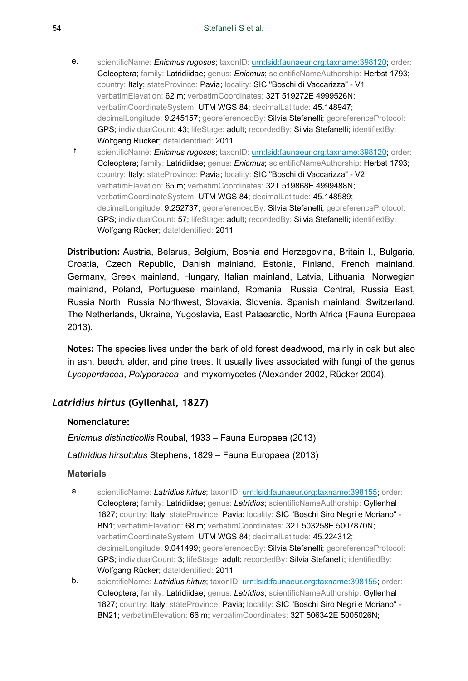- e. scientificName: *Enicmus rugosus*; taxonID: [urn:lsid:faunaeur.org:taxname:398120;](http://www.faunaeur.org/full_results.php?id=398120) order: Coleoptera; family: Latridiidae; genus: *Enicmus*; scientificNameAuthorship: Herbst 1793; country: Italy; stateProvince: Pavia; locality: SIC "Boschi di Vaccarizza" - V1; verbatimElevation: 62 m; verbatimCoordinates: 32T 519272E 4999526N; verbatimCoordinateSystem: UTM WGS 84; decimalLatitude: 45.148947; decimalLongitude: 9.245157; georeferencedBy: Silvia Stefanelli; georeferenceProtocol: GPS; individualCount: 43; lifeStage: adult; recordedBy: Silvia Stefanelli; identifiedBy: Wolfgang Rücker: dateIdentified: 2011
- f. scientificName: *Enicmus rugosus*; taxonID: [urn:lsid:faunaeur.org:taxname:398120;](http://www.faunaeur.org/full_results.php?id=398120) order: Coleoptera; family: Latridiidae; genus: *Enicmus*; scientificNameAuthorship: Herbst 1793; country: Italy; stateProvince: Pavia; locality: SIC "Boschi di Vaccarizza" - V2; verbatimElevation: 65 m; verbatimCoordinates: 32T 519868E 4999488N; verbatimCoordinateSystem: UTM WGS 84; decimalLatitude: 45.148589; decimalLongitude: 9.252737; georeferencedBy: Silvia Stefanelli; georeferenceProtocol: GPS; individualCount: 57; lifeStage: adult; recordedBy: Silvia Stefanelli; identifiedBy: Wolfgang Rücker; dateIdentified: 2011

**Distribution:** Austria, Belarus, Belgium, Bosnia and Herzegovina, Britain I., Bulgaria, Croatia, Czech Republic, Danish mainland, Estonia, Finland, French mainland, Germany, Greek mainland, Hungary, Italian mainland, Latvia, Lithuania, Norwegian mainland, Poland, Portuguese mainland, Romania, Russia Central, Russia East, Russia North, Russia Northwest, Slovakia, Slovenia, Spanish mainland, Switzerland, The Netherlands, Ukraine, Yugoslavia, East Palaearctic, North Africa (Fauna Europaea 2013).

**Notes:** The species lives under the bark of old forest deadwood, mainly in oak but also in ash, beech, alder, and pine trees. It usually lives associated with fungi of the genus *Lycoperdacea*, *Polyporacea*, and myxomycetes (Alexander 2002, Rücker 2004).

# *Latridius hirtus* **(Gyllenhal, 1827)**

### **Nomenclature:**

*Enicmus distincticollis* Roubal, 1933 – Fauna Europaea (2013)

*Lathridius hirsutulus* Stephens, 1829 – Fauna Europaea (2013)

- a. scientificName: *Latridius hirtus*; taxonID: [urn:lsid:faunaeur.org:taxname:398155](http://www.faunaeur.org/full_results.php?id=398155); order: Coleoptera; family: Latridiidae; genus: *Latridius*; scientificNameAuthorship: Gyllenhal 1827; country: Italy; stateProvince: Pavia; locality: SIC "Boschi Siro Negri e Moriano" -BN1; verbatimElevation: 68 m; verbatimCoordinates: 32T 503258E 5007870N; verbatimCoordinateSystem: UTM WGS 84; decimalLatitude: 45.224312; decimalLongitude: 9.041499; georeferencedBy: Silvia Stefanelli; georeferenceProtocol: GPS; individualCount: 3; lifeStage: adult; recordedBy: Silvia Stefanelli; identifiedBy: Wolfgang Rücker; dateIdentified: 2011
- b. scientificName: *Latridius hirtus*; taxonID: [urn:lsid:faunaeur.org:taxname:398155](http://www.faunaeur.org/full_results.php?id=398155); order: Coleoptera; family: Latridiidae; genus: *Latridius*; scientificNameAuthorship: Gyllenhal 1827; country: Italy; stateProvince: Pavia; locality: SIC "Boschi Siro Negri e Moriano" - BN21; verbatimElevation: 66 m; verbatimCoordinates: 32T 506342E 5005026N;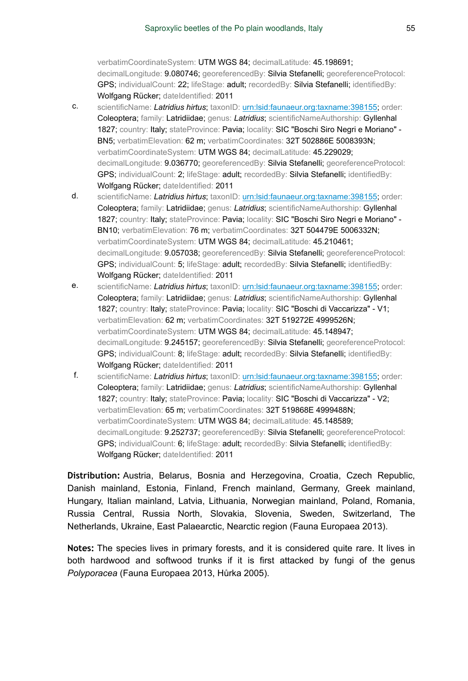verbatimCoordinateSystem: UTM WGS 84; decimalLatitude: 45.198691; decimalLongitude: 9.080746; georeferencedBy: Silvia Stefanelli; georeferenceProtocol: GPS; individualCount: 22; lifeStage: adult; recordedBy: Silvia Stefanelli; identifiedBy: Wolfgang Rücker; dateIdentified: 2011

- c. scientificName: *Latridius hirtus*; taxonID: [urn:lsid:faunaeur.org:taxname:398155](http://www.faunaeur.org/full_results.php?id=398155); order: Coleoptera; family: Latridiidae; genus: *Latridius*; scientificNameAuthorship: Gyllenhal 1827; country: Italy; stateProvince: Pavia; locality: SIC "Boschi Siro Negri e Moriano" - BN5; verbatimElevation: 62 m; verbatimCoordinates: 32T 502886E 5008393N; verbatimCoordinateSystem: UTM WGS 84; decimalLatitude: 45.229029; decimalLongitude: 9.036770; georeferencedBy: Silvia Stefanelli; georeferenceProtocol: GPS; individualCount: 2; lifeStage: adult; recordedBy: Silvia Stefanelli; identifiedBy: Wolfgang Rücker; dateIdentified: 2011
- d. scientificName: *Latridius hirtus*; taxonID: [urn:lsid:faunaeur.org:taxname:398155](http://www.faunaeur.org/full_results.php?id=398155); order: Coleoptera; family: Latridiidae; genus: *Latridius*; scientificNameAuthorship: Gyllenhal 1827; country: Italy; stateProvince: Pavia; locality: SIC "Boschi Siro Negri e Moriano" - BN10; verbatimElevation: 76 m; verbatimCoordinates: 32T 504479E 5006332N; verbatimCoordinateSystem: UTM WGS 84; decimalLatitude: 45.210461; decimalLongitude: 9.057038; georeferencedBy: Silvia Stefanelli; georeferenceProtocol: GPS; individualCount: 5; lifeStage: adult; recordedBy: Silvia Stefanelli; identifiedBy: Wolfgang Rücker; dateIdentified: 2011
- e. scientificName: *Latridius hirtus*; taxonID: [urn:lsid:faunaeur.org:taxname:398155](http://www.faunaeur.org/full_results.php?id=398155); order: Coleoptera; family: Latridiidae; genus: *Latridius*; scientificNameAuthorship: Gyllenhal 1827; country: Italy; stateProvince: Pavia; locality: SIC "Boschi di Vaccarizza" - V1; verbatimElevation: 62 m; verbatimCoordinates: 32T 519272E 4999526N; verbatimCoordinateSystem: UTM WGS 84; decimalLatitude: 45.148947; decimalLongitude: 9.245157; georeferencedBy: Silvia Stefanelli; georeferenceProtocol: GPS; individualCount: 8; lifeStage: adult; recordedBy: Silvia Stefanelli; identifiedBy: Wolfgang Rücker; dateIdentified: 2011
- f. scientificName: *Latridius hirtus*; taxonID: [urn:lsid:faunaeur.org:taxname:398155](http://www.faunaeur.org/full_results.php?id=398155); order: Coleoptera; family: Latridiidae; genus: *Latridius*; scientificNameAuthorship: Gyllenhal 1827; country: Italy; stateProvince: Pavia; locality: SIC "Boschi di Vaccarizza" - V2; verbatimElevation: 65 m; verbatimCoordinates: 32T 519868E 4999488N; verbatimCoordinateSystem: UTM WGS 84; decimalLatitude: 45.148589; decimalLongitude: 9.252737; georeferencedBy: Silvia Stefanelli; georeferenceProtocol: GPS; individualCount: 6; lifeStage: adult; recordedBy: Silvia Stefanelli; identifiedBy: Wolfgang Rücker; dateIdentified: 2011

**Distribution:** Austria, Belarus, Bosnia and Herzegovina, Croatia, Czech Republic, Danish mainland, Estonia, Finland, French mainland, Germany, Greek mainland, Hungary, Italian mainland, Latvia, Lithuania, Norwegian mainland, Poland, Romania, Russia Central, Russia North, Slovakia, Slovenia, Sweden, Switzerland, The Netherlands, Ukraine, East Palaearctic, Nearctic region (Fauna Europaea 2013).

**Notes:** The species lives in primary forests, and it is considered quite rare. It lives in both hardwood and softwood trunks if it is first attacked by fungi of the genus *Polyporacea* (Fauna Europaea 2013, Hůrka 2005).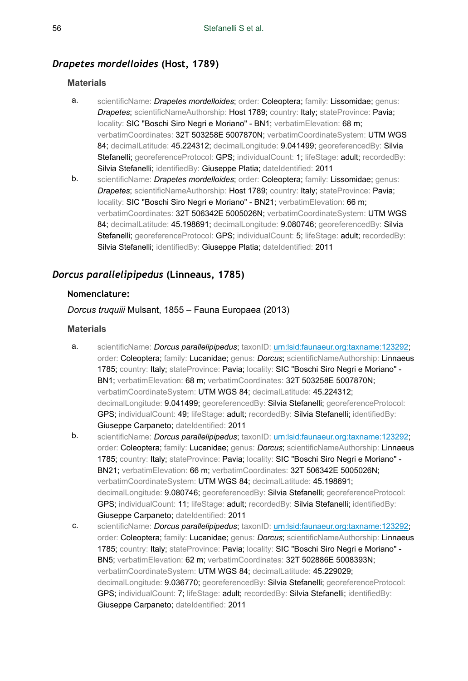# *Drapetes mordelloides* **(Host, 1789)**

### **Materials**

- a. scientificName: *Drapetes mordelloides*; order: Coleoptera; family: Lissomidae; genus: *Drapetes*; scientificNameAuthorship: Host 1789; country: Italy; stateProvince: Pavia; locality: SIC "Boschi Siro Negri e Moriano" - BN1; verbatimElevation: 68 m; verbatimCoordinates: 32T 503258E 5007870N; verbatimCoordinateSystem: UTM WGS 84; decimalLatitude: 45.224312; decimalLongitude: 9.041499; georeferencedBy: Silvia Stefanelli; georeferenceProtocol: GPS; individualCount: 1; lifeStage: adult: recordedBy: Silvia Stefanelli: identifiedBy: Giuseppe Platia: dateIdentified: 2011
- b. scientificName: *Drapetes mordelloides*; order: Coleoptera; family: Lissomidae; genus: *Drapetes*; scientificNameAuthorship: Host 1789; country: Italy; stateProvince: Pavia; locality: SIC "Boschi Siro Negri e Moriano" - BN21; verbatimElevation: 66 m; verbatimCoordinates: 32T 506342E 5005026N; verbatimCoordinateSystem: UTM WGS 84; decimalLatitude: 45.198691; decimalLongitude: 9.080746; georeferencedBy: Silvia Stefanelli; georeferenceProtocol: GPS; individualCount: 5; lifeStage: adult; recordedBy: Silvia Stefanelli; identifiedBy: Giuseppe Platia; dateIdentified: 2011

# *Dorcus parallelipipedus* **(Linneaus, 1785)**

#### **Nomenclature:**

*Dorcus truquiii* Mulsant, 1855 – Fauna Europaea (2013)

- a. scientificName: *Dorcus parallelipipedus*; taxonID: [urn:lsid:faunaeur.org:taxname:123292](http://www.faunaeur.org/full_results.php?id=123292); order: Coleoptera; family: Lucanidae; genus: *Dorcus*; scientificNameAuthorship: Linnaeus 1785; country: Italy; stateProvince: Pavia; locality: SIC "Boschi Siro Negri e Moriano" - BN1; verbatimElevation: 68 m; verbatimCoordinates: 32T 503258E 5007870N; verbatimCoordinateSystem: UTM WGS 84; decimalLatitude: 45.224312; decimalLongitude: 9.041499; georeferencedBy: Silvia Stefanelli; georeferenceProtocol: GPS; individualCount: 49; lifeStage: adult; recordedBy: Silvia Stefanelli; identifiedBy: Giuseppe Carpaneto; dateIdentified: 2011
- b. scientificName: *Dorcus parallelipipedus*; taxonID: [urn:lsid:faunaeur.org:taxname:123292](http://www.faunaeur.org/full_results.php?id=123292); order: Coleoptera; family: Lucanidae; genus: *Dorcus*; scientificNameAuthorship: Linnaeus 1785; country: Italy; stateProvince: Pavia; locality: SIC "Boschi Siro Negri e Moriano" - BN21; verbatimElevation: 66 m; verbatimCoordinates: 32T 506342E 5005026N; verbatimCoordinateSystem: UTM WGS 84; decimalLatitude: 45.198691; decimalLongitude: 9.080746; georeferencedBy: Silvia Stefanelli; georeferenceProtocol: GPS; individualCount: 11; lifeStage: adult; recordedBy: Silvia Stefanelli; identifiedBy: Giuseppe Carpaneto; dateIdentified: 2011
- c. scientificName: *Dorcus parallelipipedus*; taxonID: [urn:lsid:faunaeur.org:taxname:123292](http://www.faunaeur.org/full_results.php?id=123292); order: Coleoptera; family: Lucanidae; genus: *Dorcus*; scientificNameAuthorship: Linnaeus 1785; country: Italy; stateProvince: Pavia; locality: SIC "Boschi Siro Negri e Moriano" - BN5; verbatimElevation: 62 m; verbatimCoordinates: 32T 502886E 5008393N; verbatimCoordinateSystem: UTM WGS 84; decimalLatitude: 45.229029; decimalLongitude: 9.036770; georeferencedBy: Silvia Stefanelli; georeferenceProtocol: GPS; individualCount: 7; lifeStage: adult; recordedBy: Silvia Stefanelli; identifiedBy: Giuseppe Carpaneto; dateIdentified: 2011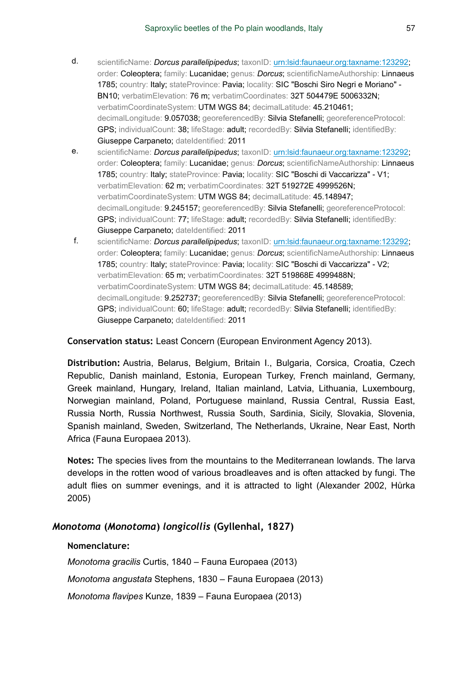- d. scientificName: *Dorcus parallelipipedus*; taxonID: [urn:lsid:faunaeur.org:taxname:123292](http://www.faunaeur.org/full_results.php?id=123292); order: Coleoptera; family: Lucanidae; genus: *Dorcus*; scientificNameAuthorship: Linnaeus 1785; country: Italy; stateProvince: Pavia; locality: SIC "Boschi Siro Negri e Moriano" - BN10; verbatimElevation: 76 m; verbatimCoordinates: 32T 504479E 5006332N; verbatimCoordinateSystem: UTM WGS 84; decimalLatitude: 45.210461; decimalLongitude: 9.057038; georeferencedBy: Silvia Stefanelli; georeferenceProtocol: GPS; individualCount: 38; lifeStage: adult; recordedBy: Silvia Stefanelli; identifiedBy: Giuseppe Carpaneto: dateIdentified: 2011
- e. scientificName: *Dorcus parallelipipedus*; taxonID: [urn:lsid:faunaeur.org:taxname:123292](http://www.faunaeur.org/full_results.php?id=123292); order: Coleoptera; family: Lucanidae; genus: *Dorcus*; scientificNameAuthorship: Linnaeus 1785; country: Italy; stateProvince: Pavia; locality: SIC "Boschi di Vaccarizza" - V1; verbatimElevation: 62 m; verbatimCoordinates: 32T 519272E 4999526N; verbatimCoordinateSystem: UTM WGS 84; decimalLatitude: 45.148947; decimalLongitude: 9.245157; georeferencedBy: Silvia Stefanelli; georeferenceProtocol: GPS; individualCount: 77; lifeStage: adult; recordedBy: Silvia Stefanelli; identifiedBy: Giuseppe Carpaneto; dateIdentified: 2011
- f. scientificName: *Dorcus parallelipipedus*; taxonID: [urn:lsid:faunaeur.org:taxname:123292](http://www.faunaeur.org/full_results.php?id=123292); order: Coleoptera; family: Lucanidae; genus: *Dorcus*; scientificNameAuthorship: Linnaeus 1785; country: Italy; stateProvince: Pavia; locality: SIC "Boschi di Vaccarizza" - V2; verbatimElevation: 65 m; verbatimCoordinates: 32T 519868E 4999488N; verbatimCoordinateSystem: UTM WGS 84; decimalLatitude: 45.148589; decimalLongitude: 9.252737; georeferencedBy: Silvia Stefanelli; georeferenceProtocol: GPS; individualCount: 60; lifeStage: adult; recordedBy: Silvia Stefanelli; identifiedBy: Giuseppe Carpaneto; dateIdentified: 2011

### **Conservation status:** Least Concern (European Environment Agency 2013).

**Distribution:** Austria, Belarus, Belgium, Britain I., Bulgaria, Corsica, Croatia, Czech Republic, Danish mainland, Estonia, European Turkey, French mainland, Germany, Greek mainland, Hungary, Ireland, Italian mainland, Latvia, Lithuania, Luxembourg, Norwegian mainland, Poland, Portuguese mainland, Russia Central, Russia East, Russia North, Russia Northwest, Russia South, Sardinia, Sicily, Slovakia, Slovenia, Spanish mainland, Sweden, Switzerland, The Netherlands, Ukraine, Near East, North Africa (Fauna Europaea 2013).

**Notes:** The species lives from the mountains to the Mediterranean lowlands. The larva develops in the rotten wood of various broadleaves and is often attacked by fungi. The adult flies on summer evenings, and it is attracted to light (Alexander 2002, Hůrka 2005)

# *Monotoma* **(***Monotoma***)** *longicollis* **(Gyllenhal, 1827)**

### **Nomenclature:**

*Monotoma gracilis* Curtis, 1840 – Fauna Europaea (2013) *Monotoma angustata* Stephens, 1830 – Fauna Europaea (2013) *Monotoma flavipes* Kunze, 1839 – Fauna Europaea (2013)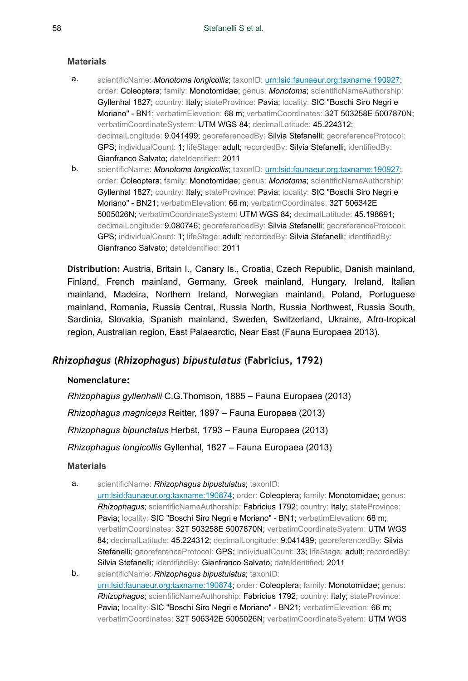## **Materials**

- a. scientificName: *Monotoma longicollis*; taxonID: [urn:lsid:faunaeur.org:taxname:190927;](http://www.faunaeur.org/full_results.php?id=190927) order: Coleoptera; family: Monotomidae; genus: *Monotoma*; scientificNameAuthorship: Gyllenhal 1827; country: Italy; stateProvince: Pavia; locality: SIC "Boschi Siro Negri e Moriano" - BN1; verbatimElevation: 68 m; verbatimCoordinates: 32T 503258E 5007870N; verbatimCoordinateSystem: UTM WGS 84; decimalLatitude: 45.224312; decimalLongitude: 9.041499; georeferencedBy: Silvia Stefanelli; georeferenceProtocol: GPS; individualCount: 1; lifeStage: adult; recordedBy: Silvia Stefanelli; identifiedBy: Gianfranco Salvato; dateIdentified: 2011
- b. scientificName: *Monotoma longicollis*; taxonID: [urn:lsid:faunaeur.org:taxname:190927;](http://www.faunaeur.org/full_results.php?id=190927) order: Coleoptera; family: Monotomidae; genus: *Monotoma*; scientificNameAuthorship: Gyllenhal 1827; country: Italy; stateProvince: Pavia; locality: SIC "Boschi Siro Negri e Moriano" - BN21; verbatimElevation: 66 m; verbatimCoordinates: 32T 506342E 5005026N; verbatimCoordinateSystem: UTM WGS 84; decimalLatitude: 45.198691; decimalLongitude: 9.080746; georeferencedBy: Silvia Stefanelli; georeferenceProtocol: GPS; individualCount: 1; lifeStage: adult; recordedBy: Silvia Stefanelli; identifiedBy: Gianfranco Salvato: dateIdentified: 2011

**Distribution:** Austria, Britain I., Canary Is., Croatia, Czech Republic, Danish mainland, Finland, French mainland, Germany, Greek mainland, Hungary, Ireland, Italian mainland, Madeira, Northern Ireland, Norwegian mainland, Poland, Portuguese mainland, Romania, Russia Central, Russia North, Russia Northwest, Russia South, Sardinia, Slovakia, Spanish mainland, Sweden, Switzerland, Ukraine, Afro-tropical region, Australian region, East Palaearctic, Near East (Fauna Europaea 2013).

## *Rhizophagus* **(***Rhizophagus***)** *bipustulatus* **(Fabricius, 1792)**

### **Nomenclature:**

*Rhizophagus gyllenhalii* C.G.Thomson, 1885 – Fauna Europaea (2013) *Rhizophagus magniceps* Reitter, 1897 – Fauna Europaea (2013) *Rhizophagus bipunctatus* Herbst, 1793 – Fauna Europaea (2013) *Rhizophagus longicollis* Gyllenhal, 1827 – Fauna Europaea (2013)

- a. scientificName: *Rhizophagus bipustulatus*; taxonID:
	- [urn:lsid:faunaeur.org:taxname:190874](http://www.faunaeur.org/full_results.php?id=190874); order: Coleoptera; family: Monotomidae; genus: *Rhizophagus*; scientificNameAuthorship: Fabricius 1792; country: Italy; stateProvince: Pavia; locality: SIC "Boschi Siro Negri e Moriano" - BN1; verbatimElevation: 68 m; verbatimCoordinates: 32T 503258E 5007870N; verbatimCoordinateSystem: UTM WGS 84; decimalLatitude: 45.224312; decimalLongitude: 9.041499; georeferencedBy: Silvia Stefanelli; georeferenceProtocol: GPS; individualCount: 33; lifeStage: adult; recordedBy: Silvia Stefanelli; identifiedBy: Gianfranco Salvato; dateIdentified: 2011
- b. scientificName: *Rhizophagus bipustulatus*; taxonID: [urn:lsid:faunaeur.org:taxname:190874](http://www.faunaeur.org/full_results.php?id=190874); order: Coleoptera; family: Monotomidae; genus: *Rhizophagus*; scientificNameAuthorship: Fabricius 1792; country: Italy; stateProvince: Pavia; locality: SIC "Boschi Siro Negri e Moriano" - BN21; verbatimElevation: 66 m; verbatimCoordinates: 32T 506342E 5005026N; verbatimCoordinateSystem: UTM WGS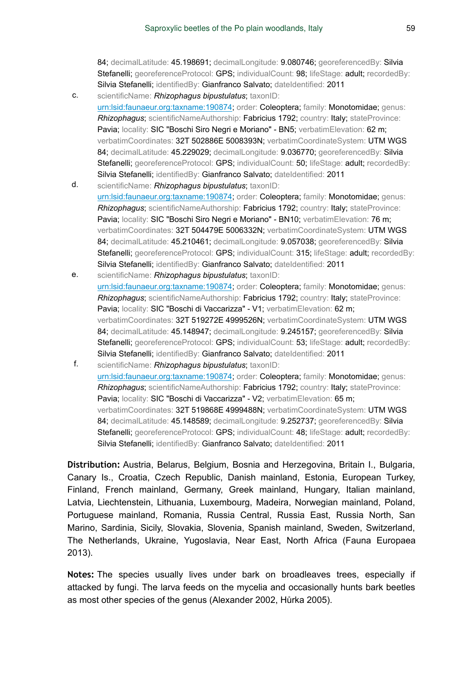84; decimalLatitude: 45.198691; decimalLongitude: 9.080746; georeferencedBy: Silvia Stefanelli; georeferenceProtocol: GPS; individualCount: 98; lifeStage: adult; recordedBy: Silvia Stefanelli; identifiedBy: Gianfranco Salvato; dateIdentified: 2011

- c. scientificName: *Rhizophagus bipustulatus*; taxonID: [urn:lsid:faunaeur.org:taxname:190874](http://www.faunaeur.org/full_results.php?id=190874); order: Coleoptera; family: Monotomidae; genus: *Rhizophagus*; scientificNameAuthorship: Fabricius 1792; country: Italy; stateProvince: Pavia; locality: SIC "Boschi Siro Negri e Moriano" - BN5; verbatimElevation: 62 m; verbatimCoordinates: 32T 502886E 5008393N; verbatimCoordinateSystem: UTM WGS 84; decimalLatitude: 45.229029; decimalLongitude: 9.036770; georeferencedBy: Silvia Stefanelli; georeferenceProtocol: GPS; individualCount: 50; lifeStage: adult: recordedBy: Silvia Stefanelli; identifiedBy: Gianfranco Salvato; dateIdentified: 2011
- d. scientificName: *Rhizophagus bipustulatus*; taxonID: [urn:lsid:faunaeur.org:taxname:190874](http://www.faunaeur.org/full_results.php?id=190874); order: Coleoptera; family: Monotomidae; genus: *Rhizophagus*; scientificNameAuthorship: Fabricius 1792; country: Italy; stateProvince: Pavia; locality: SIC "Boschi Siro Negri e Moriano" - BN10; verbatimElevation: 76 m; verbatimCoordinates: 32T 504479E 5006332N; verbatimCoordinateSystem: UTM WGS 84; decimalLatitude: 45.210461; decimalLongitude: 9.057038; georeferencedBy: Silvia Stefanelli; georeferenceProtocol: GPS; individualCount: 315; lifeStage: adult; recordedBy: Silvia Stefanelli; identifiedBy: Gianfranco Salvato; dateIdentified: 2011
- e. scientificName: *Rhizophagus bipustulatus*; taxonID: [urn:lsid:faunaeur.org:taxname:190874](http://www.faunaeur.org/full_results.php?id=190874); order: Coleoptera; family: Monotomidae; genus: *Rhizophagus*; scientificNameAuthorship: Fabricius 1792; country: Italy; stateProvince: Pavia; locality: SIC "Boschi di Vaccarizza" - V1; verbatimElevation: 62 m; verbatimCoordinates: 32T 519272E 4999526N; verbatimCoordinateSystem: UTM WGS 84; decimalLatitude: 45.148947; decimalLongitude: 9.245157; georeferencedBy: Silvia Stefanelli; georeferenceProtocol: GPS; individualCount: 53; lifeStage: adult; recordedBy: Silvia Stefanelli; identifiedBy: Gianfranco Salvato; dateIdentified: 2011
- f. scientificName: *Rhizophagus bipustulatus*; taxonID: [urn:lsid:faunaeur.org:taxname:190874](http://www.faunaeur.org/full_results.php?id=190874); order: Coleoptera; family: Monotomidae; genus: *Rhizophagus*; scientificNameAuthorship: Fabricius 1792; country: Italy; stateProvince: Pavia; locality: SIC "Boschi di Vaccarizza" - V2; verbatimElevation: 65 m; verbatimCoordinates: 32T 519868E 4999488N; verbatimCoordinateSystem: UTM WGS 84; decimalLatitude: 45.148589; decimalLongitude: 9.252737; georeferencedBy: Silvia Stefanelli; georeferenceProtocol: GPS; individualCount: 48; lifeStage: adult; recordedBy: Silvia Stefanelli; identifiedBy: Gianfranco Salvato; dateIdentified: 2011

**Distribution:** Austria, Belarus, Belgium, Bosnia and Herzegovina, Britain I., Bulgaria, Canary Is., Croatia, Czech Republic, Danish mainland, Estonia, European Turkey, Finland, French mainland, Germany, Greek mainland, Hungary, Italian mainland, Latvia, Liechtenstein, Lithuania, Luxembourg, Madeira, Norwegian mainland, Poland, Portuguese mainland, Romania, Russia Central, Russia East, Russia North, San Marino, Sardinia, Sicily, Slovakia, Slovenia, Spanish mainland, Sweden, Switzerland, The Netherlands, Ukraine, Yugoslavia, Near East, North Africa (Fauna Europaea 2013).

**Notes:** The species usually lives under bark on broadleaves trees, especially if attacked by fungi. The larva feeds on the mycelia and occasionally hunts bark beetles as most other species of the genus (Alexander 2002, Hůrka 2005).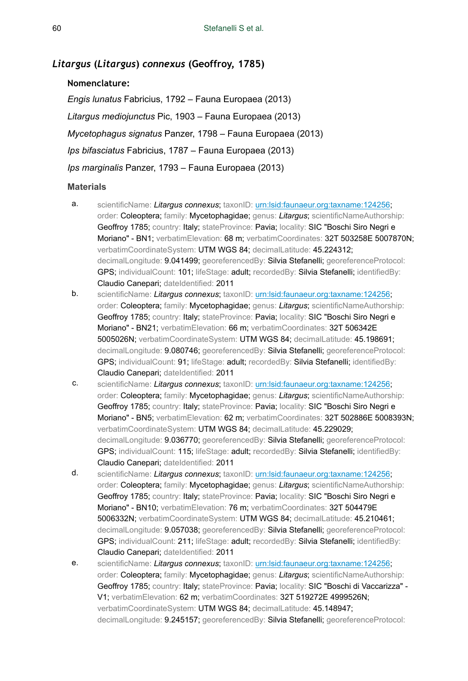# *Litargus* **(***Litargus***)** *connexus* **(Geoffroy, 1785)**

### **Nomenclature:**

*Engis lunatus* Fabricius, 1792 – Fauna Europaea (2013) *Litargus mediojunctus* Pic, 1903 – Fauna Europaea (2013) *Mycetophagus signatus* Panzer, 1798 – Fauna Europaea (2013) *Ips bifasciatus* Fabricius, 1787 – Fauna Europaea (2013) *Ips marginalis* Panzer, 1793 – Fauna Europaea (2013)

- a. scientificName: *Litargus connexus*; taxonID: [urn:lsid:faunaeur.org:taxname:124256](http://www.faunaeur.org/full_results.php?id=124256); order: Coleoptera; family: Mycetophagidae; genus: *Litargus*; scientificNameAuthorship: Geoffroy 1785; country: Italy; stateProvince: Pavia; locality: SIC "Boschi Siro Negri e Moriano" - BN1; verbatimElevation: 68 m; verbatimCoordinates: 32T 503258E 5007870N; verbatimCoordinateSystem: UTM WGS 84; decimalLatitude: 45.224312; decimalLongitude: 9.041499; georeferencedBy: Silvia Stefanelli; georeferenceProtocol: GPS; individualCount: 101; lifeStage: adult; recordedBy: Silvia Stefanelli; identifiedBy: Claudio Canepari; dateIdentified: 2011
- b. scientificName: *Litargus connexus*; taxonID: [urn:lsid:faunaeur.org:taxname:124256](http://www.faunaeur.org/full_results.php?id=124256); order: Coleoptera; family: Mycetophagidae; genus: *Litargus*; scientificNameAuthorship: Geoffroy 1785; country: Italy; stateProvince: Pavia; locality: SIC "Boschi Siro Negri e Moriano" - BN21; verbatimElevation: 66 m; verbatimCoordinates: 32T 506342E 5005026N; verbatimCoordinateSystem: UTM WGS 84; decimalLatitude: 45.198691; decimalLongitude: 9.080746; georeferencedBy: Silvia Stefanelli; georeferenceProtocol: GPS; individualCount: 91; lifeStage: adult; recordedBy: Silvia Stefanelli; identifiedBy: Claudio Canepari; dateIdentified: 2011
- c. scientificName: *Litargus connexus*; taxonID: [urn:lsid:faunaeur.org:taxname:124256](http://www.faunaeur.org/full_results.php?id=124256); order: Coleoptera; family: Mycetophagidae; genus: *Litargus*; scientificNameAuthorship: Geoffroy 1785; country: Italy; stateProvince: Pavia; locality: SIC "Boschi Siro Negri e Moriano" - BN5; verbatimElevation: 62 m; verbatimCoordinates: 32T 502886E 5008393N; verbatimCoordinateSystem: UTM WGS 84; decimalLatitude: 45.229029; decimalLongitude: 9.036770; georeferencedBy: Silvia Stefanelli; georeferenceProtocol: GPS; individualCount: 115; lifeStage: adult; recordedBy: Silvia Stefanelli; identifiedBy: Claudio Canepari: dateIdentified: 2011
- d. scientificName: *Litargus connexus*; taxonID: [urn:lsid:faunaeur.org:taxname:124256](http://www.faunaeur.org/full_results.php?id=124256); order: Coleoptera; family: Mycetophagidae; genus: *Litargus*; scientificNameAuthorship: Geoffroy 1785; country: Italy; stateProvince: Pavia; locality: SIC "Boschi Siro Negri e Moriano" - BN10; verbatimElevation: 76 m; verbatimCoordinates: 32T 504479E 5006332N; verbatimCoordinateSystem: UTM WGS 84; decimalLatitude: 45.210461; decimalLongitude: 9.057038; georeferencedBy: Silvia Stefanelli; georeferenceProtocol: GPS; individualCount: 211; lifeStage: adult; recordedBy: Silvia Stefanelli; identifiedBy: Claudio Canepari; dateIdentified: 2011
- e. scientificName: *Litargus connexus*; taxonID: [urn:lsid:faunaeur.org:taxname:124256](http://www.faunaeur.org/full_results.php?id=124256); order: Coleoptera; family: Mycetophagidae; genus: *Litargus*; scientificNameAuthorship: Geoffroy 1785; country: Italy; stateProvince: Pavia; locality: SIC "Boschi di Vaccarizza" - V1; verbatimElevation: 62 m; verbatimCoordinates: 32T 519272E 4999526N; verbatimCoordinateSystem: UTM WGS 84; decimalLatitude: 45.148947; decimalLongitude: 9.245157; georeferencedBy: Silvia Stefanelli; georeferenceProtocol: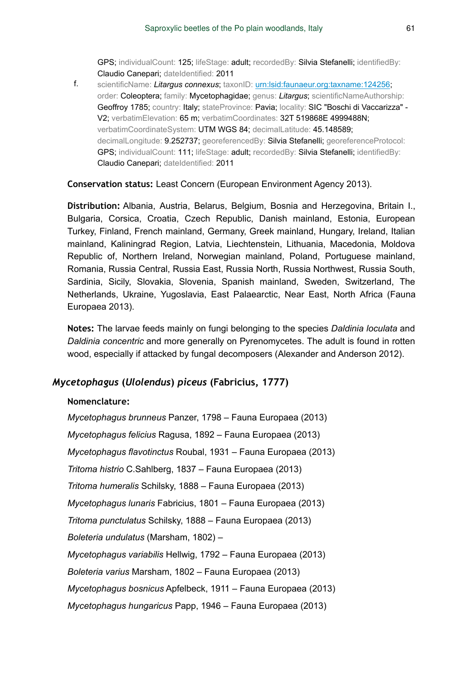GPS; individualCount: 125; lifeStage: adult; recordedBy: Silvia Stefanelli; identifiedBy: Claudio Canepari; dateIdentified: 2011

f. scientificName: *Litargus connexus*; taxonID: [urn:lsid:faunaeur.org:taxname:124256](http://www.faunaeur.org/full_results.php?id=124256); order: Coleoptera; family: Mycetophagidae; genus: *Litargus*; scientificNameAuthorship: Geoffroy 1785; country: Italy; stateProvince: Pavia; locality: SIC "Boschi di Vaccarizza" - V2; verbatimElevation: 65 m; verbatimCoordinates: 32T 519868E 4999488N; verbatimCoordinateSystem: UTM WGS 84; decimalLatitude: 45.148589; decimalLongitude: 9.252737; georeferencedBy: Silvia Stefanelli; georeferenceProtocol: GPS; individualCount: 111; lifeStage: adult; recordedBy: Silvia Stefanelli; identifiedBy: Claudio Canepari; dateIdentified: 2011

#### **Conservation status:** Least Concern (European Environment Agency 2013).

**Distribution:** Albania, Austria, Belarus, Belgium, Bosnia and Herzegovina, Britain I., Bulgaria, Corsica, Croatia, Czech Republic, Danish mainland, Estonia, European Turkey, Finland, French mainland, Germany, Greek mainland, Hungary, Ireland, Italian mainland, Kaliningrad Region, Latvia, Liechtenstein, Lithuania, Macedonia, Moldova Republic of, Northern Ireland, Norwegian mainland, Poland, Portuguese mainland, Romania, Russia Central, Russia East, Russia North, Russia Northwest, Russia South, Sardinia, Sicily, Slovakia, Slovenia, Spanish mainland, Sweden, Switzerland, The Netherlands, Ukraine, Yugoslavia, East Palaearctic, Near East, North Africa (Fauna Europaea 2013).

**Notes:** The larvae feeds mainly on fungi belonging to the species *Daldinia loculata* and *Daldinia concentric* and more generally on Pyrenomycetes. The adult is found in rotten wood, especially if attacked by fungal decomposers (Alexander and Anderson 2012).

### *Mycetophagus* **(***Ulolendus***)** *piceus* **(Fabricius, 1777)**

### **Nomenclature:**

*Mycetophagus brunneus* Panzer, 1798 – Fauna Europaea (2013) *Mycetophagus felicius* Ragusa, 1892 – Fauna Europaea (2013) *Mycetophagus flavotinctus* Roubal, 1931 – Fauna Europaea (2013) *Tritoma histrio* C.Sahlberg, 1837 – Fauna Europaea (2013) *Tritoma humeralis* Schilsky, 1888 – Fauna Europaea (2013) *Mycetophagus lunaris* Fabricius, 1801 – Fauna Europaea (2013) *Tritoma punctulatus* Schilsky, 1888 – Fauna Europaea (2013) *Boleteria undulatus* (Marsham, 1802) – *Mycetophagus variabilis* Hellwig, 1792 – Fauna Europaea (2013) *Boleteria varius* Marsham, 1802 – Fauna Europaea (2013) *Mycetophagus bosnicus* Apfelbeck, 1911 – Fauna Europaea (2013) *Mycetophagus hungaricus* Papp, 1946 – Fauna Europaea (2013)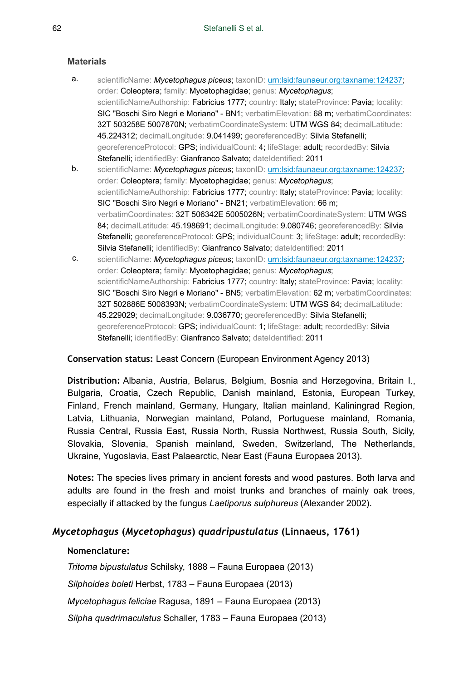## **Materials**

- a. scientificName: *Mycetophagus piceus*; taxonID: [urn:lsid:faunaeur.org:taxname:124237;](http://www.faunaeur.org/full_results.php?id=124237) order: Coleoptera; family: Mycetophagidae; genus: *Mycetophagus*; scientificNameAuthorship: Fabricius 1777; country: Italy; stateProvince: Pavia; locality: SIC "Boschi Siro Negri e Moriano" - BN1; verbatimElevation: 68 m; verbatimCoordinates: 32T 503258E 5007870N; verbatimCoordinateSystem: UTM WGS 84; decimalLatitude: 45.224312; decimalLongitude: 9.041499; georeferencedBy: Silvia Stefanelli; georeferenceProtocol: GPS; individualCount: 4; lifeStage: adult; recordedBy: Silvia Stefanelli; identifiedBy: Gianfranco Salvato; dateIdentified: 2011
- b. scientificName: *Mycetophagus piceus*; taxonID: [urn:lsid:faunaeur.org:taxname:124237;](http://www.faunaeur.org/full_results.php?id=124237) order: Coleoptera; family: Mycetophagidae; genus: *Mycetophagus*; scientificNameAuthorship: Fabricius 1777; country: Italy; stateProvince: Pavia; locality: SIC "Boschi Siro Negri e Moriano" - BN21; verbatimElevation: 66 m; verbatimCoordinates: 32T 506342E 5005026N; verbatimCoordinateSystem: UTM WGS 84; decimalLatitude: 45.198691; decimalLongitude: 9.080746; georeferencedBy: Silvia Stefanelli; georeferenceProtocol: GPS; individualCount: 3; lifeStage: adult; recordedBy: Silvia Stefanelli; identifiedBy: Gianfranco Salvato; dateIdentified: 2011
- c. scientificName: *Mycetophagus piceus*; taxonID: [urn:lsid:faunaeur.org:taxname:124237;](http://www.faunaeur.org/full_results.php?id=124237) order: Coleoptera; family: Mycetophagidae; genus: *Mycetophagus*; scientificNameAuthorship: Fabricius 1777; country: Italy; stateProvince: Pavia; locality: SIC "Boschi Siro Negri e Moriano" - BN5; verbatimElevation: 62 m; verbatimCoordinates: 32T 502886E 5008393N; verbatimCoordinateSystem: UTM WGS 84; decimalLatitude: 45.229029; decimalLongitude: 9.036770; georeferencedBy: Silvia Stefanelli; georeferenceProtocol: GPS; individualCount: 1; lifeStage: adult; recordedBy: Silvia Stefanelli; identifiedBy: Gianfranco Salvato; dateIdentified: 2011

## **Conservation status:** Least Concern (European Environment Agency 2013)

**Distribution:** Albania, Austria, Belarus, Belgium, Bosnia and Herzegovina, Britain I., Bulgaria, Croatia, Czech Republic, Danish mainland, Estonia, European Turkey, Finland, French mainland, Germany, Hungary, Italian mainland, Kaliningrad Region, Latvia, Lithuania, Norwegian mainland, Poland, Portuguese mainland, Romania, Russia Central, Russia East, Russia North, Russia Northwest, Russia South, Sicily, Slovakia, Slovenia, Spanish mainland, Sweden, Switzerland, The Netherlands, Ukraine, Yugoslavia, East Palaearctic, Near East (Fauna Europaea 2013).

**Notes:** The species lives primary in ancient forests and wood pastures. Both larva and adults are found in the fresh and moist trunks and branches of mainly oak trees, especially if attacked by the fungus *Laetiporus sulphureus* (Alexander 2002).

# *Mycetophagus* **(***Mycetophagus***)** *quadripustulatus* **(Linnaeus, 1761)**

### **Nomenclature:**

*Tritoma bipustulatus* Schilsky, 1888 – Fauna Europaea (2013)

*Silphoides boleti* Herbst, 1783 – Fauna Europaea (2013)

*Mycetophagus feliciae* Ragusa, 1891 – Fauna Europaea (2013)

*Silpha quadrimaculatus* Schaller, 1783 – Fauna Europaea (2013)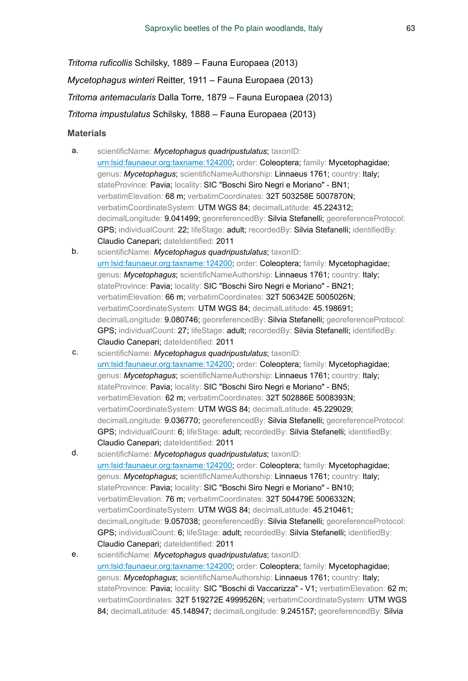*Tritoma ruficollis* Schilsky, 1889 – Fauna Europaea (2013) *Mycetophagus winteri* Reitter, 1911 – Fauna Europaea (2013) *Tritoma antemacularis* Dalla Torre, 1879 – Fauna Europaea (2013) *Tritoma impustulatus* Schilsky, 1888 – Fauna Europaea (2013)

- a. scientificName: *Mycetophagus quadripustulatus*; taxonID: [urn:lsid:faunaeur.org:taxname:124200](http://www.faunaeur.org/full_results.php?id=124200); order: Coleoptera; family: Mycetophagidae; genus: *Mycetophagus*; scientificNameAuthorship: Linnaeus 1761; country: Italy; stateProvince: Pavia; locality: SIC "Boschi Siro Negri e Moriano" - BN1; verbatimElevation: 68 m; verbatimCoordinates: 32T 503258E 5007870N; verbatimCoordinateSystem: UTM WGS 84; decimalLatitude: 45.224312; decimalLongitude: 9.041499; georeferencedBy: Silvia Stefanelli; georeferenceProtocol: GPS; individualCount: 22; lifeStage: adult; recordedBy: Silvia Stefanelli; identifiedBy: Claudio Canepari; dateIdentified: 2011
- b. scientificName: *Mycetophagus quadripustulatus*; taxonID: [urn:lsid:faunaeur.org:taxname:124200](http://www.faunaeur.org/full_results.php?id=124200); order: Coleoptera; family: Mycetophagidae; genus: *Mycetophagus*; scientificNameAuthorship: Linnaeus 1761; country: Italy; stateProvince: Pavia; locality: SIC "Boschi Siro Negri e Moriano" - BN21; verbatimElevation: 66 m; verbatimCoordinates: 32T 506342E 5005026N; verbatimCoordinateSystem: UTM WGS 84; decimalLatitude: 45.198691; decimalLongitude: 9.080746; georeferencedBy: Silvia Stefanelli; georeferenceProtocol: GPS; individualCount: 27; lifeStage: adult; recordedBy: Silvia Stefanelli; identifiedBy: Claudio Canepari; dateIdentified: 2011
- c. scientificName: *Mycetophagus quadripustulatus*; taxonID: [urn:lsid:faunaeur.org:taxname:124200](http://www.faunaeur.org/full_results.php?id=124200); order: Coleoptera; family: Mycetophagidae; genus: *Mycetophagus*; scientificNameAuthorship: Linnaeus 1761; country: Italy; stateProvince: Pavia; locality: SIC "Boschi Siro Negri e Moriano" - BN5; verbatimElevation: 62 m; verbatimCoordinates: 32T 502886E 5008393N; verbatimCoordinateSystem: UTM WGS 84; decimalLatitude: 45.229029; decimalLongitude: 9.036770; georeferencedBy: Silvia Stefanelli; georeferenceProtocol: GPS; individualCount: 6; lifeStage: adult; recordedBy: Silvia Stefanelli; identifiedBy: Claudio Canepari; dateIdentified: 2011
- d. scientificName: *Mycetophagus quadripustulatus*; taxonID: [urn:lsid:faunaeur.org:taxname:124200](http://www.faunaeur.org/full_results.php?id=124200); order: Coleoptera; family: Mycetophagidae; genus: *Mycetophagus*; scientificNameAuthorship: Linnaeus 1761; country: Italy; stateProvince: Pavia; locality: SIC "Boschi Siro Negri e Moriano" - BN10; verbatimElevation: 76 m; verbatimCoordinates: 32T 504479E 5006332N; verbatimCoordinateSystem: UTM WGS 84; decimalLatitude: 45.210461; decimalLongitude: 9.057038; georeferencedBy: Silvia Stefanelli; georeferenceProtocol: GPS; individualCount: 6; lifeStage: adult; recordedBy: Silvia Stefanelli; identifiedBy: Claudio Canepari; dateIdentified: 2011
- e. scientificName: *Mycetophagus quadripustulatus*; taxonID: [urn:lsid:faunaeur.org:taxname:124200](http://www.faunaeur.org/full_results.php?id=124200); order: Coleoptera; family: Mycetophagidae; genus: *Mycetophagus*; scientificNameAuthorship: Linnaeus 1761; country: Italy; stateProvince: Pavia; locality: SIC "Boschi di Vaccarizza" - V1; verbatimElevation: 62 m; verbatimCoordinates: 32T 519272E 4999526N; verbatimCoordinateSystem: UTM WGS 84; decimalLatitude: 45.148947; decimalLongitude: 9.245157; georeferencedBy: Silvia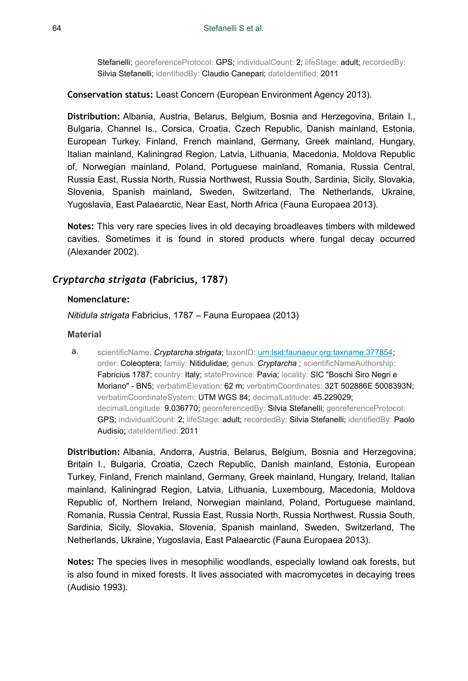Stefanelli; georeferenceProtocol: GPS; individualCount: 2; lifeStage: adult; recordedBy: Silvia Stefanelli; identifiedBy: Claudio Canepari; dateIdentified: 2011

## **Conservation status:** Least Concern (European Environment Agency 2013).

**Distribution:** Albania, Austria, Belarus, Belgium, Bosnia and Herzegovina, Britain I., Bulgaria, Channel Is., Corsica, Croatia, Czech Republic, Danish mainland, Estonia, European Turkey, Finland, French mainland, Germany, Greek mainland, Hungary, Italian mainland, Kaliningrad Region, Latvia, Lithuania, Macedonia, Moldova Republic of, Norwegian mainland, Poland, Portuguese mainland, Romania, Russia Central, Russia East, Russia North, Russia Northwest, Russia South, Sardinia, Sicily, Slovakia, Slovenia, Spanish mainland, Sweden, Switzerland, The Netherlands, Ukraine, Yugoslavia, East Palaearctic, Near East, North Africa (Fauna Europaea 2013).

**Notes:** This very rare species lives in old decaying broadleaves timbers with mildewed cavities. Sometimes it is found in stored products where fungal decay occurred (Alexander 2002).

# *Cryptarcha strigata* **(Fabricius, 1787)**

### **Nomenclature:**

*Nitidula strigata* Fabricius, 1787 – Fauna Europaea (2013)

### **Material**

a. scientificName: *Cryptarcha strigata*; taxonID: [urn:lsid:faunaeur.org:taxname:377854;](http://www.faunaeur.org/full_results.php?id=377854) order: Coleoptera; family: Nitidulidae; genus: *Cryptarcha* ; scientificNameAuthorship: Fabricius 1787; country: Italy; stateProvince: Pavia; locality: SIC "Boschi Siro Negri e Moriano" - BN5; verbatimElevation: 62 m; verbatimCoordinates: 32T 502886E 5008393N; verbatimCoordinateSystem: UTM WGS 84; decimalLatitude: 45.229029; decimalLongitude: 9.036770; georeferencedBy: Silvia Stefanelli; georeferenceProtocol: GPS; individualCount: 2; lifeStage: adult; recordedBy: Silvia Stefanelli; identifiedBy: Paolo Audisio: dateIdentified: 2011

**Distribution:** Albania, Andorra, Austria, Belarus, Belgium, Bosnia and Herzegovina, Britain I., Bulgaria, Croatia, Czech Republic, Danish mainland, Estonia, European Turkey, Finland, French mainland, Germany, Greek mainland, Hungary, Ireland, Italian mainland, Kaliningrad Region, Latvia, Lithuania, Luxembourg, Macedonia, Moldova Republic of, Northern Ireland, Norwegian mainland, Poland, Portuguese mainland, Romania, Russia Central, Russia East, Russia North, Russia Northwest, Russia South, Sardinia, Sicily, Slovakia, Slovenia, Spanish mainland, Sweden, Switzerland, The Netherlands, Ukraine, Yugoslavia, East Palaearctic (Fauna Europaea 2013).

**Notes:** The species lives in mesophilic woodlands, especially lowland oak forests, but is also found in mixed forests. It lives associated with macromycetes in decaying trees (Audisio 1993).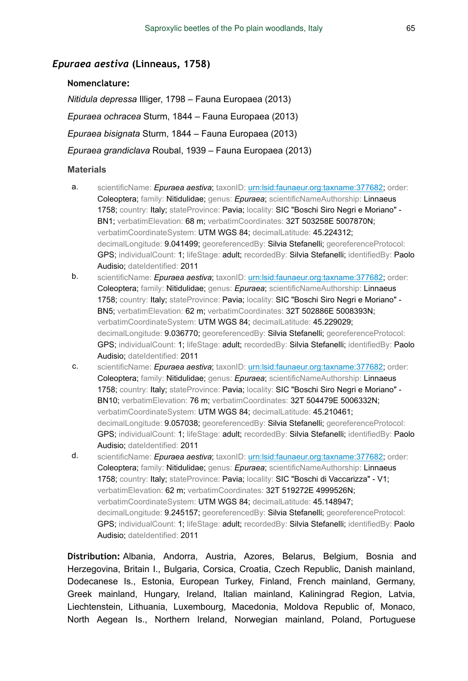### *Epuraea aestiva* **(Linneaus, 1758)**

#### **Nomenclature:**

*Nitidula depressa* Illiger, 1798 – Fauna Europaea (2013)

*Epuraea ochracea* Sturm, 1844 – Fauna Europaea (2013)

*Epuraea bisignata* Sturm, 1844 – Fauna Europaea (2013)

*Epuraea grandiclava* Roubal, 1939 – Fauna Europaea (2013)

#### **Materials**

- a. scientificName: *Epuraea aestiva*; taxonID: [urn:lsid:faunaeur.org:taxname:377682](http://www.faunaeur.org/full_results.php?id=377682); order: Coleoptera; family: Nitidulidae; genus: *Epuraea*; scientificNameAuthorship: Linnaeus 1758; country: Italy; stateProvince: Pavia; locality: SIC "Boschi Siro Negri e Moriano" -BN1; verbatimElevation: 68 m; verbatimCoordinates: 32T 503258E 5007870N; verbatimCoordinateSystem: UTM WGS 84; decimalLatitude: 45.224312; decimalLongitude: 9.041499; georeferencedBy: Silvia Stefanelli; georeferenceProtocol: GPS; individualCount: 1; lifeStage: adult; recordedBy: Silvia Stefanelli; identifiedBy: Paolo Audisio; dateIdentified: 2011
- b. scientificName: *Epuraea aestiva*; taxonID: [urn:lsid:faunaeur.org:taxname:377682](http://www.faunaeur.org/full_results.php?id=377682); order: Coleoptera; family: Nitidulidae; genus: *Epuraea*; scientificNameAuthorship: Linnaeus 1758; country: Italy; stateProvince: Pavia; locality: SIC "Boschi Siro Negri e Moriano" -BN5; verbatimElevation: 62 m; verbatimCoordinates: 32T 502886E 5008393N; verbatimCoordinateSystem: UTM WGS 84; decimalLatitude: 45.229029; decimalLongitude: 9.036770; georeferencedBy: Silvia Stefanelli; georeferenceProtocol: GPS; individualCount: 1; lifeStage: adult; recordedBy: Silvia Stefanelli; identifiedBy: Paolo Audisio: dateIdentified: 2011
- c. scientificName: *Epuraea aestiva*; taxonID: [urn:lsid:faunaeur.org:taxname:377682](http://www.faunaeur.org/full_results.php?id=377682); order: Coleoptera; family: Nitidulidae; genus: *Epuraea*; scientificNameAuthorship: Linnaeus 1758; country: Italy; stateProvince: Pavia; locality: SIC "Boschi Siro Negri e Moriano" - BN10; verbatimElevation: 76 m; verbatimCoordinates: 32T 504479E 5006332N; verbatimCoordinateSystem: UTM WGS 84; decimalLatitude: 45.210461; decimalLongitude: 9.057038; georeferencedBy: Silvia Stefanelli; georeferenceProtocol: GPS; individualCount: 1; lifeStage: adult; recordedBy: Silvia Stefanelli; identifiedBy: Paolo Audisio; dateIdentified: 2011
- d. scientificName: *Epuraea aestiva*; taxonID: [urn:lsid:faunaeur.org:taxname:377682](http://www.faunaeur.org/full_results.php?id=377682); order: Coleoptera; family: Nitidulidae; genus: *Epuraea*; scientificNameAuthorship: Linnaeus 1758; country: Italy; stateProvince: Pavia; locality: SIC "Boschi di Vaccarizza" - V1; verbatimElevation: 62 m; verbatimCoordinates: 32T 519272E 4999526N; verbatimCoordinateSystem: UTM WGS 84; decimalLatitude: 45.148947; decimalLongitude: 9.245157; georeferencedBy: Silvia Stefanelli; georeferenceProtocol: GPS; individualCount: 1; lifeStage: adult; recordedBy: Silvia Stefanelli; identifiedBy: Paolo Audisio; dateIdentified: 2011

**Distribution:** Albania, Andorra, Austria, Azores, Belarus, Belgium, Bosnia and Herzegovina, Britain I., Bulgaria, Corsica, Croatia, Czech Republic, Danish mainland, Dodecanese Is., Estonia, European Turkey, Finland, French mainland, Germany, Greek mainland, Hungary, Ireland, Italian mainland, Kaliningrad Region, Latvia, Liechtenstein, Lithuania, Luxembourg, Macedonia, Moldova Republic of, Monaco, North Aegean Is., Northern Ireland, Norwegian mainland, Poland, Portuguese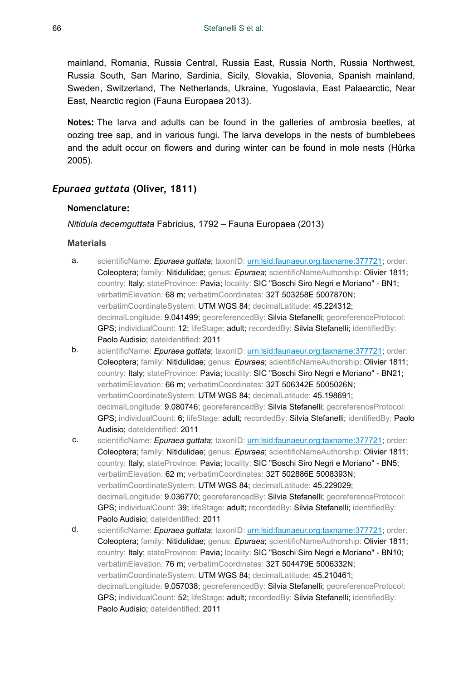mainland, Romania, Russia Central, Russia East, Russia North, Russia Northwest, Russia South, San Marino, Sardinia, Sicily, Slovakia, Slovenia, Spanish mainland, Sweden, Switzerland, The Netherlands, Ukraine, Yugoslavia, East Palaearctic, Near East, Nearctic region (Fauna Europaea 2013).

**Notes:** The larva and adults can be found in the galleries of ambrosia beetles, at oozing tree sap, and in various fungi. The larva develops in the nests of bumblebees and the adult occur on flowers and during winter can be found in mole nests (Hůrka 2005).

## *Epuraea guttata* **(Oliver, 1811)**

### **Nomenclature:**

*Nitidula decemguttata* Fabricius, 1792 – Fauna Europaea (2013)

- a. scientificName: *Epuraea guttata*; taxonID: [urn:lsid:faunaeur.org:taxname:377721](http://www.faunaeur.org/full_results.php?id=377721); order: Coleoptera; family: Nitidulidae; genus: *Epuraea*; scientificNameAuthorship: Olivier 1811; country: Italy; stateProvince: Pavia; locality: SIC "Boschi Siro Negri e Moriano" - BN1; verbatimElevation: 68 m; verbatimCoordinates: 32T 503258E 5007870N; verbatimCoordinateSystem: UTM WGS 84; decimalLatitude: 45.224312; decimalLongitude: 9.041499; georeferencedBy: Silvia Stefanelli; georeferenceProtocol: GPS; individualCount: 12; lifeStage: adult; recordedBy: Silvia Stefanelli; identifiedBy: Paolo Audisio: dateIdentified: 2011
- b. scientificName: *Epuraea guttata*; taxonID: [urn:lsid:faunaeur.org:taxname:377721](http://www.faunaeur.org/full_results.php?id=377721); order: Coleoptera; family: Nitidulidae; genus: *Epuraea*; scientificNameAuthorship: Olivier 1811; country: Italy; stateProvince: Pavia; locality: SIC "Boschi Siro Negri e Moriano" - BN21; verbatimElevation: 66 m; verbatimCoordinates: 32T 506342E 5005026N; verbatimCoordinateSystem: UTM WGS 84; decimalLatitude: 45.198691; decimalLongitude: 9.080746; georeferencedBy: Silvia Stefanelli; georeferenceProtocol: GPS; individualCount: 6; lifeStage: adult; recordedBy: Silvia Stefanelli; identifiedBy: Paolo Audisio; dateIdentified: 2011
- c. scientificName: *Epuraea guttata*; taxonID: [urn:lsid:faunaeur.org:taxname:377721](http://www.faunaeur.org/full_results.php?id=377721); order: Coleoptera; family: Nitidulidae; genus: *Epuraea*; scientificNameAuthorship: Olivier 1811; country: Italy; stateProvince: Pavia; locality: SIC "Boschi Siro Negri e Moriano" - BN5; verbatimElevation: 62 m; verbatimCoordinates: 32T 502886E 5008393N; verbatimCoordinateSystem: UTM WGS 84; decimalLatitude: 45.229029; decimalLongitude: 9.036770; georeferencedBy: Silvia Stefanelli; georeferenceProtocol: GPS; individualCount: 39; lifeStage: adult; recordedBy: Silvia Stefanelli; identifiedBy: Paolo Audisio: dateIdentified: 2011
- d. scientificName: *Epuraea guttata*; taxonID: [urn:lsid:faunaeur.org:taxname:377721](http://www.faunaeur.org/full_results.php?id=377721); order: Coleoptera; family: Nitidulidae; genus: *Epuraea*; scientificNameAuthorship: Olivier 1811; country: Italy; stateProvince: Pavia; locality: SIC "Boschi Siro Negri e Moriano" - BN10; verbatimElevation: 76 m; verbatimCoordinates: 32T 504479E 5006332N; verbatimCoordinateSystem: UTM WGS 84; decimalLatitude: 45.210461; decimalLongitude: 9.057038; georeferencedBy: Silvia Stefanelli; georeferenceProtocol: GPS; individualCount: 52; lifeStage: adult; recordedBy: Silvia Stefanelli; identifiedBy: Paolo Audisio: dateIdentified: 2011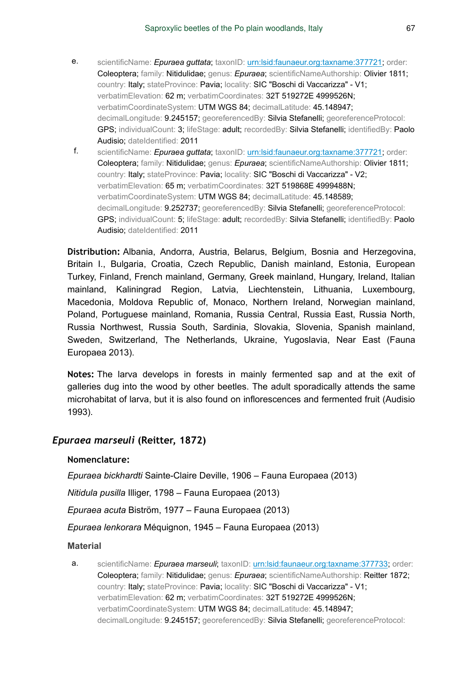- e. scientificName: *Epuraea guttata*; taxonID: [urn:lsid:faunaeur.org:taxname:377721](http://www.faunaeur.org/full_results.php?id=377721); order: Coleoptera; family: Nitidulidae; genus: *Epuraea*; scientificNameAuthorship: Olivier 1811; country: Italy; stateProvince: Pavia; locality: SIC "Boschi di Vaccarizza" - V1; verbatimElevation: 62 m; verbatimCoordinates: 32T 519272E 4999526N; verbatimCoordinateSystem: UTM WGS 84; decimalLatitude: 45.148947; decimalLongitude: 9.245157; georeferencedBy: Silvia Stefanelli; georeferenceProtocol: GPS; individualCount: 3; lifeStage: adult; recordedBy: Silvia Stefanelli; identifiedBy: Paolo Audisio: dateIdentified: 2011
- f. scientificName: *Epuraea guttata*; taxonID: [urn:lsid:faunaeur.org:taxname:377721](http://www.faunaeur.org/full_results.php?id=377721); order: Coleoptera; family: Nitidulidae; genus: *Epuraea*; scientificNameAuthorship: Olivier 1811; country: Italy; stateProvince: Pavia; locality: SIC "Boschi di Vaccarizza" - V2; verbatimElevation: 65 m; verbatimCoordinates: 32T 519868E 4999488N; verbatimCoordinateSystem: UTM WGS 84; decimalLatitude: 45.148589; decimalLongitude: 9.252737; georeferencedBy: Silvia Stefanelli; georeferenceProtocol: GPS; individualCount: 5; lifeStage: adult; recordedBy: Silvia Stefanelli; identifiedBy: Paolo Audisio: dateIdentified: 2011

**Distribution:** Albania, Andorra, Austria, Belarus, Belgium, Bosnia and Herzegovina, Britain I., Bulgaria, Croatia, Czech Republic, Danish mainland, Estonia, European Turkey, Finland, French mainland, Germany, Greek mainland, Hungary, Ireland, Italian mainland, Kaliningrad Region, Latvia, Liechtenstein, Lithuania, Luxembourg, Macedonia, Moldova Republic of, Monaco, Northern Ireland, Norwegian mainland, Poland, Portuguese mainland, Romania, Russia Central, Russia East, Russia North, Russia Northwest, Russia South, Sardinia, Slovakia, Slovenia, Spanish mainland, Sweden, Switzerland, The Netherlands, Ukraine, Yugoslavia, Near East (Fauna Europaea 2013).

**Notes:** The larva develops in forests in mainly fermented sap and at the exit of galleries dug into the wood by other beetles. The adult sporadically attends the same microhabitat of larva, but it is also found on inflorescences and fermented fruit (Audisio 1993).

## *Epuraea marseuli* **(Reitter, 1872)**

### **Nomenclature:**

*Epuraea bickhardti* Sainte-Claire Deville, 1906 – Fauna Europaea (2013)

*Nitidula pusilla* Illiger, 1798 – Fauna Europaea (2013)

*Epuraea acuta* Biström, 1977 – Fauna Europaea (2013)

*Epuraea lenkorara* Méquignon, 1945 – Fauna Europaea (2013)

### **Material**

a. scientificName: *Epuraea marseuli*; taxonID: [urn:lsid:faunaeur.org:taxname:377733;](http://www.faunaeur.org/full_results.php?id=377733) order: Coleoptera; family: Nitidulidae; genus: *Epuraea*; scientificNameAuthorship: Reitter 1872; country: Italy; stateProvince: Pavia; locality: SIC "Boschi di Vaccarizza" - V1; verbatimElevation: 62 m; verbatimCoordinates: 32T 519272E 4999526N; verbatimCoordinateSystem: UTM WGS 84; decimalLatitude: 45.148947; decimalLongitude: 9.245157; georeferencedBy: Silvia Stefanelli; georeferenceProtocol: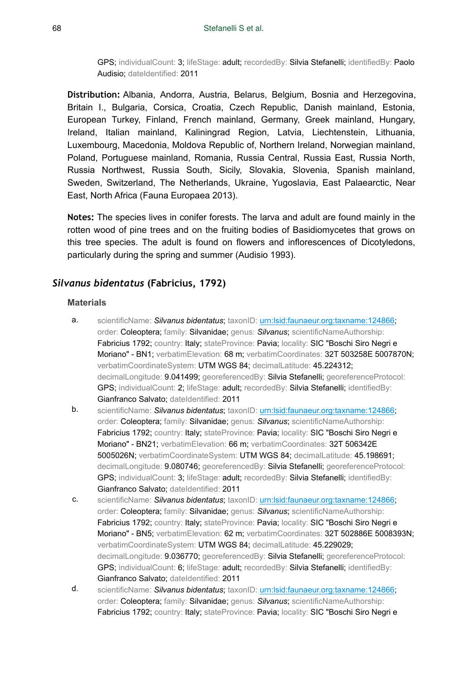GPS; individualCount: 3; lifeStage: adult; recordedBy: Silvia Stefanelli; identifiedBy: Paolo Audisio: dateIdentified: 2011

**Distribution:** Albania, Andorra, Austria, Belarus, Belgium, Bosnia and Herzegovina, Britain I., Bulgaria, Corsica, Croatia, Czech Republic, Danish mainland, Estonia, European Turkey, Finland, French mainland, Germany, Greek mainland, Hungary, Ireland, Italian mainland, Kaliningrad Region, Latvia, Liechtenstein, Lithuania, Luxembourg, Macedonia, Moldova Republic of, Northern Ireland, Norwegian mainland, Poland, Portuguese mainland, Romania, Russia Central, Russia East, Russia North, Russia Northwest, Russia South, Sicily, Slovakia, Slovenia, Spanish mainland, Sweden, Switzerland, The Netherlands, Ukraine, Yugoslavia, East Palaearctic, Near East, North Africa (Fauna Europaea 2013).

**Notes:** The species lives in conifer forests. The larva and adult are found mainly in the rotten wood of pine trees and on the fruiting bodies of Basidiomycetes that grows on this tree species. The adult is found on flowers and inflorescences of Dicotyledons, particularly during the spring and summer (Audisio 1993).

## *Silvanus bidentatus* **(Fabricius, 1792)**

- a. scientificName: *Silvanus bidentatus*; taxonID: [urn:lsid:faunaeur.org:taxname:124866;](http://www.faunaeur.org/full_results.php?id=124866) order: Coleoptera; family: Silvanidae; genus: *Silvanus*; scientificNameAuthorship: Fabricius 1792; country: Italy; stateProvince: Pavia; locality: SIC "Boschi Siro Negri e Moriano" - BN1; verbatimElevation: 68 m; verbatimCoordinates: 32T 503258E 5007870N; verbatimCoordinateSystem: UTM WGS 84; decimalLatitude: 45.224312; decimalLongitude: 9.041499; georeferencedBy: Silvia Stefanelli; georeferenceProtocol: GPS; individualCount: 2; lifeStage: adult; recordedBy: Silvia Stefanelli; identifiedBy: Gianfranco Salvato; dateIdentified: 2011
- b. scientificName: *Silvanus bidentatus*; taxonID: [urn:lsid:faunaeur.org:taxname:124866;](http://www.faunaeur.org/full_results.php?id=124866) order: Coleoptera; family: Silvanidae; genus: *Silvanus*; scientificNameAuthorship: Fabricius 1792; country: Italy; stateProvince: Pavia; locality: SIC "Boschi Siro Negri e Moriano" - BN21; verbatimElevation: 66 m; verbatimCoordinates: 32T 506342E 5005026N; verbatimCoordinateSystem: UTM WGS 84; decimalLatitude: 45.198691; decimalLongitude: 9.080746; georeferencedBy: Silvia Stefanelli; georeferenceProtocol: GPS; individualCount: 3; lifeStage: adult; recordedBy: Silvia Stefanelli; identifiedBy: Gianfranco Salvato: dateIdentified: 2011
- c. scientificName: *Silvanus bidentatus*; taxonID: [urn:lsid:faunaeur.org:taxname:124866;](http://www.faunaeur.org/full_results.php?id=124866) order: Coleoptera; family: Silvanidae; genus: *Silvanus*; scientificNameAuthorship: Fabricius 1792; country: Italy; stateProvince: Pavia; locality: SIC "Boschi Siro Negri e Moriano" - BN5; verbatimElevation: 62 m; verbatimCoordinates: 32T 502886E 5008393N; verbatimCoordinateSystem: UTM WGS 84; decimalLatitude: 45.229029; decimalLongitude: 9.036770; georeferencedBy: Silvia Stefanelli; georeferenceProtocol: GPS; individualCount: 6; lifeStage: adult; recordedBy: Silvia Stefanelli; identifiedBy: Gianfranco Salvato: dateIdentified: 2011
- d. scientificName: *Silvanus bidentatus*; taxonID: [urn:lsid:faunaeur.org:taxname:124866;](http://www.faunaeur.org/full_results.php?id=124866) order: Coleoptera; family: Silvanidae; genus: *Silvanus*; scientificNameAuthorship: Fabricius 1792; country: Italy; stateProvince: Pavia; locality: SIC "Boschi Siro Negri e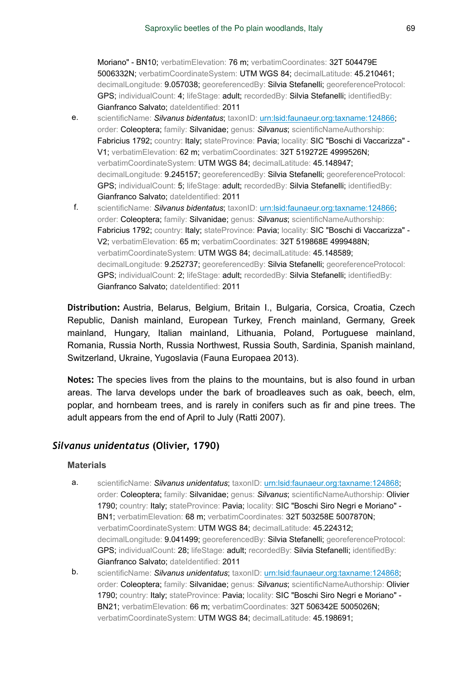- e. scientificName: *Silvanus bidentatus*; taxonID: [urn:lsid:faunaeur.org:taxname:124866;](http://www.faunaeur.org/full_results.php?id=124866) order: Coleoptera; family: Silvanidae; genus: *Silvanus*; scientificNameAuthorship: Fabricius 1792; country: Italy; stateProvince: Pavia; locality: SIC "Boschi di Vaccarizza" - V1; verbatimElevation: 62 m; verbatimCoordinates: 32T 519272E 4999526N; verbatimCoordinateSystem: UTM WGS 84; decimalLatitude: 45.148947; decimalLongitude: 9.245157; georeferencedBy: Silvia Stefanelli; georeferenceProtocol: GPS; individualCount: 5; lifeStage: adult; recordedBy: Silvia Stefanelli; identifiedBy: Gianfranco Salvato; dateIdentified: 2011
- f. scientificName: *Silvanus bidentatus*; taxonID: [urn:lsid:faunaeur.org:taxname:124866;](http://www.faunaeur.org/full_results.php?id=124866) order: Coleoptera; family: Silvanidae; genus: *Silvanus*; scientificNameAuthorship: Fabricius 1792; country: Italy; stateProvince: Pavia; locality: SIC "Boschi di Vaccarizza" - V2; verbatimElevation: 65 m; verbatimCoordinates: 32T 519868E 4999488N; verbatimCoordinateSystem: UTM WGS 84; decimalLatitude: 45.148589; decimalLongitude: 9.252737; georeferencedBy: Silvia Stefanelli; georeferenceProtocol: GPS; individualCount: 2; lifeStage: adult; recordedBy: Silvia Stefanelli; identifiedBy: Gianfranco Salvato: dateIdentified: 2011

**Distribution:** Austria, Belarus, Belgium, Britain I., Bulgaria, Corsica, Croatia, Czech Republic, Danish mainland, European Turkey, French mainland, Germany, Greek mainland, Hungary, Italian mainland, Lithuania, Poland, Portuguese mainland, Romania, Russia North, Russia Northwest, Russia South, Sardinia, Spanish mainland, Switzerland, Ukraine, Yugoslavia (Fauna Europaea 2013).

**Notes:** The species lives from the plains to the mountains, but is also found in urban areas. The larva develops under the bark of broadleaves such as oak, beech, elm, poplar, and hornbeam trees, and is rarely in conifers such as fir and pine trees. The adult appears from the end of April to July (Ratti 2007).

## *Silvanus unidentatus* **(Olivier, 1790)**

- a. scientificName: *Silvanus unidentatus*; taxonID: [urn:lsid:faunaeur.org:taxname:124868](http://www.faunaeur.org/full_results.php?id=124868); order: Coleoptera; family: Silvanidae; genus: *Silvanus*; scientificNameAuthorship: Olivier 1790; country: Italy; stateProvince: Pavia; locality: SIC "Boschi Siro Negri e Moriano" -BN1; verbatimElevation: 68 m; verbatimCoordinates: 32T 503258E 5007870N; verbatimCoordinateSystem: UTM WGS 84; decimalLatitude: 45.224312; decimalLongitude: 9.041499; georeferencedBy: Silvia Stefanelli; georeferenceProtocol: GPS; individualCount: 28; lifeStage: adult; recordedBy: Silvia Stefanelli; identifiedBy: Gianfranco Salvato: dateIdentified: 2011
- b. scientificName: *Silvanus unidentatus*; taxonID: [urn:lsid:faunaeur.org:taxname:124868](http://www.faunaeur.org/full_results.php?id=124868); order: Coleoptera; family: Silvanidae; genus: *Silvanus*; scientificNameAuthorship: Olivier 1790; country: Italy; stateProvince: Pavia; locality: SIC "Boschi Siro Negri e Moriano" -BN21; verbatimElevation: 66 m; verbatimCoordinates: 32T 506342E 5005026N; verbatimCoordinateSystem: UTM WGS 84; decimalLatitude: 45.198691;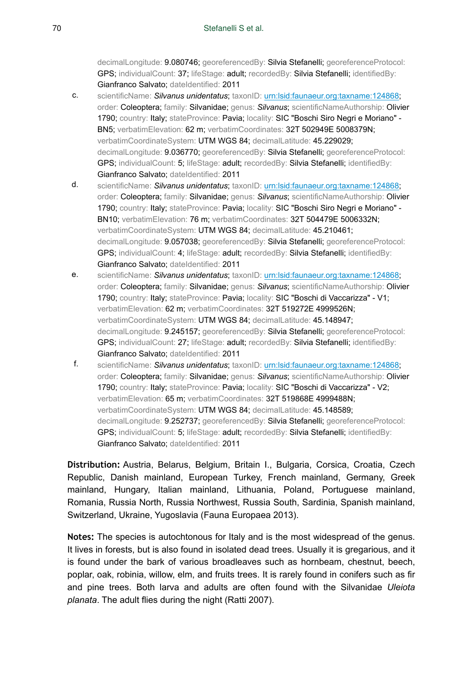decimalLongitude: 9.080746; georeferencedBy: Silvia Stefanelli; georeferenceProtocol: GPS; individualCount: 37; lifeStage: adult; recordedBy: Silvia Stefanelli; identifiedBy: Gianfranco Salvato; dateIdentified: 2011

- c. scientificName: *Silvanus unidentatus*; taxonID: [urn:lsid:faunaeur.org:taxname:124868](http://www.faunaeur.org/full_results.php?id=124868); order: Coleoptera; family: Silvanidae; genus: *Silvanus*; scientificNameAuthorship: Olivier 1790; country: Italy; stateProvince: Pavia; locality: SIC "Boschi Siro Negri e Moriano" -BN5; verbatimElevation: 62 m; verbatimCoordinates: 32T 502949E 5008379N; verbatimCoordinateSystem: UTM WGS 84; decimalLatitude: 45.229029; decimalLongitude: 9.036770; georeferencedBy: Silvia Stefanelli; georeferenceProtocol: GPS; individualCount: 5; lifeStage: adult; recordedBy: Silvia Stefanelli; identifiedBy: Gianfranco Salvato: dateIdentified: 2011
- d. scientificName: *Silvanus unidentatus*; taxonID: [urn:lsid:faunaeur.org:taxname:124868](http://www.faunaeur.org/full_results.php?id=124868); order: Coleoptera; family: Silvanidae; genus: *Silvanus*; scientificNameAuthorship: Olivier 1790; country: Italy; stateProvince: Pavia; locality: SIC "Boschi Siro Negri e Moriano" - BN10; verbatimElevation: 76 m; verbatimCoordinates: 32T 504479E 5006332N; verbatimCoordinateSystem: UTM WGS 84; decimalLatitude: 45.210461; decimalLongitude: 9.057038; georeferencedBy: Silvia Stefanelli; georeferenceProtocol: GPS; individualCount: 4; lifeStage: adult; recordedBy: Silvia Stefanelli; identifiedBy: Gianfranco Salvato; dateIdentified: 2011
- e. scientificName: *Silvanus unidentatus*; taxonID: [urn:lsid:faunaeur.org:taxname:124868](http://www.faunaeur.org/full_results.php?id=124868); order: Coleoptera; family: Silvanidae; genus: *Silvanus*; scientificNameAuthorship: Olivier 1790; country: Italy; stateProvince: Pavia; locality: SIC "Boschi di Vaccarizza" - V1; verbatimElevation: 62 m; verbatimCoordinates: 32T 519272E 4999526N; verbatimCoordinateSystem: UTM WGS 84; decimalLatitude: 45.148947; decimalLongitude: 9.245157; georeferencedBy: Silvia Stefanelli; georeferenceProtocol: GPS; individualCount: 27; lifeStage: adult; recordedBy: Silvia Stefanelli; identifiedBy: Gianfranco Salvato: dateIdentified: 2011
- f. scientificName: *Silvanus unidentatus*; taxonID: [urn:lsid:faunaeur.org:taxname:124868](http://www.faunaeur.org/full_results.php?id=124868); order: Coleoptera; family: Silvanidae; genus: *Silvanus*; scientificNameAuthorship: Olivier 1790; country: Italy; stateProvince: Pavia; locality: SIC "Boschi di Vaccarizza" - V2; verbatimElevation: 65 m; verbatimCoordinates: 32T 519868E 4999488N; verbatimCoordinateSystem: UTM WGS 84; decimalLatitude: 45.148589; decimalLongitude: 9.252737; georeferencedBy: Silvia Stefanelli; georeferenceProtocol: GPS; individualCount: 5; lifeStage: adult; recordedBy: Silvia Stefanelli; identifiedBy: Gianfranco Salvato; dateIdentified: 2011

**Distribution:** Austria, Belarus, Belgium, Britain I., Bulgaria, Corsica, Croatia, Czech Republic, Danish mainland, European Turkey, French mainland, Germany, Greek mainland, Hungary, Italian mainland, Lithuania, Poland, Portuguese mainland, Romania, Russia North, Russia Northwest, Russia South, Sardinia, Spanish mainland, Switzerland, Ukraine, Yugoslavia (Fauna Europaea 2013).

**Notes:** The species is autochtonous for Italy and is the most widespread of the genus. It lives in forests, but is also found in isolated dead trees. Usually it is gregarious, and it is found under the bark of various broadleaves such as hornbeam, chestnut, beech, poplar, oak, robinia, willow, elm, and fruits trees. It is rarely found in conifers such as fir and pine trees. Both larva and adults are often found with the Silvanidae *Uleiota planata*. The adult flies during the night (Ratti 2007).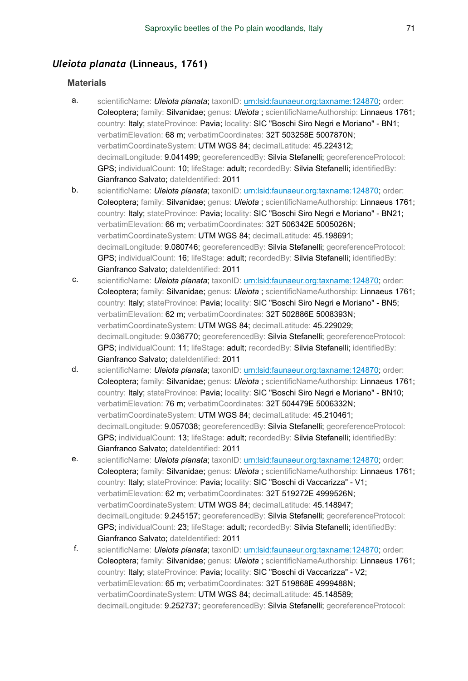# *Uleiota planata* **(Linneaus, 1761)**

- a. scientificName: *Uleiota planata*; taxonID: [urn:lsid:faunaeur.org:taxname:124870;](http://www.faunaeur.org/full_results.php?id=124870) order: Coleoptera; family: Silvanidae; genus: *Uleiota* ; scientificNameAuthorship: Linnaeus 1761; country: Italy; stateProvince: Pavia; locality: SIC "Boschi Siro Negri e Moriano" - BN1; verbatimElevation: 68 m; verbatimCoordinates: 32T 503258E 5007870N; verbatimCoordinateSystem: UTM WGS 84; decimalLatitude: 45.224312; decimalLongitude: 9.041499; georeferencedBy: Silvia Stefanelli; georeferenceProtocol: GPS; individualCount: 10; lifeStage: adult; recordedBy: Silvia Stefanelli; identifiedBy: Gianfranco Salvato: dateIdentified: 2011
- b. scientificName: *Uleiota planata*; taxonID: [urn:lsid:faunaeur.org:taxname:124870;](http://www.faunaeur.org/full_results.php?id=124870) order: Coleoptera; family: Silvanidae; genus: *Uleiota* ; scientificNameAuthorship: Linnaeus 1761; country: Italy; stateProvince: Pavia; locality: SIC "Boschi Siro Negri e Moriano" - BN21; verbatimElevation: 66 m; verbatimCoordinates: 32T 506342E 5005026N; verbatimCoordinateSystem: UTM WGS 84; decimalLatitude: 45.198691; decimalLongitude: 9.080746; georeferencedBy: Silvia Stefanelli; georeferenceProtocol: GPS; individualCount: 16; lifeStage: adult; recordedBy: Silvia Stefanelli; identifiedBy: Gianfranco Salvato: dateIdentified: 2011
- c. scientificName: *Uleiota planata*; taxonID: [urn:lsid:faunaeur.org:taxname:124870;](http://www.faunaeur.org/full_results.php?id=124870) order: Coleoptera; family: Silvanidae; genus: *Uleiota* ; scientificNameAuthorship: Linnaeus 1761; country: Italy; stateProvince: Pavia; locality: SIC "Boschi Siro Negri e Moriano" - BN5; verbatimElevation: 62 m; verbatimCoordinates: 32T 502886E 5008393N; verbatimCoordinateSystem: UTM WGS 84; decimalLatitude: 45.229029; decimalLongitude: 9.036770; georeferencedBy: Silvia Stefanelli; georeferenceProtocol: GPS; individualCount: 11; lifeStage: adult; recordedBy: Silvia Stefanelli; identifiedBy: Gianfranco Salvato: dateIdentified: 2011
- d. scientificName: *Uleiota planata*; taxonID: [urn:lsid:faunaeur.org:taxname:124870;](http://www.faunaeur.org/full_results.php?id=124870) order: Coleoptera; family: Silvanidae; genus: *Uleiota* ; scientificNameAuthorship: Linnaeus 1761; country: Italy; stateProvince: Pavia; locality: SIC "Boschi Siro Negri e Moriano" - BN10; verbatimElevation: 76 m; verbatimCoordinates: 32T 504479E 5006332N; verbatimCoordinateSystem: UTM WGS 84; decimalLatitude: 45.210461; decimalLongitude: 9.057038; georeferencedBy: Silvia Stefanelli; georeferenceProtocol: GPS; individualCount: 13; lifeStage: adult; recordedBy: Silvia Stefanelli; identifiedBy: Gianfranco Salvato; dateIdentified: 2011
- e. scientificName: *Uleiota planata*; taxonID: [urn:lsid:faunaeur.org:taxname:124870;](http://www.faunaeur.org/full_results.php?id=124870) order: Coleoptera; family: Silvanidae; genus: *Uleiota* ; scientificNameAuthorship: Linnaeus 1761; country: Italy; stateProvince: Pavia; locality: SIC "Boschi di Vaccarizza" - V1; verbatimElevation: 62 m; verbatimCoordinates: 32T 519272E 4999526N; verbatimCoordinateSystem: UTM WGS 84; decimalLatitude: 45.148947; decimalLongitude: 9.245157; georeferencedBy: Silvia Stefanelli; georeferenceProtocol: GPS; individualCount: 23; lifeStage: adult; recordedBy: Silvia Stefanelli; identifiedBy: Gianfranco Salvato; dateIdentified: 2011
- f. scientificName: *Uleiota planata*; taxonID: [urn:lsid:faunaeur.org:taxname:124870;](http://www.faunaeur.org/full_results.php?id=124870) order: Coleoptera; family: Silvanidae; genus: *Uleiota* ; scientificNameAuthorship: Linnaeus 1761; country: Italy; stateProvince: Pavia; locality: SIC "Boschi di Vaccarizza" - V2; verbatimElevation: 65 m; verbatimCoordinates: 32T 519868E 4999488N; verbatimCoordinateSystem: UTM WGS 84; decimalLatitude: 45.148589; decimalLongitude: 9.252737; georeferencedBy: Silvia Stefanelli; georeferenceProtocol: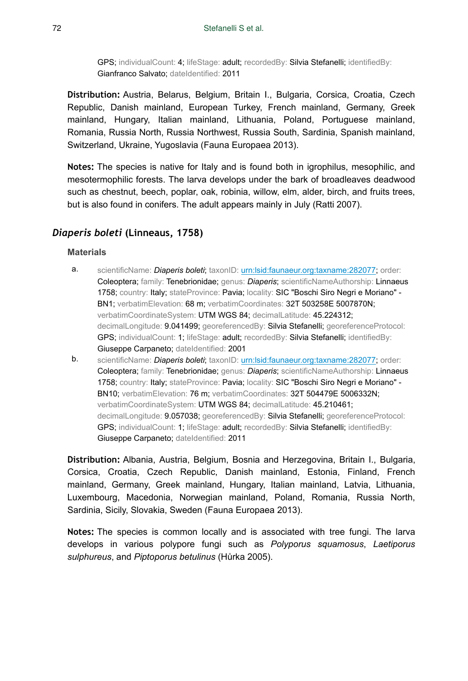GPS; individualCount: 4; lifeStage: adult; recordedBy: Silvia Stefanelli; identifiedBy: Gianfranco Salvato: dateIdentified: 2011

**Distribution:** Austria, Belarus, Belgium, Britain I., Bulgaria, Corsica, Croatia, Czech Republic, Danish mainland, European Turkey, French mainland, Germany, Greek mainland, Hungary, Italian mainland, Lithuania, Poland, Portuguese mainland, Romania, Russia North, Russia Northwest, Russia South, Sardinia, Spanish mainland, Switzerland, Ukraine, Yugoslavia (Fauna Europaea 2013).

**Notes:** The species is native for Italy and is found both in igrophilus, mesophilic, and mesotermophilic forests. The larva develops under the bark of broadleaves deadwood such as chestnut, beech, poplar, oak, robinia, willow, elm, alder, birch, and fruits trees, but is also found in conifers. The adult appears mainly in July (Ratti 2007).

# *Diaperis boleti* **(Linneaus, 1758)**

#### **Materials**

- a. scientificName: *Diaperis boleti*; taxonID: [urn:lsid:faunaeur.org:taxname:282077;](http://www.faunaeur.org/full_results.php?id=282077) order: Coleoptera; family: Tenebrionidae; genus: *Diaperis*; scientificNameAuthorship: Linnaeus 1758; country: Italy; stateProvince: Pavia; locality: SIC "Boschi Siro Negri e Moriano" - BN1; verbatimElevation: 68 m; verbatimCoordinates: 32T 503258E 5007870N; verbatimCoordinateSystem: UTM WGS 84; decimalLatitude: 45.224312; decimalLongitude: 9.041499; georeferencedBy: Silvia Stefanelli; georeferenceProtocol: GPS; individualCount: 1; lifeStage: adult; recordedBy: Silvia Stefanelli; identifiedBy: Giuseppe Carpaneto; dateIdentified: 2001
- b. scientificName: *Diaperis boleti*; taxonID: [urn:lsid:faunaeur.org:taxname:282077;](http://www.faunaeur.org/full_results.php?id=282077) order: Coleoptera; family: Tenebrionidae; genus: *Diaperis*; scientificNameAuthorship: Linnaeus 1758; country: Italy; stateProvince: Pavia; locality: SIC "Boschi Siro Negri e Moriano" -BN10; verbatimElevation: 76 m; verbatimCoordinates: 32T 504479E 5006332N; verbatimCoordinateSystem: UTM WGS 84; decimalLatitude: 45.210461; decimalLongitude: 9.057038; georeferencedBy: Silvia Stefanelli; georeferenceProtocol: GPS; individualCount: 1; lifeStage: adult; recordedBy: Silvia Stefanelli; identifiedBy: Giuseppe Carpaneto; dateIdentified: 2011

**Distribution:** Albania, Austria, Belgium, Bosnia and Herzegovina, Britain I., Bulgaria, Corsica, Croatia, Czech Republic, Danish mainland, Estonia, Finland, French mainland, Germany, Greek mainland, Hungary, Italian mainland, Latvia, Lithuania, Luxembourg, Macedonia, Norwegian mainland, Poland, Romania, Russia North, Sardinia, Sicily, Slovakia, Sweden (Fauna Europaea 2013).

**Notes:** The species is common locally and is associated with tree fungi. The larva develops in various polypore fungi such as *Polyporus squamosus*, *Laetiporus sulphureus*, and *Piptoporus betulinus* (Hůrka 2005).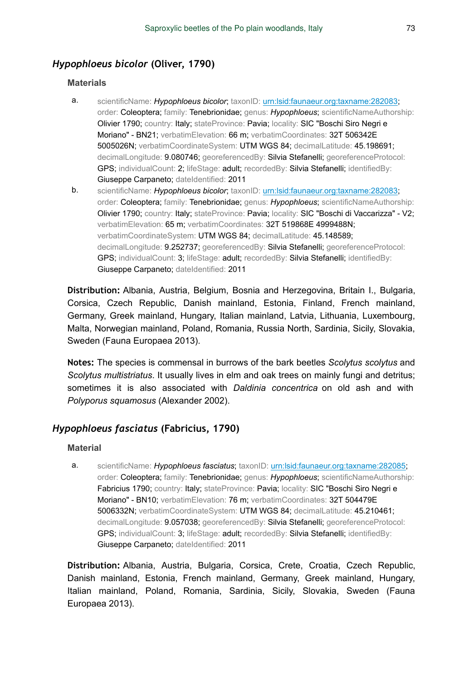# *Hypophloeus bicolor* **(Oliver, 1790)**

#### **Materials**

- a. scientificName: *Hypophloeus bicolor*; taxonID: [urn:lsid:faunaeur.org:taxname:282083;](http://www.faunaeur.org/full_results.php?id=282083) order: Coleoptera; family: Tenebrionidae; genus: *Hypophloeus*; scientificNameAuthorship: Olivier 1790; country: Italy; stateProvince: Pavia; locality: SIC "Boschi Siro Negri e Moriano" - BN21; verbatimElevation: 66 m; verbatimCoordinates: 32T 506342E 5005026N; verbatimCoordinateSystem: UTM WGS 84; decimalLatitude: 45.198691; decimalLongitude: 9.080746; georeferencedBy: Silvia Stefanelli; georeferenceProtocol: GPS; individualCount: 2; lifeStage: adult; recordedBy: Silvia Stefanelli; identifiedBy: Giuseppe Carpaneto; dateIdentified: 2011
- b. scientificName: *Hypophloeus bicolor*; taxonID: [urn:lsid:faunaeur.org:taxname:282083;](http://www.faunaeur.org/full_results.php?id=282083) order: Coleoptera; family: Tenebrionidae; genus: *Hypophloeus*; scientificNameAuthorship: Olivier 1790; country: Italy; stateProvince: Pavia; locality: SIC "Boschi di Vaccarizza" - V2; verbatimElevation: 65 m; verbatimCoordinates: 32T 519868E 4999488N; verbatimCoordinateSystem: UTM WGS 84; decimalLatitude: 45.148589; decimalLongitude: 9.252737; georeferencedBy: Silvia Stefanelli; georeferenceProtocol: GPS; individualCount: 3; lifeStage: adult; recordedBy: Silvia Stefanelli; identifiedBy: Giuseppe Carpaneto; dateIdentified: 2011

**Distribution:** Albania, Austria, Belgium, Bosnia and Herzegovina, Britain I., Bulgaria, Corsica, Czech Republic, Danish mainland, Estonia, Finland, French mainland, Germany, Greek mainland, Hungary, Italian mainland, Latvia, Lithuania, Luxembourg, Malta, Norwegian mainland, Poland, Romania, Russia North, Sardinia, Sicily, Slovakia, Sweden (Fauna Europaea 2013).

**Notes:** The species is commensal in burrows of the bark beetles *Scolytus scolytus* and *Scolytus multistriatus*. It usually lives in elm and oak trees on mainly fungi and detritus; sometimes it is also associated with *Daldinia concentrica* on old ash and with *Polyporus squamosus* (Alexander 2002).

### *Hypophloeus fasciatus* **(Fabricius, 1790)**

#### **Material**

a. scientificName: *Hypophloeus fasciatus*; taxonID: [urn:lsid:faunaeur.org:taxname:282085;](http://www.faunaeur.org/full_results.php?id=282085) order: Coleoptera; family: Tenebrionidae; genus: *Hypophloeus*; scientificNameAuthorship: Fabricius 1790; country: Italy; stateProvince: Pavia; locality: SIC "Boschi Siro Negri e Moriano" - BN10; verbatimElevation: 76 m; verbatimCoordinates: 32T 504479E 5006332N; verbatimCoordinateSystem: UTM WGS 84; decimalLatitude: 45.210461; decimalLongitude: 9.057038; georeferencedBy: Silvia Stefanelli; georeferenceProtocol: GPS; individualCount: 3; lifeStage: adult; recordedBy: Silvia Stefanelli; identifiedBy: Giuseppe Carpaneto; dateIdentified: 2011

**Distribution:** Albania, Austria, Bulgaria, Corsica, Crete, Croatia, Czech Republic, Danish mainland, Estonia, French mainland, Germany, Greek mainland, Hungary, Italian mainland, Poland, Romania, Sardinia, Sicily, Slovakia, Sweden (Fauna Europaea 2013).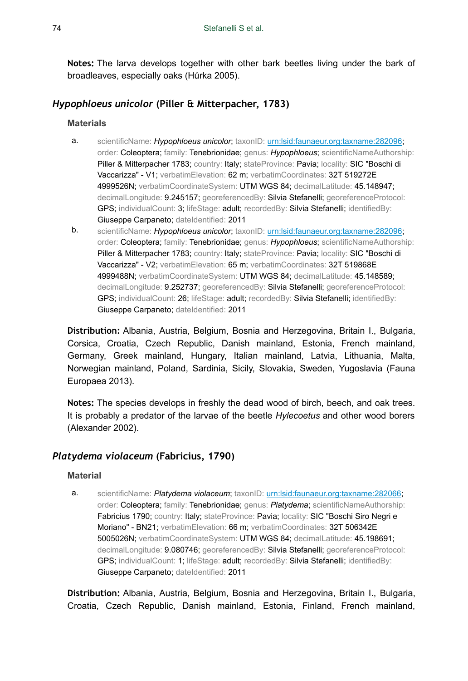**Notes:** The larva develops together with other bark beetles living under the bark of broadleaves, especially oaks (Hůrka 2005).

# *Hypophloeus unicolor* **(Piller & Mitterpacher, 1783)**

#### **Materials**

- a. scientificName: *Hypophloeus unicolor*; taxonID: [urn:lsid:faunaeur.org:taxname:282096](http://www.faunaeur.org/full_results.php?id=282096); order: Coleoptera; family: Tenebrionidae; genus: *Hypophloeus*; scientificNameAuthorship: Piller & Mitterpacher 1783; country: Italy; stateProvince: Pavia; locality: SIC "Boschi di Vaccarizza" - V1; verbatimElevation: 62 m; verbatimCoordinates: 32T 519272E 4999526N; verbatimCoordinateSystem: UTM WGS 84; decimalLatitude: 45.148947; decimalLongitude: 9.245157; georeferencedBy: Silvia Stefanelli; georeferenceProtocol: GPS; individualCount: 3; lifeStage: adult; recordedBy: Silvia Stefanelli; identifiedBy: Giuseppe Carpaneto; dateIdentified: 2011
- b. scientificName: *Hypophloeus unicolor*; taxonID: [urn:lsid:faunaeur.org:taxname:282096](http://www.faunaeur.org/full_results.php?id=282096); order: Coleoptera; family: Tenebrionidae; genus: *Hypophloeus*; scientificNameAuthorship: Piller & Mitterpacher 1783; country: Italy; stateProvince: Pavia; locality: SIC "Boschi di Vaccarizza" - V2; verbatimElevation: 65 m; verbatimCoordinates: 32T 519868E 4999488N; verbatimCoordinateSystem: UTM WGS 84; decimalLatitude: 45.148589; decimalLongitude: 9.252737; georeferencedBy: Silvia Stefanelli; georeferenceProtocol: GPS; individualCount: 26; lifeStage: adult; recordedBy: Silvia Stefanelli; identifiedBy: Giuseppe Carpaneto; dateIdentified: 2011

**Distribution:** Albania, Austria, Belgium, Bosnia and Herzegovina, Britain I., Bulgaria, Corsica, Croatia, Czech Republic, Danish mainland, Estonia, French mainland, Germany, Greek mainland, Hungary, Italian mainland, Latvia, Lithuania, Malta, Norwegian mainland, Poland, Sardinia, Sicily, Slovakia, Sweden, Yugoslavia (Fauna Europaea 2013).

**Notes:** The species develops in freshly the dead wood of birch, beech, and oak trees. It is probably a predator of the larvae of the beetle *Hylecoetus* and other wood borers (Alexander 2002).

### *Platydema violaceum* **(Fabricius, 1790)**

#### **Material**

a. scientificName: *Platydema violaceum*; taxonID: [urn:lsid:faunaeur.org:taxname:282066](http://www.faunaeur.org/full_results.php?id=282066); order: Coleoptera; family: Tenebrionidae; genus: *Platydema*; scientificNameAuthorship: Fabricius 1790; country: Italy; stateProvince: Pavia; locality: SIC "Boschi Siro Negri e Moriano" - BN21; verbatimElevation: 66 m; verbatimCoordinates: 32T 506342E 5005026N; verbatimCoordinateSystem: UTM WGS 84; decimalLatitude: 45.198691; decimalLongitude: 9.080746; georeferencedBy: Silvia Stefanelli; georeferenceProtocol: GPS; individualCount: 1; lifeStage: adult; recordedBy: Silvia Stefanelli; identifiedBy: Giuseppe Carpaneto; dateIdentified: 2011

**Distribution:** Albania, Austria, Belgium, Bosnia and Herzegovina, Britain I., Bulgaria, Croatia, Czech Republic, Danish mainland, Estonia, Finland, French mainland,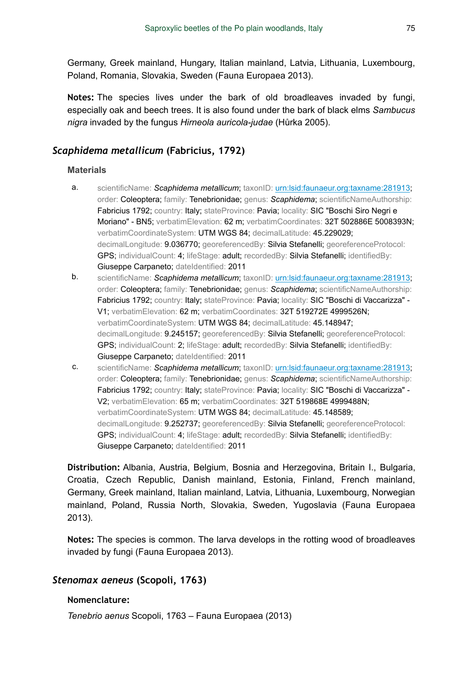Germany, Greek mainland, Hungary, Italian mainland, Latvia, Lithuania, Luxembourg, Poland, Romania, Slovakia, Sweden (Fauna Europaea 2013).

**Notes:** The species lives under the bark of old broadleaves invaded by fungi, especially oak and beech trees. It is also found under the bark of black elms *Sambucus nigra* invaded by the fungus *Hirneola auricola-judae* (Hůrka 2005).

# *Scaphidema metallicum* **(Fabricius, 1792)**

#### **Materials**

- a. scientificName: *Scaphidema metallicum*; taxonID: [urn:lsid:faunaeur.org:taxname:281913](http://www.faunaeur.org/full_results.php?id=281913); order: Coleoptera; family: Tenebrionidae; genus: *Scaphidema*; scientificNameAuthorship: Fabricius 1792; country: Italy; stateProvince: Pavia; locality: SIC "Boschi Siro Negri e Moriano" - BN5; verbatimElevation: 62 m; verbatimCoordinates: 32T 502886E 5008393N; verbatimCoordinateSystem: UTM WGS 84; decimalLatitude: 45.229029; decimalLongitude: 9.036770; georeferencedBy: Silvia Stefanelli; georeferenceProtocol: GPS; individualCount: 4; lifeStage: adult; recordedBy: Silvia Stefanelli; identifiedBy: Giuseppe Carpaneto; dateIdentified: 2011
- b. scientificName: *Scaphidema metallicum*; taxonID: [urn:lsid:faunaeur.org:taxname:281913](http://www.faunaeur.org/full_results.php?id=281913); order: Coleoptera; family: Tenebrionidae; genus: *Scaphidema*; scientificNameAuthorship: Fabricius 1792; country: Italy; stateProvince: Pavia; locality: SIC "Boschi di Vaccarizza" - V1; verbatimElevation: 62 m; verbatimCoordinates: 32T 519272E 4999526N; verbatimCoordinateSystem: UTM WGS 84; decimalLatitude: 45.148947; decimalLongitude: 9.245157; georeferencedBy: Silvia Stefanelli; georeferenceProtocol: GPS; individualCount: 2; lifeStage: adult; recordedBy: Silvia Stefanelli; identifiedBy: Giuseppe Carpaneto: dateIdentified: 2011
- c. scientificName: *Scaphidema metallicum*; taxonID: [urn:lsid:faunaeur.org:taxname:281913](http://www.faunaeur.org/full_results.php?id=281913); order: Coleoptera; family: Tenebrionidae; genus: *Scaphidema*; scientificNameAuthorship: Fabricius 1792; country: Italy; stateProvince: Pavia; locality: SIC "Boschi di Vaccarizza" - V2; verbatimElevation: 65 m; verbatimCoordinates: 32T 519868E 4999488N; verbatimCoordinateSystem: UTM WGS 84; decimalLatitude: 45.148589; decimalLongitude: 9.252737; georeferencedBy: Silvia Stefanelli; georeferenceProtocol: GPS; individualCount: 4; lifeStage: adult; recordedBy: Silvia Stefanelli; identifiedBy: Giuseppe Carpaneto; dateIdentified: 2011

**Distribution:** Albania, Austria, Belgium, Bosnia and Herzegovina, Britain I., Bulgaria, Croatia, Czech Republic, Danish mainland, Estonia, Finland, French mainland, Germany, Greek mainland, Italian mainland, Latvia, Lithuania, Luxembourg, Norwegian mainland, Poland, Russia North, Slovakia, Sweden, Yugoslavia (Fauna Europaea 2013).

**Notes:** The species is common. The larva develops in the rotting wood of broadleaves invaded by fungi (Fauna Europaea 2013).

### *Stenomax aeneus* **(Scopoli, 1763)**

### **Nomenclature:**

*Tenebrio aenus* Scopoli, 1763 – Fauna Europaea (2013)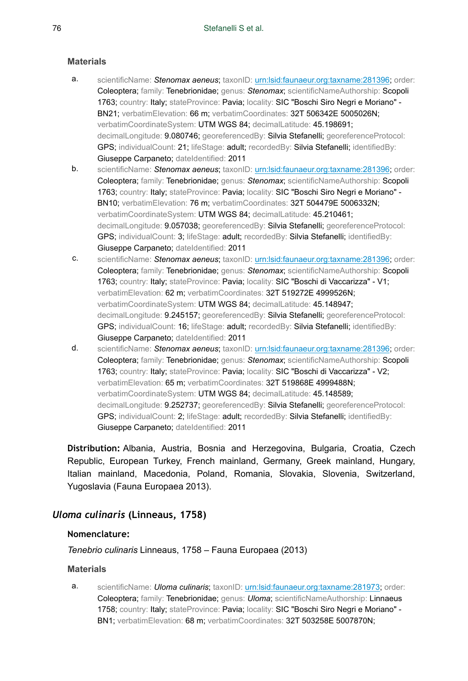### **Materials**

- a. scientificName: *Stenomax aeneus*; taxonID: [urn:lsid:faunaeur.org:taxname:281396;](http://www.faunaeur.org/full_results.php?id=281396) order: Coleoptera; family: Tenebrionidae; genus: *Stenomax*; scientificNameAuthorship: Scopoli 1763; country: Italy; stateProvince: Pavia; locality: SIC "Boschi Siro Negri e Moriano" - BN21; verbatimElevation: 66 m; verbatimCoordinates: 32T 506342E 5005026N; verbatimCoordinateSystem: UTM WGS 84; decimalLatitude: 45.198691; decimalLongitude: 9.080746; georeferencedBy: Silvia Stefanelli; georeferenceProtocol: GPS; individualCount: 21; lifeStage: adult; recordedBy: Silvia Stefanelli; identifiedBy: Giuseppe Carpaneto; dateIdentified: 2011
- b. scientificName: *Stenomax aeneus*; taxonID: [urn:lsid:faunaeur.org:taxname:281396;](http://www.faunaeur.org/full_results.php?id=281396) order: Coleoptera; family: Tenebrionidae; genus: *Stenomax*; scientificNameAuthorship: Scopoli 1763; country: Italy; stateProvince: Pavia; locality: SIC "Boschi Siro Negri e Moriano" -BN10; verbatimElevation: 76 m; verbatimCoordinates: 32T 504479E 5006332N; verbatimCoordinateSystem: UTM WGS 84; decimalLatitude: 45.210461; decimalLongitude: 9.057038; georeferencedBy: Silvia Stefanelli; georeferenceProtocol: GPS; individualCount: 3; lifeStage: adult; recordedBy: Silvia Stefanelli; identifiedBy: Giuseppe Carpaneto: dateIdentified: 2011
- c. scientificName: *Stenomax aeneus*; taxonID: [urn:lsid:faunaeur.org:taxname:281396;](http://www.faunaeur.org/full_results.php?id=281396) order: Coleoptera; family: Tenebrionidae; genus: *Stenomax*; scientificNameAuthorship: Scopoli 1763; country: Italy; stateProvince: Pavia; locality: SIC "Boschi di Vaccarizza" - V1; verbatimElevation: 62 m; verbatimCoordinates: 32T 519272E 4999526N; verbatimCoordinateSystem: UTM WGS 84; decimalLatitude: 45.148947; decimalLongitude: 9.245157; georeferencedBy: Silvia Stefanelli; georeferenceProtocol: GPS; individualCount: 16; lifeStage: adult; recordedBy: Silvia Stefanelli; identifiedBy: Giuseppe Carpaneto; dateIdentified: 2011
- d. scientificName: *Stenomax aeneus*; taxonID: [urn:lsid:faunaeur.org:taxname:281396;](http://www.faunaeur.org/full_results.php?id=281396) order: Coleoptera; family: Tenebrionidae; genus: *Stenomax*; scientificNameAuthorship: Scopoli 1763; country: Italy; stateProvince: Pavia; locality: SIC "Boschi di Vaccarizza" - V2; verbatimElevation: 65 m; verbatimCoordinates: 32T 519868E 4999488N; verbatimCoordinateSystem: UTM WGS 84; decimalLatitude: 45.148589; decimalLongitude: 9.252737; georeferencedBy: Silvia Stefanelli; georeferenceProtocol: GPS; individualCount: 2; lifeStage: adult; recordedBy: Silvia Stefanelli; identifiedBy: Giuseppe Carpaneto; dateIdentified: 2011

**Distribution:** Albania, Austria, Bosnia and Herzegovina, Bulgaria, Croatia, Czech Republic, European Turkey, French mainland, Germany, Greek mainland, Hungary, Italian mainland, Macedonia, Poland, Romania, Slovakia, Slovenia, Switzerland, Yugoslavia (Fauna Europaea 2013).

### *Uloma culinaris* **(Linneaus, 1758)**

#### **Nomenclature:**

*Tenebrio culinaris* Linneaus, 1758 – Fauna Europaea (2013)

#### **Materials**

a. scientificName: *Uloma culinaris*; taxonID: [urn:lsid:faunaeur.org:taxname:281973;](http://www.faunaeur.org/full_results.php?id=281973) order: Coleoptera; family: Tenebrionidae; genus: *Uloma*; scientificNameAuthorship: Linnaeus 1758; country: Italy; stateProvince: Pavia; locality: SIC "Boschi Siro Negri e Moriano" - BN1; verbatimElevation: 68 m; verbatimCoordinates: 32T 503258E 5007870N;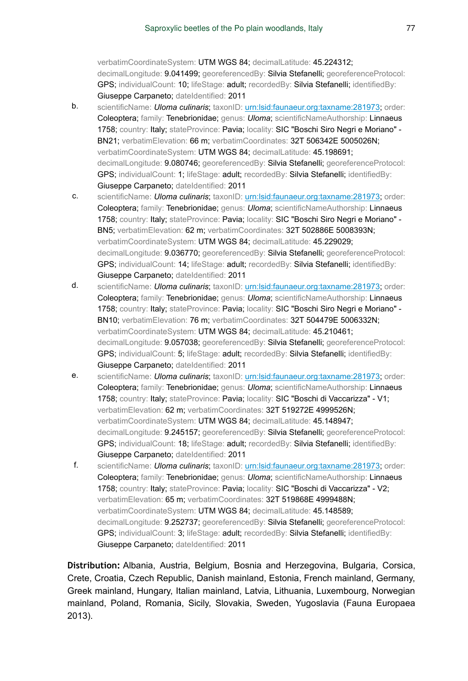verbatimCoordinateSystem: UTM WGS 84; decimalLatitude: 45.224312; decimalLongitude: 9.041499; georeferencedBy: Silvia Stefanelli; georeferenceProtocol: GPS; individualCount: 10; lifeStage: adult; recordedBy: Silvia Stefanelli; identifiedBy: Giuseppe Carpaneto; dateIdentified: 2011

- b. scientificName: *Uloma culinaris*; taxonID: [urn:lsid:faunaeur.org:taxname:281973;](http://www.faunaeur.org/full_results.php?id=281973) order: Coleoptera; family: Tenebrionidae; genus: *Uloma*; scientificNameAuthorship: Linnaeus 1758; country: Italy; stateProvince: Pavia; locality: SIC "Boschi Siro Negri e Moriano" - BN21; verbatimElevation: 66 m; verbatimCoordinates: 32T 506342E 5005026N; verbatimCoordinateSystem: UTM WGS 84; decimalLatitude: 45.198691; decimalLongitude: 9.080746; georeferencedBy: Silvia Stefanelli; georeferenceProtocol: GPS; individualCount: 1; lifeStage: adult; recordedBy: Silvia Stefanelli; identifiedBy: Giuseppe Carpaneto; dateIdentified: 2011
- c. scientificName: *Uloma culinaris*; taxonID: [urn:lsid:faunaeur.org:taxname:281973;](http://www.faunaeur.org/full_results.php?id=281973) order: Coleoptera; family: Tenebrionidae; genus: *Uloma*; scientificNameAuthorship: Linnaeus 1758; country: Italy; stateProvince: Pavia; locality: SIC "Boschi Siro Negri e Moriano" - BN5; verbatimElevation: 62 m; verbatimCoordinates: 32T 502886E 5008393N; verbatimCoordinateSystem: UTM WGS 84; decimalLatitude: 45.229029; decimalLongitude: 9.036770; georeferencedBy: Silvia Stefanelli; georeferenceProtocol: GPS; individualCount: 14; lifeStage: adult; recordedBy: Silvia Stefanelli; identifiedBy: Giuseppe Carpaneto; dateIdentified: 2011
- d. scientificName: *Uloma culinaris*; taxonID: [urn:lsid:faunaeur.org:taxname:281973;](http://www.faunaeur.org/full_results.php?id=281973) order: Coleoptera; family: Tenebrionidae; genus: *Uloma*; scientificNameAuthorship: Linnaeus 1758; country: Italy; stateProvince: Pavia; locality: SIC "Boschi Siro Negri e Moriano" -BN10; verbatimElevation: 76 m; verbatimCoordinates: 32T 504479E 5006332N; verbatimCoordinateSystem: UTM WGS 84; decimalLatitude: 45.210461; decimalLongitude: 9.057038; georeferencedBy: Silvia Stefanelli; georeferenceProtocol: GPS; individualCount: 5; lifeStage: adult; recordedBy: Silvia Stefanelli; identifiedBy: Giuseppe Carpaneto; dateIdentified: 2011
- e. scientificName: *Uloma culinaris*; taxonID: [urn:lsid:faunaeur.org:taxname:281973;](http://www.faunaeur.org/full_results.php?id=281973) order: Coleoptera; family: Tenebrionidae; genus: *Uloma*; scientificNameAuthorship: Linnaeus 1758; country: Italy; stateProvince: Pavia; locality: SIC "Boschi di Vaccarizza" - V1; verbatimElevation: 62 m; verbatimCoordinates: 32T 519272E 4999526N; verbatimCoordinateSystem: UTM WGS 84; decimalLatitude: 45.148947; decimalLongitude: 9.245157; georeferencedBy: Silvia Stefanelli; georeferenceProtocol: GPS; individualCount: 18; lifeStage: adult; recordedBy: Silvia Stefanelli; identifiedBy: Giuseppe Carpaneto; dateIdentified: 2011
- f. scientificName: *Uloma culinaris*; taxonID: [urn:lsid:faunaeur.org:taxname:281973;](http://www.faunaeur.org/full_results.php?id=281973) order: Coleoptera; family: Tenebrionidae; genus: *Uloma*; scientificNameAuthorship: Linnaeus 1758; country: Italy; stateProvince: Pavia; locality: SIC "Boschi di Vaccarizza" - V2; verbatimElevation: 65 m; verbatimCoordinates: 32T 519868E 4999488N; verbatimCoordinateSystem: UTM WGS 84; decimalLatitude: 45.148589; decimalLongitude: 9.252737; georeferencedBy: Silvia Stefanelli; georeferenceProtocol: GPS; individualCount: 3; lifeStage: adult; recordedBy: Silvia Stefanelli; identifiedBy: Giuseppe Carpaneto; dateIdentified: 2011

**Distribution:** Albania, Austria, Belgium, Bosnia and Herzegovina, Bulgaria, Corsica, Crete, Croatia, Czech Republic, Danish mainland, Estonia, French mainland, Germany, Greek mainland, Hungary, Italian mainland, Latvia, Lithuania, Luxembourg, Norwegian mainland, Poland, Romania, Sicily, Slovakia, Sweden, Yugoslavia (Fauna Europaea 2013).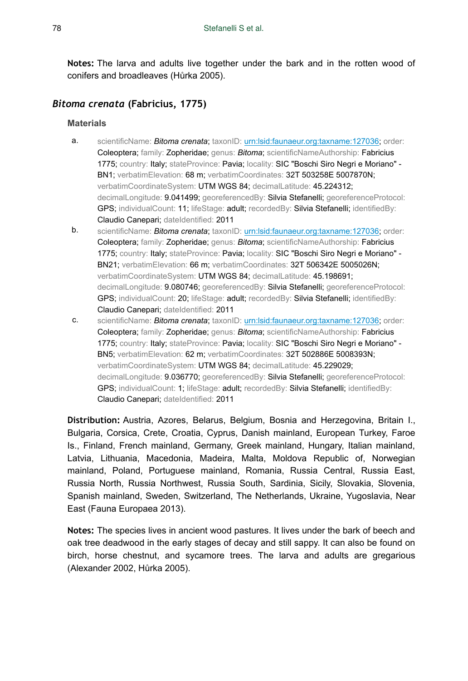**Notes:** The larva and adults live together under the bark and in the rotten wood of conifers and broadleaves (Hůrka 2005).

# *Bitoma crenata* **(Fabricius, 1775)**

### **Materials**

- a. scientificName: *Bitoma crenata*; taxonID: [urn:lsid:faunaeur.org:taxname:127036](http://www.faunaeur.org/full_results.php?id=127036); order: Coleoptera; family: Zopheridae; genus: *Bitoma*; scientificNameAuthorship: Fabricius 1775; country: Italy; stateProvince: Pavia; locality: SIC "Boschi Siro Negri e Moriano" - BN1; verbatimElevation: 68 m; verbatimCoordinates: 32T 503258E 5007870N; verbatimCoordinateSystem: UTM WGS 84; decimalLatitude: 45.224312; decimalLongitude: 9.041499; georeferencedBy: Silvia Stefanelli; georeferenceProtocol: GPS; individualCount: 11; lifeStage: adult; recordedBy: Silvia Stefanelli; identifiedBy: Claudio Canepari; dateIdentified: 2011
- b. scientificName: *Bitoma crenata*; taxonID: [urn:lsid:faunaeur.org:taxname:127036](http://www.faunaeur.org/full_results.php?id=127036); order: Coleoptera; family: Zopheridae; genus: *Bitoma*; scientificNameAuthorship: Fabricius 1775; country: Italy; stateProvince: Pavia; locality: SIC "Boschi Siro Negri e Moriano" -BN21; verbatimElevation: 66 m; verbatimCoordinates: 32T 506342E 5005026N; verbatimCoordinateSystem: UTM WGS 84; decimalLatitude: 45.198691; decimalLongitude: 9.080746; georeferencedBy: Silvia Stefanelli; georeferenceProtocol: GPS; individualCount: 20; lifeStage: adult; recordedBy: Silvia Stefanelli; identifiedBy: Claudio Canepari; dateIdentified: 2011
- c. scientificName: *Bitoma crenata*; taxonID: [urn:lsid:faunaeur.org:taxname:127036](http://www.faunaeur.org/full_results.php?id=127036); order: Coleoptera; family: Zopheridae; genus: *Bitoma*; scientificNameAuthorship: Fabricius 1775; country: Italy; stateProvince: Pavia; locality: SIC "Boschi Siro Negri e Moriano" -BN5; verbatimElevation: 62 m; verbatimCoordinates: 32T 502886E 5008393N; verbatimCoordinateSystem: UTM WGS 84; decimalLatitude: 45.229029; decimalLongitude: 9.036770; georeferencedBy: Silvia Stefanelli; georeferenceProtocol: GPS; individualCount: 1; lifeStage: adult; recordedBy: Silvia Stefanelli; identifiedBy: Claudio Canepari; dateIdentified: 2011

**Distribution:** Austria, Azores, Belarus, Belgium, Bosnia and Herzegovina, Britain I., Bulgaria, Corsica, Crete, Croatia, Cyprus, Danish mainland, European Turkey, Faroe Is., Finland, French mainland, Germany, Greek mainland, Hungary, Italian mainland, Latvia, Lithuania, Macedonia, Madeira, Malta, Moldova Republic of, Norwegian mainland, Poland, Portuguese mainland, Romania, Russia Central, Russia East, Russia North, Russia Northwest, Russia South, Sardinia, Sicily, Slovakia, Slovenia, Spanish mainland, Sweden, Switzerland, The Netherlands, Ukraine, Yugoslavia, Near East (Fauna Europaea 2013).

**Notes:** The species lives in ancient wood pastures. It lives under the bark of beech and oak tree deadwood in the early stages of decay and still sappy. It can also be found on birch, horse chestnut, and sycamore trees. The larva and adults are gregarious (Alexander 2002, Hůrka 2005).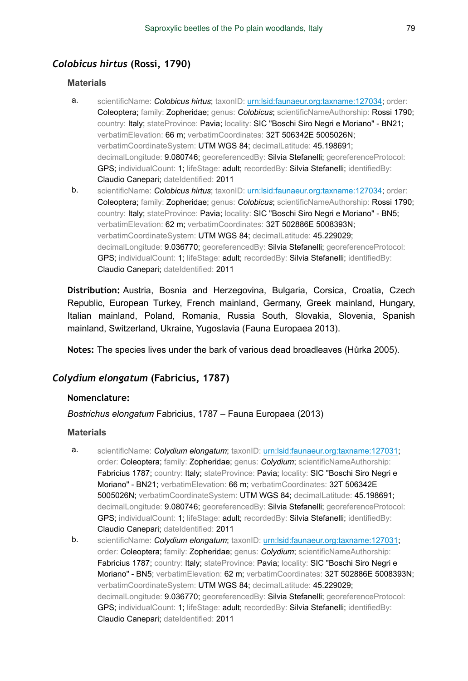# *Colobicus hirtus* **(Rossi, 1790)**

### **Materials**

- a. scientificName: *Colobicus hirtus*; taxonID: [urn:lsid:faunaeur.org:taxname:127034](http://www.faunaeur.org/full_results.php?id=127034); order: Coleoptera; family: Zopheridae; genus: *Colobicus*; scientificNameAuthorship: Rossi 1790; country: Italy; stateProvince: Pavia; locality: SIC "Boschi Siro Negri e Moriano" - BN21; verbatimElevation: 66 m; verbatimCoordinates: 32T 506342E 5005026N; verbatimCoordinateSystem: UTM WGS 84; decimalLatitude: 45.198691; decimalLongitude: 9.080746; georeferencedBy: Silvia Stefanelli; georeferenceProtocol: GPS; individualCount: 1; lifeStage: adult; recordedBy: Silvia Stefanelli; identifiedBy: Claudio Canepari: dateIdentified: 2011
- b. scientificName: *Colobicus hirtus*; taxonID: [urn:lsid:faunaeur.org:taxname:127034](http://www.faunaeur.org/full_results.php?id=127034); order: Coleoptera; family: Zopheridae; genus: *Colobicus*; scientificNameAuthorship: Rossi 1790; country: Italy; stateProvince: Pavia; locality: SIC "Boschi Siro Negri e Moriano" - BN5; verbatimElevation: 62 m; verbatimCoordinates: 32T 502886E 5008393N; verbatimCoordinateSystem: UTM WGS 84; decimalLatitude: 45.229029; decimalLongitude: 9.036770; georeferencedBy: Silvia Stefanelli; georeferenceProtocol: GPS; individualCount: 1; lifeStage: adult; recordedBy: Silvia Stefanelli; identifiedBy: Claudio Canepari; dateIdentified: 2011

**Distribution:** Austria, Bosnia and Herzegovina, Bulgaria, Corsica, Croatia, Czech Republic, European Turkey, French mainland, Germany, Greek mainland, Hungary, Italian mainland, Poland, Romania, Russia South, Slovakia, Slovenia, Spanish mainland, Switzerland, Ukraine, Yugoslavia (Fauna Europaea 2013).

**Notes:** The species lives under the bark of various dead broadleaves (Hůrka 2005).

# *Colydium elongatum* **(Fabricius, 1787)**

#### **Nomenclature:**

*Bostrichus elongatum* Fabricius, 1787 – Fauna Europaea (2013)

#### **Materials**

- a. scientificName: *Colydium elongatum*; taxonID: [urn:lsid:faunaeur.org:taxname:127031](http://www.faunaeur.org/full_results.php?id=127031); order: Coleoptera; family: Zopheridae; genus: Colydium; scientificNameAuthorship: Fabricius 1787; country: Italy; stateProvince: Pavia; locality: SIC "Boschi Siro Negri e Moriano" - BN21; verbatimElevation: 66 m; verbatimCoordinates: 32T 506342E 5005026N; verbatimCoordinateSystem: UTM WGS 84; decimalLatitude: 45.198691; decimalLongitude: 9.080746; georeferencedBy: Silvia Stefanelli; georeferenceProtocol: GPS; individualCount: 1; lifeStage: adult; recordedBy: Silvia Stefanelli; identifiedBy: Claudio Canepari: dateIdentified: 2011
- b. scientificName: *Colydium elongatum*; taxonID: [urn:lsid:faunaeur.org:taxname:127031](http://www.faunaeur.org/full_results.php?id=127031); order: Coleoptera; family: Zopheridae; genus: *Colydium*; scientificNameAuthorship: Fabricius 1787; country: Italy; stateProvince: Pavia; locality: SIC "Boschi Siro Negri e Moriano" - BN5; verbatimElevation: 62 m; verbatimCoordinates: 32T 502886E 5008393N; verbatimCoordinateSystem: UTM WGS 84; decimalLatitude: 45.229029; decimalLongitude: 9.036770; georeferencedBy: Silvia Stefanelli; georeferenceProtocol: GPS; individualCount: 1; lifeStage: adult; recordedBy: Silvia Stefanelli; identifiedBy: Claudio Canepari; dateIdentified: 2011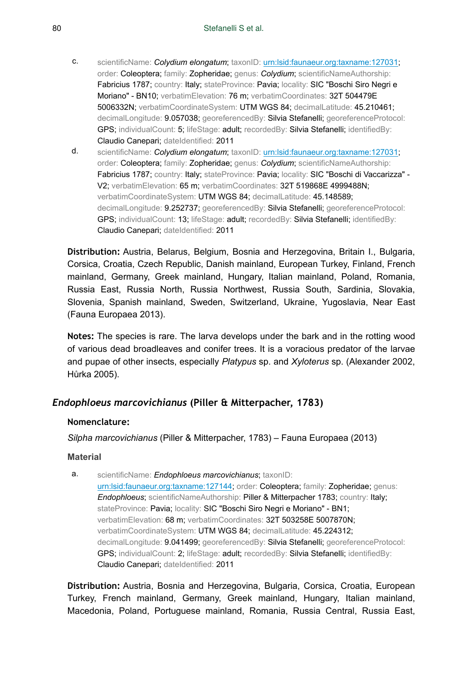- c. scientificName: *Colydium elongatum*; taxonID: [urn:lsid:faunaeur.org:taxname:127031](http://www.faunaeur.org/full_results.php?id=127031); order: Coleoptera; family: Zopheridae; genus: Colydium; scientificNameAuthorship: Fabricius 1787; country: Italy; stateProvince: Pavia; locality: SIC "Boschi Siro Negri e Moriano" - BN10; verbatimElevation: 76 m; verbatimCoordinates: 32T 504479E 5006332N; verbatimCoordinateSystem: UTM WGS 84; decimalLatitude: 45.210461; decimalLongitude: 9.057038; georeferencedBy: Silvia Stefanelli; georeferenceProtocol: GPS; individualCount: 5; lifeStage: adult; recordedBy: Silvia Stefanelli; identifiedBy: Claudio Canepari: dateIdentified: 2011
- d. scientificName: *Colydium elongatum*; taxonID: [urn:lsid:faunaeur.org:taxname:127031](http://www.faunaeur.org/full_results.php?id=127031); order: Coleoptera; family: Zopheridae; genus: *Colydium*; scientificNameAuthorship: Fabricius 1787; country: Italy; stateProvince: Pavia; locality: SIC "Boschi di Vaccarizza" - V2; verbatimElevation: 65 m; verbatimCoordinates: 32T 519868E 4999488N; verbatimCoordinateSystem: UTM WGS 84; decimalLatitude: 45.148589; decimalLongitude: 9.252737; georeferencedBy: Silvia Stefanelli; georeferenceProtocol: GPS; individualCount: 13; lifeStage: adult; recordedBy: Silvia Stefanelli; identifiedBy: Claudio Canepari; dateIdentified: 2011

**Distribution:** Austria, Belarus, Belgium, Bosnia and Herzegovina, Britain I., Bulgaria, Corsica, Croatia, Czech Republic, Danish mainland, European Turkey, Finland, French mainland, Germany, Greek mainland, Hungary, Italian mainland, Poland, Romania, Russia East, Russia North, Russia Northwest, Russia South, Sardinia, Slovakia, Slovenia, Spanish mainland, Sweden, Switzerland, Ukraine, Yugoslavia, Near East (Fauna Europaea 2013).

**Notes:** The species is rare. The larva develops under the bark and in the rotting wood of various dead broadleaves and conifer trees. It is a voracious predator of the larvae and pupae of other insects, especially *Platypus* sp. and *Xyloterus* sp. (Alexander 2002, Hůrka 2005).

# *Endophloeus marcovichianus* **(Piller & Mitterpacher, 1783)**

### **Nomenclature:**

*Silpha marcovichianus* (Piller & Mitterpacher, 1783) – Fauna Europaea (2013)

#### **Material**

a. scientificName: *Endophloeus marcovichianus*; taxonID: [urn:lsid:faunaeur.org:taxname:127144](http://www.faunaeur.org/full_results.php?id=127144); order: Coleoptera; family: Zopheridae; genus: *Endophloeus*; scientificNameAuthorship: Piller & Mitterpacher 1783; country: Italy; stateProvince: Pavia; locality: SIC "Boschi Siro Negri e Moriano" - BN1; verbatimElevation: 68 m; verbatimCoordinates: 32T 503258E 5007870N; verbatimCoordinateSystem: UTM WGS 84; decimalLatitude: 45.224312; decimalLongitude: 9.041499; georeferencedBy: Silvia Stefanelli; georeferenceProtocol: GPS; individualCount: 2; lifeStage: adult; recordedBy: Silvia Stefanelli; identifiedBy: Claudio Canepari; dateIdentified: 2011

**Distribution:** Austria, Bosnia and Herzegovina, Bulgaria, Corsica, Croatia, European Turkey, French mainland, Germany, Greek mainland, Hungary, Italian mainland, Macedonia, Poland, Portuguese mainland, Romania, Russia Central, Russia East,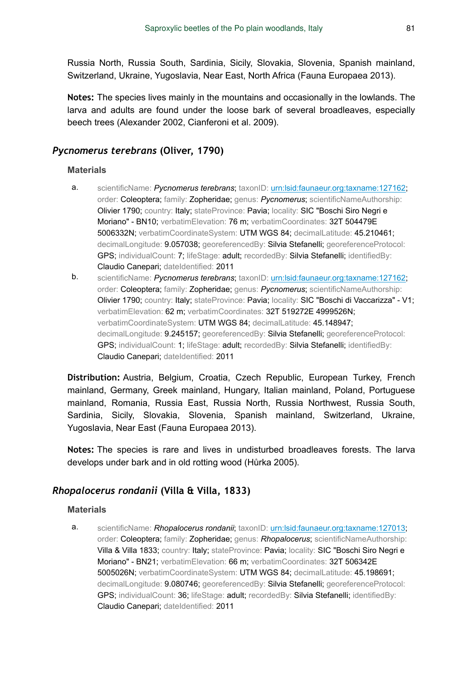Russia North, Russia South, Sardinia, Sicily, Slovakia, Slovenia, Spanish mainland, Switzerland, Ukraine, Yugoslavia, Near East, North Africa (Fauna Europaea 2013).

**Notes:** The species lives mainly in the mountains and occasionally in the lowlands. The larva and adults are found under the loose bark of several broadleaves, especially beech trees (Alexander 2002, Cianferoni et al. 2009).

### *Pycnomerus terebrans* **(Oliver, 1790)**

#### **Materials**

- a. scientificName: *Pycnomerus terebrans*; taxonID: [urn:lsid:faunaeur.org:taxname:127162;](http://www.faunaeur.org/full_results.php?id=127162) order: Coleoptera; family: Zopheridae; genus: *Pycnomerus*; scientificNameAuthorship: Olivier 1790; country: Italy; stateProvince: Pavia; locality: SIC "Boschi Siro Negri e Moriano" - BN10; verbatimElevation: 76 m; verbatimCoordinates: 32T 504479E 5006332N; verbatimCoordinateSystem: UTM WGS 84; decimalLatitude: 45.210461; decimalLongitude: 9.057038; georeferencedBy: Silvia Stefanelli; georeferenceProtocol: GPS; individualCount: 7; lifeStage: adult; recordedBy: Silvia Stefanelli; identifiedBy: Claudio Canepari; dateIdentified: 2011
- b. scientificName: *Pycnomerus terebrans*; taxonID: [urn:lsid:faunaeur.org:taxname:127162;](http://www.faunaeur.org/full_results.php?id=127162) order: Coleoptera; family: Zopheridae; genus: *Pycnomerus*; scientificNameAuthorship: Olivier 1790; country: Italy; stateProvince: Pavia; locality: SIC "Boschi di Vaccarizza" - V1; verbatimElevation: 62 m; verbatimCoordinates: 32T 519272E 4999526N; verbatimCoordinateSystem: UTM WGS 84; decimalLatitude: 45.148947; decimalLongitude: 9.245157; georeferencedBy: Silvia Stefanelli; georeferenceProtocol: GPS; individualCount: 1; lifeStage: adult; recordedBy: Silvia Stefanelli; identifiedBy: Claudio Canepari; dateIdentified: 2011

**Distribution:** Austria, Belgium, Croatia, Czech Republic, European Turkey, French mainland, Germany, Greek mainland, Hungary, Italian mainland, Poland, Portuguese mainland, Romania, Russia East, Russia North, Russia Northwest, Russia South, Sardinia, Sicily, Slovakia, Slovenia, Spanish mainland, Switzerland, Ukraine, Yugoslavia, Near East (Fauna Europaea 2013).

**Notes:** The species is rare and lives in undisturbed broadleaves forests. The larva develops under bark and in old rotting wood (Hůrka 2005).

### *Rhopalocerus rondanii* **(Villa & Villa, 1833)**

#### **Materials**

a. scientificName: *Rhopalocerus rondanii*; taxonID: [urn:lsid:faunaeur.org:taxname:127013](http://www.faunaeur.org/full_results.php?id=127013); order: Coleoptera; family: Zopheridae; genus: *Rhopalocerus*; scientificNameAuthorship: Villa & Villa 1833; country: Italy; stateProvince: Pavia; locality: SIC "Boschi Siro Negri e Moriano" - BN21; verbatimElevation: 66 m; verbatimCoordinates: 32T 506342E 5005026N; verbatimCoordinateSystem: UTM WGS 84; decimalLatitude: 45.198691; decimalLongitude: 9.080746; georeferencedBy: Silvia Stefanelli; georeferenceProtocol: GPS; individualCount: 36; lifeStage: adult; recordedBy: Silvia Stefanelli; identifiedBy: Claudio Canepari; dateIdentified: 2011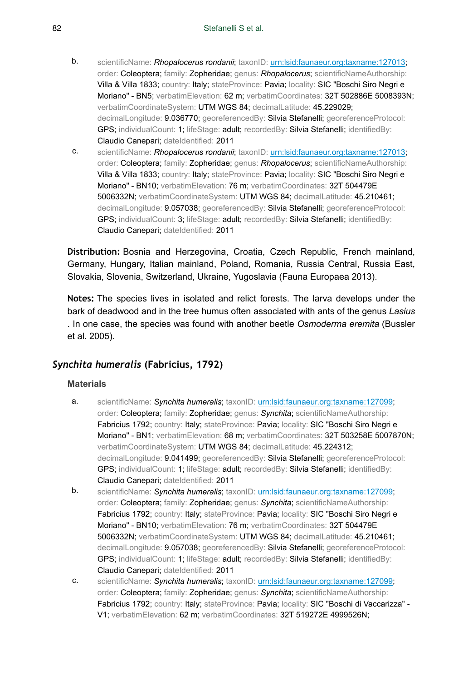- b. scientificName: *Rhopalocerus rondanii*; taxonID: [urn:lsid:faunaeur.org:taxname:127013](http://www.faunaeur.org/full_results.php?id=127013); order: Coleoptera; family: Zopheridae; genus: *Rhopalocerus*; scientificNameAuthorship: Villa & Villa 1833; country: Italy; stateProvince: Pavia; locality: SIC "Boschi Siro Negri e Moriano" - BN5; verbatimElevation: 62 m; verbatimCoordinates: 32T 502886E 5008393N; verbatimCoordinateSystem: UTM WGS 84; decimalLatitude: 45.229029; decimalLongitude: 9.036770; georeferencedBy: Silvia Stefanelli; georeferenceProtocol: GPS; individualCount: 1; lifeStage: adult; recordedBy: Silvia Stefanelli; identifiedBy: Claudio Canepari: dateIdentified: 2011
- c. scientificName: *Rhopalocerus rondanii*; taxonID: [urn:lsid:faunaeur.org:taxname:127013](http://www.faunaeur.org/full_results.php?id=127013); order: Coleoptera; family: Zopheridae; genus: *Rhopalocerus*; scientificNameAuthorship: Villa & Villa 1833; country: Italy; stateProvince: Pavia; locality: SIC "Boschi Siro Negri e Moriano" - BN10; verbatimElevation: 76 m; verbatimCoordinates: 32T 504479E 5006332N; verbatimCoordinateSystem: UTM WGS 84; decimalLatitude: 45.210461; decimalLongitude: 9.057038; georeferencedBy: Silvia Stefanelli; georeferenceProtocol: GPS; individualCount: 3; lifeStage: adult; recordedBy: Silvia Stefanelli; identifiedBy: Claudio Canepari; dateIdentified: 2011

**Distribution:** Bosnia and Herzegovina, Croatia, Czech Republic, French mainland, Germany, Hungary, Italian mainland, Poland, Romania, Russia Central, Russia East, Slovakia, Slovenia, Switzerland, Ukraine, Yugoslavia (Fauna Europaea 2013).

**Notes:** The species lives in isolated and relict forests. The larva develops under the bark of deadwood and in the tree humus often associated with ants of the genus *Lasius* . In one case, the species was found with another beetle *Osmoderma eremita* (Bussler et al. 2005).

# *Synchita humeralis* **(Fabricius, 1792)**

#### **Materials**

- a. scientificName: *Synchita humeralis*; taxonID: [urn:lsid:faunaeur.org:taxname:127099;](http://www.faunaeur.org/full_results.php?id=127099) order: Coleoptera; family: Zopheridae; genus: *Synchita*; scientificNameAuthorship: Fabricius 1792; country: Italy; stateProvince: Pavia; locality: SIC "Boschi Siro Negri e Moriano" - BN1; verbatimElevation: 68 m; verbatimCoordinates: 32T 503258E 5007870N; verbatimCoordinateSystem: UTM WGS 84; decimalLatitude: 45.224312; decimalLongitude: 9.041499; georeferencedBy: Silvia Stefanelli; georeferenceProtocol: GPS; individualCount: 1; lifeStage: adult; recordedBy: Silvia Stefanelli; identifiedBy: Claudio Canepari; dateIdentified: 2011
- b. scientificName: *Synchita humeralis*; taxonID: [urn:lsid:faunaeur.org:taxname:127099;](http://www.faunaeur.org/full_results.php?id=127099) order: Coleoptera; family: Zopheridae; genus: *Synchita*; scientificNameAuthorship: Fabricius 1792; country: Italy; stateProvince: Pavia; locality: SIC "Boschi Siro Negri e Moriano" - BN10; verbatimElevation: 76 m; verbatimCoordinates: 32T 504479E 5006332N; verbatimCoordinateSystem: UTM WGS 84; decimalLatitude: 45.210461; decimalLongitude: 9.057038; georeferencedBy: Silvia Stefanelli; georeferenceProtocol: GPS; individualCount: 1; lifeStage: adult; recordedBy: Silvia Stefanelli; identifiedBy: Claudio Canepari; dateIdentified: 2011
- c. scientificName: *Synchita humeralis*; taxonID: [urn:lsid:faunaeur.org:taxname:127099;](http://www.faunaeur.org/full_results.php?id=127099) order: Coleoptera; family: Zopheridae; genus: *Synchita*; scientificNameAuthorship: Fabricius 1792; country: Italy; stateProvince: Pavia; locality: SIC "Boschi di Vaccarizza" - V1; verbatimElevation: 62 m; verbatimCoordinates: 32T 519272E 4999526N;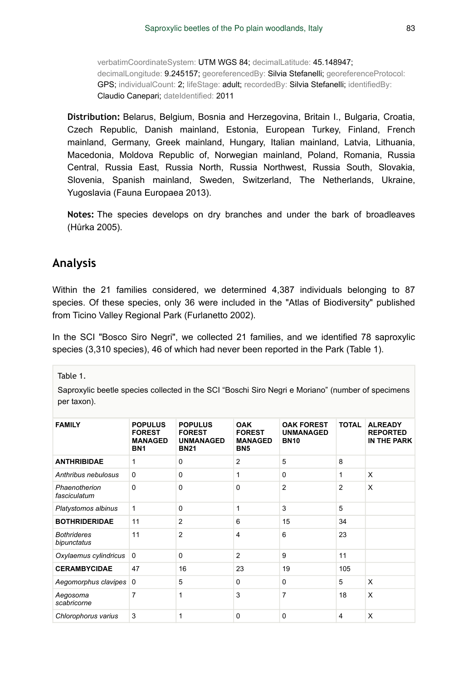verbatimCoordinateSystem: UTM WGS 84; decimalLatitude: 45.148947; decimalLongitude: 9.245157; georeferencedBy: Silvia Stefanelli; georeferenceProtocol: GPS; individualCount: 2; lifeStage: adult; recordedBy: Silvia Stefanelli; identifiedBy: Claudio Canepari; dateIdentified: 2011

**Distribution:** Belarus, Belgium, Bosnia and Herzegovina, Britain I., Bulgaria, Croatia, Czech Republic, Danish mainland, Estonia, European Turkey, Finland, French mainland, Germany, Greek mainland, Hungary, Italian mainland, Latvia, Lithuania, Macedonia, Moldova Republic of, Norwegian mainland, Poland, Romania, Russia Central, Russia East, Russia North, Russia Northwest, Russia South, Slovakia, Slovenia, Spanish mainland, Sweden, Switzerland, The Netherlands, Ukraine, Yugoslavia (Fauna Europaea 2013).

**Notes:** The species develops on dry branches and under the bark of broadleaves (Hůrka 2005).

# **Analysis**

Within the 21 families considered, we determined 4,387 individuals belonging to 87 species. Of these species, only 36 were included in the "Atlas of Biodiversity" published from Ticino Valley Regional Park (Furlanetto 2002).

In the SCI "Bosco Siro Negri", we collected 21 families, and we identified 78 saproxylic species (3,310 species), 46 of which had never been reported in the Park (Table 1).

Table 1.

Saproxylic beetle species collected in the SCI "Boschi Siro Negri e Moriano" (number of specimens per taxon).

| <b>FAMILY</b>                     | <b>POPULUS</b><br><b>FOREST</b><br><b>MANAGED</b><br>BN <sub>1</sub> | <b>POPULUS</b><br><b>FOREST</b><br>UNMANAGED<br><b>BN21</b> | <b>OAK</b><br><b>FOREST</b><br><b>MANAGED</b><br>BN <sub>5</sub> | <b>OAK FOREST</b><br><b>UNMANAGED</b><br><b>BN10</b> | <b>TOTAL</b>   | <b>ALREADY</b><br><b>REPORTED</b><br>IN THE PARK |
|-----------------------------------|----------------------------------------------------------------------|-------------------------------------------------------------|------------------------------------------------------------------|------------------------------------------------------|----------------|--------------------------------------------------|
| <b>ANTHRIBIDAE</b>                | 1                                                                    | $\mathbf 0$                                                 | $\overline{2}$                                                   | 5                                                    | 8              |                                                  |
| Anthribus nebulosus               | $\mathbf 0$                                                          | $\mathbf 0$                                                 | 1                                                                | $\Omega$                                             | 1              | X                                                |
| Phaenotherion<br>fasciculatum     | $\Omega$                                                             | $\Omega$                                                    | $\Omega$                                                         | $\overline{2}$                                       | $\overline{2}$ | X                                                |
| Platystomos albinus               | 1                                                                    | $\mathbf 0$                                                 | 1                                                                | 3                                                    | 5              |                                                  |
| <b>BOTHRIDERIDAE</b>              | 11                                                                   | $\overline{2}$                                              | 6                                                                | 15                                                   | 34             |                                                  |
| <b>Bothrideres</b><br>bipunctatus | 11                                                                   | $\overline{2}$                                              | 4                                                                | 6                                                    | 23             |                                                  |
| Oxylaemus cylindricus             | $\mathbf 0$                                                          | $\Omega$                                                    | 2                                                                | 9                                                    | 11             |                                                  |
| <b>CERAMBYCIDAE</b>               | 47                                                                   | 16                                                          | 23                                                               | 19                                                   | 105            |                                                  |
| Aegomorphus clavipes              | $\overline{\mathbf{0}}$                                              | 5                                                           | $\Omega$                                                         | $\Omega$                                             | 5              | X                                                |
| Aegosoma<br>scabricorne           | 7                                                                    | 1                                                           | 3                                                                | $\overline{7}$                                       | 18             | X                                                |
| Chlorophorus varius               | 3                                                                    | 1                                                           | $\mathbf 0$                                                      | $\Omega$                                             | $\overline{4}$ | X                                                |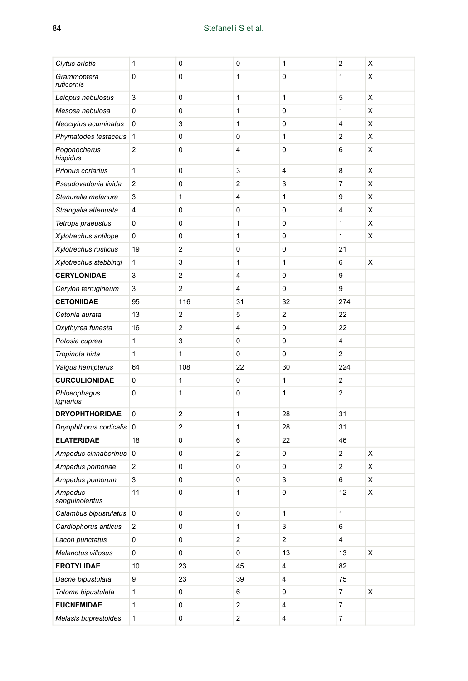| Clytus arietis            | 1              | 0                       | 0              | 1              | 2                | X |
|---------------------------|----------------|-------------------------|----------------|----------------|------------------|---|
| Grammoptera<br>ruficornis | $\mathbf 0$    | 0                       | 1              | 0              | 1                | X |
| Leiopus nebulosus         | 3              | 0                       | 1              | 1              | 5                | X |
| Mesosa nebulosa           | 0              | 0                       | 1              | 0              | $\mathbf{1}$     | X |
| Neoclytus acuminatus      | 0              | 3                       | 1              | 0              | 4                | X |
| Phymatodes testaceus      | $\mathbf{1}$   | 0                       | 0              | $\mathbf{1}$   | 2                | X |
| Pogonocherus<br>hispidus  | 2              | 0                       | 4              | $\mathbf 0$    | 6                | X |
| Prionus coriarius         | 1              | 0                       | 3              | $\overline{4}$ | 8                | X |
| Pseudovadonia livida      | $\overline{2}$ | 0                       | $\overline{2}$ | 3              | $\overline{7}$   | X |
| Stenurella melanura       | 3              | 1                       | 4              | $\mathbf{1}$   | 9                | X |
| Strangalia attenuata      | 4              | 0                       | 0              | 0              | 4                | X |
| Tetrops praeustus         | 0              | 0                       | 1              | 0              | 1                | X |
| Xylotrechus antilope      | 0              | 0                       | 1              | 0              | 1                | X |
| Xylotrechus rusticus      | 19             | 2                       | 0              | 0              | 21               |   |
| Xylotrechus stebbingi     | 1              | 3                       | 1              | 1              | 6                | X |
| <b>CERYLONIDAE</b>        | 3              | 2                       | 4              | $\mathbf 0$    | 9                |   |
| Cerylon ferrugineum       | 3              | 2                       | 4              | $\mathbf 0$    | 9                |   |
| <b>CETONIIDAE</b>         | 95             | 116                     | 31             | 32             | 274              |   |
| Cetonia aurata            | 13             | 2                       | 5              | $\overline{2}$ | 22               |   |
| Oxythyrea funesta         | 16             | 2                       | 4              | $\mathbf 0$    | 22               |   |
| Potosia cuprea            | 1              | 3                       | 0              | 0              | 4                |   |
| Tropinota hirta           | 1              | $\mathbf{1}$            | 0              | $\mathbf 0$    | 2                |   |
| Valgus hemipterus         | 64             | 108                     | 22             | 30             | 224              |   |
| <b>CURCULIONIDAE</b>      | 0              | 1                       | 0              | 1              | 2                |   |
| Phloeophagus<br>lignarius | 0              | 1                       | 0              | 1              | 2                |   |
| <b>DRYOPHTHORIDAE</b>     | 0              | 2                       | 1              | 28             | 31               |   |
| Dryophthorus corticalis 0 |                | $\overline{\mathbf{c}}$ | 1              | 28             | 31               |   |
| <b>ELATERIDAE</b>         | 18             | 0                       | 6              | 22             | 46               |   |
| Ampedus cinnaberinus      | 0              | 0                       | 2              | 0              | 2                | X |
| Ampedus pomonae           | 2              | 0                       | 0              | 0              | 2                | X |
| Ampedus pomorum           | 3              | $\pmb{0}$               | 0              | 3              | 6                | X |
| Ampedus<br>sanguinolentus | 11             | 0                       | 1              | 0              | 12               | X |
| Calambus bipustulatus 0   |                | 0                       | 0              | $\mathbf{1}$   | 1                |   |
| Cardiophorus anticus      | 2              | 0                       | 1              | 3              | 6                |   |
| Lacon punctatus           | 0              | 0                       | 2              | $\overline{2}$ | 4                |   |
| Melanotus villosus        | 0              | 0                       | 0              | 13             | 13               | X |
| <b>EROTYLIDAE</b>         | 10             | 23                      | 45             | 4              | 82               |   |
| Dacne bipustulata         | 9              | 23                      | 39             | 4              | 75               |   |
| Tritoma bipustulata       | 1              | 0                       | 6              | 0              | $\overline{7}$   | X |
| <b>EUCNEMIDAE</b>         | 1              | 0                       | 2              | 4              | 7                |   |
| Melasis buprestoides      | $\mathbf{1}$   | 0                       | $\overline{c}$ | 4              | $\boldsymbol{7}$ |   |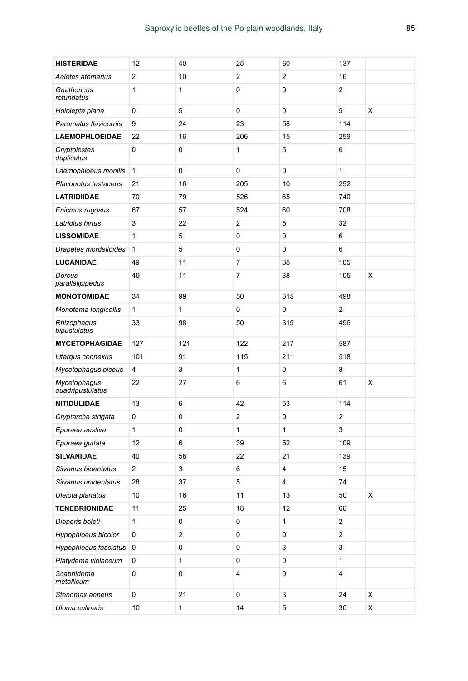| <b>HISTERIDAE</b>                | 12             | 40                      | 25             | 60             | 137            |   |
|----------------------------------|----------------|-------------------------|----------------|----------------|----------------|---|
| Aeletes atomarius                | $\overline{2}$ | 10                      | $\overline{2}$ | $\overline{2}$ | 16             |   |
| Gnathoncus<br>rotundatus         | 1              | 1                       | 0              | $\mathbf 0$    | $\overline{2}$ |   |
| Hololepta plana                  | 0              | 5                       | 0              | 0              | 5              | X |
| Paromalus flavicornis            | 9              | 24                      | 23             | 58             | 114            |   |
| <b>LAEMOPHLOEIDAE</b>            | 22             | 16                      | 206            | 15             | 259            |   |
| Cryptolestes<br>duplicatus       | $\mathbf 0$    | 0                       | 1              | 5              | 6              |   |
| Laemophloeus monilis             | 1              | 0                       | 0              | 0              | 1              |   |
| Placonotus testaceus             | 21             | 16                      | 205            | 10             | 252            |   |
| <b>LATRIDIIDAE</b>               | 70             | 79                      | 526            | 65             | 740            |   |
| Enicmus rugosus                  | 67             | 57                      | 524            | 60             | 708            |   |
| Latridius hirtus                 | 3              | 22                      | 2              | 5              | 32             |   |
| <b>LISSOMIDAE</b>                | $\mathbf{1}$   | 5                       | 0              | 0              | 6              |   |
| Drapetes mordelloides            | 1              | 5                       | 0              | $\mathbf 0$    | 6              |   |
| <b>LUCANIDAE</b>                 | 49             | 11                      | 7              | 38             | 105            |   |
| Dorcus<br>parallelipipedus       | 49             | 11                      | 7              | 38             | 105            | X |
| <b>MONOTOMIDAE</b>               | 34             | 99                      | 50             | 315            | 498            |   |
| Monotoma longicollis             | 1              | 1                       | 0              | 0              | $\overline{2}$ |   |
| Rhizophagus<br>bipustulatus      | 33             | 98                      | 50             | 315            | 496            |   |
| <b>MYCETOPHAGIDAE</b>            | 127            | 121                     | 122            | 217            | 587            |   |
| Litargus connexus                | 101            | 91                      | 115            | 211            | 518            |   |
| Mycetophagus piceus              | 4              | 3                       | 1              | 0              | 8              |   |
| Mycetophagus<br>quadripustulatus | 22             | 27                      | 6              | 6              | 61             | X |
| NITIDULIDAE                      | 13             | 6                       | 42             | 53             | 114            |   |
| Cryptarcha strigata              | 0              | 0                       | 2              | 0              | $\overline{2}$ |   |
| Epuraea aestiva                  | 1              | 0                       | 1              | 1              | 3              |   |
| Epuraea guttata                  | 12             | 6                       | 39             | 52             | 109            |   |
| <b>SILVANIDAE</b>                | 40             | 56                      | 22             | 21             | 139            |   |
| Silvanus bidentatus              | $\overline{2}$ | 3                       | 6              | $\overline{4}$ | 15             |   |
| Silvanus unidentatus             | 28             | 37                      | 5              | $\overline{4}$ | 74             |   |
| Uleiota planatus                 | 10             | 16                      | 11             | 13             | 50             | X |
| <b>TENEBRIONIDAE</b>             | 11             | 25                      | 18             | 12             | 66             |   |
| Diaperis boleti                  | 1              | 0                       | 0              | 1              | $\overline{c}$ |   |
| Hypophloeus bicolor              | 0              | $\overline{\mathbf{c}}$ | 0              | 0              | 2              |   |
| Hypophloeus fasciatus            | 0              | 0                       | 0              | $\mathbf{3}$   | 3              |   |
| Platydema violaceum              | 0              | $\mathbf{1}$            | 0              | $\pmb{0}$      | $\mathbf{1}$   |   |
| Scaphidema<br>metallicum         | 0              | 0                       | 4              | 0              | 4              |   |
| Stenomax aeneus                  | $\pmb{0}$      | 21                      | 0              | $\mathsf 3$    | 24             | X |
| Uloma culinaris                  | 10             | $\mathbf{1}$            | 14             | 5              | 30             | Χ |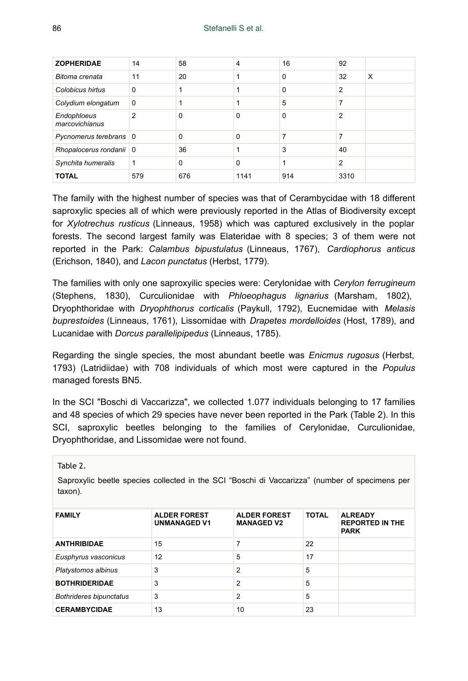| <b>ZOPHERIDAE</b>             | 14       | 58       | $\overline{4}$ | 16       | 92   |   |
|-------------------------------|----------|----------|----------------|----------|------|---|
| Bitoma crenata                | 11       | 20       |                | $\Omega$ | 32   | X |
| Colobicus hirtus              | $\Omega$ | 1        |                | $\Omega$ | 2    |   |
| Colydium elongatum            | $\Omega$ |          |                | 5        | 7    |   |
| Endophloeus<br>marcovichianus | 2        | 0        | 0              | $\Omega$ | 2    |   |
| Pycnomerus terebrans 0        |          | 0        | 0              | 7        |      |   |
| Rhopalocerus rondanii 0       |          | 36       |                | 3        | 40   |   |
| Synchita humeralis            | 1        | $\Omega$ | 0              |          | 2    |   |
| <b>TOTAL</b>                  | 579      | 676      | 1141           | 914      | 3310 |   |

The family with the highest number of species was that of Cerambycidae with 18 different saproxylic species all of which were previously reported in the Atlas of Biodiversity except for *Xylotrechus rusticus* (Linneaus, 1958) which was captured exclusively in the poplar forests. The second largest family was Elateridae with 8 species; 3 of them were not reported in the Park: *Calambus bipustulatus* (Linneaus, 1767), *Cardiophorus anticus* (Erichson, 1840), and *Lacon punctatus* (Herbst, 1779).

The families with only one saproxyilic species were: Cerylonidae with *Cerylon ferrugineum* (Stephens, 1830), Curculionidae with *Phloeophagus lignarius* (Marsham, 1802), Dryophthoridae with *Dryophthorus corticalis* (Paykull, 1792), Eucnemidae with *Melasis buprestoides* (Linneaus, 1761), Lissomidae with *Drapetes mordelloides* (Host, 1789), and Lucanidae with *Dorcus parallelipipedus* (Linneaus, 1785).

Regarding the single species, the most abundant beetle was *Enicmus rugosus* (Herbst, 1793) (Latridiidae) with 708 individuals of which most were captured in the *Populus* managed forests BN5.

In the SCI "Boschi di Vaccarizza", we collected 1.077 individuals belonging to 17 families and 48 species of which 29 species have never been reported in the Park (Table 2). In this SCI, saproxylic beetles belonging to the families of Cerylonidae, Curculionidae, Dryophthoridae, and Lissomidae were not found.

Table 2.

Saproxylic beetle species collected in the SCI "Boschi di Vaccarizza" (number of specimens per taxon).

| <b>FAMILY</b>                  | <b>ALDER FOREST</b><br><b>UNMANAGED V1</b> | <b>ALDER FOREST</b><br><b>MANAGED V2</b> | <b>TOTAL</b> | <b>ALREADY</b><br><b>REPORTED IN THE</b><br><b>PARK</b> |
|--------------------------------|--------------------------------------------|------------------------------------------|--------------|---------------------------------------------------------|
| <b>ANTHRIBIDAE</b>             | 15                                         |                                          | 22           |                                                         |
| Eusphyrus vasconicus           | 12                                         | 5                                        | 17           |                                                         |
| Platystomos albinus            | 3                                          | $\overline{2}$                           | 5            |                                                         |
| <b>BOTHRIDERIDAE</b>           | 3                                          | $\overline{2}$                           | 5            |                                                         |
| <b>Bothrideres bipunctatus</b> | 3                                          | $\overline{2}$                           | 5            |                                                         |
| <b>CERAMBYCIDAE</b>            | 13                                         | 10                                       | 23           |                                                         |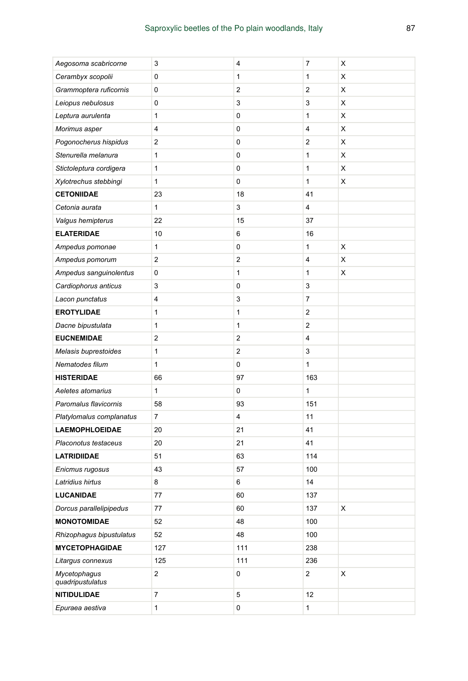| Aegosoma scabricorne             | 3            | 4                       | $\overline{7}$ | х |
|----------------------------------|--------------|-------------------------|----------------|---|
| Cerambyx scopolii                | 0            | $\mathbf{1}$            | $\mathbf{1}$   | X |
| Grammoptera ruficornis           | 0            | 2                       | 2              | X |
| Leiopus nebulosus                | 0            | 3                       | 3              | X |
| Leptura aurulenta                | 1            | 0                       | 1              | X |
| Morimus asper                    | 4            | 0                       | $\overline{4}$ | X |
| Pogonocherus hispidus            | 2            | 0                       | 2              | X |
| Stenurella melanura              | 1            | 0                       | 1              | X |
| Stictoleptura cordigera          | $\mathbf{1}$ | 0                       | 1              | X |
| Xylotrechus stebbingi            | 1            | 0                       | 1              | X |
| <b>CETONIIDAE</b>                | 23           | 18                      | 41             |   |
| Cetonia aurata                   | $\mathbf{1}$ | 3                       | 4              |   |
| Valgus hemipterus                | 22           | 15                      | 37             |   |
| <b>ELATERIDAE</b>                | 10           | 6                       | 16             |   |
| Ampedus pomonae                  | $\mathbf{1}$ | 0                       | $\mathbf{1}$   | X |
| Ampedus pomorum                  | 2            | 2                       | 4              | X |
| Ampedus sanguinolentus           | 0            | 1                       | 1              | X |
| Cardiophorus anticus             | 3            | 0                       | 3              |   |
| Lacon punctatus                  | 4            | 3                       | $\overline{7}$ |   |
| <b>EROTYLIDAE</b>                | 1            | 1                       | 2              |   |
| Dacne bipustulata                | $\mathbf{1}$ | 1                       | $\overline{2}$ |   |
| <b>EUCNEMIDAE</b>                | 2            | $\overline{\mathbf{c}}$ | 4              |   |
| Melasis buprestoides             | $\mathbf{1}$ | 2                       | 3              |   |
| Nematodes filum                  | $\mathbf{1}$ | 0                       | $\mathbf{1}$   |   |
| <b>HISTERIDAE</b>                | 66           | 97                      | 163            |   |
| Aeletes atomarius                | $\mathbf{1}$ | 0                       | $\mathbf{1}$   |   |
| Paromalus flavicornis            | 58           | 93                      | 151            |   |
| Platylomalus complanatus         | 7            | 4                       | 11             |   |
| <b>LAEMOPHLOEIDAE</b>            | 20           | 21                      | 41             |   |
| Placonotus testaceus             | 20           | 21                      | 41             |   |
| <b>LATRIDIIDAE</b>               | 51           | 63                      | 114            |   |
| Enicmus rugosus                  | 43           | 57                      | 100            |   |
| Latridius hirtus                 | 8            | 6                       | 14             |   |
| <b>LUCANIDAE</b>                 | 77           | 60                      | 137            |   |
| Dorcus parallelipipedus          | 77           | 60                      | 137            | х |
| <b>MONOTOMIDAE</b>               | 52           | 48                      | 100            |   |
| Rhizophagus bipustulatus         | 52           | 48                      | 100            |   |
| <b>MYCETOPHAGIDAE</b>            | 127          | 111                     | 238            |   |
| Litargus connexus                | 125          | 111                     | 236            |   |
| Mycetophagus<br>quadripustulatus | 2            | 0                       | $\overline{2}$ | X |
| NITIDULIDAE                      | 7            | 5                       | 12             |   |
| Epuraea aestiva                  | $\mathbf{1}$ | 0                       | 1              |   |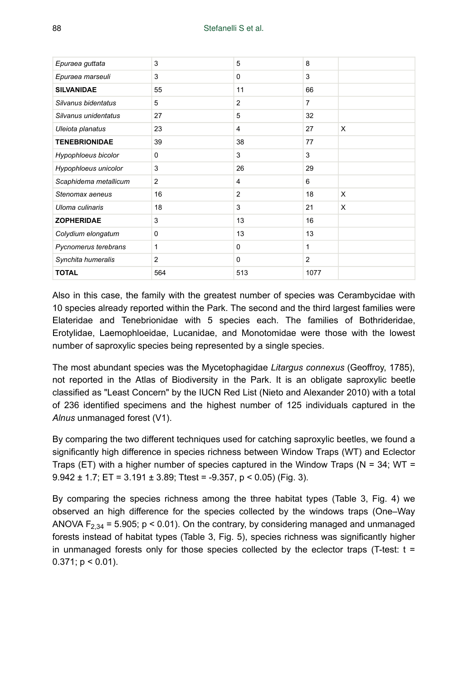| Epuraea guttata       | 3              | 5              | 8              |   |
|-----------------------|----------------|----------------|----------------|---|
| Epuraea marseuli      | 3              | 0              | 3              |   |
| <b>SILVANIDAE</b>     | 55             | 11             | 66             |   |
| Silvanus bidentatus   | 5              | 2              | $\overline{7}$ |   |
| Silvanus unidentatus  | 27             | 5              | 32             |   |
| Uleiota planatus      | 23             | $\overline{4}$ | 27             | X |
| <b>TENEBRIONIDAE</b>  | 39             | 38             | 77             |   |
| Hypophloeus bicolor   | 0              | 3              | 3              |   |
| Hypophloeus unicolor  | 3              | 26             | 29             |   |
| Scaphidema metallicum | $\overline{2}$ | $\overline{4}$ | 6              |   |
| Stenomax aeneus       | 16             | 2              | 18             | X |
| Uloma culinaris       | 18             | 3              | 21             | X |
| <b>ZOPHERIDAE</b>     | 3              | 13             | 16             |   |
| Colydium elongatum    | 0              | 13             | 13             |   |
| Pycnomerus terebrans  | 1              | $\mathbf 0$    | 1              |   |
| Synchita humeralis    | $\overline{2}$ | $\Omega$       | 2              |   |
| <b>TOTAL</b>          | 564            | 513            | 1077           |   |

Also in this case, the family with the greatest number of species was Cerambycidae with 10 species already reported within the Park. The second and the third largest families were Elateridae and Tenebrionidae with 5 species each. The families of Bothrideridae, Erotylidae, Laemophloeidae, Lucanidae, and Monotomidae were those with the lowest number of saproxylic species being represented by a single species.

The most abundant species was the Mycetophagidae *Litargus connexus* (Geoffroy, 1785), not reported in the Atlas of Biodiversity in the Park. It is an obligate saproxylic beetle classified as "Least Concern" by the IUCN Red List (Nieto and Alexander 2010) with a total of 236 identified specimens and the highest number of 125 individuals captured in the *Alnus* unmanaged forest (V1).

By comparing the two different techniques used for catching saproxylic beetles, we found a significantly high difference in species richness between Window Traps (WT) and Eclector Traps (ET) with a higher number of species captured in the Window Traps ( $N = 34$ ; WT = 9.942  $\pm$  1.7; ET = 3.191  $\pm$  3.89; Ttest = -9.357, p < 0.05) (Fig. 3).

By comparing the species richness among the three habitat types (Table 3, Fig. 4) we observed an high difference for the species collected by the windows traps (One–Way ANOVA F<sub>2,34</sub> = 5.905; p < 0.01). On the contrary, by considering managed and unmanaged forests instead of habitat types (Table 3, Fig. 5), species richness was significantly higher in unmanaged forests only for those species collected by the eclector traps (T-test:  $t =$ 0.371;  $p < 0.01$ ).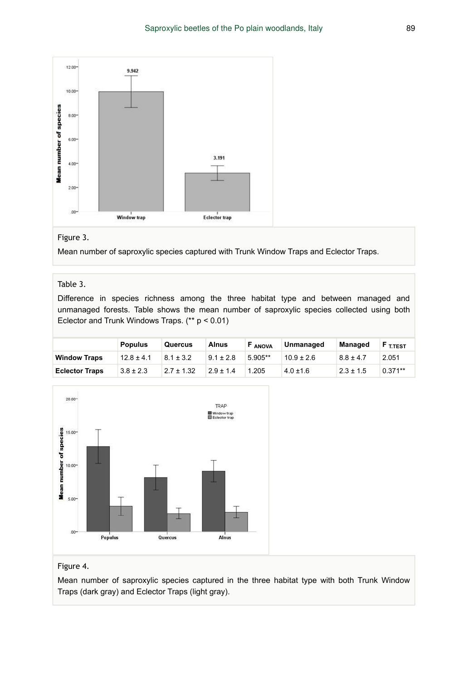

#### Figure 3.

Mean number of saproxylic species captured with Trunk Window Traps and Eclector Traps.

#### Table 3.

Difference in species richness among the three habitat type and between managed and unmanaged forests. Table shows the mean number of saproxylic species collected using both Eclector and Trunk Windows Traps. (\*\* p < 0.01)

|                       | <b>Populus</b> | Quercus        | Alnus         | <b>ANOVA</b> | Unmanaged      | Managed       | $F$ T.TEST |
|-----------------------|----------------|----------------|---------------|--------------|----------------|---------------|------------|
| <b>Window Traps</b>   | $12.8 \pm 4.1$ | $8.1 \pm 3.2$  | $9.1 \pm 2.8$ | 5.905**      | $10.9 \pm 2.6$ | $8.8 \pm 4.7$ | 2.051      |
| <b>Eclector Traps</b> | $3.8 \pm 2.3$  | $2.7 \pm 1.32$ | $2.9 \pm 1.4$ | 1.205        | $4.0 \pm 1.6$  | $2.3 \pm 1.5$ | $0.371**$  |



#### Figure 4.

Mean number of saproxylic species captured in the three habitat type with both Trunk Window Traps (dark gray) and Eclector Traps (light gray).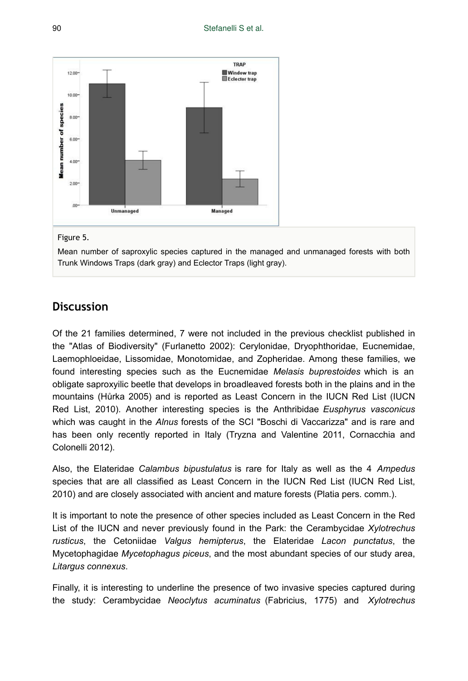

#### Figure 5.

Mean number of saproxylic species captured in the managed and unmanaged forests with both Trunk Windows Traps (dark gray) and Eclector Traps (light gray).

# **Discussion**

Of the 21 families determined, 7 were not included in the previous checklist published in the "Atlas of Biodiversity" (Furlanetto 2002): Cerylonidae, Dryophthoridae, Eucnemidae, Laemophloeidae, Lissomidae, Monotomidae, and Zopheridae. Among these families, we found interesting species such as the Eucnemidae *Melasis buprestoides* which is an obligate saproxyilic beetle that develops in broadleaved forests both in the plains and in the mountains (Hůrka 2005) and is reported as Least Concern in the IUCN Red List (IUCN Red List, 2010). Another interesting species is the Anthribidae *Eusphyrus vasconicus* which was caught in the *Alnus* forests of the SCI "Boschi di Vaccarizza" and is rare and has been only recently reported in Italy (Tryzna and Valentine 2011, Cornacchia and Colonelli 2012).

Also, the Elateridae *Calambus bipustulatus* is rare for Italy as well as the 4 *Ampedus* species that are all classified as Least Concern in the IUCN Red List (IUCN Red List, 2010) and are closely associated with ancient and mature forests (Platia pers. comm.).

It is important to note the presence of other species included as Least Concern in the Red List of the IUCN and never previously found in the Park: the Cerambycidae *Xylotrechus rusticus*, the Cetoniidae *Valgus hemipterus*, the Elateridae *Lacon punctatus*, the Mycetophagidae *Mycetophagus piceus*, and the most abundant species of our study area, *Litargus connexus*.

Finally, it is interesting to underline the presence of two invasive species captured during the study: Cerambycidae *Neoclytus acuminatus* (Fabricius, 1775) and *Xylotrechus*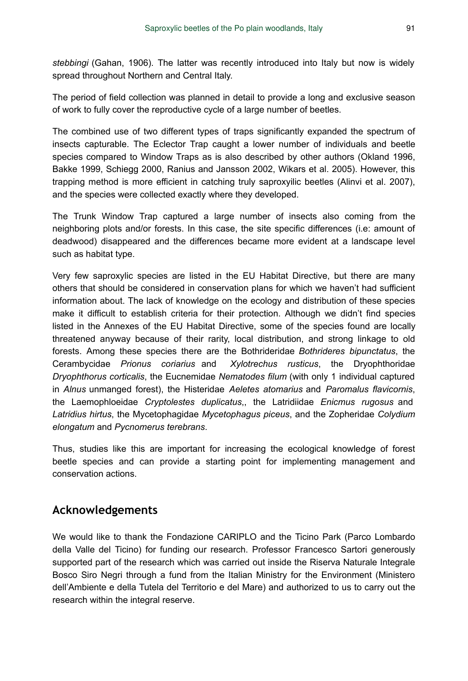*stebbingi* (Gahan, 1906). The latter was recently introduced into Italy but now is widely spread throughout Northern and Central Italy.

The period of field collection was planned in detail to provide a long and exclusive season of work to fully cover the reproductive cycle of a large number of beetles.

The combined use of two different types of traps significantly expanded the spectrum of insects capturable. The Eclector Trap caught a lower number of individuals and beetle species compared to Window Traps as is also described by other authors (Okland 1996, Bakke 1999, Schiegg 2000, Ranius and Jansson 2002, Wikars et al. 2005). However, this trapping method is more efficient in catching truly saproxyilic beetles (Alinvi et al. 2007), and the species were collected exactly where they developed.

The Trunk Window Trap captured a large number of insects also coming from the neighboring plots and/or forests. In this case, the site specific differences (i.e: amount of deadwood) disappeared and the differences became more evident at a landscape level such as habitat type.

Very few saproxylic species are listed in the EU Habitat Directive, but there are many others that should be considered in conservation plans for which we haven't had sufficient information about. The lack of knowledge on the ecology and distribution of these species make it difficult to establish criteria for their protection. Although we didn't find species listed in the Annexes of the EU Habitat Directive, some of the species found are locally threatened anyway because of their rarity, local distribution, and strong linkage to old forests. Among these species there are the Bothrideridae *Bothrideres bipunctatus*, the Cerambycidae *Prionus coriarius* and *Xylotrechus rusticus*, the Dryophthoridae *Dryophthorus corticalis*, the Eucnemidae *Nematodes filum* (with only 1 individual captured in *Alnus* unmanged forest), the Histeridae *Aeletes atomarius* and *Paromalus flavicornis*, the Laemophloeidae *Cryptolestes duplicatus*,, the Latridiidae *Enicmus rugosus* and *Latridius hirtus*, the Mycetophagidae *Mycetophagus piceus*, and the Zopheridae *Colydium elongatum* and *Pycnomerus terebrans*.

Thus, studies like this are important for increasing the ecological knowledge of forest beetle species and can provide a starting point for implementing management and conservation actions.

# **Acknowledgements**

We would like to thank the Fondazione CARIPLO and the Ticino Park (Parco Lombardo della Valle del Ticino) for funding our research. Professor Francesco Sartori generously supported part of the research which was carried out inside the Riserva Naturale Integrale Bosco Siro Negri through a fund from the Italian Ministry for the Environment (Ministero dell'Ambiente e della Tutela del Territorio e del Mare) and authorized to us to carry out the research within the integral reserve.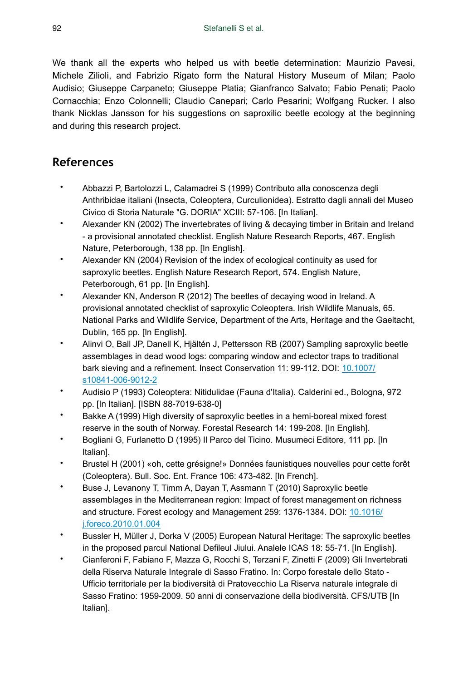We thank all the experts who helped us with beetle determination: Maurizio Pavesi, Michele Zilioli, and Fabrizio Rigato form the Natural History Museum of Milan; Paolo Audisio; Giuseppe Carpaneto; Giuseppe Platia; Gianfranco Salvato; Fabio Penati; Paolo Cornacchia; Enzo Colonnelli; Claudio Canepari; Carlo Pesarini; Wolfgang Rucker. I also thank Nicklas Jansson for his suggestions on saproxilic beetle ecology at the beginning and during this research project.

# **References**

- Abbazzi P, Bartolozzi L, Calamadrei S (1999) Contributo alla conoscenza degli Anthribidae italiani (Insecta, Coleoptera, Curculionidea). Estratto dagli annali del Museo Civico di Storia Naturale "G. DORIA" XCIII: 57‑106. [In Italian].
- Alexander KN (2002) The invertebrates of living & decaying timber in Britain and Ireland - a provisional annotated checklist. English Nature Research Reports, 467. English Nature, Peterborough, 138 pp. [In English].
- Alexander KN (2004) Revision of the index of ecological continuity as used for saproxylic beetles. English Nature Research Report, 574. English Nature, Peterborough, 61 pp. [In English].
- Alexander KN, Anderson R (2012) The beetles of decaying wood in Ireland. A provisional annotated checklist of saproxylic Coleoptera. Irish Wildlife Manuals, 65. National Parks and Wildlife Service, Department of the Arts, Heritage and the Gaeltacht, Dublin, 165 pp. [In English].
- Alinvi O, Ball JP, Danell K, Hjältén J, Pettersson RB (2007) Sampling saproxylic beetle assemblages in dead wood logs: comparing window and eclector traps to traditional bark sieving and a refinement. Insect Conservation 11: 99-112. DOI: [10.1007/](http://dx.doi.org/10.1007/s10841-006-9012-2) [s10841-006-9012-2](http://dx.doi.org/10.1007/s10841-006-9012-2)
- Audisio P (1993) Coleoptera: Nitidulidae (Fauna d'Italia). Calderini ed., Bologna, 972 pp. [In Italian]. [ISBN 88-7019-638-0]
- Bakke A (1999) High diversity of saproxylic beetles in a hemi-boreal mixed forest reserve in the south of Norway. Forestal Research 14: 199-208. [In English].
- Bogliani G, Furlanetto D (1995) Il Parco del Ticino. Musumeci Editore, 111 pp. [In Italian].
- Brustel H (2001) «oh, cette grésigne!» Données faunistiques nouvelles pour cette forêt (Coleoptera). Bull. Soc. Ent. France 106: 473‑482. [In French].
- Buse J, Levanony T, Timm A, Dayan T, Assmann T (2010) Saproxylic beetle assemblages in the Mediterranean region: Impact of forest management on richness and structure. Forest ecology and Management 259: 1376‑1384. DOI: [10.1016/](http://dx.doi.org/10.1016/j.foreco.2010.01.004) [j.foreco.2010.01.004](http://dx.doi.org/10.1016/j.foreco.2010.01.004)
- Bussler H, Müller J, Dorka V (2005) European Natural Heritage: The saproxylic beetles in the proposed parcul National Defileul Jiului. Analele ICAS 18: 55‑71. [In English].
- Cianferoni F, Fabiano F, Mazza G, Rocchi S, Terzani F, Zinetti F (2009) Gli Invertebrati della Riserva Naturale Integrale di Sasso Fratino. In: Corpo forestale dello Stato - Ufficio territoriale per la biodiversità di Pratovecchio La Riserva naturale integrale di Sasso Fratino: 1959-2009. 50 anni di conservazione della biodiversità. CFS/UTB [In Italian].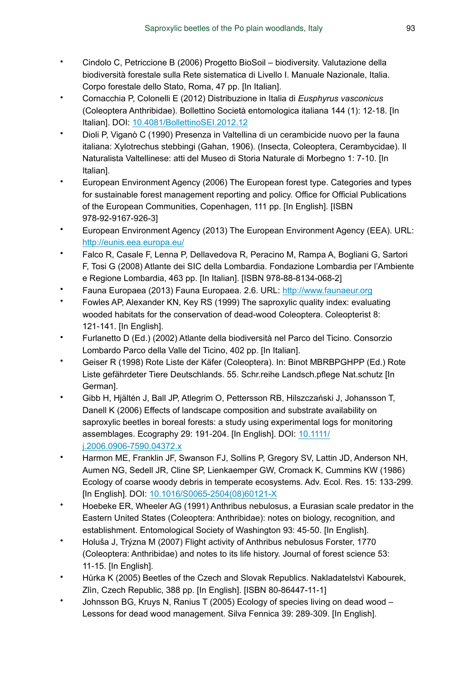- Cindolo C, Petriccione B (2006) Progetto BioSoil biodiversity. Valutazione della biodiversità forestale sulla Rete sistematica di Livello I. Manuale Nazionale, Italia. Corpo forestale dello Stato, Roma, 47 pp. [In Italian].
- Cornacchia P, Colonelli E (2012) Distribuzione in Italia di *Eusphyrus vasconicus* (Coleoptera Anthribidae). Bollettino Società entomologica italiana 144 (1): 12‑18. [In Italian]. DOI: [10.4081/BollettinoSEI.2012.12](http://dx.doi.org/10.4081/BollettinoSEI.2012.12)
- Dioli P, Viganò C (1990) Presenza in Valtellina di un cerambicide nuovo per la fauna italiana: Xylotrechus stebbingi (Gahan, 1906). (Insecta, Coleoptera, Cerambycidae). Il Naturalista Valtellinese: atti del Museo di Storia Naturale di Morbegno 1: 7‑10. [In Italian].
- European Environment Agency (2006) The European forest type. Categories and types for sustainable forest management reporting and policy. Office for Official Publications of the European Communities, Copenhagen, 111 pp. [In English]. [ISBN 978-92-9167-926-3]
- European Environment Agency (2013) The European Environment Agency (EEA). URL: <http://eunis.eea.europa.eu/>
- Falco R, Casale F, Lenna P, Dellavedova R, Peracino M, Rampa A, Bogliani G, Sartori F, Tosi G (2008) Atlante dei SIC della Lombardia. Fondazione Lombardia per l'Ambiente e Regione Lombardia, 463 pp. [In Italian]. [ISBN 978-88-8134-068-2]
- Fauna Europaea (2013) Fauna Europaea. 2.6. URL: <http://www.faunaeur.org>
- Fowles AP, Alexander KN, Key RS (1999) The saproxylic quality index: evaluating wooded habitats for the conservation of dead-wood Coleoptera. Coleopterist 8: 121‑141. [In English].
- Furlanetto D (Ed.) (2002) Atlante della biodiversità nel Parco del Ticino. Consorzio Lombardo Parco della Valle del Ticino, 402 pp. [In Italian].
- Geiser R (1998) Rote Liste der Käfer (Coleoptera). In: Binot MBRBPGHPP (Ed.) Rote Liste gefährdeter Tiere Deutschlands. 55. Schr.reihe Landsch.pflege Nat.schutz [In German].
- Gibb H, Hjältén J, Ball JP, Atlegrim O, Pettersson RB, Hilszczański J, Johansson T, Danell K (2006) Effects of landscape composition and substrate availability on saproxylic beetles in boreal forests: a study using experimental logs for monitoring assemblages. Ecography 29: 191‑204. [In English]. DOI: [10.1111/](http://dx.doi.org/10.1111/j.2006.0906-7590.04372.x) [j.2006.0906-7590.04372.x](http://dx.doi.org/10.1111/j.2006.0906-7590.04372.x)
- Harmon ME, Franklin JF, Swanson FJ, Sollins P, Gregory SV, Lattin JD, Anderson NH, Aumen NG, Sedell JR, Cline SP, Lienkaemper GW, Cromack K, Cummins KW (1986) Ecology of coarse woody debris in temperate ecosystems. Adv. Ecol. Res. 15: 133‑299. [In English]. DOI: [10.1016/S0065-2504\(08\)60121-X](http://dx.doi.org/10.1016/S0065-2504(08)60121-X)
- Hoebeke ER, Wheeler AG (1991) Anthribus nebulosus, a Eurasian scale predator in the Eastern United States (Coleoptera: Anthribidae): notes on biology, recognition, and establishment. Entomological Society of Washington 93: 45‑50. [In English].
- Holuša J, Trýzna M (2007) Flight activity of Anthribus nebulosus Forster, 1770 (Coleoptera: Anthribidae) and notes to its life history. Journal of forest science 53: 11‑15. [In English].
- Hůrka K (2005) Beetles of the Czech and Slovak Republics. Nakladatelstvì Kabourek, Zlìn, Czech Republic, 388 pp. [In English]. [ISBN 80-86447-11-1]
- Johnsson BG, Kruys N, Ranius T (2005) Ecology of species living on dead wood Lessons for dead wood management. Silva Fennica 39: 289‑309. [In English].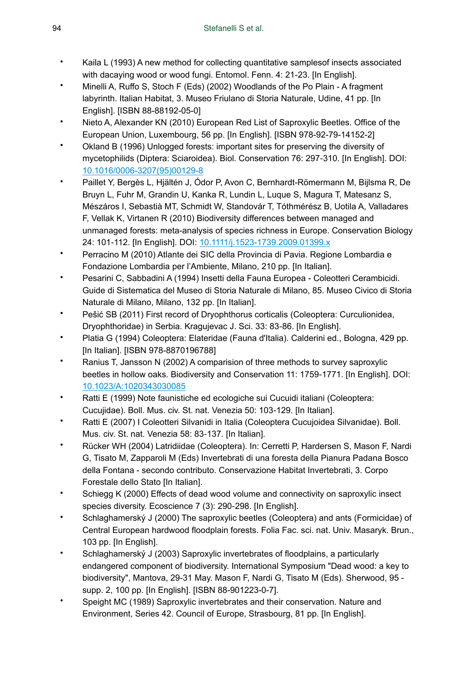- Kaila L (1993) A new method for collecting quantitative samplesof insects associated with dacaying wood or wood fungi. Entomol. Fenn. 4: 21-23. [In English].
- Minelli A, Ruffo S, Stoch F (Eds) (2002) Woodlands of the Po Plain A fragment labyrinth. Italian Habitat, 3. Museo Friulano di Storia Naturale, Udine, 41 pp. [In English]. [ISBN 88-88192-05-0]
- Nieto A, Alexander KN (2010) European Red List of Saproxylic Beetles. Office of the European Union, Luxembourg, 56 pp. [In English]. [ISBN 978-92-79-14152-2]
- Okland B (1996) Unlogged forests: important sites for preserving the diversity of mycetophilids (Diptera: Sciaroidea). Biol. Conservation 76: 297‑310. [In English]. DOI: [10.1016/0006-3207\(95\)00129-8](http://dx.doi.org/10.1016/0006-3207(95)00129-8)
- Paillet Y, Bergès L, Hjältén J, Ódor P, Avon C, Bernhardt-Römermann M, Bijlsma R, De Bruyn L, Fuhr M, Grandin U, Kanka R, Lundin L, Luque S, Magura T, Matesanz S, Mészáros I, Sebastià MT, Schmidt W, Standovár T, Tóthmérész B, Uotila A, Valladares F, Vellak K, Virtanen R (2010) Biodiversity differences between managed and unmanaged forests: meta-analysis of species richness in Europe. Conservation Biology 24: 101‑112. [In English]. DOI: [10.1111/j.1523-1739.2009.01399.x](http://dx.doi.org/10.1111/j.1523-1739.2009.01399.x)
- Perracino M (2010) Atlante dei SIC della Provincia di Pavia. Regione Lombardia e Fondazione Lombardia per l'Ambiente, Milano, 210 pp. [In Italian].
- Pesarini C, Sabbadini A (1994) Insetti della Fauna Europea Coleotteri Cerambicidi. Guide di Sistematica del Museo di Storia Naturale di Milano, 85. Museo Civico di Storia Naturale di Milano, Milano, 132 pp. [In Italian].
- Pešić SB (2011) First record of Dryophthorus corticalis (Coleoptera: Curculionidea, Dryophthoridae) in Serbia. Kragujevac J. Sci. 33: 83‑86. [In English].
- Platia G (1994) Coleoptera: Elateridae (Fauna d'Italia). Calderini ed., Bologna, 429 pp. [In Italian]. [ISBN 978-8870196788]
- Ranius T, Jansson N (2002) A comparision of three methods to survey saproxylic beetles in hollow oaks. Biodiversity and Conservation 11: 1759-1771. [In English]. DOI: [10.1023/A:1020343030085](http://dx.doi.org/10.1023/A:1020343030085)
- Ratti E (1999) Note faunistiche ed ecologiche sui Cucuidi italiani (Coleoptera: Cucujidae). Boll. Mus. civ. St. nat. Venezia 50: 103-129. [In Italian].
- Ratti E (2007) I Coleotteri Silvanidi in Italia (Coleoptera Cucujoidea Silvanidae). Boll. Mus. civ. St. nat. Venezia 58: 83‑137. [In Italian].
- Rücker WH (2004) Latridiidae (Coleoptera). In: Cerretti P, Hardersen S, Mason F, Nardi G, Tisato M, Zapparoli M (Eds) Invertebrati di una foresta della Pianura Padana Bosco della Fontana - secondo contributo. Conservazione Habitat Invertebrati, 3. Corpo Forestale dello Stato [In Italian].
- Schiegg K (2000) Effects of dead wood volume and connectivity on saproxylic insect species diversity. Ecoscience 7 (3): 290-298. [In English].
- Schlaghamerský J (2000) The saproxylic beetles (Coleoptera) and ants (Formicidae) of Central European hardwood floodplain forests. Folia Fac. sci. nat. Univ. Masaryk. Brun., 103 pp. [In English].
- Schlaghamerský J (2003) Saproxylic invertebrates of floodplains, a particularly endangered component of biodiversity. International Symposium "Dead wood: a key to biodiversity", Mantova, 29-31 May. Mason F, Nardi G, Tisato M (Eds). Sherwood, 95 supp. 2, 100 pp. [In English]. [ISBN 88-901223-0-7].
- Speight MC (1989) Saproxylic invertebrates and their conservation. Nature and Environment, Series 42. Council of Europe, Strasbourg, 81 pp. [In English].